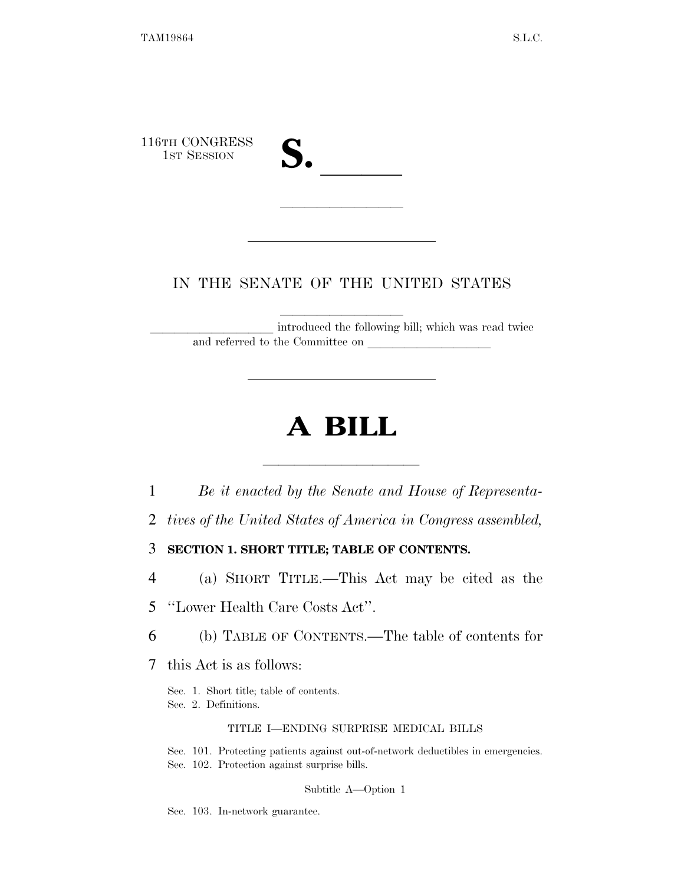116TH CONGRESS 1ST SESSION **S.** ll llllllllll

## IN THE SENATE OF THE UNITED STATES

introduced the following bill; which was read twice and referred to the Committee on

# **A BILL**

lla se al constituir a la constituir a la constituir a la constituir a la constituir a la constituir a la cons<br>La constituir a la constituir a la constituir a la constituir a la constituir a la constituir a la constituir 1 *Be it enacted by the Senate and House of Representa-*

2 *tives of the United States of America in Congress assembled,* 

3 **SECTION 1. SHORT TITLE; TABLE OF CONTENTS.** 

4 (a) SHORT TITLE.—This Act may be cited as the

5 ''Lower Health Care Costs Act''.

6 (b) TABLE OF CONTENTS.—The table of contents for

7 this Act is as follows:

Sec. 1. Short title; table of contents. Sec. 2. Definitions.

#### TITLE I—ENDING SURPRISE MEDICAL BILLS

Sec. 101. Protecting patients against out-of-network deductibles in emergencies. Sec. 102. Protection against surprise bills.

Subtitle A—Option 1

Sec. 103. In-network guarantee.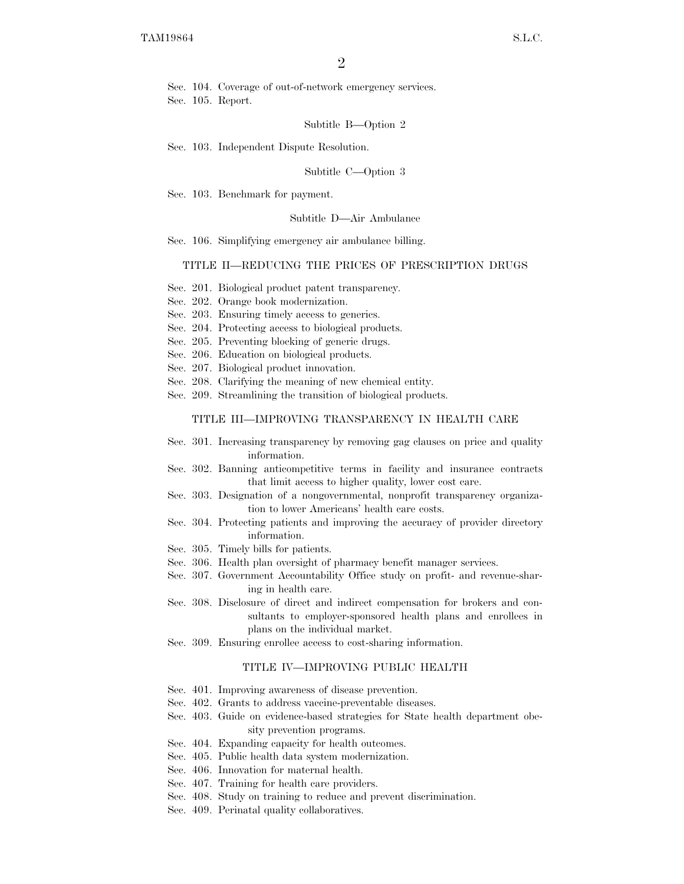Sec. 104. Coverage of out-of-network emergency services. Sec. 105. Report.

Subtitle B—Option 2

Sec. 103. Independent Dispute Resolution.

Subtitle C—Option 3

Sec. 103. Benchmark for payment.

#### Subtitle D—Air Ambulance

Sec. 106. Simplifying emergency air ambulance billing.

#### TITLE II—REDUCING THE PRICES OF PRESCRIPTION DRUGS

- Sec. 201. Biological product patent transparency.
- Sec. 202. Orange book modernization.
- Sec. 203. Ensuring timely access to generics.
- Sec. 204. Protecting access to biological products.
- Sec. 205. Preventing blocking of generic drugs.
- Sec. 206. Education on biological products.

Sec. 207. Biological product innovation.

- Sec. 208. Clarifying the meaning of new chemical entity.
- Sec. 209. Streamlining the transition of biological products.

#### TITLE III—IMPROVING TRANSPARENCY IN HEALTH CARE

- Sec. 301. Increasing transparency by removing gag clauses on price and quality information.
- Sec. 302. Banning anticompetitive terms in facility and insurance contracts that limit access to higher quality, lower cost care.
- Sec. 303. Designation of a nongovernmental, nonprofit transparency organization to lower Americans' health care costs.
- Sec. 304. Protecting patients and improving the accuracy of provider directory information.
- Sec. 305. Timely bills for patients.
- Sec. 306. Health plan oversight of pharmacy benefit manager services.
- Sec. 307. Government Accountability Office study on profit- and revenue-sharing in health care.
- Sec. 308. Disclosure of direct and indirect compensation for brokers and consultants to employer-sponsored health plans and enrollees in plans on the individual market.
- Sec. 309. Ensuring enrollee access to cost-sharing information.

#### TITLE IV—IMPROVING PUBLIC HEALTH

- Sec. 401. Improving awareness of disease prevention.
- Sec. 402. Grants to address vaccine-preventable diseases.
- Sec. 403. Guide on evidence-based strategies for State health department obesity prevention programs.
- Sec. 404. Expanding capacity for health outcomes.
- Sec. 405. Public health data system modernization.
- Sec. 406. Innovation for maternal health.
- Sec. 407. Training for health care providers.
- Sec. 408. Study on training to reduce and prevent discrimination.
- Sec. 409. Perinatal quality collaboratives.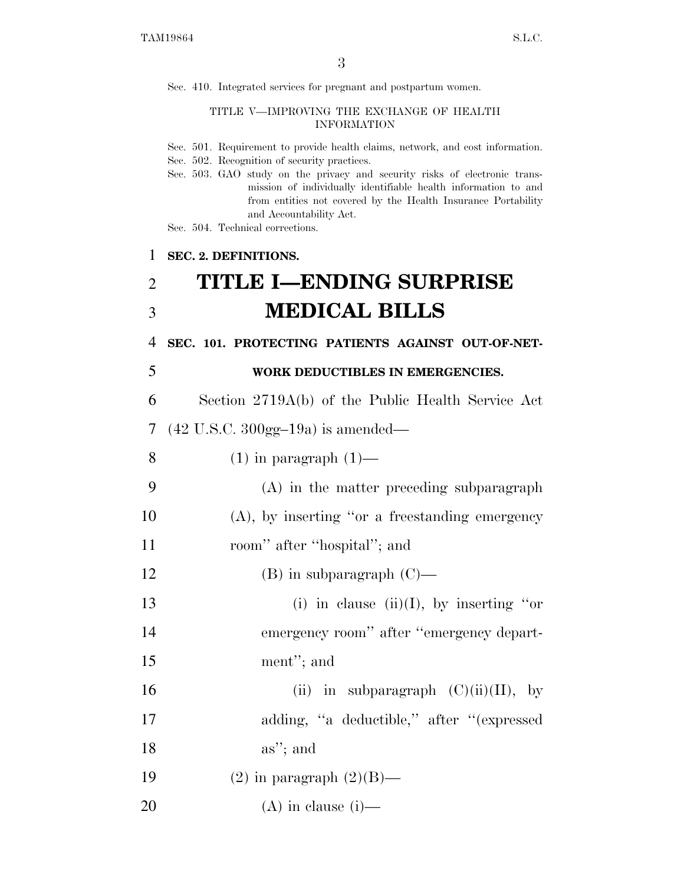Sec. 410. Integrated services for pregnant and postpartum women.

#### TITLE V—IMPROVING THE EXCHANGE OF HEALTH INFORMATION

- Sec. 501. Requirement to provide health claims, network, and cost information.
- Sec. 502. Recognition of security practices.
- Sec. 503. GAO study on the privacy and security risks of electronic transmission of individually identifiable health information to and from entities not covered by the Health Insurance Portability and Accountability Act.
- Sec. 504. Technical corrections.

#### 1 **SEC. 2. DEFINITIONS.**

# 2 **TITLE I—ENDING SURPRISE**  3 **MEDICAL BILLS**

4 **SEC. 101. PROTECTING PATIENTS AGAINST OUT-OF-NET-**

#### 5 **WORK DEDUCTIBLES IN EMERGENCIES.**

6 Section 2719A(b) of the Public Health Service Act

7 (42 U.S.C. 300gg–19a) is amended—

8  $(1)$  in paragraph  $(1)$ —

- 9 (A) in the matter preceding subparagraph 10 (A), by inserting ''or a freestanding emergency
- 11 room'' after ''hospital''; and
- 12 (B) in subparagraph (C)—
- 13 (i) in clause (ii)(I), by inserting "or 14 emergency room'' after ''emergency depart-
- 15 ment''; and
- 16 (ii) in subparagraph  $(C)(ii)(II)$ , by 17 adding, ''a deductible,'' after ''(expressed 18 as''; and
- 19  $(2)$  in paragraph  $(2)(B)$ —

20  $(A)$  in clause (i)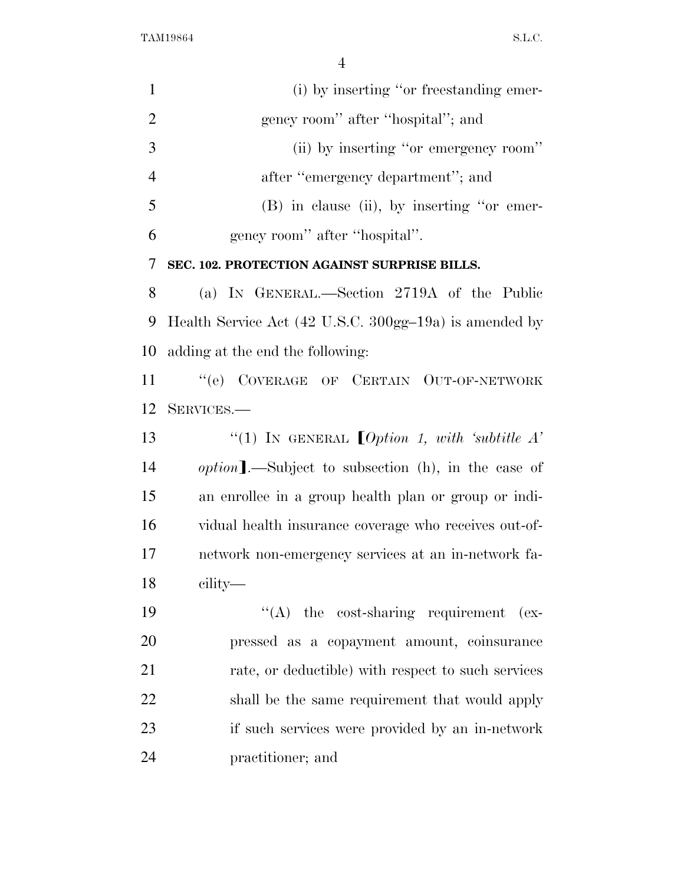| $\mathbf{1}$   | (i) by inserting "or freestanding emer-                    |
|----------------|------------------------------------------------------------|
| $\overline{2}$ | gency room" after "hospital"; and                          |
| 3              | (ii) by inserting "or emergency room"                      |
| $\overline{4}$ | after "emergency department"; and                          |
| 5              | $(B)$ in clause (ii), by inserting "or emer-               |
| 6              | gency room" after "hospital".                              |
| 7              | SEC. 102. PROTECTION AGAINST SURPRISE BILLS.               |
| 8              | (a) IN GENERAL.—Section 2719A of the Public                |
| 9              | Health Service Act (42 U.S.C. 300gg-19a) is amended by     |
| 10             | adding at the end the following:                           |
| 11             | "(e) COVERAGE OF CERTAIN OUT-OF-NETWORK                    |
| 12             | SERVICES.-                                                 |
| 13             |                                                            |
| 14             | <i>option</i> ].—Subject to subsection (h), in the case of |
| 15             | an enrollee in a group health plan or group or indi-       |
| 16             | vidual health insurance coverage who receives out-of-      |
| 17             | network non-emergency services at an in-network fa-        |
| 18             | cility—                                                    |
| 19             | $\lq\lq$ the cost-sharing requirement (ex-                 |
| 20             | pressed as a copayment amount, coinsurance                 |
| 21             | rate, or deductible) with respect to such services         |
| 22             | shall be the same requirement that would apply             |
| 23             | if such services were provided by an in-network            |
| 24             | practitioner; and                                          |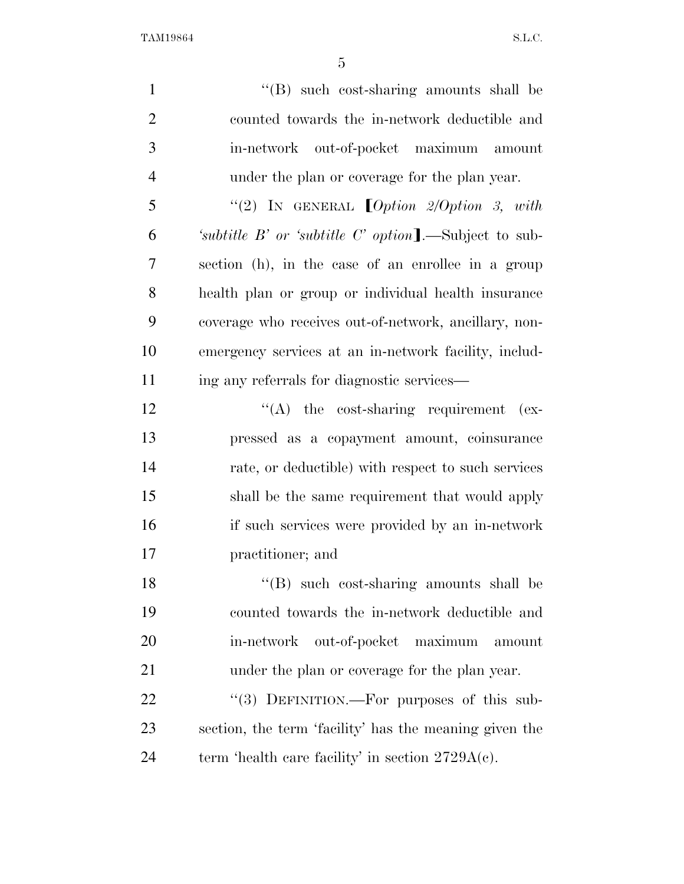| $\mathbf{1}$   | "(B) such cost-sharing amounts shall be                   |
|----------------|-----------------------------------------------------------|
| $\overline{2}$ | counted towards the in-network deductible and             |
| 3              | in-network out-of-pocket maximum amount                   |
| $\overline{4}$ | under the plan or coverage for the plan year.             |
| 5              | "(2) IN GENERAL $[Option 2/Option 3, with]$               |
| 6              | 'subtitle $B'$ or 'subtitle $C'$ option].—Subject to sub- |
| 7              | section (h), in the case of an enrollee in a group        |
| 8              | health plan or group or individual health insurance       |
| 9              | coverage who receives out-of-network, ancillary, non-     |
| 10             | emergency services at an in-network facility, includ-     |
| 11             | ing any referrals for diagnostic services—                |
| 12             | $\lq\lq$ the cost-sharing requirement (ex-                |
| 13             | pressed as a copayment amount, coinsurance                |
| 14             | rate, or deductible) with respect to such services        |
| 15             | shall be the same requirement that would apply            |
| 16             | if such services were provided by an in-network           |
| 17             | practitioner; and                                         |
| 18             | "(B) such cost-sharing amounts shall be                   |
| 19             | counted towards the in-network deductible and             |
| 20             | out-of-pocket<br>maximum<br>in-network<br>amount          |
| 21             | under the plan or coverage for the plan year.             |
| 22             | "(3) DEFINITION.—For purposes of this sub-                |
| 23             | section, the term 'facility' has the meaning given the    |
| 24             | term 'health care facility' in section $2729A(c)$ .       |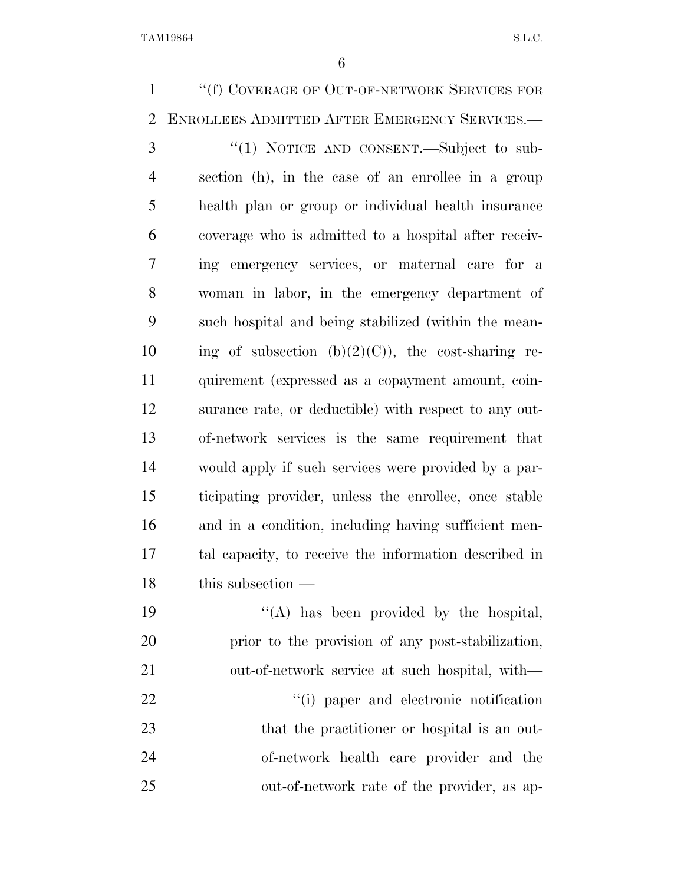''(f) COVERAGE OF OUT-OF-NETWORK SERVICES FOR ENROLLEES ADMITTED AFTER EMERGENCY SERVICES.— 3 "(1) NOTICE AND CONSENT.—Subject to sub- section (h), in the case of an enrollee in a group health plan or group or individual health insurance coverage who is admitted to a hospital after receiv- ing emergency services, or maternal care for a woman in labor, in the emergency department of such hospital and being stabilized (within the mean-10 ing of subsection  $(b)(2)(C)$ , the cost-sharing re- quirement (expressed as a copayment amount, coin- surance rate, or deductible) with respect to any out- of-network services is the same requirement that would apply if such services were provided by a par- ticipating provider, unless the enrollee, once stable and in a condition, including having sufficient men- tal capacity, to receive the information described in this subsection —  $((A)$  has been provided by the hospital, prior to the provision of any post-stabilization, out-of-network service at such hospital, with—  $\frac{1}{1}$  paper and electronic notification 23 that the practitioner or hospital is an out- of-network health care provider and the out-of-network rate of the provider, as ap-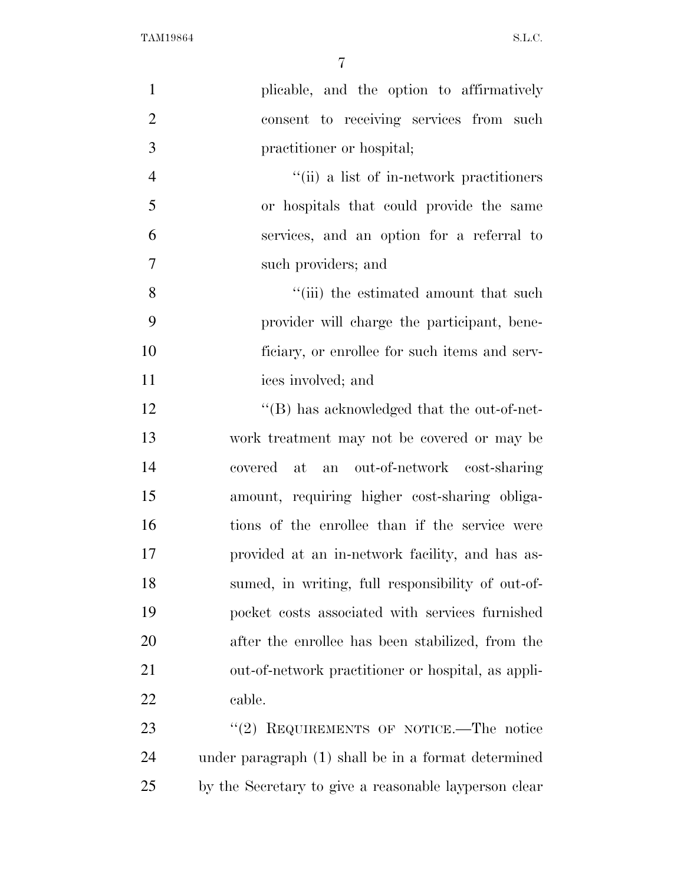| $\mathbf{1}$   | plicable, and the option to affirmatively             |
|----------------|-------------------------------------------------------|
| $\overline{2}$ | consent to receiving services from such               |
| 3              | practitioner or hospital;                             |
| $\overline{4}$ | "(ii) a list of in-network practitioners              |
| 5              | or hospitals that could provide the same              |
| 6              | services, and an option for a referral to             |
| $\overline{7}$ | such providers; and                                   |
| 8              | "(iii) the estimated amount that such                 |
| 9              | provider will charge the participant, bene-           |
| 10             | ficiary, or enrollee for such items and serv-         |
| 11             | ices involved; and                                    |
| 12             | $\lq\lq$ . Thus acknowledged that the out-of-net-     |
| 13             | work treatment may not be covered or may be           |
| 14             | covered at<br>an out-of-network cost-sharing          |
| 15             | amount, requiring higher cost-sharing obliga-         |
| 16             | tions of the enrollee than if the service were        |
| 17             | provided at an in-network facility, and has as-       |
| 18             | sumed, in writing, full responsibility of out-of-     |
| 19             | pocket costs associated with services furnished       |
| 20             | after the enrollee has been stabilized, from the      |
| 21             | out-of-network practitioner or hospital, as appli-    |
| 22             | cable.                                                |
| 23             | "(2) REQUIREMENTS OF NOTICE.—The notice               |
| 24             | under paragraph (1) shall be in a format determined   |
| 25             | by the Secretary to give a reasonable layperson clear |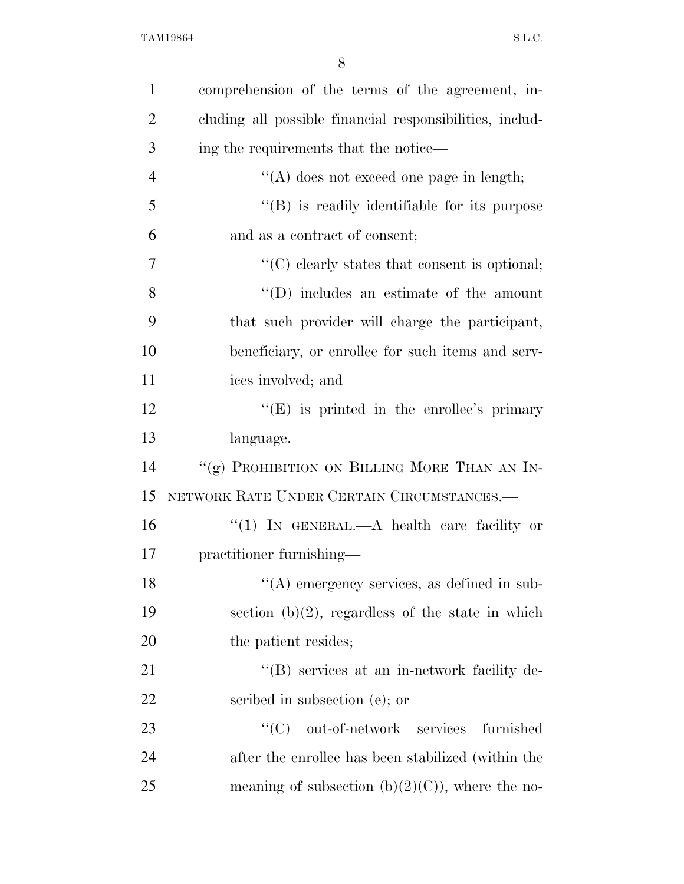| $\mathbf{1}$   | comprehension of the terms of the agreement, in-         |
|----------------|----------------------------------------------------------|
| $\overline{2}$ | cluding all possible financial responsibilities, includ- |
| 3              | ing the requirements that the notice—                    |
| $\overline{4}$ | "(A) does not exceed one page in length;                 |
| 5              | "(B) is readily identifiable for its purpose             |
| 6              | and as a contract of consent;                            |
| $\overline{7}$ | $\lq\lq$ clearly states that consent is optional;        |
| 8              | $\lq\lq$ (D) includes an estimate of the amount          |
| 9              | that such provider will charge the participant,          |
| 10             | beneficiary, or enrollee for such items and serv-        |
| 11             | ices involved; and                                       |
| 12             | " $(E)$ is printed in the enrollee's primary             |
| 13             | language.                                                |
| 14             | "(g) PROHIBITION ON BILLING MORE THAN AN IN-             |
| 15             | NETWORK RATE UNDER CERTAIN CIRCUMSTANCES.—               |
| 16             | "(1) IN GENERAL.—A health care facility or               |
| 17             | practitioner furnishing—                                 |
| 18             | $\lq($ A) emergency services, as defined in sub-         |
| 19             | section $(b)(2)$ , regardless of the state in which      |
| 20             | the patient resides;                                     |
| 21             | "(B) services at an in-network facility de-              |
| 22             | scribed in subsection (e); or                            |
| 23             | ``(C)<br>out-of-network services<br>furnished            |
| 24             | after the enrollee has been stabilized (within the       |
| 25             | meaning of subsection $(b)(2)(C)$ , where the no-        |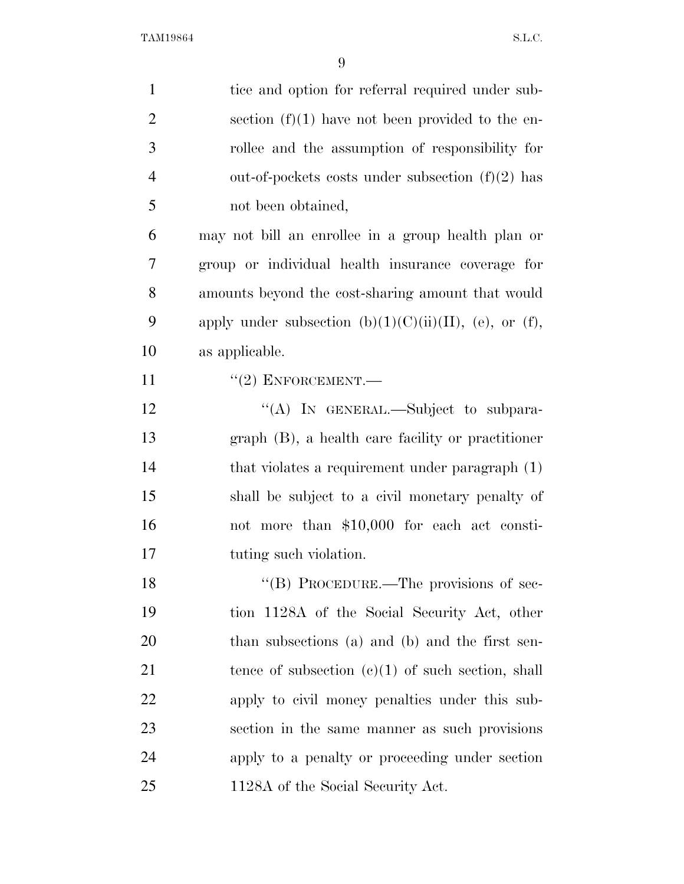| $\mathbf{1}$   | tice and option for referral required under sub-          |
|----------------|-----------------------------------------------------------|
| $\overline{2}$ | section $(f)(1)$ have not been provided to the en-        |
| 3              | rollee and the assumption of responsibility for           |
| $\overline{4}$ | out-of-pockets costs under subsection $(f)(2)$ has        |
| 5              | not been obtained,                                        |
| 6              | may not bill an enrollee in a group health plan or        |
| 7              | group or individual health insurance coverage for         |
| 8              | amounts beyond the cost-sharing amount that would         |
| 9              | apply under subsection $(b)(1)(C)(ii)(II)$ , (e), or (f), |
| 10             | as applicable.                                            |
| 11             | $"(2)$ ENFORCEMENT.—                                      |
| 12             | "(A) IN GENERAL.—Subject to subpara-                      |
| 13             | $graph$ (B), a health care facility or practitioner       |
| 14             | that violates a requirement under paragraph (1)           |
| 15             | shall be subject to a civil monetary penalty of           |
| 16             | not more than \$10,000 for each act consti-               |
| 17             | tuting such violation.                                    |
| 18             | "(B) PROCEDURE.—The provisions of sec-                    |
| 19             | tion 1128A of the Social Security Act, other              |
| 20             | than subsections (a) and (b) and the first sen-           |
| 21             | tence of subsection $(c)(1)$ of such section, shall       |
| 22             | apply to civil money penalties under this sub-            |
| 23             | section in the same manner as such provisions             |
| 24             | apply to a penalty or proceeding under section            |
| 25             | 1128A of the Social Security Act.                         |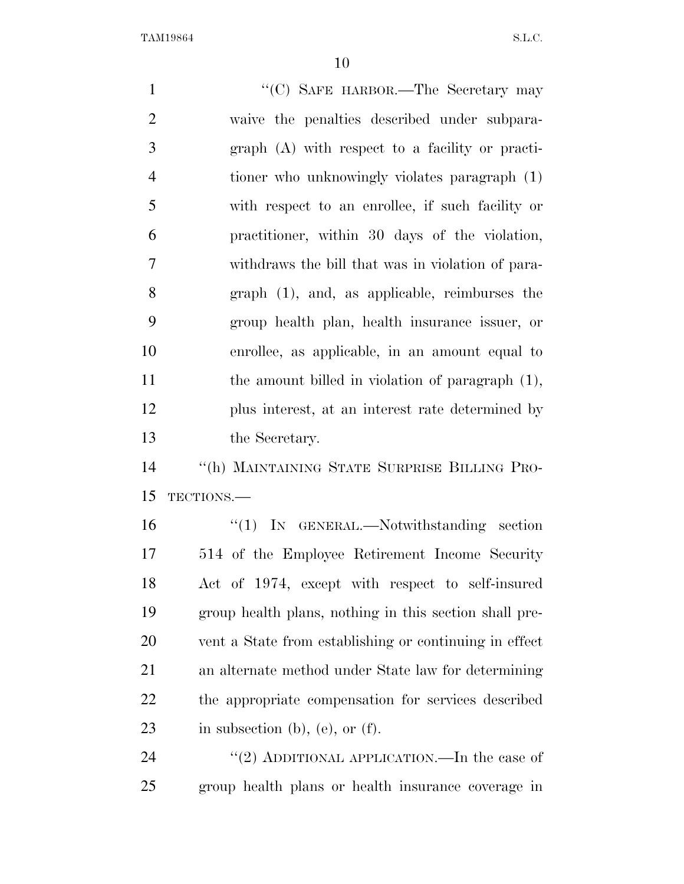| $\mathbf{1}$   | "(C) SAFE HARBOR.—The Secretary may                    |
|----------------|--------------------------------------------------------|
| $\overline{2}$ | waive the penalties described under subpara-           |
| 3              | graph (A) with respect to a facility or practi-        |
| $\overline{4}$ | tioner who unknowingly violates paragraph (1)          |
| 5              | with respect to an enrollee, if such facility or       |
| 6              | practitioner, within 30 days of the violation,         |
| $\overline{7}$ | withdraws the bill that was in violation of para-      |
| 8              | $graph$ (1), and, as applicable, reimburses the        |
| 9              | group health plan, health insurance issuer, or         |
| 10             | enrollee, as applicable, in an amount equal to         |
| 11             | the amount billed in violation of paragraph $(1)$ ,    |
| 12             | plus interest, at an interest rate determined by       |
| 13             | the Secretary.                                         |
| 14             | "(h) MAINTAINING STATE SURPRISE BILLING PRO-           |
| 15             | TECTIONS.                                              |
| 16             | " $(1)$ IN GENERAL.—Notwithstanding section            |
| 17             | 514 of the Employee Retirement Income Security         |
| 18             | Act of 1974, except with respect to self-insured       |
| 19             | group health plans, nothing in this section shall pre- |
| 20             | vent a State from establishing or continuing in effect |
| 21             | an alternate method under State law for determining    |
| 22             | the appropriate compensation for services described    |
| 23             | in subsection $(b)$ , $(e)$ , or $(f)$ .               |
| 24             | "(2) ADDITIONAL APPLICATION.—In the case of            |
| 25             | group health plans or health insurance coverage in     |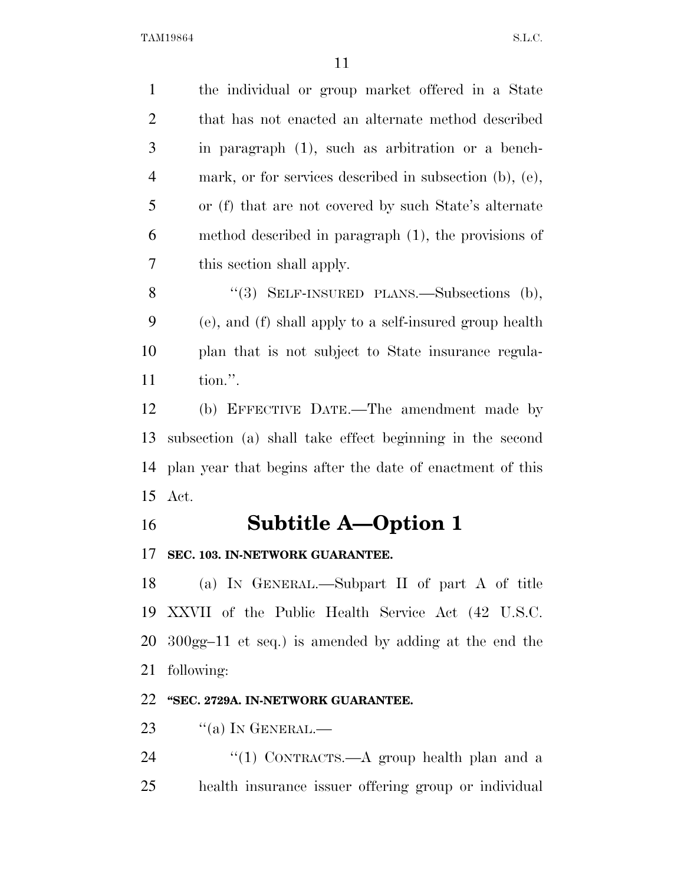the individual or group market offered in a State that has not enacted an alternate method described in paragraph (1), such as arbitration or a bench- mark, or for services described in subsection (b), (e), or (f) that are not covered by such State's alternate method described in paragraph (1), the provisions of this section shall apply.

8 "(3) SELF-INSURED PLANS.—Subsections (b), (e), and (f) shall apply to a self-insured group health plan that is not subject to State insurance regula-tion.''.

 (b) EFFECTIVE DATE.—The amendment made by subsection (a) shall take effect beginning in the second plan year that begins after the date of enactment of this Act.

## **Subtitle A—Option 1**

### **SEC. 103. IN-NETWORK GUARANTEE.**

 (a) IN GENERAL.—Subpart II of part A of title XXVII of the Public Health Service Act (42 U.S.C. 300gg–11 et seq.) is amended by adding at the end the following:

### **''SEC. 2729A. IN-NETWORK GUARANTEE.**

23  $\frac{1}{2}$  (a) In GENERAL.

24 "(1) CONTRACTS.—A group health plan and a health insurance issuer offering group or individual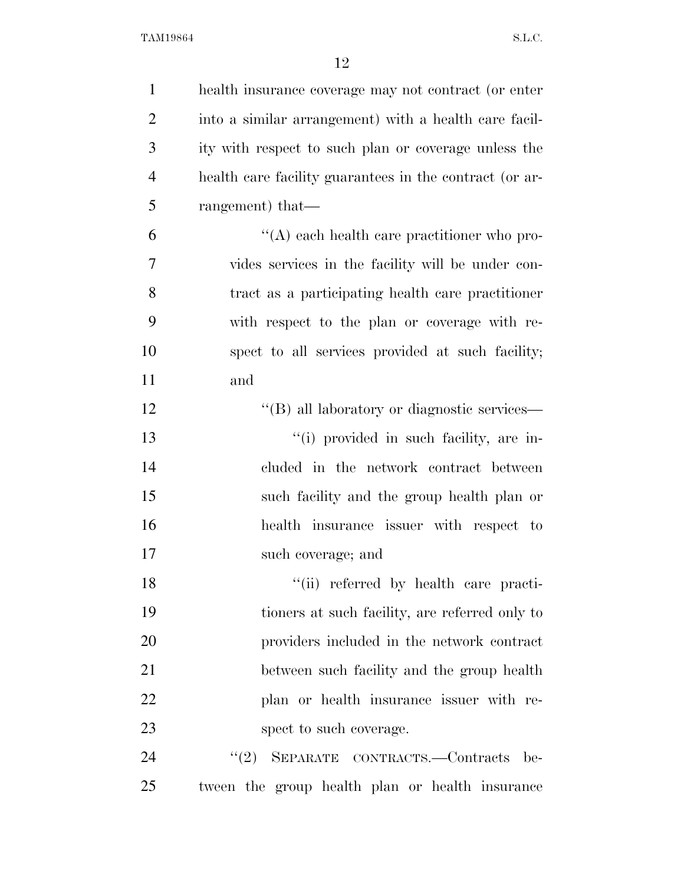| $\mathbf{1}$   | health insurance coverage may not contract (or enter    |
|----------------|---------------------------------------------------------|
| $\overline{2}$ | into a similar arrangement) with a health care facil-   |
| 3              | ity with respect to such plan or coverage unless the    |
| $\overline{4}$ | health care facility guarantees in the contract (or ar- |
| 5              | rangement) that—                                        |
| 6              | $\lq\lq$ each health care practitioner who pro-         |
| $\overline{7}$ | vides services in the facility will be under con-       |
| 8              | tract as a participating health care practitioner       |
| 9              | with respect to the plan or coverage with re-           |
| 10             | spect to all services provided at such facility;        |
| 11             | and                                                     |
| 12             | "(B) all laboratory or diagnostic services—             |
| 13             | "(i) provided in such facility, are in-                 |
| 14             | cluded in the network contract between                  |
| 15             | such facility and the group health plan or              |
| 16             | health insurance issuer with respect to                 |
| 17             | such coverage; and                                      |
| 18             | "(ii) referred by health care practi-                   |
| 19             | tioners at such facility, are referred only to          |
| 20             | providers included in the network contract              |
| 21             | between such facility and the group health              |
| 22             | plan or health insurance issuer with re-                |
| 23             | spect to such coverage.                                 |
| 24             | (2)<br>SEPARATE CONTRACTS.-Contracts be-                |
| 25             | tween the group health plan or health insurance         |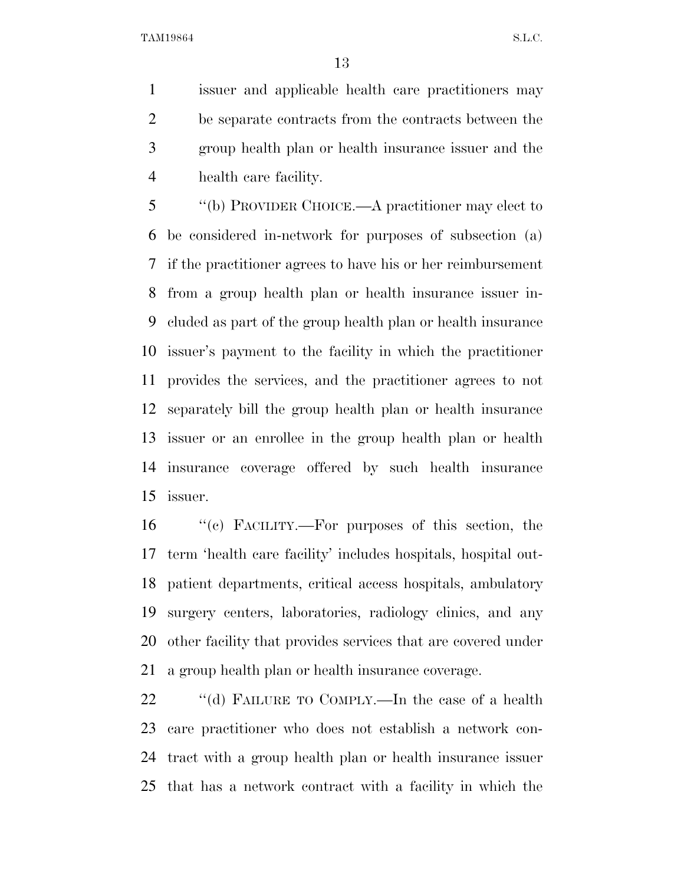issuer and applicable health care practitioners may be separate contracts from the contracts between the group health plan or health insurance issuer and the health care facility.

 ''(b) PROVIDER CHOICE.—A practitioner may elect to be considered in-network for purposes of subsection (a) if the practitioner agrees to have his or her reimbursement from a group health plan or health insurance issuer in- cluded as part of the group health plan or health insurance issuer's payment to the facility in which the practitioner provides the services, and the practitioner agrees to not separately bill the group health plan or health insurance issuer or an enrollee in the group health plan or health insurance coverage offered by such health insurance issuer.

 ''(c) FACILITY.—For purposes of this section, the term 'health care facility' includes hospitals, hospital out- patient departments, critical access hospitals, ambulatory surgery centers, laboratories, radiology clinics, and any other facility that provides services that are covered under a group health plan or health insurance coverage.

22 "(d) FAILURE TO COMPLY.—In the case of a health care practitioner who does not establish a network con- tract with a group health plan or health insurance issuer that has a network contract with a facility in which the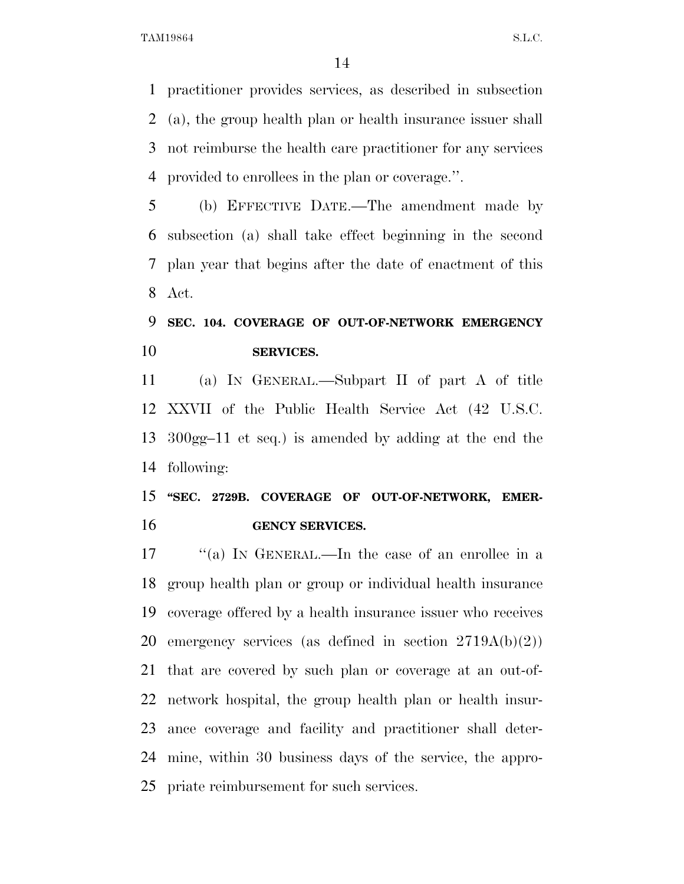practitioner provides services, as described in subsection (a), the group health plan or health insurance issuer shall not reimburse the health care practitioner for any services provided to enrollees in the plan or coverage.''.

 (b) EFFECTIVE DATE.—The amendment made by subsection (a) shall take effect beginning in the second plan year that begins after the date of enactment of this Act.

## **SEC. 104. COVERAGE OF OUT-OF-NETWORK EMERGENCY SERVICES.**

 (a) IN GENERAL.—Subpart II of part A of title XXVII of the Public Health Service Act (42 U.S.C. 300gg–11 et seq.) is amended by adding at the end the following:

## **''SEC. 2729B. COVERAGE OF OUT-OF-NETWORK, EMER-GENCY SERVICES.**

17 ''(a) In GENERAL.—In the case of an enrollee in a group health plan or group or individual health insurance coverage offered by a health insurance issuer who receives emergency services (as defined in section 2719A(b)(2)) that are covered by such plan or coverage at an out-of- network hospital, the group health plan or health insur- ance coverage and facility and practitioner shall deter- mine, within 30 business days of the service, the appro-priate reimbursement for such services.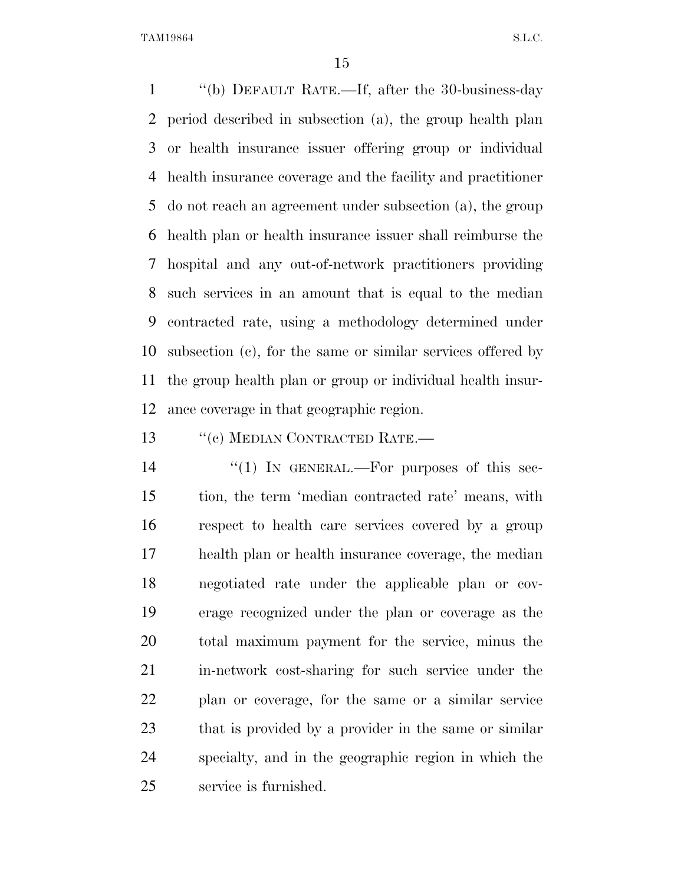''(b) DEFAULT RATE.—If, after the 30-business-day period described in subsection (a), the group health plan or health insurance issuer offering group or individual health insurance coverage and the facility and practitioner do not reach an agreement under subsection (a), the group health plan or health insurance issuer shall reimburse the hospital and any out-of-network practitioners providing such services in an amount that is equal to the median contracted rate, using a methodology determined under subsection (c), for the same or similar services offered by the group health plan or group or individual health insur-ance coverage in that geographic region.

13 "(c) MEDIAN CONTRACTED RATE.—

14 "(1) In GENERAL.—For purposes of this sec- tion, the term 'median contracted rate' means, with respect to health care services covered by a group health plan or health insurance coverage, the median negotiated rate under the applicable plan or cov- erage recognized under the plan or coverage as the total maximum payment for the service, minus the in-network cost-sharing for such service under the plan or coverage, for the same or a similar service that is provided by a provider in the same or similar specialty, and in the geographic region in which the service is furnished.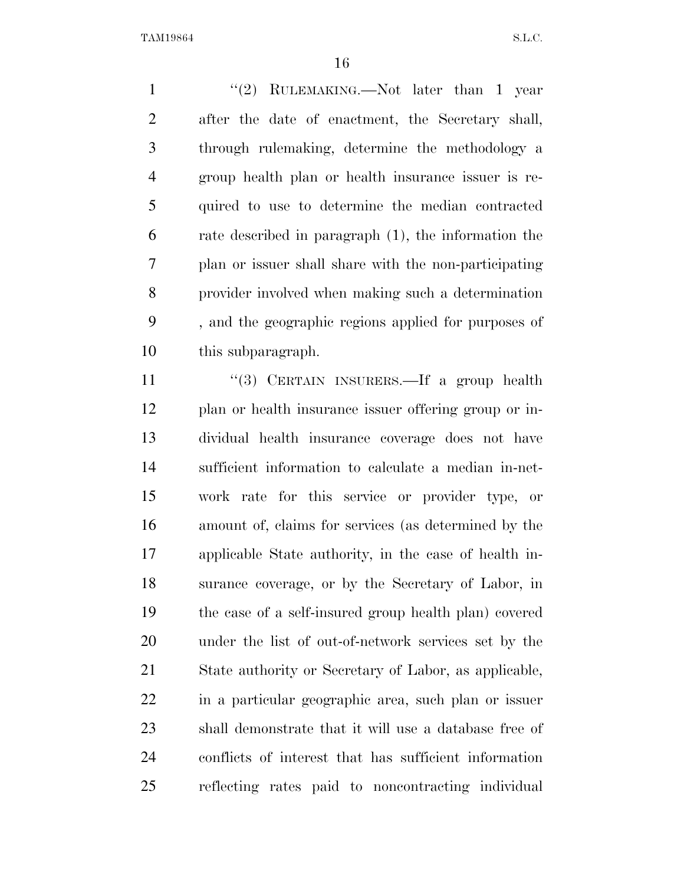1 ''(2) RULEMAKING.—Not later than 1 year after the date of enactment, the Secretary shall, through rulemaking, determine the methodology a group health plan or health insurance issuer is re- quired to use to determine the median contracted rate described in paragraph (1), the information the plan or issuer shall share with the non-participating provider involved when making such a determination , and the geographic regions applied for purposes of this subparagraph.

11 "(3) CERTAIN INSURERS.—If a group health plan or health insurance issuer offering group or in- dividual health insurance coverage does not have sufficient information to calculate a median in-net- work rate for this service or provider type, or amount of, claims for services (as determined by the applicable State authority, in the case of health in- surance coverage, or by the Secretary of Labor, in the case of a self-insured group health plan) covered under the list of out-of-network services set by the State authority or Secretary of Labor, as applicable, in a particular geographic area, such plan or issuer shall demonstrate that it will use a database free of conflicts of interest that has sufficient information reflecting rates paid to noncontracting individual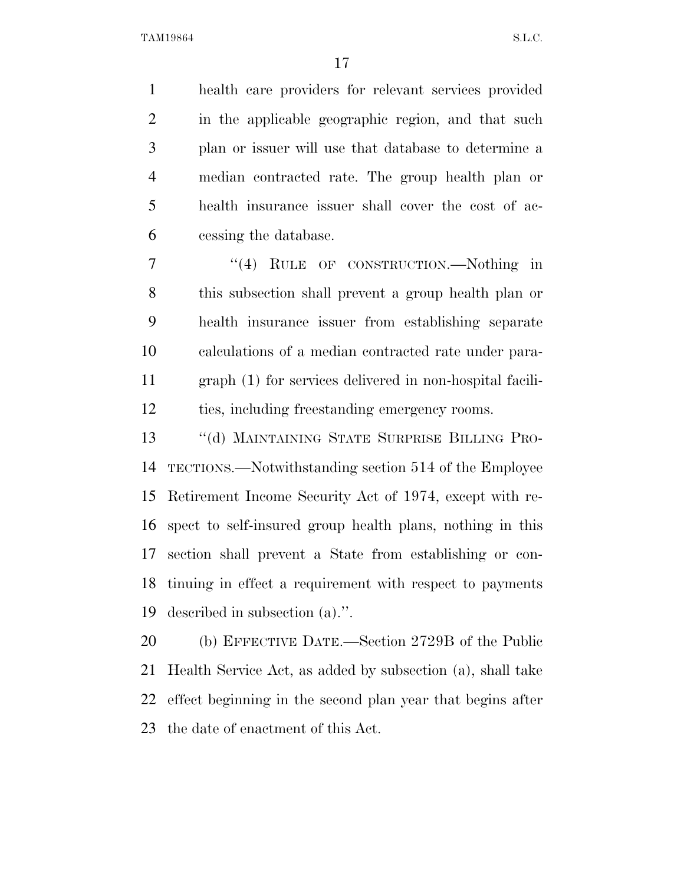health care providers for relevant services provided in the applicable geographic region, and that such plan or issuer will use that database to determine a median contracted rate. The group health plan or health insurance issuer shall cover the cost of ac-cessing the database.

7 "(4) RULE OF CONSTRUCTION.—Nothing in this subsection shall prevent a group health plan or health insurance issuer from establishing separate calculations of a median contracted rate under para- graph (1) for services delivered in non-hospital facili-ties, including freestanding emergency rooms.

 ''(d) MAINTAINING STATE SURPRISE BILLING PRO- TECTIONS.—Notwithstanding section 514 of the Employee Retirement Income Security Act of 1974, except with re- spect to self-insured group health plans, nothing in this section shall prevent a State from establishing or con- tinuing in effect a requirement with respect to payments described in subsection (a).''.

 (b) EFFECTIVE DATE.—Section 2729B of the Public Health Service Act, as added by subsection (a), shall take effect beginning in the second plan year that begins after the date of enactment of this Act.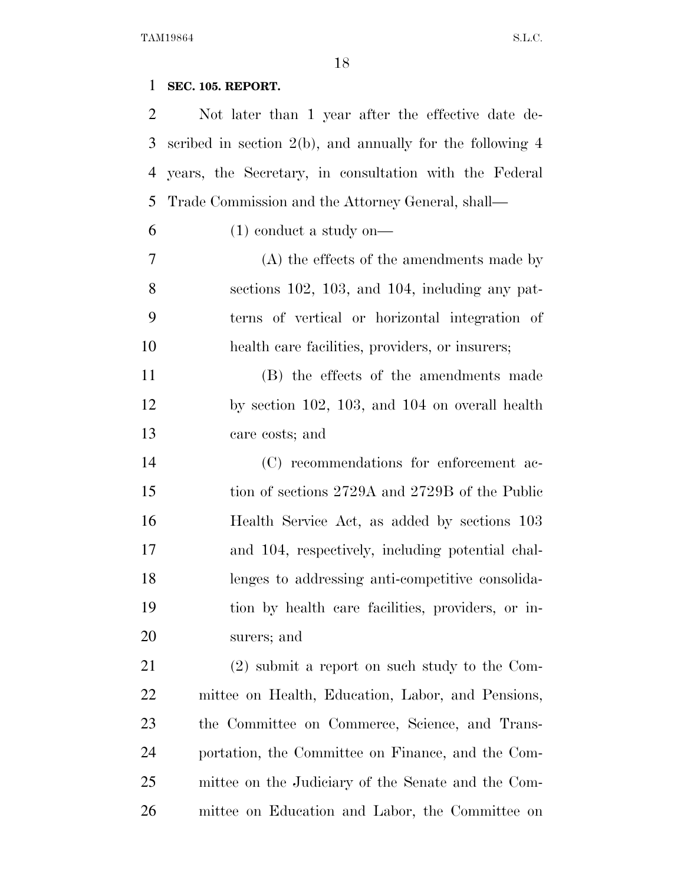## **SEC. 105. REPORT.**

| 2              | Not later than 1 year after the effective date de-           |
|----------------|--------------------------------------------------------------|
| 3              | scribed in section $2(b)$ , and annually for the following 4 |
| $\overline{4}$ | years, the Secretary, in consultation with the Federal       |
| 5              | Trade Commission and the Attorney General, shall—            |
| 6              | $(1)$ conduct a study on—                                    |
| 7              | $(A)$ the effects of the amendments made by                  |
| 8              | sections $102$ , $103$ , and $104$ , including any pat-      |
| 9              | terns of vertical or horizontal integration of               |
| 10             | health care facilities, providers, or insurers;              |
| 11             | (B) the effects of the amendments made                       |
| 12             | by section $102$ , $103$ , and $104$ on overall health       |
| 13             | care costs; and                                              |
| 14             | (C) recommendations for enforcement ac-                      |
| 15             | tion of sections 2729A and 2729B of the Public               |
| 16             | Health Service Act, as added by sections 103                 |
| 17             | and 104, respectively, including potential chal-             |
| 18             | lenges to addressing anti-competitive consolida-             |
| 19             | tion by health care facilities, providers, or in-            |
| 20             | surers; and                                                  |
| 21             | $(2)$ submit a report on such study to the Com-              |
| 22             | mittee on Health, Education, Labor, and Pensions,            |
| 23             | the Committee on Commerce, Science, and Trans-               |
| 24             | portation, the Committee on Finance, and the Com-            |
| 25             | mittee on the Judiciary of the Senate and the Com-           |
| 26             | mittee on Education and Labor, the Committee on              |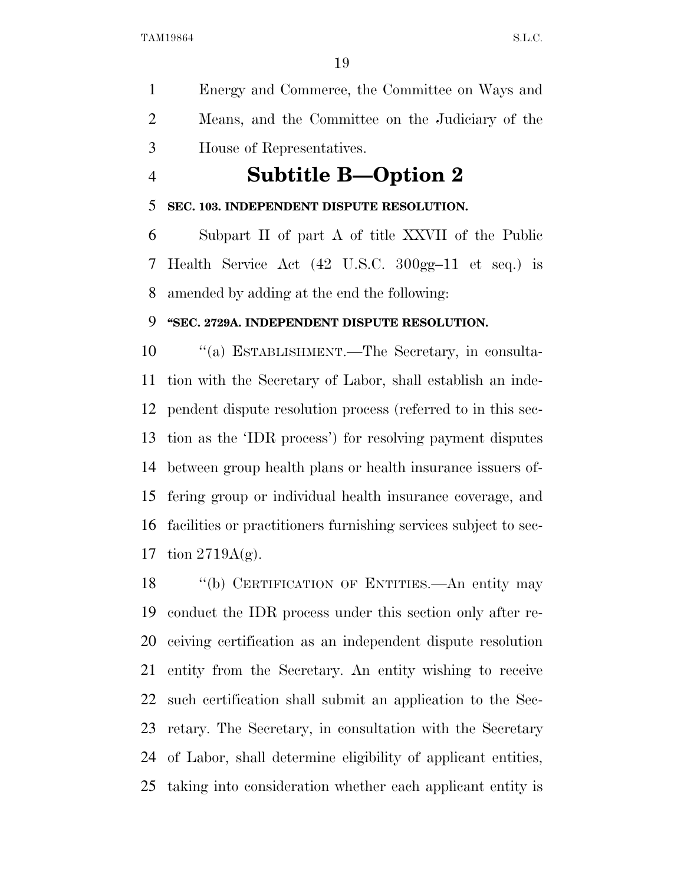Energy and Commerce, the Committee on Ways and Means, and the Committee on the Judiciary of the House of Representatives.

## **Subtitle B—Option 2**

### **SEC. 103. INDEPENDENT DISPUTE RESOLUTION.**

 Subpart II of part A of title XXVII of the Public Health Service Act (42 U.S.C. 300gg–11 et seq.) is amended by adding at the end the following:

### **''SEC. 2729A. INDEPENDENT DISPUTE RESOLUTION.**

 ''(a) ESTABLISHMENT.—The Secretary, in consulta- tion with the Secretary of Labor, shall establish an inde- pendent dispute resolution process (referred to in this sec- tion as the 'IDR process') for resolving payment disputes between group health plans or health insurance issuers of- fering group or individual health insurance coverage, and facilities or practitioners furnishing services subject to sec-17 tion  $2719A(g)$ .

18 "(b) CERTIFICATION OF ENTITIES.—An entity may conduct the IDR process under this section only after re- ceiving certification as an independent dispute resolution entity from the Secretary. An entity wishing to receive such certification shall submit an application to the Sec- retary. The Secretary, in consultation with the Secretary of Labor, shall determine eligibility of applicant entities, taking into consideration whether each applicant entity is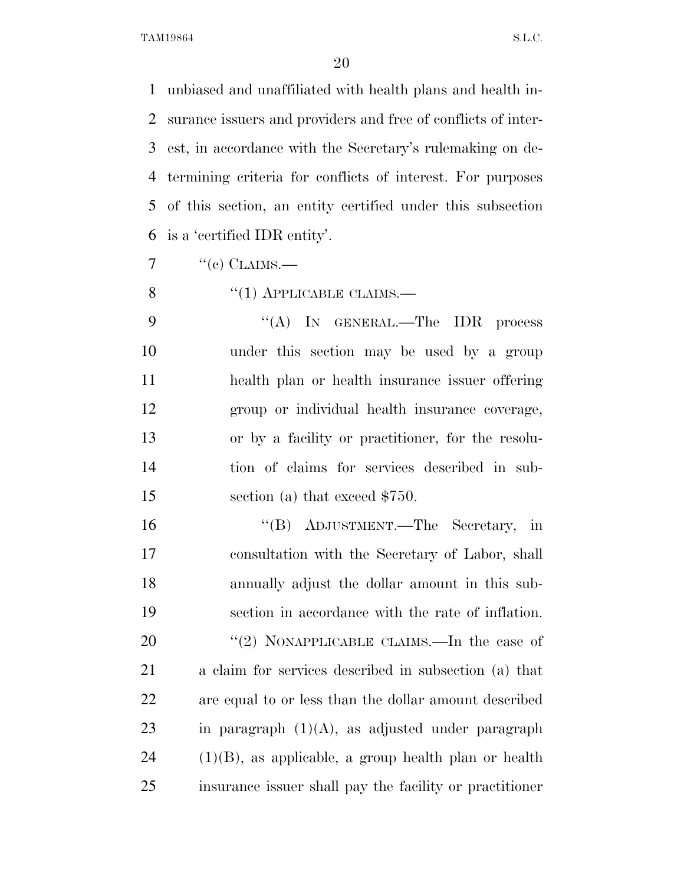unbiased and unaffiliated with health plans and health in- surance issuers and providers and free of conflicts of inter- est, in accordance with the Secretary's rulemaking on de- termining criteria for conflicts of interest. For purposes of this section, an entity certified under this subsection is a 'certified IDR entity'.

 $7 \cdot \text{``(c) CLAINS.}$ 

8  $\cdot$  (1) APPLICABLE CLAIMS.—

9 "(A) In GENERAL.—The IDR process under this section may be used by a group health plan or health insurance issuer offering group or individual health insurance coverage, or by a facility or practitioner, for the resolu- tion of claims for services described in sub-15 section (a) that exceed \$750.

 ''(B) ADJUSTMENT.—The Secretary, in consultation with the Secretary of Labor, shall annually adjust the dollar amount in this sub- section in accordance with the rate of inflation. 20 ''(2) NONAPPLICABLE CLAIMS.—In the case of a claim for services described in subsection (a) that are equal to or less than the dollar amount described 23 in paragraph  $(1)(A)$ , as adjusted under paragraph (1)(B), as applicable, a group health plan or health insurance issuer shall pay the facility or practitioner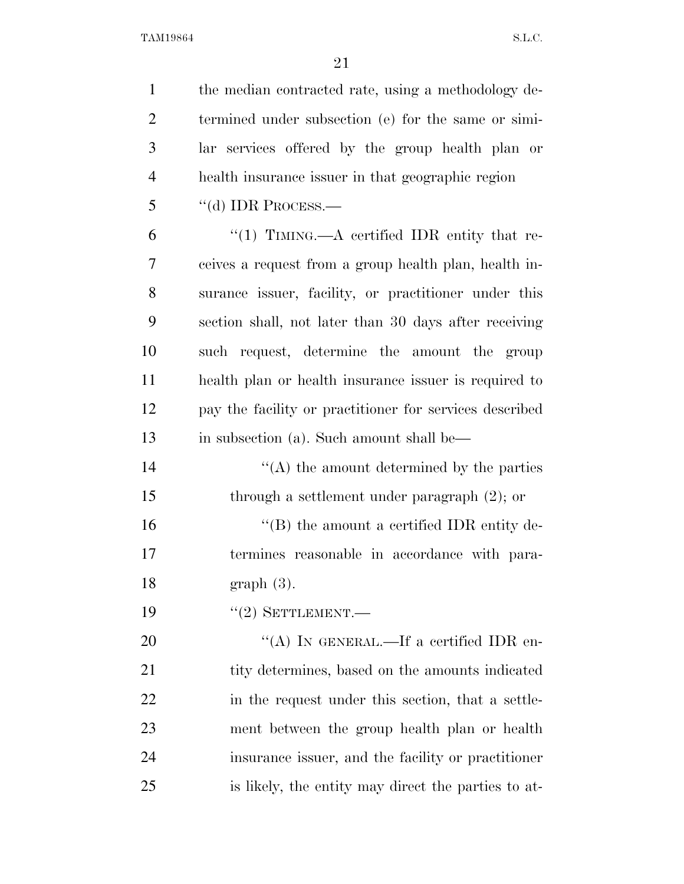| $\mathbf{1}$   | the median contracted rate, using a methodology de-     |
|----------------|---------------------------------------------------------|
| $\overline{2}$ | termined under subsection (e) for the same or simi-     |
| 3              | lar services offered by the group health plan or        |
| $\overline{4}$ | health insurance issuer in that geographic region       |
| 5              | $``$ (d) IDR PROCESS.—                                  |
| 6              | "(1) TIMING.—A certified IDR entity that re-            |
| 7              | ceives a request from a group health plan, health in-   |
| 8              | surance issuer, facility, or practitioner under this    |
| 9              | section shall, not later than 30 days after receiving   |
| 10             | such request, determine the amount the group            |
| 11             | health plan or health insurance issuer is required to   |
| 12             | pay the facility or practitioner for services described |
| 13             | in subsection (a). Such amount shall be—                |
| 14             | $\lq\lq$ the amount determined by the parties           |
| 15             | through a settlement under paragraph $(2)$ ; or         |
| 16             | $\lq\lq (B)$ the amount a certified IDR entity de-      |
| 17             | termines reasonable in accordance with para-            |
| 18             | $graph(3)$ .                                            |
| 19             | $``(2)$ SETTLEMENT.                                     |
| 20             | "(A) IN GENERAL.—If a certified IDR en-                 |
| 21             | tity determines, based on the amounts indicated         |
| 22             | in the request under this section, that a settle-       |
| 23             | ment between the group health plan or health            |
| 24             | insurance issuer, and the facility or practitioner      |
| 25             | is likely, the entity may direct the parties to at-     |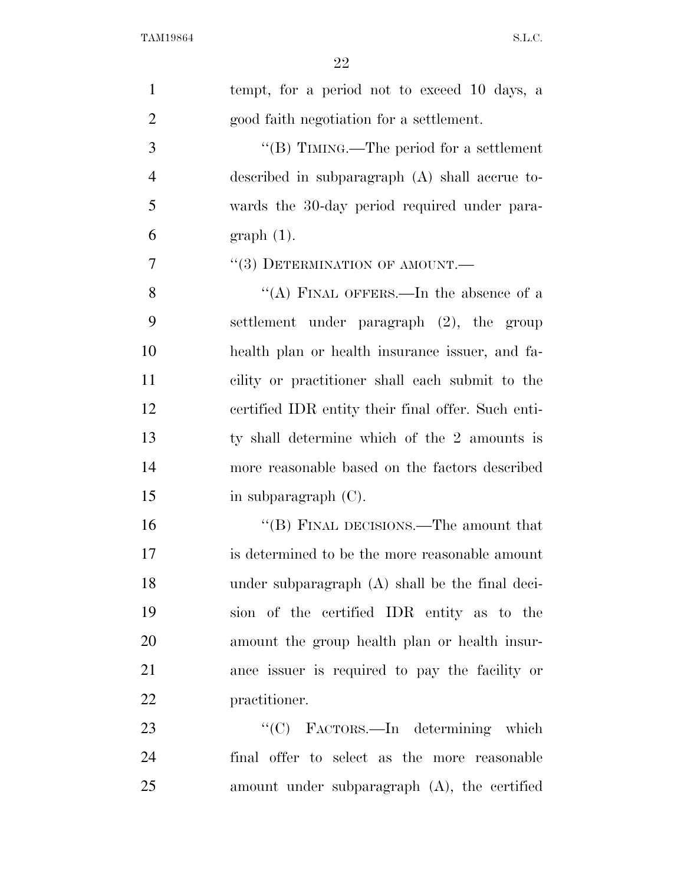| $\mathbf{1}$   | tempt, for a period not to exceed 10 days, a       |
|----------------|----------------------------------------------------|
| $\overline{2}$ | good faith negotiation for a settlement.           |
| 3              | "(B) TIMING.—The period for a settlement           |
| $\overline{4}$ | described in subparagraph (A) shall accrue to-     |
| 5              | wards the 30-day period required under para-       |
| 6              | $graph(1)$ .                                       |
| 7              | $``(3)$ DETERMINATION OF AMOUNT.—                  |
| 8              | "(A) FINAL OFFERS.—In the absence of a             |
| 9              | settlement under paragraph (2), the group          |
| 10             | health plan or health insurance issuer, and fa-    |
| 11             | cility or practitioner shall each submit to the    |
| 12             | certified IDR entity their final offer. Such enti- |
| 13             | ty shall determine which of the 2 amounts is       |
| 14             | more reasonable based on the factors described     |
| 15             | in subparagraph $(C)$ .                            |
| 16             | "(B) FINAL DECISIONS.—The amount that              |
| 17             | is determined to be the more reasonable amount     |
| 18             | under subparagraph (A) shall be the final deci-    |
| 19             | sion of the certified IDR entity as to the         |
| 20             | amount the group health plan or health insur-      |
| 21             | ance issuer is required to pay the facility or     |
| 22             | practitioner.                                      |
| 23             | "(C) FACTORS.—In determining which                 |
| 24             | final offer to select as the more reasonable       |
| 25             | amount under subparagraph (A), the certified       |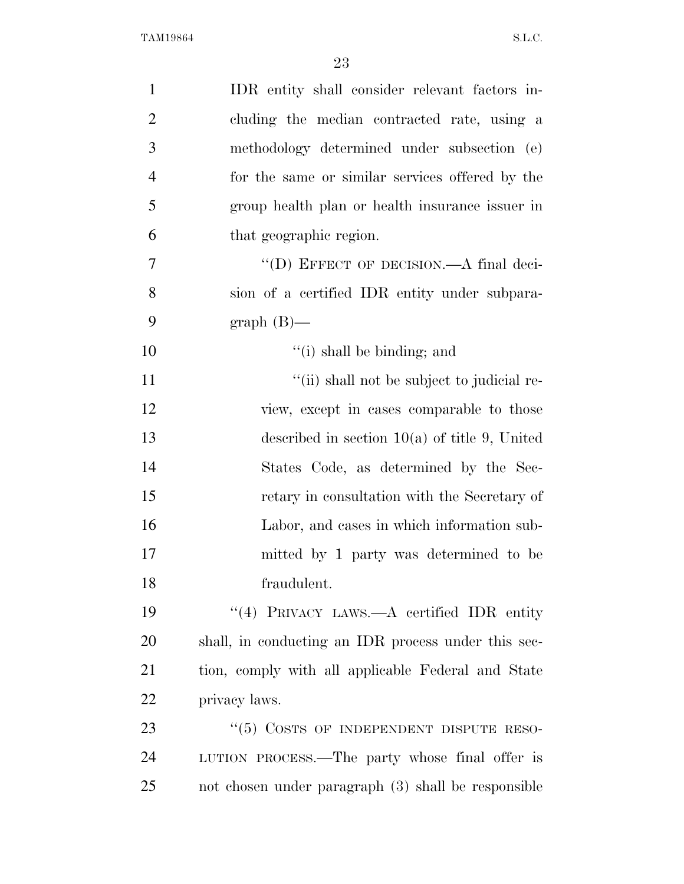| $\mathbf{1}$   | IDR entity shall consider relevant factors in-      |
|----------------|-----------------------------------------------------|
| $\overline{2}$ | cluding the median contracted rate, using a         |
| 3              | methodology determined under subsection (e)         |
| $\overline{4}$ | for the same or similar services offered by the     |
| 5              | group health plan or health insurance issuer in     |
| 6              | that geographic region.                             |
| $\overline{7}$ | "(D) EFFECT OF DECISION.—A final deci-              |
| 8              | sion of a certified IDR entity under subpara-       |
| 9              | $graph(B)$ —                                        |
| 10             | $f'(i)$ shall be binding; and                       |
| 11             | "(ii) shall not be subject to judicial re-          |
| 12             | view, except in cases comparable to those           |
| 13             | described in section $10(a)$ of title 9, United     |
| 14             | States Code, as determined by the Sec-              |
| 15             | retary in consultation with the Secretary of        |
| 16             | Labor, and cases in which information sub-          |
| 17             | mitted by 1 party was determined to be              |
| 18             | fraudulent.                                         |
| 19             | "(4) PRIVACY LAWS.—A certified IDR entity           |
| 20             | shall, in conducting an IDR process under this sec- |
| 21             | tion, comply with all applicable Federal and State  |
| 22             | privacy laws.                                       |
| 23             | "(5) COSTS OF INDEPENDENT DISPUTE RESO-             |
| 24             | LUTION PROCESS.—The party whose final offer is      |
| 25             | not chosen under paragraph (3) shall be responsible |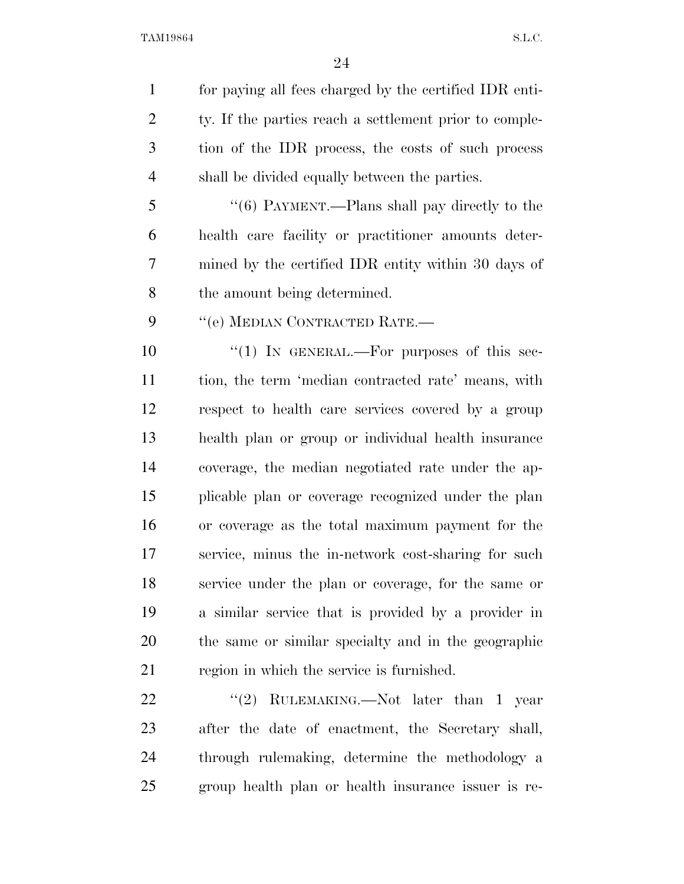for paying all fees charged by the certified IDR enti-2 ty. If the parties reach a settlement prior to comple- tion of the IDR process, the costs of such process shall be divided equally between the parties.

 ''(6) PAYMENT.—Plans shall pay directly to the health care facility or practitioner amounts deter- mined by the certified IDR entity within 30 days of the amount being determined.

9 "(e) MEDIAN CONTRACTED RATE.—

 $\frac{10}{10}$  IN GENERAL.—For purposes of this sec- tion, the term 'median contracted rate' means, with respect to health care services covered by a group health plan or group or individual health insurance coverage, the median negotiated rate under the ap- plicable plan or coverage recognized under the plan or coverage as the total maximum payment for the service, minus the in-network cost-sharing for such service under the plan or coverage, for the same or a similar service that is provided by a provider in the same or similar specialty and in the geographic 21 region in which the service is furnished.

22 "(2) RULEMAKING.—Not later than 1 year after the date of enactment, the Secretary shall, through rulemaking, determine the methodology a group health plan or health insurance issuer is re-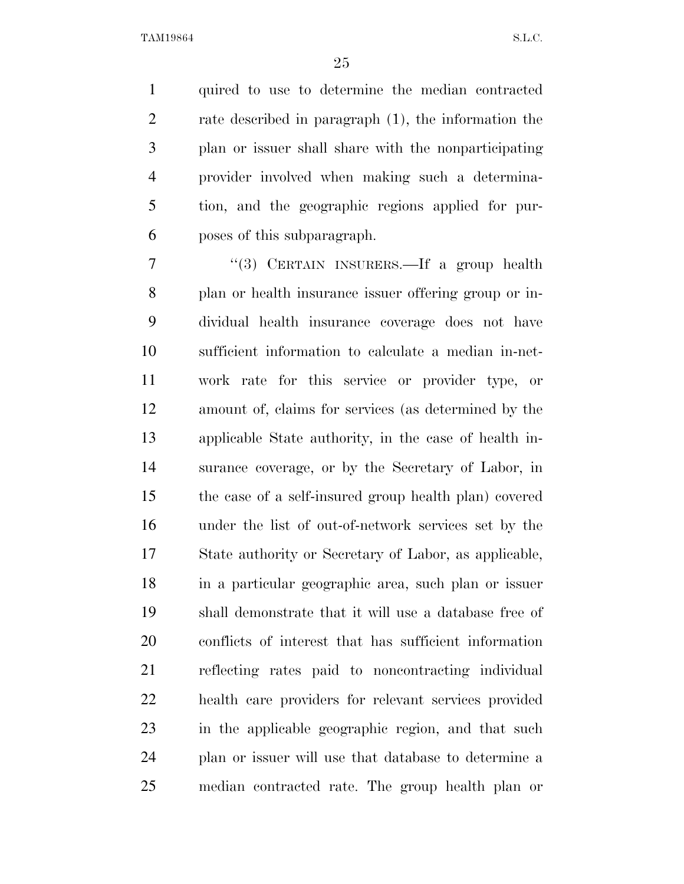quired to use to determine the median contracted rate described in paragraph (1), the information the plan or issuer shall share with the nonparticipating provider involved when making such a determina- tion, and the geographic regions applied for pur-poses of this subparagraph.

 ''(3) CERTAIN INSURERS.—If a group health plan or health insurance issuer offering group or in- dividual health insurance coverage does not have sufficient information to calculate a median in-net- work rate for this service or provider type, or amount of, claims for services (as determined by the applicable State authority, in the case of health in- surance coverage, or by the Secretary of Labor, in the case of a self-insured group health plan) covered under the list of out-of-network services set by the State authority or Secretary of Labor, as applicable, in a particular geographic area, such plan or issuer shall demonstrate that it will use a database free of conflicts of interest that has sufficient information reflecting rates paid to noncontracting individual health care providers for relevant services provided in the applicable geographic region, and that such plan or issuer will use that database to determine a median contracted rate. The group health plan or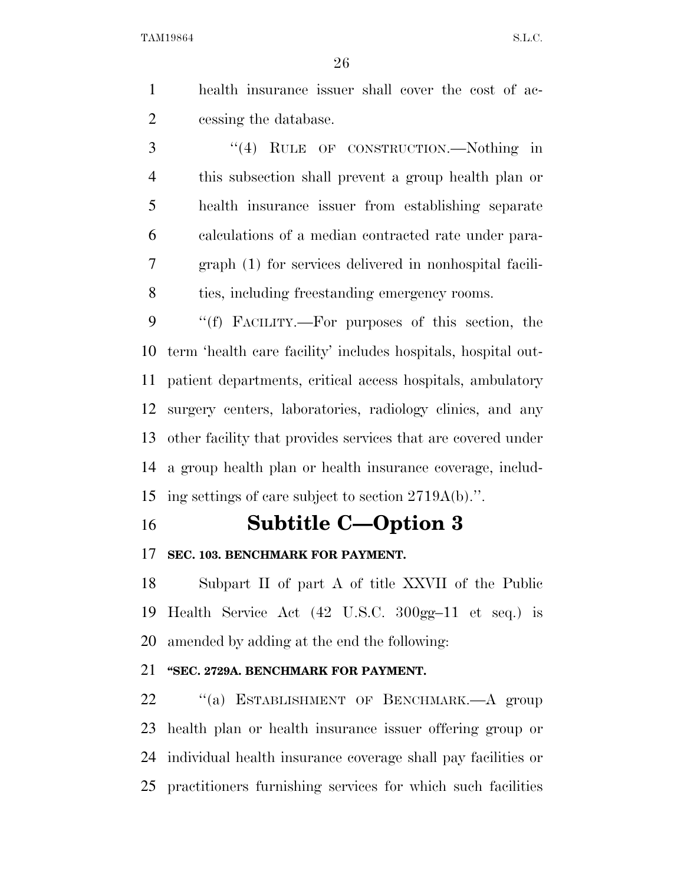health insurance issuer shall cover the cost of ac-cessing the database.

 ''(4) RULE OF CONSTRUCTION.—Nothing in this subsection shall prevent a group health plan or health insurance issuer from establishing separate calculations of a median contracted rate under para- graph (1) for services delivered in nonhospital facili-ties, including freestanding emergency rooms.

 ''(f) FACILITY.—For purposes of this section, the term 'health care facility' includes hospitals, hospital out- patient departments, critical access hospitals, ambulatory surgery centers, laboratories, radiology clinics, and any other facility that provides services that are covered under a group health plan or health insurance coverage, includ-ing settings of care subject to section 2719A(b).''.

## **Subtitle C—Option 3**

### **SEC. 103. BENCHMARK FOR PAYMENT.**

 Subpart II of part A of title XXVII of the Public Health Service Act (42 U.S.C. 300gg–11 et seq.) is amended by adding at the end the following:

## **''SEC. 2729A. BENCHMARK FOR PAYMENT.**

22 "(a) ESTABLISHMENT OF BENCHMARK.—A group health plan or health insurance issuer offering group or individual health insurance coverage shall pay facilities or practitioners furnishing services for which such facilities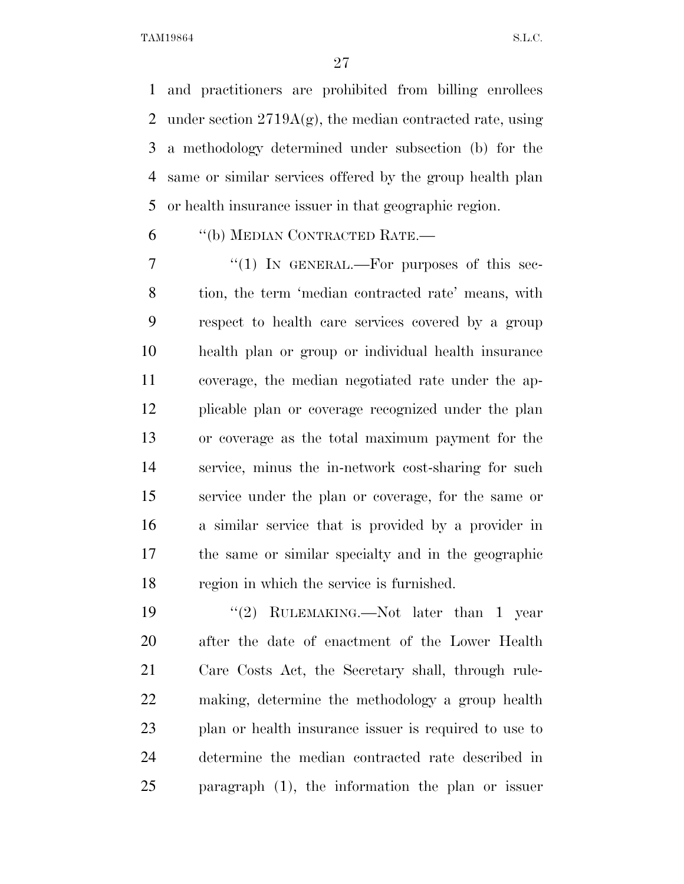and practitioners are prohibited from billing enrollees 2 under section  $2719A(g)$ , the median contracted rate, using a methodology determined under subsection (b) for the same or similar services offered by the group health plan or health insurance issuer in that geographic region.

''(b) MEDIAN CONTRACTED RATE.—

7 "(1) IN GENERAL.—For purposes of this sec- tion, the term 'median contracted rate' means, with respect to health care services covered by a group health plan or group or individual health insurance coverage, the median negotiated rate under the ap- plicable plan or coverage recognized under the plan or coverage as the total maximum payment for the service, minus the in-network cost-sharing for such service under the plan or coverage, for the same or a similar service that is provided by a provider in the same or similar specialty and in the geographic region in which the service is furnished.

 ''(2) RULEMAKING.—Not later than 1 year after the date of enactment of the Lower Health Care Costs Act, the Secretary shall, through rule- making, determine the methodology a group health plan or health insurance issuer is required to use to determine the median contracted rate described in paragraph (1), the information the plan or issuer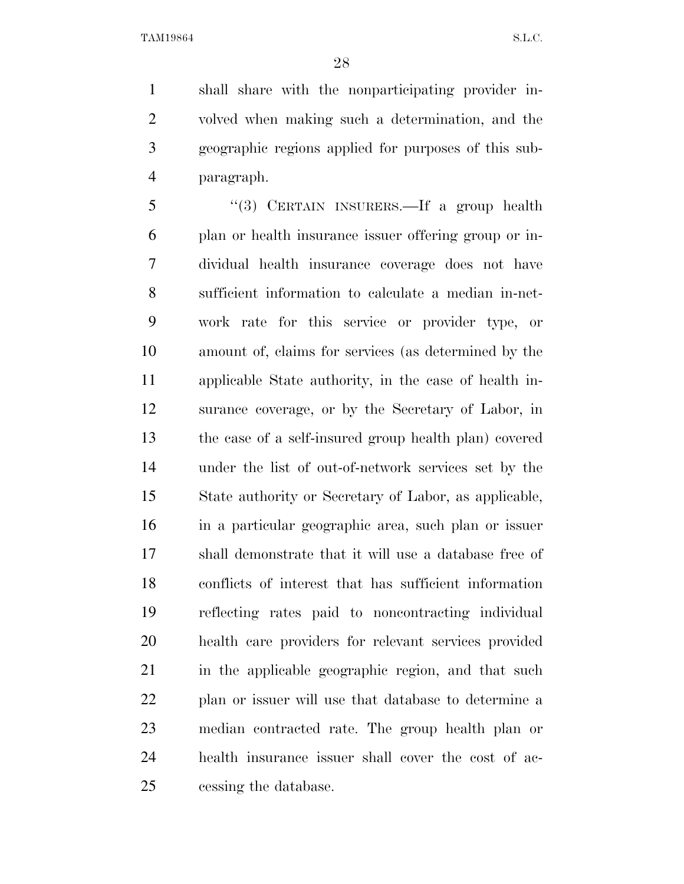shall share with the nonparticipating provider in- volved when making such a determination, and the geographic regions applied for purposes of this sub-paragraph.

 ''(3) CERTAIN INSURERS.—If a group health plan or health insurance issuer offering group or in- dividual health insurance coverage does not have sufficient information to calculate a median in-net- work rate for this service or provider type, or amount of, claims for services (as determined by the applicable State authority, in the case of health in- surance coverage, or by the Secretary of Labor, in the case of a self-insured group health plan) covered under the list of out-of-network services set by the State authority or Secretary of Labor, as applicable, in a particular geographic area, such plan or issuer shall demonstrate that it will use a database free of conflicts of interest that has sufficient information reflecting rates paid to noncontracting individual health care providers for relevant services provided 21 in the applicable geographic region, and that such plan or issuer will use that database to determine a median contracted rate. The group health plan or health insurance issuer shall cover the cost of ac-cessing the database.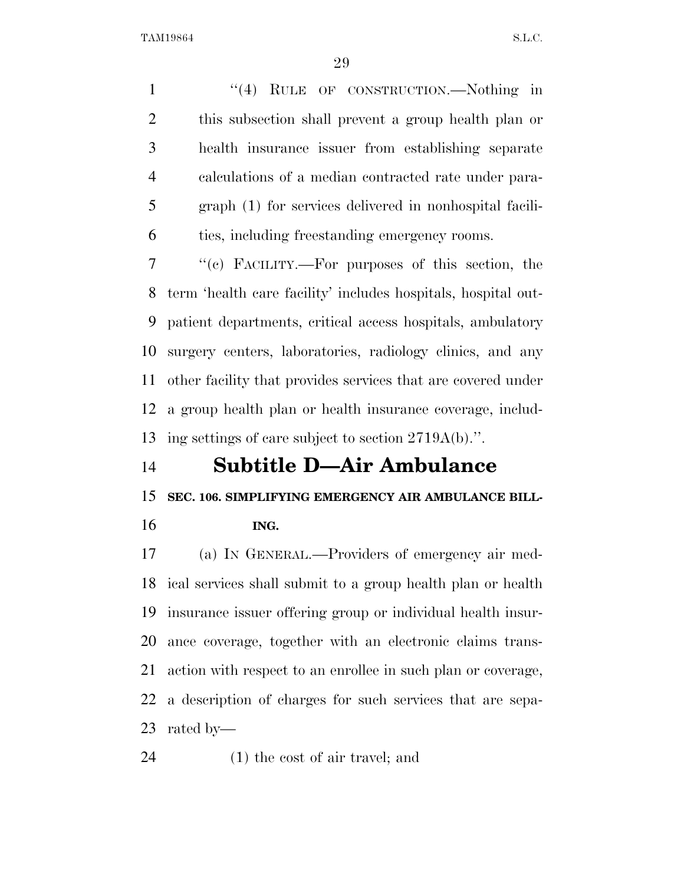1 "(4) RULE OF CONSTRUCTION.—Nothing in this subsection shall prevent a group health plan or health insurance issuer from establishing separate calculations of a median contracted rate under para- graph (1) for services delivered in nonhospital facili-ties, including freestanding emergency rooms.

 ''(c) FACILITY.—For purposes of this section, the term 'health care facility' includes hospitals, hospital out- patient departments, critical access hospitals, ambulatory surgery centers, laboratories, radiology clinics, and any other facility that provides services that are covered under a group health plan or health insurance coverage, includ-ing settings of care subject to section 2719A(b).''.

## **Subtitle D—Air Ambulance**

**SEC. 106. SIMPLIFYING EMERGENCY AIR AMBULANCE BILL-**

**ING.** 

 (a) IN GENERAL.—Providers of emergency air med- ical services shall submit to a group health plan or health insurance issuer offering group or individual health insur- ance coverage, together with an electronic claims trans- action with respect to an enrollee in such plan or coverage, a description of charges for such services that are sepa-rated by—

(1) the cost of air travel; and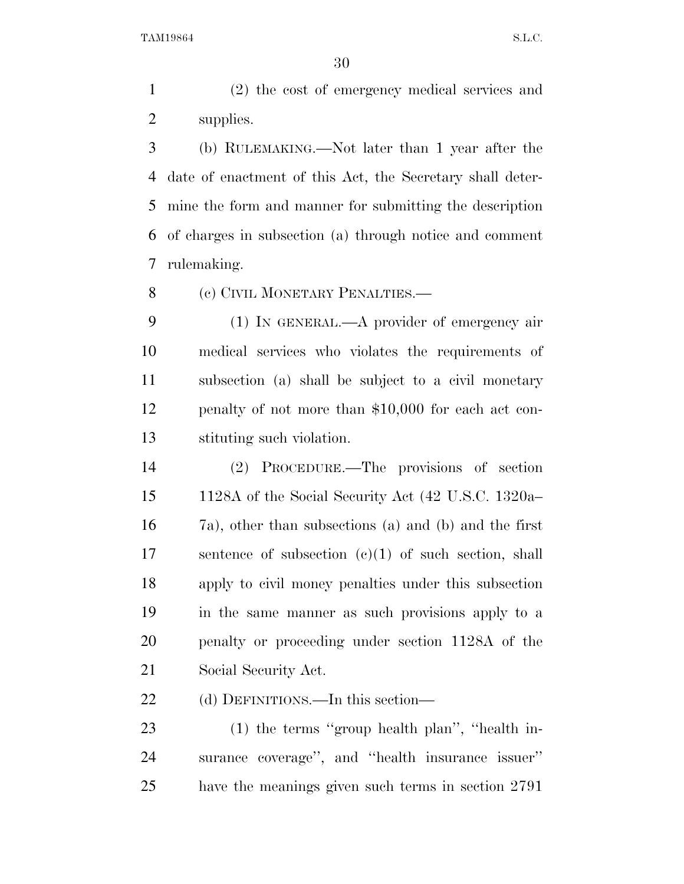(2) the cost of emergency medical services and supplies.

 (b) RULEMAKING.—Not later than 1 year after the date of enactment of this Act, the Secretary shall deter- mine the form and manner for submitting the description of charges in subsection (a) through notice and comment rulemaking.

8 (c) CIVIL MONETARY PENALTIES.—

 (1) IN GENERAL.—A provider of emergency air medical services who violates the requirements of subsection (a) shall be subject to a civil monetary penalty of not more than \$10,000 for each act con-stituting such violation.

 (2) PROCEDURE.—The provisions of section 1128A of the Social Security Act (42 U.S.C. 1320a– 7a), other than subsections (a) and (b) and the first sentence of subsection (c)(1) of such section, shall apply to civil money penalties under this subsection in the same manner as such provisions apply to a penalty or proceeding under section 1128A of the Social Security Act.

22 (d) DEFINITIONS.—In this section—

 (1) the terms ''group health plan'', ''health in- surance coverage'', and ''health insurance issuer'' have the meanings given such terms in section 2791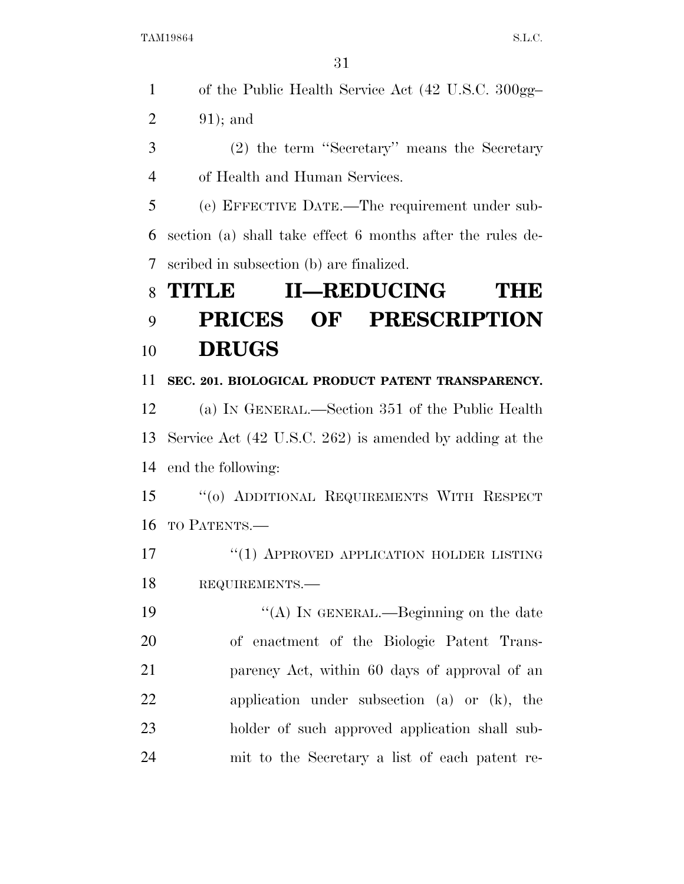|                | 31                                                                 |
|----------------|--------------------------------------------------------------------|
| $\mathbf{1}$   | of the Public Health Service Act (42 U.S.C. 300gg-                 |
| $\overline{2}$ | $91$ ; and                                                         |
| 3              | (2) the term "Secretary" means the Secretary                       |
| $\overline{4}$ | of Health and Human Services.                                      |
| 5              | (e) EFFECTIVE DATE.—The requirement under sub-                     |
| 6              | section (a) shall take effect 6 months after the rules de-         |
| 7              | scribed in subsection (b) are finalized.                           |
| 8              | <b>II—REDUCING</b><br>TITLE<br>THE                                 |
| 9              | OF PRESCRIPTION<br><b>PRICES</b>                                   |
| 10             | <b>DRUGS</b>                                                       |
| 11             |                                                                    |
|                | SEC. 201. BIOLOGICAL PRODUCT PATENT TRANSPARENCY.                  |
| 12             | (a) IN GENERAL.—Section 351 of the Public Health                   |
| 13             | Service Act $(42 \text{ U.S.C. } 262)$ is amended by adding at the |
| 14             | end the following:                                                 |
| 15             | "(0) ADDITIONAL REQUIREMENTS WITH RESPECT                          |
| 16             | TO PATENTS.                                                        |
| 17             | "(1) APPROVED APPLICATION HOLDER LISTING                           |
| 18             | REQUIREMENTS.                                                      |
| 19             | "(A) In GENERAL.—Beginning on the date                             |
| 20             | of enactment of the Biologic Patent Trans-                         |

parency Act, within 60 days of approval of an

application under subsection (a) or (k), the

holder of such approved application shall sub-

mit to the Secretary a list of each patent re-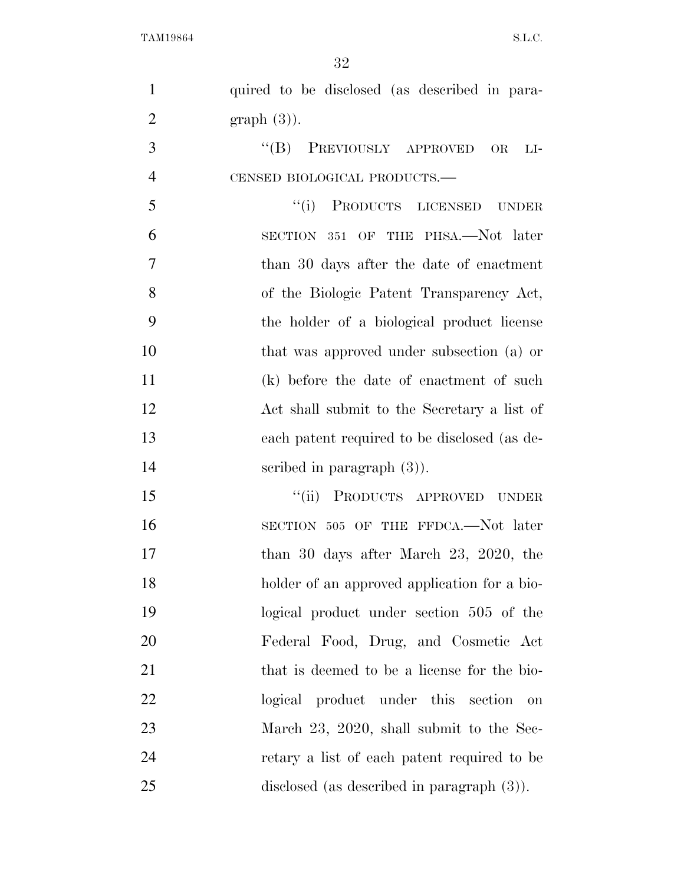| $\mathbf{1}$   | quired to be disclosed (as described in para-               |
|----------------|-------------------------------------------------------------|
| $\overline{2}$ | $graph(3)$ ).                                               |
| 3              | "(B) PREVIOUSLY APPROVED<br>$\overline{\text{OR}}$<br>$LI-$ |
| $\overline{4}$ | CENSED BIOLOGICAL PRODUCTS.-                                |
| 5              | "(i) PRODUCTS LICENSED<br><b>UNDER</b>                      |
| 6              | OF THE PHSA.—Not later<br>SECTION 351                       |
| 7              | than 30 days after the date of enactment                    |
| 8              | of the Biologic Patent Transparency Act,                    |
| 9              | the holder of a biological product license                  |
| 10             | that was approved under subsection (a) or                   |
| 11             | (k) before the date of enactment of such                    |
| 12             | Act shall submit to the Secretary a list of                 |
| 13             | each patent required to be disclosed (as de-                |
| 14             | scribed in paragraph $(3)$ ).                               |
| 15             | PRODUCTS APPROVED UNDER<br>``(ii)                           |
| 16             | SECTION 505 OF THE FFDCA.—Not later                         |
| 17             | than 30 days after March 23, 2020, the                      |
| 18             | holder of an approved application for a bio-                |
| 19             | logical product under section 505 of the                    |
| 20             | Federal Food, Drug, and Cosmetic Act                        |
| 21             | that is deemed to be a license for the bio-                 |
| 22             | logical product under this section<br>on                    |
| 23             | March 23, 2020, shall submit to the Sec-                    |
| 24             | retary a list of each patent required to be                 |
| 25             | disclosed (as described in paragraph $(3)$ ).               |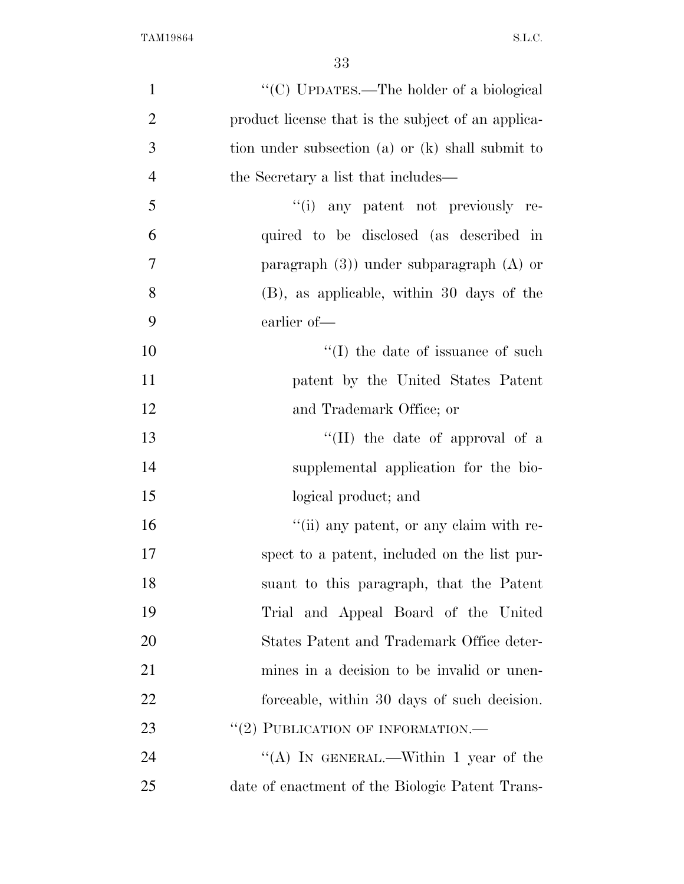| $\mathbf{1}$   | "(C) UPDATES.—The holder of a biological           |
|----------------|----------------------------------------------------|
| $\overline{2}$ | product license that is the subject of an applica- |
| 3              | tion under subsection (a) or (k) shall submit to   |
| $\overline{4}$ | the Secretary a list that includes—                |
| 5              | "(i) any patent not previously re-                 |
| 6              | quired to be disclosed (as described in            |
| 7              | paragraph $(3)$ ) under subparagraph $(A)$ or      |
| 8              | (B), as applicable, within 30 days of the          |
| 9              | earlier of-                                        |
| 10             | $\lq\lq$ (I) the date of issuance of such          |
| 11             | patent by the United States Patent                 |
| 12             | and Trademark Office; or                           |
| 13             | "(II) the date of approval of a                    |
| 14             | supplemental application for the bio-              |
| 15             | logical product; and                               |
| 16             | "(ii) any patent, or any claim with re-            |
| 17             | spect to a patent, included on the list pur-       |
| 18             | suant to this paragraph, that the Patent           |
| 19             | Trial and Appeal Board of the United               |
| 20             | States Patent and Trademark Office deter-          |
| 21             | mines in a decision to be invalid or unen-         |
| 22             | forceable, within 30 days of such decision.        |
| 23             | "(2) PUBLICATION OF INFORMATION.—                  |
| 24             | "(A) IN GENERAL.—Within 1 year of the              |
| 25             | date of enactment of the Biologic Patent Trans-    |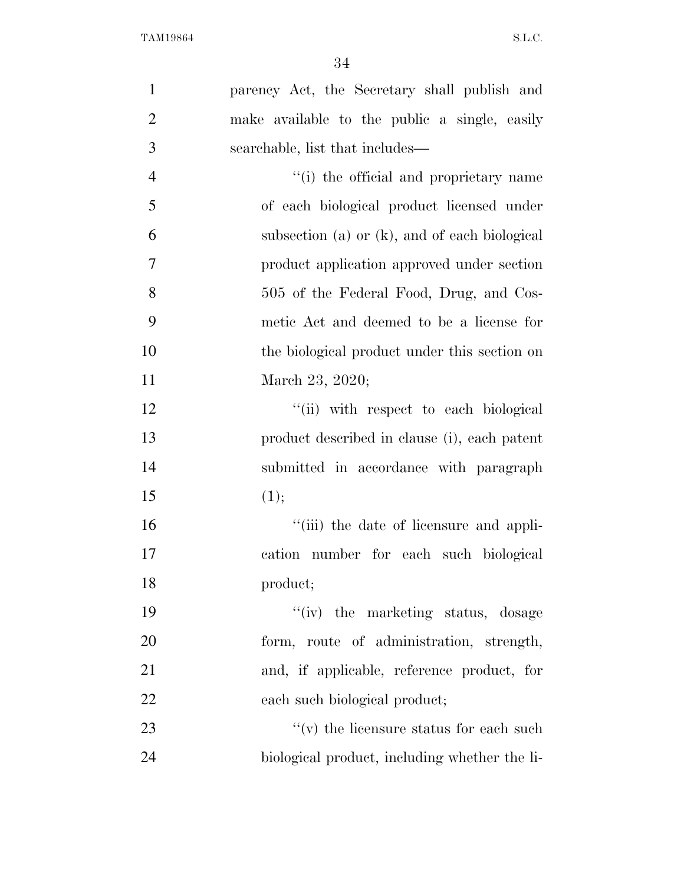| parency Act, the Secretary shall publish and<br>make available to the public a single, easily |
|-----------------------------------------------------------------------------------------------|
|                                                                                               |
|                                                                                               |
| searchable, list that includes—                                                               |
| "(i) the official and proprietary name                                                        |
| of each biological product licensed under                                                     |
| subsection (a) or (k), and of each biological                                                 |
| product application approved under section                                                    |
| 505 of the Federal Food, Drug, and Cos-                                                       |
| metic Act and deemed to be a license for                                                      |
| the biological product under this section on                                                  |
| March 23, 2020;                                                                               |
| "(ii) with respect to each biological                                                         |
| product described in clause (i), each patent                                                  |
| submitted in accordance with paragraph                                                        |
| (1);                                                                                          |
| "(iii) the date of licensure and appli-                                                       |
| cation number for each such biological                                                        |
| product;                                                                                      |
| "(iv) the marketing status, dosage                                                            |
| form, route of administration, strength,                                                      |
| and, if applicable, reference product, for                                                    |
| each such biological product;                                                                 |
| $f'(v)$ the licensure status for each such                                                    |
| biological product, including whether the li-                                                 |
|                                                                                               |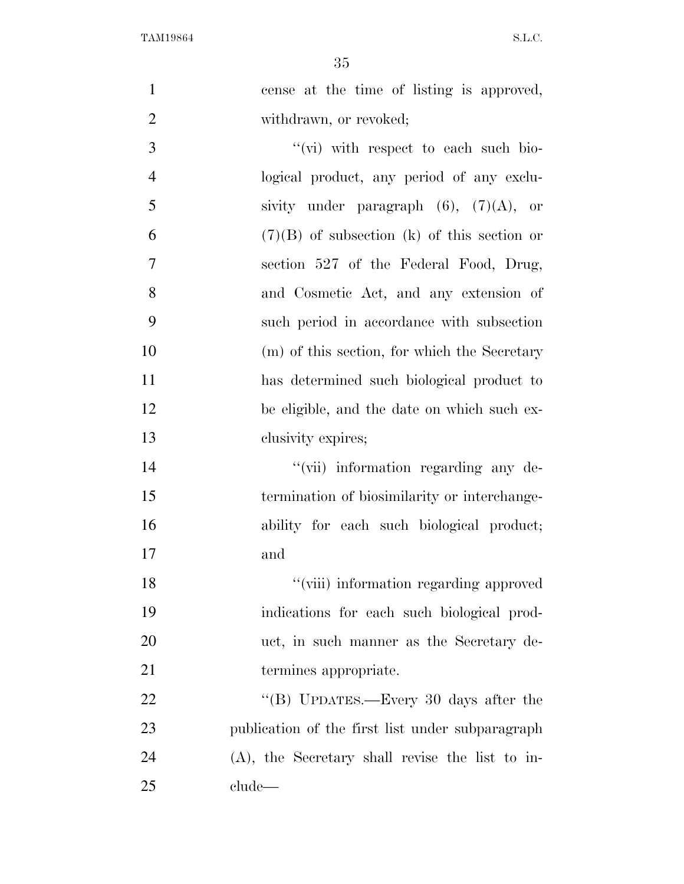| $\mathbf{1}$   | cense at the time of listing is approved,          |
|----------------|----------------------------------------------------|
| $\overline{2}$ | withdrawn, or revoked;                             |
| 3              | $\lq\lq$ (vi) with respect to each such bio-       |
| $\overline{4}$ | logical product, any period of any exclu-          |
| 5              | sivity under paragraph $(6)$ , $(7)(A)$ , or       |
| 6              | $(7)(B)$ of subsection (k) of this section or      |
| $\tau$         | section 527 of the Federal Food, Drug,             |
| 8              | and Cosmetic Act, and any extension of             |
| 9              | such period in accordance with subsection          |
| 10             | (m) of this section, for which the Secretary       |
| 11             | has determined such biological product to          |
| 12             | be eligible, and the date on which such ex-        |
| 13             | clusivity expires;                                 |
| 14             | "(vii) information regarding any de-               |
| 15             | termination of biosimilarity or interchange-       |
| 16             | ability for each such biological product;          |
| 17             | and                                                |
| 18             | "(viii) information regarding approved             |
| 19             | indications for each such biological prod-         |
| 20             | uct, in such manner as the Secretary de-           |
| 21             | termines appropriate.                              |
| 22             | "(B) UPDATES.—Every 30 days after the              |
| 23             | publication of the first list under subparagraph   |
| 24             | $(A)$ , the Secretary shall revise the list to in- |
| 25             | clude                                              |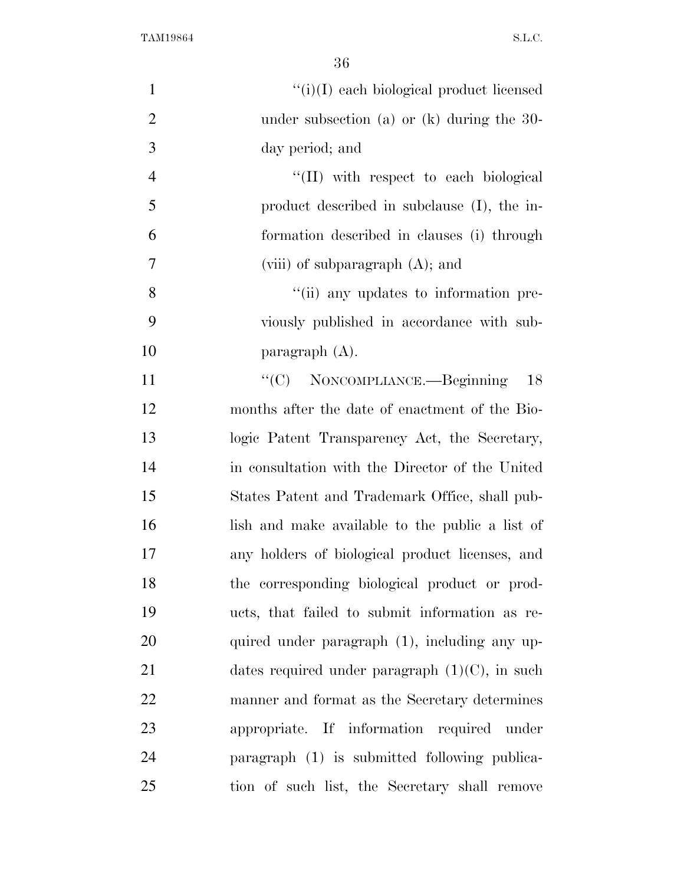| $\mathbf{1}$   | $``(i)(I)$ each biological product licensed       |
|----------------|---------------------------------------------------|
| $\overline{2}$ | under subsection (a) or $(k)$ during the 30-      |
| 3              | day period; and                                   |
| $\overline{4}$ | "(II) with respect to each biological             |
| 5              | product described in subclause (I), the in-       |
| 6              | formation described in clauses (i) through        |
| $\tau$         | (viii) of subparagraph $(A)$ ; and                |
| 8              | "(ii) any updates to information pre-             |
| 9              | viously published in accordance with sub-         |
| 10             | paragraph $(A)$ .                                 |
| 11             | "(C) NONCOMPLIANCE.—Beginning<br>18               |
| 12             | months after the date of enactment of the Bio-    |
| 13             | logic Patent Transparency Act, the Secretary,     |
| 14             | in consultation with the Director of the United   |
| 15             | States Patent and Trademark Office, shall pub-    |
| 16             | lish and make available to the public a list of   |
| 17             | any holders of biological product licenses, and   |
| 18             | the corresponding biological product or prod-     |
| 19             | ucts, that failed to submit information as re-    |
| 20             | quired under paragraph (1), including any up-     |
| 21             | dates required under paragraph $(1)(C)$ , in such |
| 22             | manner and format as the Secretary determines     |
| 23             | appropriate. If information required under        |
| 24             | paragraph (1) is submitted following publica-     |
| 25             | tion of such list, the Secretary shall remove     |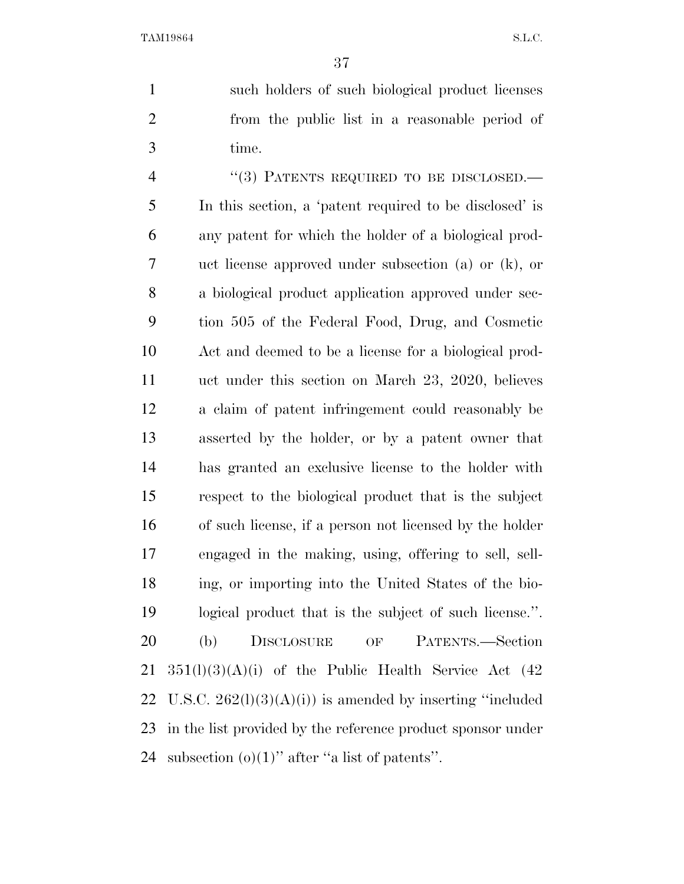such holders of such biological product licenses from the public list in a reasonable period of time.

4 "(3) PATENTS REQUIRED TO BE DISCLOSED.— In this section, a 'patent required to be disclosed' is any patent for which the holder of a biological prod- uct license approved under subsection (a) or (k), or a biological product application approved under sec- tion 505 of the Federal Food, Drug, and Cosmetic Act and deemed to be a license for a biological prod- uct under this section on March 23, 2020, believes a claim of patent infringement could reasonably be asserted by the holder, or by a patent owner that has granted an exclusive license to the holder with respect to the biological product that is the subject of such license, if a person not licensed by the holder engaged in the making, using, offering to sell, sell- ing, or importing into the United States of the bio- logical product that is the subject of such license.''. (b) DISCLOSURE OF PATENTS.—Section  $351(l)(3)(A)(i)$  of the Public Health Service Act  $(42)$ 22 U.S.C.  $262(1)(3)(A)(i)$  is amended by inserting "included" in the list provided by the reference product sponsor under 24 subsection  $(o)(1)$ " after "a list of patents".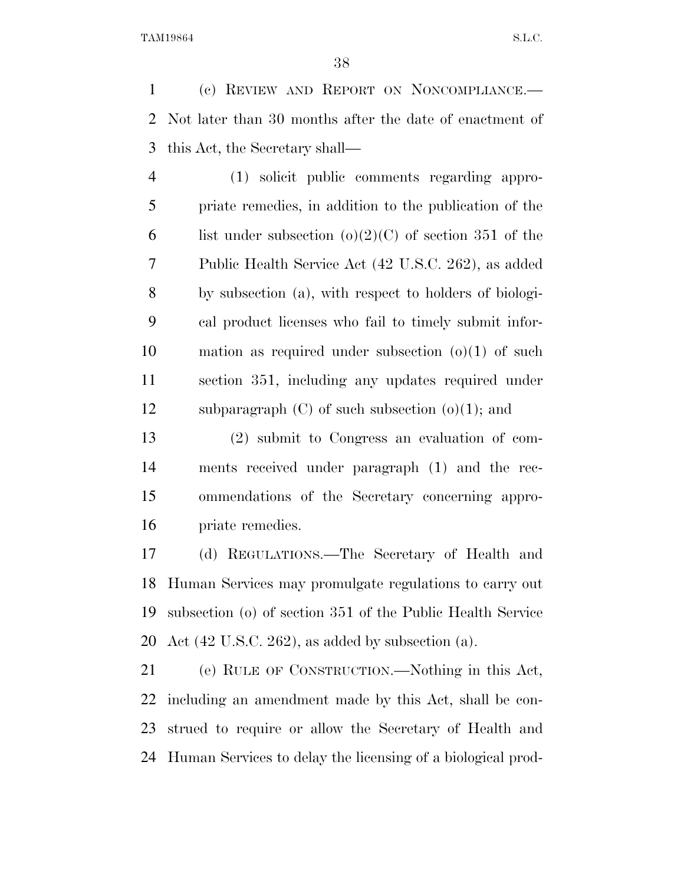(c) REVIEW AND REPORT ON NONCOMPLIANCE.— Not later than 30 months after the date of enactment of this Act, the Secretary shall—

 (1) solicit public comments regarding appro- priate remedies, in addition to the publication of the 6 list under subsection  $(o)(2)(C)$  of section 351 of the Public Health Service Act (42 U.S.C. 262), as added by subsection (a), with respect to holders of biologi- cal product licenses who fail to timely submit infor- mation as required under subsection (o)(1) of such section 351, including any updates required under 12 subparagraph  $(C)$  of such subsection  $(o)(1)$ ; and

 (2) submit to Congress an evaluation of com- ments received under paragraph (1) and the rec- ommendations of the Secretary concerning appro-priate remedies.

 (d) REGULATIONS.—The Secretary of Health and Human Services may promulgate regulations to carry out subsection (o) of section 351 of the Public Health Service 20 Act  $(42 \text{ U.S.C. } 262)$ , as added by subsection  $(a)$ .

 (e) RULE OF CONSTRUCTION.—Nothing in this Act, including an amendment made by this Act, shall be con- strued to require or allow the Secretary of Health and Human Services to delay the licensing of a biological prod-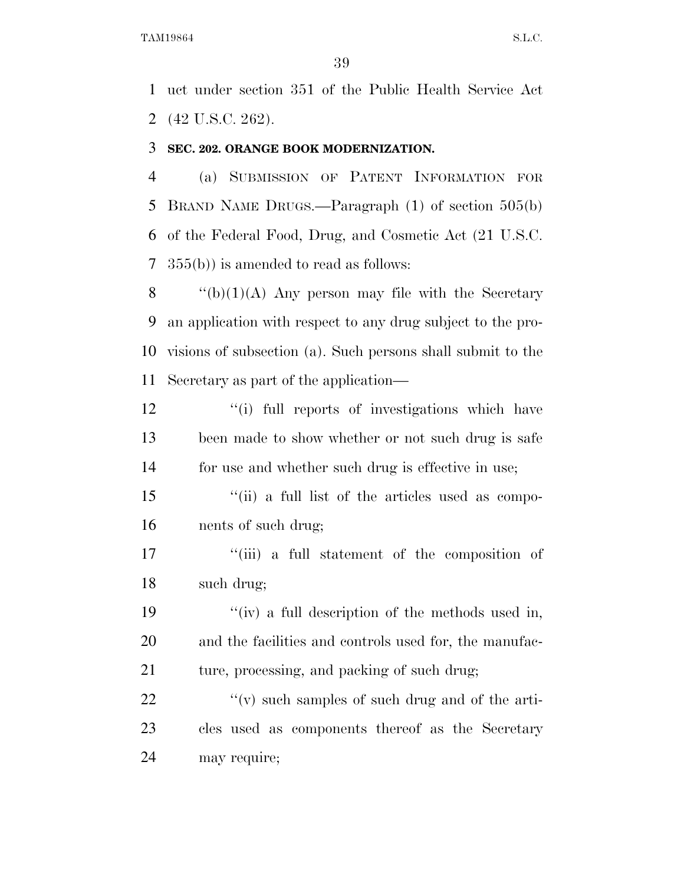uct under section 351 of the Public Health Service Act (42 U.S.C. 262).

#### **SEC. 202. ORANGE BOOK MODERNIZATION.**

 (a) SUBMISSION OF PATENT INFORMATION FOR BRAND NAME DRUGS.—Paragraph (1) of section 505(b) of the Federal Food, Drug, and Cosmetic Act (21 U.S.C. 355(b)) is amended to read as follows:

 $\qquad$  "(b)(1)(A) Any person may file with the Secretary an application with respect to any drug subject to the pro- visions of subsection (a). Such persons shall submit to the Secretary as part of the application—

12 ''(i) full reports of investigations which have been made to show whether or not such drug is safe for use and whether such drug is effective in use;

 ''(ii) a full list of the articles used as compo-nents of such drug;

17 ''(iii) a full statement of the composition of such drug;

 ''(iv) a full description of the methods used in, and the facilities and controls used for, the manufac-21 ture, processing, and packing of such drug;

22  $\langle \langle v \rangle \rangle$  such samples of such drug and of the arti- cles used as components thereof as the Secretary may require;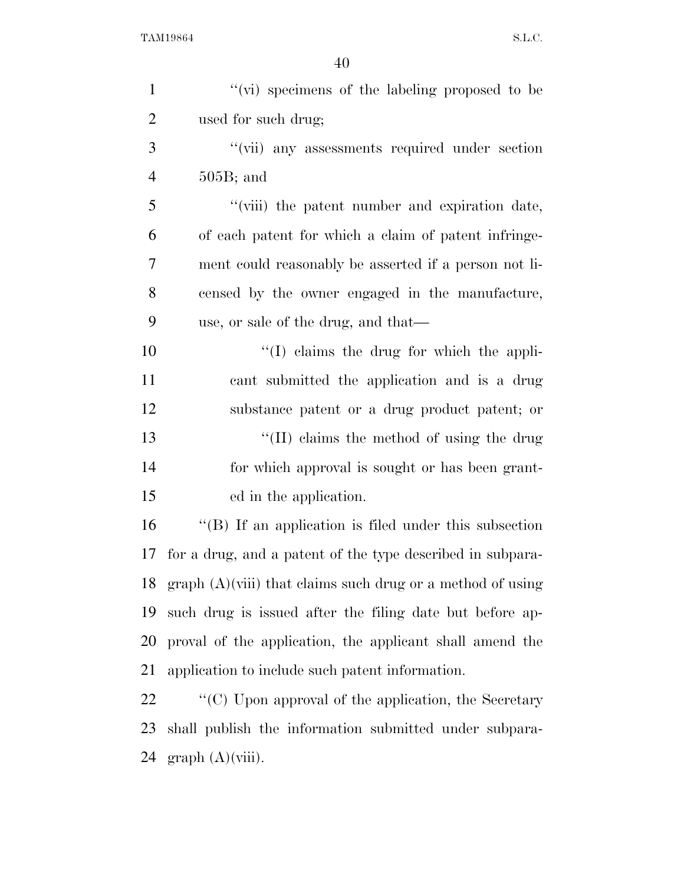| $\mathbf{1}$   | "(vi) specimens of the labeling proposed to be                            |
|----------------|---------------------------------------------------------------------------|
| $\overline{2}$ | used for such drug;                                                       |
| 3              | "(vii) any assessments required under section                             |
| $\overline{4}$ | $505B$ ; and                                                              |
| 5              | "(viii) the patent number and expiration date,                            |
| 6              | of each patent for which a claim of patent infringe-                      |
| 7              | ment could reasonably be asserted if a person not li-                     |
| 8              | censed by the owner engaged in the manufacture,                           |
| 9              | use, or sale of the drug, and that—                                       |
| 10             | $\lq\lq$ claims the drug for which the appli-                             |
| 11             | cant submitted the application and is a drug                              |
| 12             | substance patent or a drug product patent; or                             |
| 13             | $\lq\lq$ (II) claims the method of using the drug                         |
| 14             | for which approval is sought or has been grant-                           |
| 15             | ed in the application.                                                    |
| 16             | $\lq\lq$ . If an application is filed under this subsection               |
| 17             | for a drug, and a patent of the type described in subpara-                |
| 18             | graph $(A)(viii)$ that claims such drug or a method of using              |
| 19             | such drug is issued after the filing date but before ap-                  |
| 20             | proval of the application, the applicant shall amend the                  |
| 21             | application to include such patent information.                           |
| 22             | $\lq\lq$ <sup>c</sup> (C) Upon approval of the application, the Secretary |
| 23             | shall publish the information submitted under subpara-                    |

graph (A)(viii).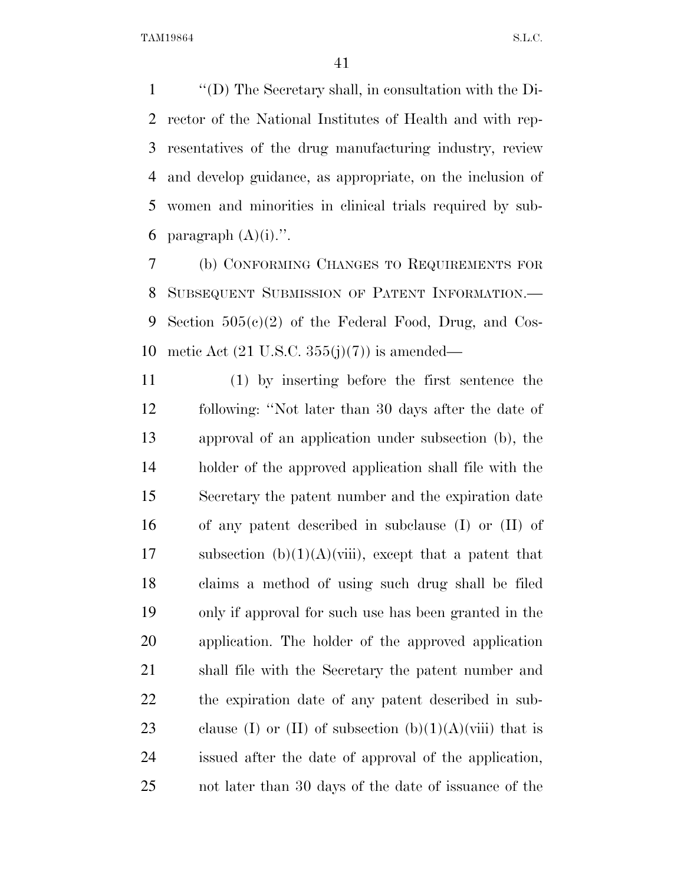''(D) The Secretary shall, in consultation with the Di- rector of the National Institutes of Health and with rep- resentatives of the drug manufacturing industry, review and develop guidance, as appropriate, on the inclusion of women and minorities in clinical trials required by sub-6 paragraph  $(A)(i)$ .".

 (b) CONFORMING CHANGES TO REQUIREMENTS FOR SUBSEQUENT SUBMISSION OF PATENT INFORMATION.— Section 505(c)(2) of the Federal Food, Drug, and Cos-10 metic Act  $(21 \text{ U.S.C. } 355(j)(7))$  is amended—

 (1) by inserting before the first sentence the following: ''Not later than 30 days after the date of approval of an application under subsection (b), the holder of the approved application shall file with the Secretary the patent number and the expiration date of any patent described in subclause (I) or (II) of 17 subsection  $(b)(1)(A)(viii)$ , except that a patent that claims a method of using such drug shall be filed only if approval for such use has been granted in the application. The holder of the approved application shall file with the Secretary the patent number and the expiration date of any patent described in sub-23 clause (I) or (II) of subsection  $(b)(1)(A)(viii)$  that is issued after the date of approval of the application, not later than 30 days of the date of issuance of the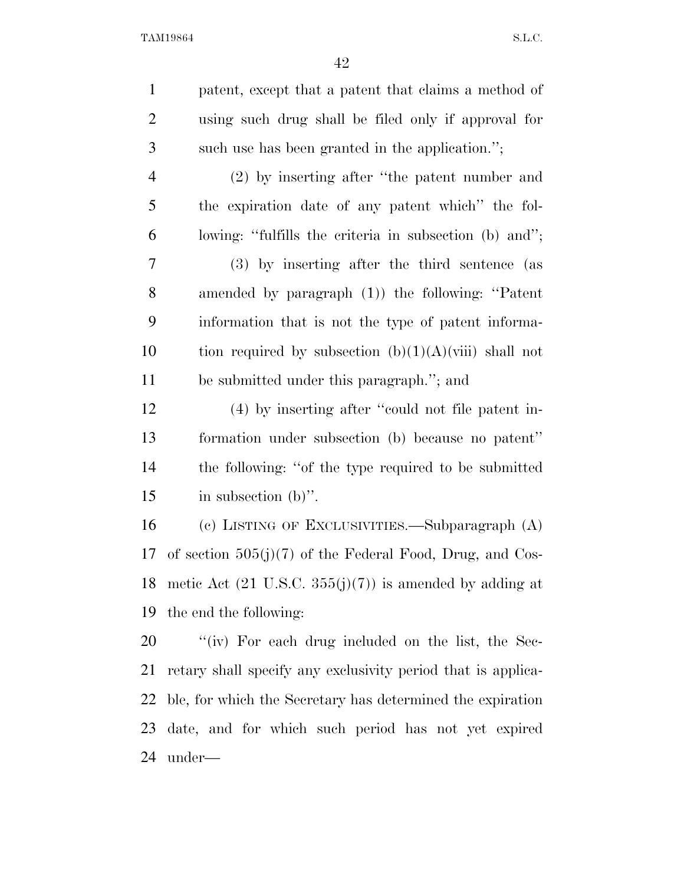| $\mathbf{1}$   | patent, except that a patent that claims a method of                  |
|----------------|-----------------------------------------------------------------------|
| $\overline{2}$ | using such drug shall be filed only if approval for                   |
| 3              | such use has been granted in the application.";                       |
| $\overline{4}$ | (2) by inserting after "the patent number and                         |
| 5              | the expiration date of any patent which" the fol-                     |
| 6              | lowing: "fulfills the criteria in subsection (b) and";                |
| 7              | (3) by inserting after the third sentence (as                         |
| 8              | amended by paragraph (1)) the following: "Patent                      |
| 9              | information that is not the type of patent informa-                   |
| 10             | tion required by subsection $(b)(1)(A)(viii)$ shall not               |
| 11             | be submitted under this paragraph."; and                              |
| 12             | (4) by inserting after "could not file patent in-                     |
| 13             | formation under subsection (b) because no patent"                     |
| 14             | the following: "of the type required to be submitted                  |
| 15             | in subsection $(b)$ ".                                                |
| 16             | (c) LISTING OF EXCLUSIVITIES.—Subparagraph (A)                        |
| 17             | of section $505(j)(7)$ of the Federal Food, Drug, and Cos-            |
|                | 18 metic Act $(21 \text{ U.S.C. } 355(j)(7))$ is amended by adding at |
| 19             | the end the following:                                                |
| 20             | "(iv) For each drug included on the list, the Sec-                    |
| 21             | retary shall specify any exclusivity period that is applica-          |
| 22             | ble, for which the Secretary has determined the expiration            |
| 23             | date, and for which such period has not yet expired                   |
|                |                                                                       |

under—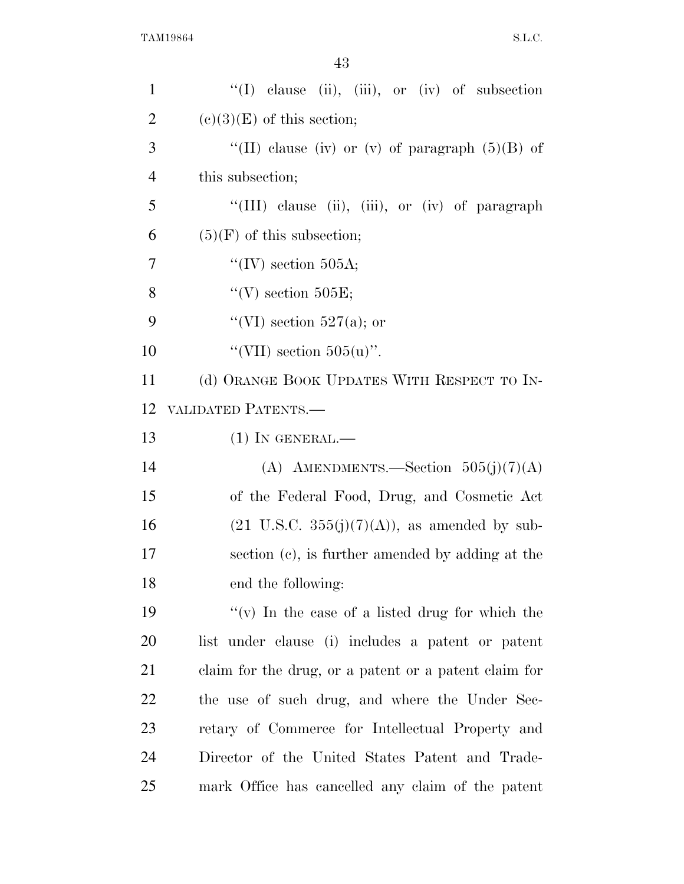| $\mathbf{1}$   | "(I) clause (ii), (iii), or (iv) of subsection           |
|----------------|----------------------------------------------------------|
| 2              | $(e)(3)(E)$ of this section;                             |
| 3              | "(II) clause (iv) or (v) of paragraph $(5)(B)$ of        |
| $\overline{4}$ | this subsection;                                         |
| 5              | "(III) clause (ii), (iii), or (iv) of paragraph          |
| 6              | $(5)(F)$ of this subsection;                             |
| 7              | "(IV) section 505A;                                      |
| 8              | "(V) section $505E$ ;                                    |
| 9              | "(VI) section 527(a); or                                 |
| 10             | "(VII) section $505(u)$ ".                               |
| 11             | (d) ORANGE BOOK UPDATES WITH RESPECT TO IN-              |
| 12             | VALIDATED PATENTS.-                                      |
| 13             | $(1)$ In GENERAL.—                                       |
| 14             | (A) AMENDMENTS.—Section $505(j)(7)(A)$                   |
| 15             | of the Federal Food, Drug, and Cosmetic Act              |
| 16             | $(21 \text{ U.S.C. } 355(j)(7)(A))$ , as amended by sub- |
| 17             | section (c), is further amended by adding at the         |
| 18             | end the following:                                       |
| 19             | "(v) In the case of a listed drug for which the          |
| 20             | list under clause (i) includes a patent or patent        |
| 21             | claim for the drug, or a patent or a patent claim for    |
| 22             | the use of such drug, and where the Under Sec-           |
| 23             | retary of Commerce for Intellectual Property and         |
| 24             | Director of the United States Patent and Trade-          |
| 25             | mark Office has cancelled any claim of the patent        |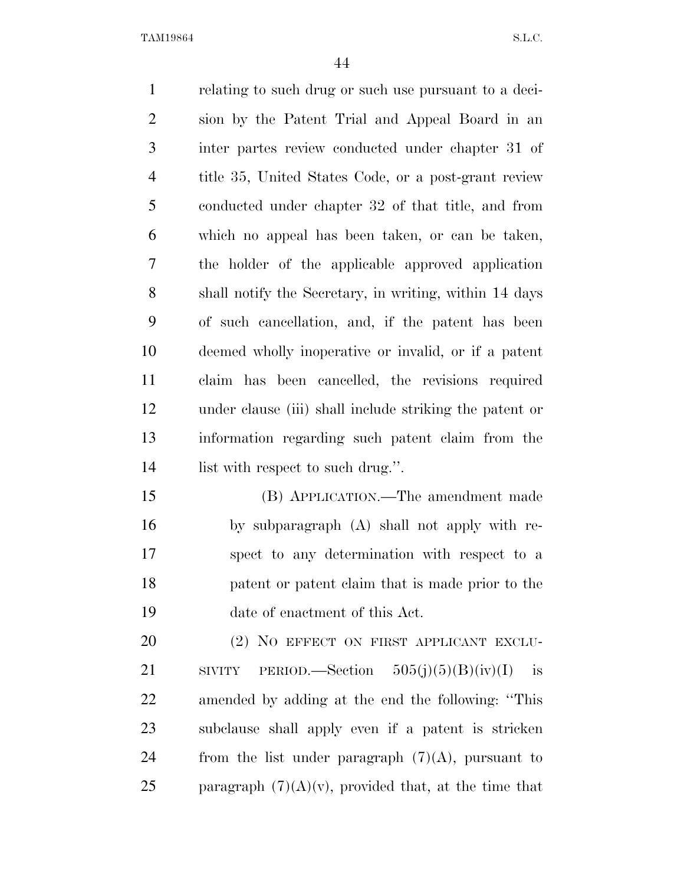relating to such drug or such use pursuant to a deci- sion by the Patent Trial and Appeal Board in an inter partes review conducted under chapter 31 of title 35, United States Code, or a post-grant review conducted under chapter 32 of that title, and from which no appeal has been taken, or can be taken, the holder of the applicable approved application shall notify the Secretary, in writing, within 14 days of such cancellation, and, if the patent has been deemed wholly inoperative or invalid, or if a patent claim has been cancelled, the revisions required under clause (iii) shall include striking the patent or information regarding such patent claim from the 14 list with respect to such drug.". (B) APPLICATION.—The amendment made

 by subparagraph (A) shall not apply with re- spect to any determination with respect to a patent or patent claim that is made prior to the date of enactment of this Act.

20 (2) NO EFFECT ON FIRST APPLICANT EXCLU-21 SIVITY PERIOD.—Section  $505(j)(5)(B)(iv)(I)$  is amended by adding at the end the following: ''This subclause shall apply even if a patent is stricken 24 from the list under paragraph  $(7)(A)$ , pursuant to 25 paragraph  $(7)(A)(v)$ , provided that, at the time that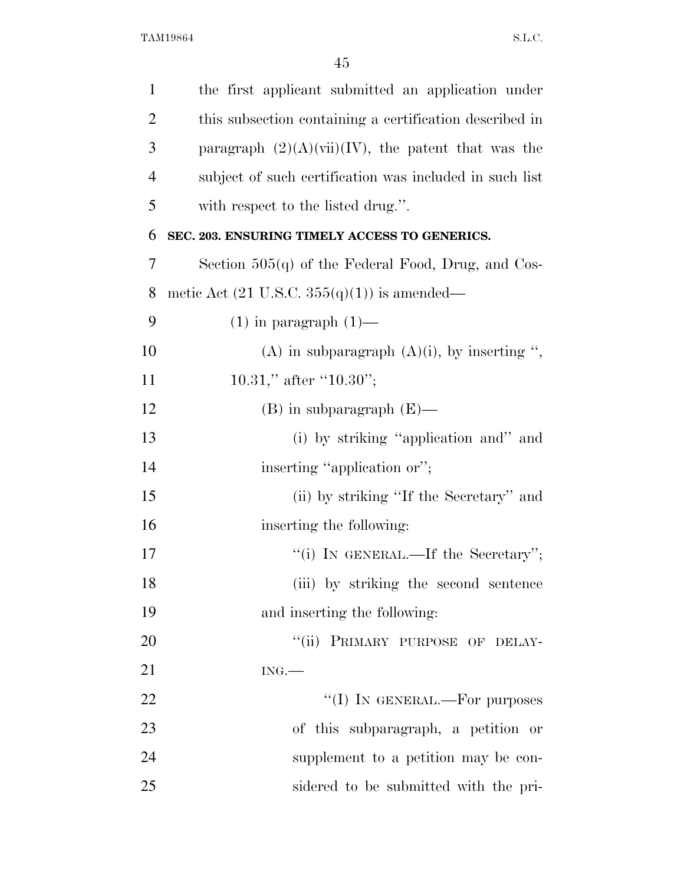| $\mathbf{1}$   | the first applicant submitted an application under                          |
|----------------|-----------------------------------------------------------------------------|
| $\overline{2}$ | this subsection containing a certification described in                     |
| 3              | paragraph $(2)(A)(\n{\text{vii}})(\n{\text{IV}})$ , the patent that was the |
| $\overline{4}$ | subject of such certification was included in such list                     |
| 5              | with respect to the listed drug.".                                          |
| 6              | SEC. 203. ENSURING TIMELY ACCESS TO GENERICS.                               |
| 7              | Section $505(q)$ of the Federal Food, Drug, and Cos-                        |
| 8              | metic Act $(21 \text{ U.S.C. } 355(q)(1))$ is amended—                      |
| 9              | $(1)$ in paragraph $(1)$ —                                                  |
| 10             | (A) in subparagraph $(A)(i)$ , by inserting ",                              |
| 11             | 10.31," after "10.30";                                                      |
| 12             | $(B)$ in subparagraph $(E)$ —                                               |
| 13             | (i) by striking "application and" and                                       |
| 14             | inserting "application or";                                                 |
| 15             | (ii) by striking "If the Secretary" and                                     |
| 16             | inserting the following:                                                    |
| 17             | "(i) IN GENERAL.—If the Secretary";                                         |
| 18             | (iii) by striking the second sentence                                       |
| 19             | and inserting the following:                                                |
| 20             | "(ii) PRIMARY PURPOSE OF DELAY-                                             |
| 21             | ING.                                                                        |
| 22             | "(I) IN GENERAL.—For purposes                                               |
| 23             | of this subparagraph, a petition or                                         |
| 24             | supplement to a petition may be con-                                        |
| 25             | sidered to be submitted with the pri-                                       |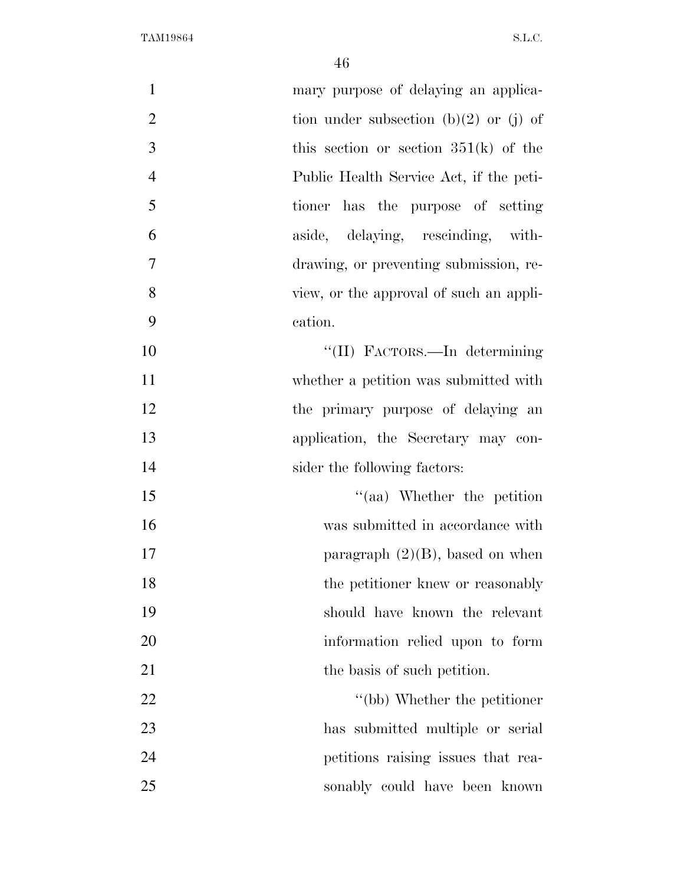| $\mathbf{1}$   | mary purpose of delaying an applica-    |
|----------------|-----------------------------------------|
| $\overline{2}$ | tion under subsection (b)(2) or (j) of  |
| 3              | this section or section $351(k)$ of the |
| $\overline{4}$ | Public Health Service Act, if the peti- |
| 5              | tioner has the purpose of setting       |
| 6              | aside, delaying, rescinding, with-      |
| $\overline{7}$ | drawing, or preventing submission, re-  |
| 8              | view, or the approval of such an appli- |
| 9              | cation.                                 |
| 10             | "(II) FACTORS.—In determining           |
| 11             | whether a petition was submitted with   |
| 12             | the primary purpose of delaying an      |
| 13             | application, the Secretary may con-     |
| 14             | sider the following factors:            |
| 15             | "(aa) Whether the petition              |
| 16             | was submitted in accordance with        |
| 17             | paragraph $(2)(B)$ , based on when      |
| 18             | the petitioner knew or reasonably       |
| 19             | should have known the relevant          |
| 20             | information relied upon to form         |
| 21             | the basis of such petition.             |
| 22             | "(bb) Whether the petitioner            |
| 23             | has submitted multiple or serial        |
| 24             | petitions raising issues that rea-      |
| 25             | sonably could have been known           |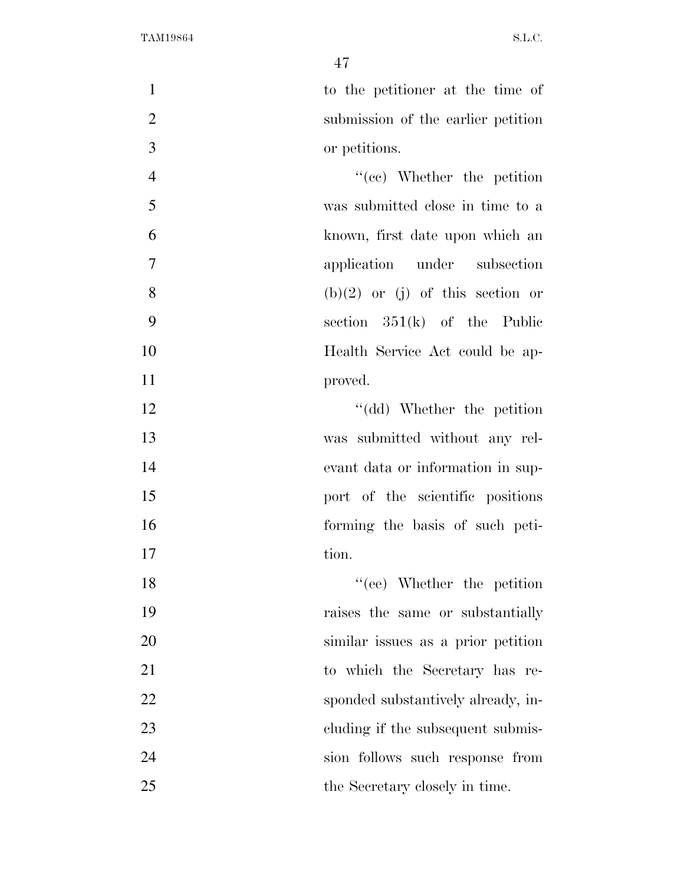to the petitioner at the time of submission of the earlier petition or petitions.

4 ''(cc) Whether the petition was submitted close in time to a known, first date upon which an application under subsection 8 (b)(2) or (j) of this section or section 351(k) of the Public Health Service Act could be ap-11 proved.

12 ''(dd) Whether the petition was submitted without any rel- evant data or information in sup-**port** of the scientific positions forming the basis of such peti-17 tion.

18 ''(ee) Whether the petition raises the same or substantially similar issues as a prior petition to which the Secretary has re-22 sponded substantively already, in-23 cluding if the subsequent submis- sion follows such response from 25 the Secretary closely in time.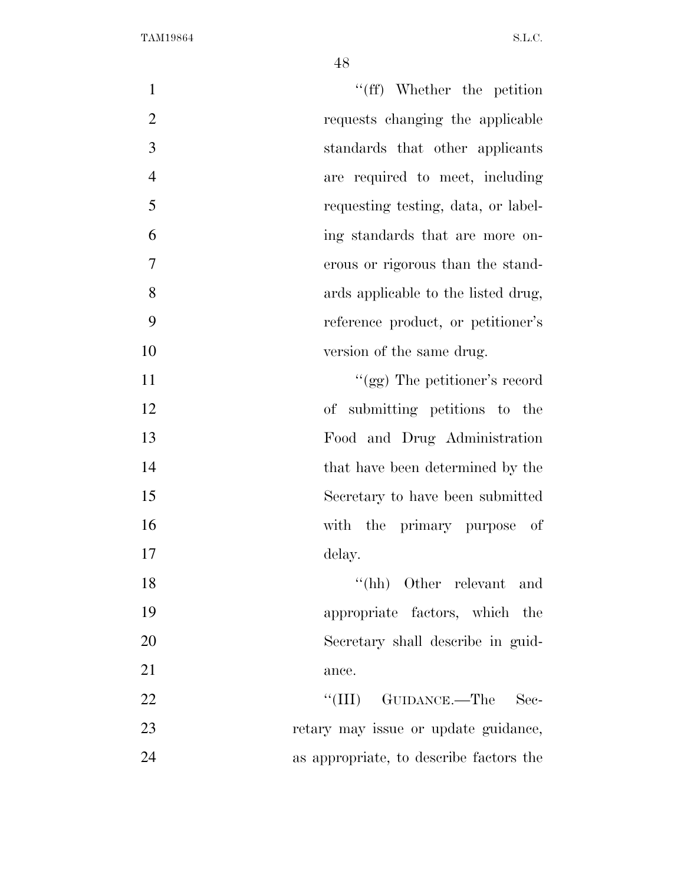| $\mathbf{1}$   | "(ff) Whether the petition              |
|----------------|-----------------------------------------|
| $\overline{2}$ | requests changing the applicable        |
| $\mathfrak{Z}$ | standards that other applicants         |
| $\overline{4}$ | are required to meet, including         |
| 5              | requesting testing, data, or label-     |
| 6              | ing standards that are more on-         |
| 7              | erous or rigorous than the stand-       |
| 8              | ards applicable to the listed drug,     |
| 9              | reference product, or petitioner's      |
| 10             | version of the same drug.               |
| 11             | "(gg) The petitioner's record           |
| 12             | of submitting petitions to the          |
| 13             | Food and Drug Administration            |
| 14             | that have been determined by the        |
| 15             | Secretary to have been submitted        |
| 16             | with the primary purpose<br>-of         |
| 17             | delay.                                  |
| 18             | $``(hh)$ Other relevant and             |
| 19             | appropriate factors, which the          |
| 20             | Secretary shall describe in guid-       |
| 21             | ance.                                   |
| 22             | ``(III)<br>GUIDANCE.—The<br>$\rm Sec-$  |
| 23             | retary may issue or update guidance,    |
| 24             | as appropriate, to describe factors the |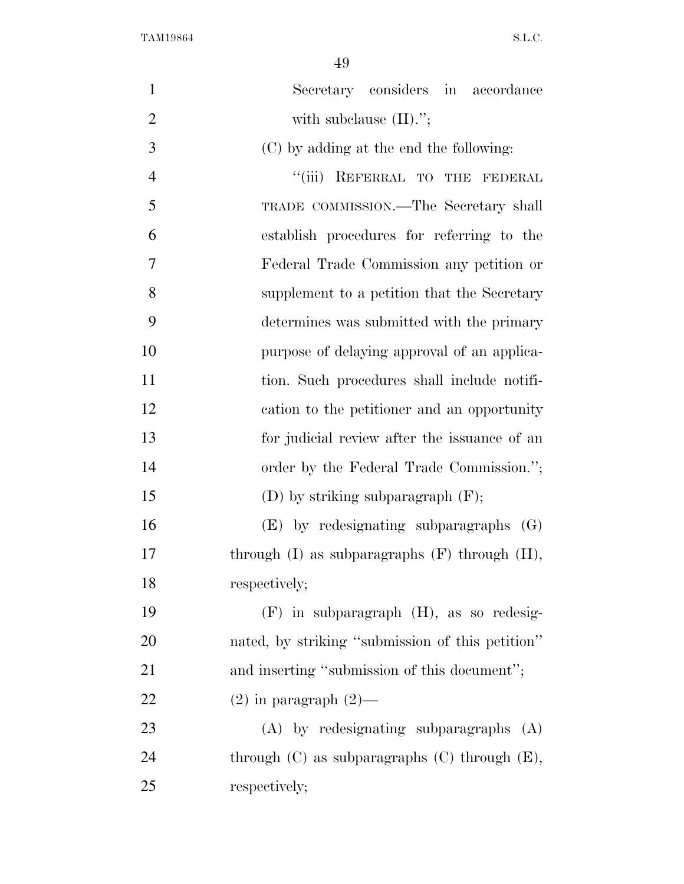| $\mathbf{1}$   | Secretary considers in accordance                    |
|----------------|------------------------------------------------------|
| $\overline{2}$ | with subclause $(II)$ .";                            |
| 3              | (C) by adding at the end the following:              |
| $\overline{4}$ | "(iii) REFERRAL TO THE FEDERAL                       |
| 5              | TRADE COMMISSION.—The Secretary shall                |
| 6              | establish procedures for referring to the            |
| 7              | Federal Trade Commission any petition or             |
| 8              | supplement to a petition that the Secretary          |
| 9              | determines was submitted with the primary            |
| 10             | purpose of delaying approval of an applica-          |
| 11             | tion. Such procedures shall include notifi-          |
| 12             | cation to the petitioner and an opportunity          |
| 13             | for judicial review after the issuance of an         |
| 14             | order by the Federal Trade Commission.";             |
| 15             | (D) by striking subparagraph $(F)$ ;                 |
| 16             | $(E)$ by redesignating subparagraphs $(G)$           |
| 17             | through $(I)$ as subparagraphs $(F)$ through $(H)$ , |
| 18             | respectively;                                        |
| 19             | $(F)$ in subparagraph $(H)$ , as so redesig-         |
| 20             | nated, by striking "submission of this petition"     |
| 21             | and inserting "submission of this document";         |
| 22             | $(2)$ in paragraph $(2)$ —                           |
| 23             | $(A)$ by redesignating subparagraphs $(A)$           |
| 24             | through $(C)$ as subparagraphs $(C)$ through $(E)$ , |
| 25             | respectively;                                        |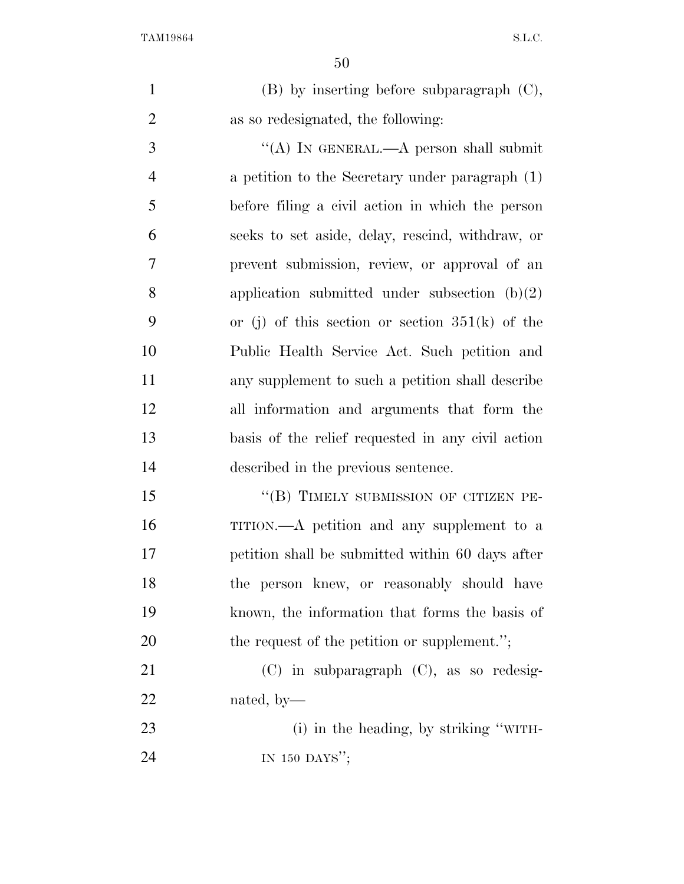(B) by inserting before subparagraph (C), as so redesignated, the following:

3 "(A) IN GENERAL.—A person shall submit a petition to the Secretary under paragraph (1) before filing a civil action in which the person seeks to set aside, delay, rescind, withdraw, or prevent submission, review, or approval of an application submitted under subsection (b)(2) or (j) of this section or section 351(k) of the Public Health Service Act. Such petition and any supplement to such a petition shall describe all information and arguments that form the basis of the relief requested in any civil action described in the previous sentence.

15 "(B) TIMELY SUBMISSION OF CITIZEN PE- TITION.—A petition and any supplement to a petition shall be submitted within 60 days after the person knew, or reasonably should have known, the information that forms the basis of 20 the request of the petition or supplement.";

 (C) in subparagraph (C), as so redesig-nated, by—

23 (i) in the heading, by striking "WITH-24 IN 150 DAYS';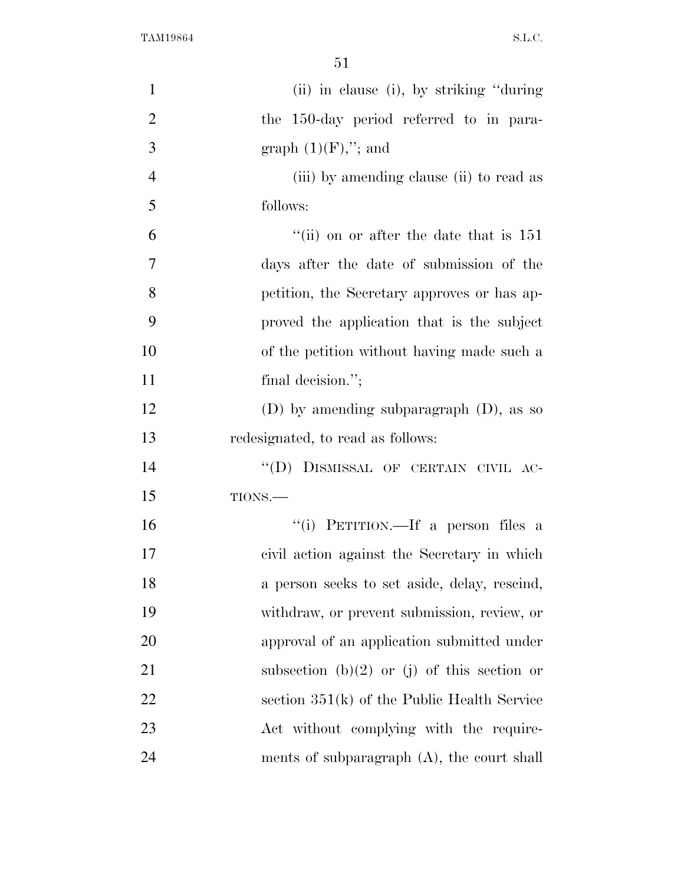| $\mathbf{1}$   | (ii) in clause (i), by striking "during"      |
|----------------|-----------------------------------------------|
| $\overline{2}$ | the 150-day period referred to in para-       |
| 3              | graph $(1)(F)$ ,"; and                        |
| $\overline{4}$ | (iii) by amending clause (ii) to read as      |
| 5              | follows:                                      |
| 6              | "(ii) on or after the date that is $151$      |
| $\tau$         | days after the date of submission of the      |
| 8              | petition, the Secretary approves or has ap-   |
| 9              | proved the application that is the subject    |
| 10             | of the petition without having made such a    |
| 11             | final decision.";                             |
| 12             | (D) by amending subparagraph $(D)$ , as so    |
| 13             | redesignated, to read as follows:             |
| 14             | "(D) DISMISSAL OF CERTAIN CIVIL AC-           |
| 15             | TIONS.                                        |
| 16             | "(i) PETITION.—If a person files a            |
| 17             | civil action against the Secretary in which   |
| 18             | a person seeks to set aside, delay, rescind,  |
| 19             | withdraw, or prevent submission, review, or   |
| 20             | approval of an application submitted under    |
| 21             | subsection (b)(2) or (j) of this section or   |
| 22             | section $351(k)$ of the Public Health Service |
| 23             | Act without complying with the require-       |
| 24             | ments of subparagraph $(A)$ , the court shall |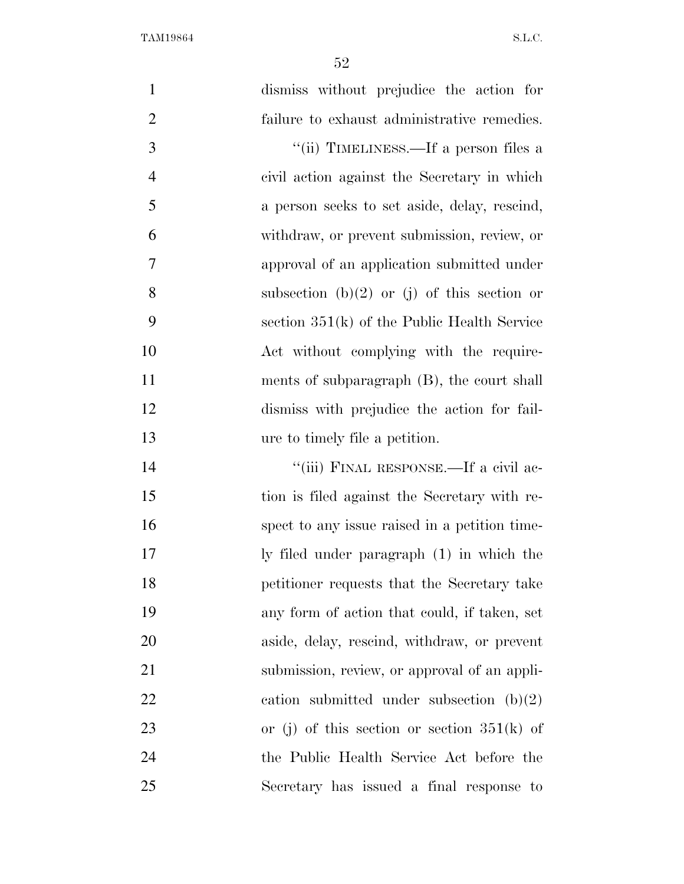| $\mathbf{1}$   | dismiss without prejudice the action for      |
|----------------|-----------------------------------------------|
| $\overline{2}$ | failure to exhaust administrative remedies.   |
| $\overline{3}$ | "(ii) TIMELINESS.—If a person files a         |
| $\overline{4}$ | civil action against the Secretary in which   |
| 5              | a person seeks to set aside, delay, rescind,  |
| 6              | withdraw, or prevent submission, review, or   |
| $\overline{7}$ | approval of an application submitted under    |
| 8              | subsection (b)(2) or (j) of this section or   |
| 9              | section $351(k)$ of the Public Health Service |
| 10             | Act without complying with the require-       |
| 11             | ments of subparagraph $(B)$ , the court shall |
| 12             | dismiss with prejudice the action for fail-   |
| 13             | ure to timely file a petition.                |
| 14             | "(iii) FINAL RESPONSE.—If a civil ac-         |
| 15             | tion is filed against the Secretary with re-  |
| 16             | spect to any issue raised in a petition time- |
| 17             | ly filed under paragraph (1) in which the     |
| 18             | petitioner requests that the Secretary take   |
| 19             | any form of action that could, if taken, set  |
| 20             | aside, delay, rescind, withdraw, or prevent   |
| 21             | submission, review, or approval of an appli-  |
| 22             | cation submitted under subsection $(b)(2)$    |
| 23             | or (j) of this section or section $351(k)$ of |
| 24             | the Public Health Service Act before the      |
| 25             | Secretary has issued a final response to      |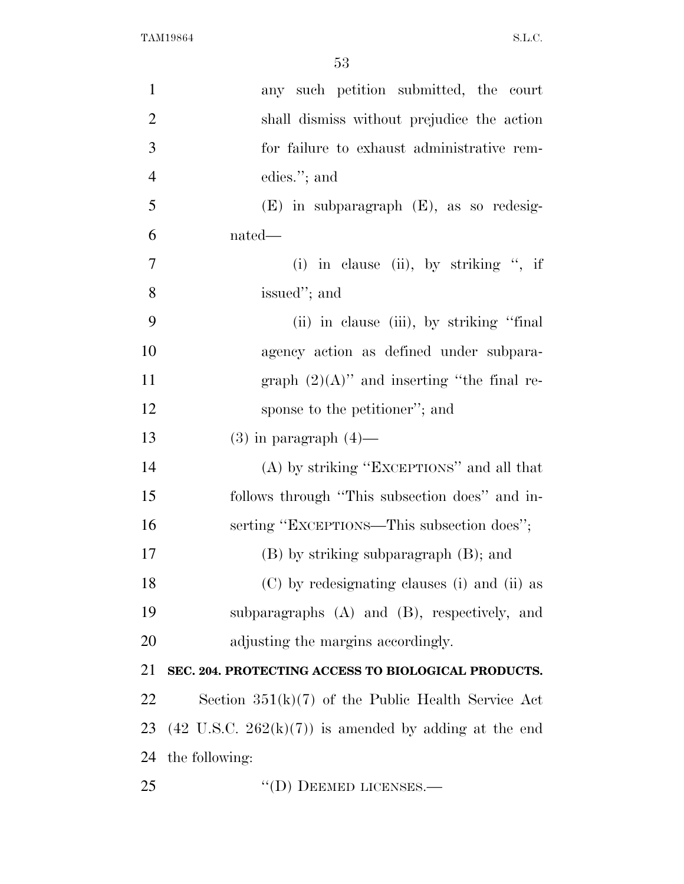| $\mathbf{1}$   | any such petition submitted, the court                                  |
|----------------|-------------------------------------------------------------------------|
| $\overline{2}$ | shall dismiss without prejudice the action                              |
| 3              | for failure to exhaust administrative rem-                              |
| $\overline{4}$ | edies."; and                                                            |
| 5              | (E) in subparagraph (E), as so redesig-                                 |
| 6              | nated—                                                                  |
| $\overline{7}$ | (i) in clause (ii), by striking ", if                                   |
| 8              | issued"; and                                                            |
| 9              | (ii) in clause (iii), by striking "final"                               |
| 10             | agency action as defined under subpara-                                 |
| 11             | graph $(2)(A)$ " and inserting "the final re-                           |
| 12             | sponse to the petitioner"; and                                          |
| 13             | $(3)$ in paragraph $(4)$ —                                              |
| 14             | (A) by striking "EXCEPTIONS" and all that                               |
| 15             | follows through "This subsection does" and in-                          |
| 16             | serting "EXCEPTIONS—This subsection does";                              |
| 17             | (B) by striking subparagraph (B); and                                   |
| 18             | (C) by redesignating clauses (i) and (ii) as                            |
| 19             | subparagraphs (A) and (B), respectively, and                            |
| 20             | adjusting the margins accordingly.                                      |
| 21             | SEC. 204. PROTECTING ACCESS TO BIOLOGICAL PRODUCTS.                     |
| 22             | Section $351(k)(7)$ of the Public Health Service Act                    |
| 23             | $(42 \text{ U.S.C. } 262(\text{k})(7))$ is amended by adding at the end |
| 24             | the following:                                                          |
| 25             | $\lq\lq$ (D) DEEMED LICENSES.—                                          |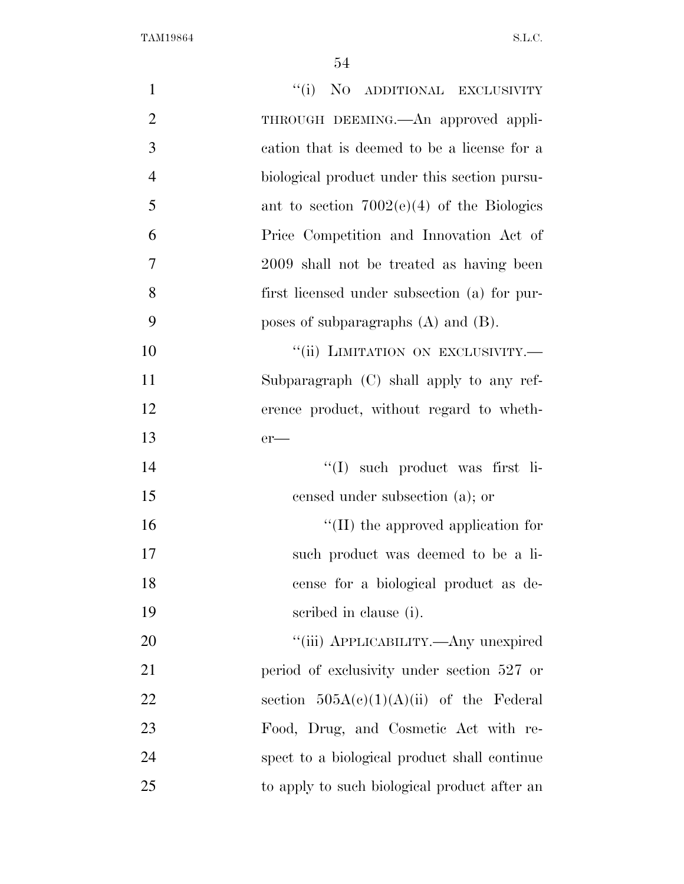| $\mathbf{1}$   | "(i) NO ADDITIONAL EXCLUSIVITY               |
|----------------|----------------------------------------------|
| $\overline{2}$ | THROUGH DEEMING.—An approved appli-          |
| 3              | cation that is deemed to be a license for a  |
| $\overline{4}$ | biological product under this section pursu- |
| 5              | ant to section $7002(e)(4)$ of the Biologies |
| 6              | Price Competition and Innovation Act of      |
| $\tau$         | 2009 shall not be treated as having been     |
| 8              | first licensed under subsection (a) for pur- |
| 9              | poses of subparagraphs $(A)$ and $(B)$ .     |
| 10             | "(ii) LIMITATION ON EXCLUSIVITY.-            |
| 11             | Subparagraph $(C)$ shall apply to any ref-   |
| 12             | erence product, without regard to wheth-     |
| 13             | $er$ —                                       |
| 14             | "(I) such product was first li-              |
| 15             | censed under subsection (a); or              |
| 16             | $\lq\lq$ (II) the approved application for   |
| 17             | such product was deemed to be a li-          |
| 18             | cense for a biological product as de-        |
| 19             | scribed in clause (i).                       |
| 20             | "(iii) APPLICABILITY.—Any unexpired          |
| 21             | period of exclusivity under section 527 or   |
| 22             | section $505A(c)(1)(A)(ii)$ of the Federal   |
| 23             | Food, Drug, and Cosmetic Act with re-        |
| 24             | spect to a biological product shall continue |
| 25             | to apply to such biological product after an |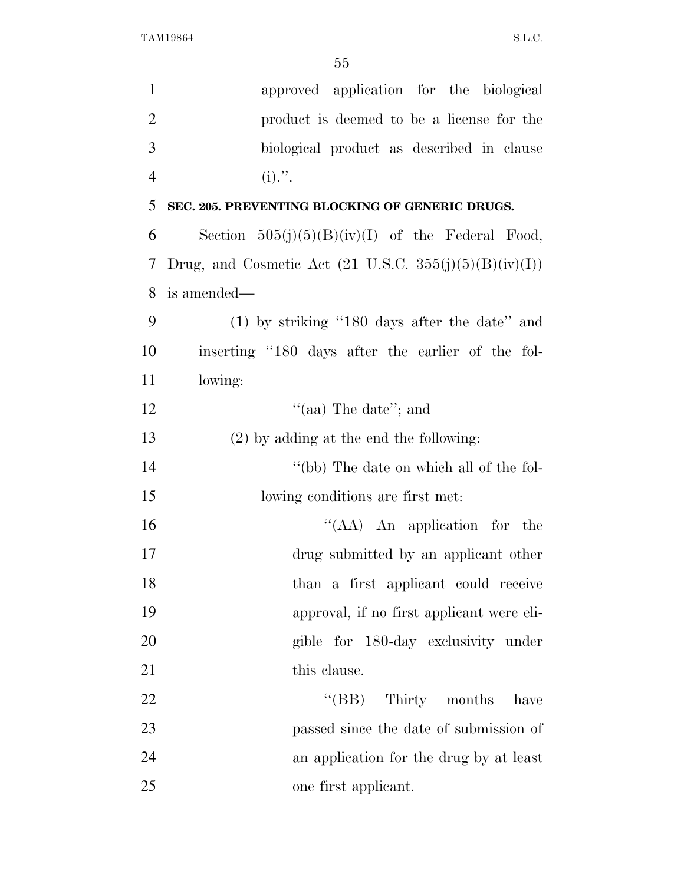| $\mathbf{1}$   | approved application for the biological                           |
|----------------|-------------------------------------------------------------------|
| $\overline{2}$ | product is deemed to be a license for the                         |
| 3              | biological product as described in clause                         |
| $\overline{4}$ | $(i)$ .".                                                         |
| 5              | SEC. 205. PREVENTING BLOCKING OF GENERIC DRUGS.                   |
| 6              | Section $505(j)(5)(B)(iv)(I)$ of the Federal Food,                |
| 7              | Drug, and Cosmetic Act $(21 \text{ U.S.C. } 355(j)(5)(B)(iv)(I))$ |
| 8              | is amended—                                                       |
| 9              | $(1)$ by striking "180 days after the date" and                   |
| 10             | inserting "180 days after the earlier of the fol-                 |
| 11             | lowing:                                                           |
| 12             | "(aa) The date"; and                                              |
| 13             | $(2)$ by adding at the end the following:                         |
| 14             | "(bb) The date on which all of the fol-                           |
| 15             | lowing conditions are first met.                                  |
| 16             | "(AA) An application for the                                      |
| 17             | drug submitted by an applicant other                              |
| 18             | than a first applicant could receive                              |
| 19             | approval, if no first applicant were eli-                         |
| 20             | gible for 180-day exclusivity under                               |
| 21             | this clause.                                                      |
| 22             | $\lq\lq(BB)$<br>Thirty months<br>have                             |
| 23             | passed since the date of submission of                            |
| 24             | an application for the drug by at least                           |
| 25             | one first applicant.                                              |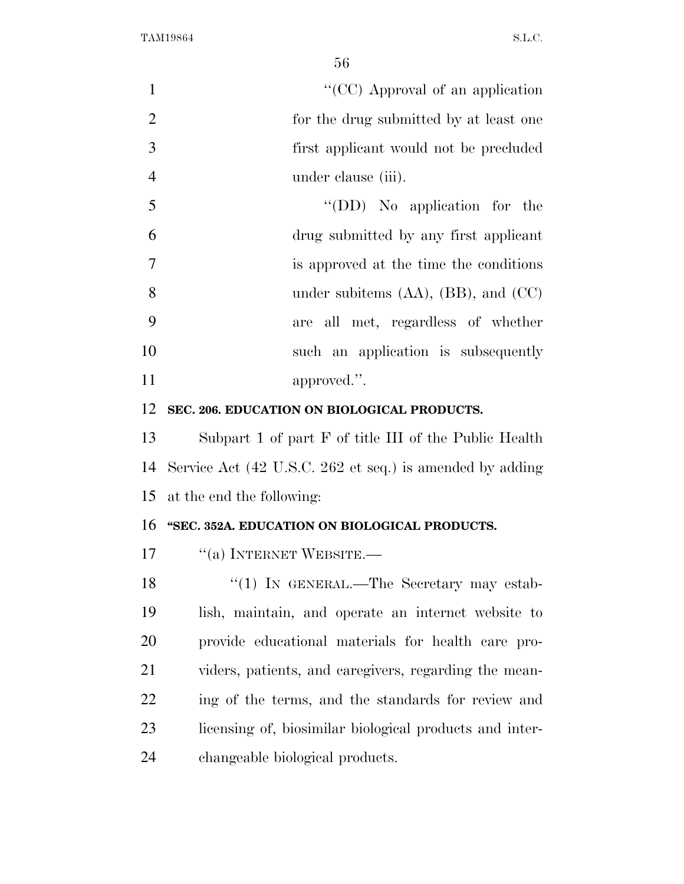1 ''(CC) Approval of an application for the drug submitted by at least one first applicant would not be precluded under clause (iii).

| -5  | $\lq\lq$ (DD) No application for the        |
|-----|---------------------------------------------|
| 6   | drug submitted by any first applicant       |
| - 7 | is approved at the time the conditions      |
| - 8 | under subitems $(AA)$ , $(BB)$ , and $(CC)$ |
| -9  | are all met, regardless of whether          |
| 10  | such an application is subsequently         |
| 11  | approved.".                                 |

## **SEC. 206. EDUCATION ON BIOLOGICAL PRODUCTS.**

 Subpart 1 of part F of title III of the Public Health Service Act (42 U.S.C. 262 et seq.) is amended by adding at the end the following:

## **''SEC. 352A. EDUCATION ON BIOLOGICAL PRODUCTS.**

17 <sup>"</sup>(a) INTERNET WEBSITE.

18 "(1) IN GENERAL.—The Secretary may estab- lish, maintain, and operate an internet website to provide educational materials for health care pro- viders, patients, and caregivers, regarding the mean- ing of the terms, and the standards for review and licensing of, biosimilar biological products and inter-changeable biological products.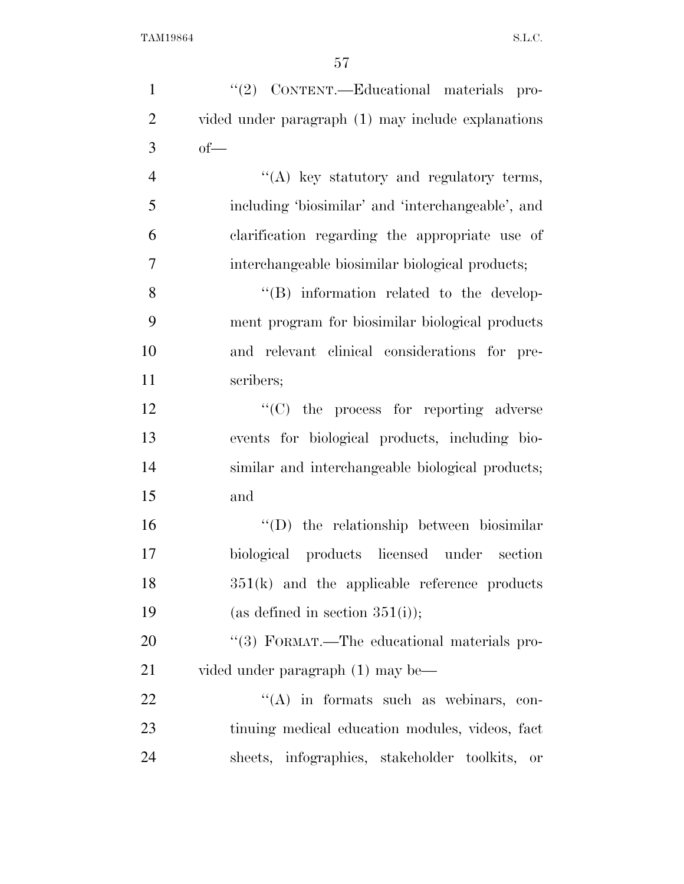| $\mathbf{1}$   | "(2) CONTENT.—Educational materials pro-           |
|----------------|----------------------------------------------------|
| $\overline{2}$ | vided under paragraph (1) may include explanations |
| 3              | $of$ —                                             |
| $\overline{4}$ | "(A) key statutory and regulatory terms,           |
| 5              | including 'biosimilar' and 'interchangeable', and  |
| 6              | clarification regarding the appropriate use of     |
| 7              | interchangeable biosimilar biological products;    |
| 8              | "(B) information related to the develop-           |
| 9              | ment program for biosimilar biological products    |
| 10             | and relevant clinical considerations for pre-      |
| 11             | scribers;                                          |
| 12             | $\lq\lq$ (C) the process for reporting adverse     |
| 13             | events for biological products, including bio-     |
| 14             | similar and interchangeable biological products;   |
| 15             | and                                                |
| 16             | $\lq\lq$ the relationship between biosimilar       |
| 17             | biological products licensed under section         |
| 18             | $351(k)$ and the applicable reference products     |
| 19             | (as defined in section $351(i)$ );                 |
| 20             | "(3) FORMAT.—The educational materials pro-        |
| 21             | vided under paragraph (1) may be—                  |
| 22             | "(A) in formats such as webinars, con-             |
| 23             | tinuing medical education modules, videos, fact    |
| 24             | sheets, infographics, stakeholder toolkits,<br>or  |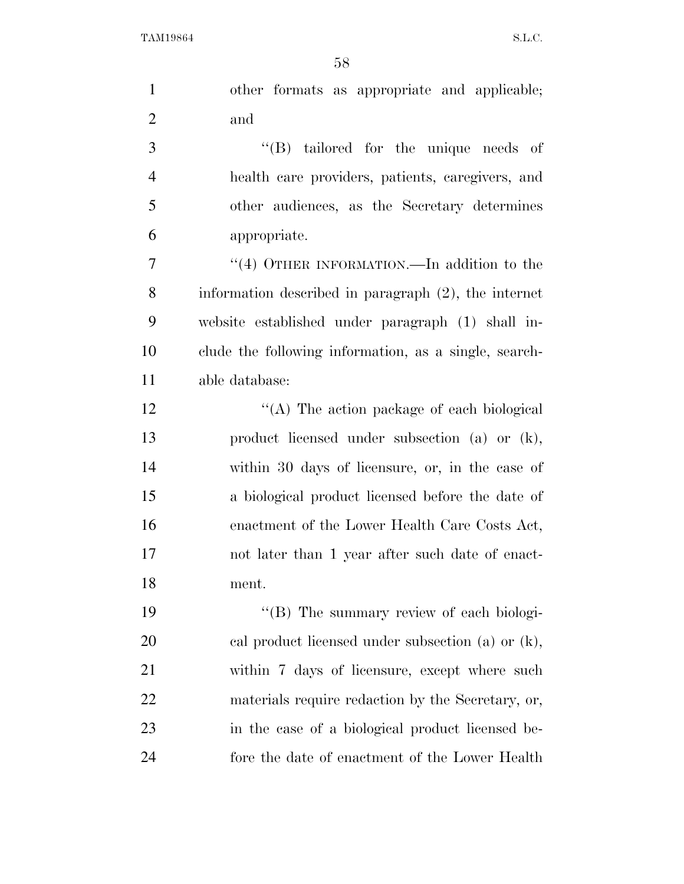| $\mathbf{1}$   | other formats as appropriate and applicable;            |
|----------------|---------------------------------------------------------|
| $\overline{2}$ | and                                                     |
| 3              | $\lq\lq$ tailored for the unique needs of               |
| $\overline{4}$ | health care providers, patients, caregivers, and        |
| 5              | other audiences, as the Secretary determines            |
| 6              | appropriate.                                            |
| $\overline{7}$ | "(4) OTHER INFORMATION.—In addition to the              |
| 8              | information described in paragraph $(2)$ , the internet |
| 9              | website established under paragraph (1) shall in-       |
| 10             | clude the following information, as a single, search-   |
| 11             | able database:                                          |
| 12             | "(A) The action package of each biological              |
| 13             | product licensed under subsection (a) or (k),           |
| 14             | within 30 days of licensure, or, in the case of         |
| 15             | a biological product licensed before the date of        |
| 16             | enactment of the Lower Health Care Costs Act,           |
| 17             | not later than 1 year after such date of enact-         |
| 18             | ment.                                                   |
| 19             | "(B) The summary review of each biologi-                |
| 20             | cal product licensed under subsection (a) or $(k)$ ,    |
| 21             | within 7 days of licensure, except where such           |
| 22             | materials require redaction by the Secretary, or,       |
| 23             | in the case of a biological product licensed be-        |
| 24             | fore the date of enactment of the Lower Health          |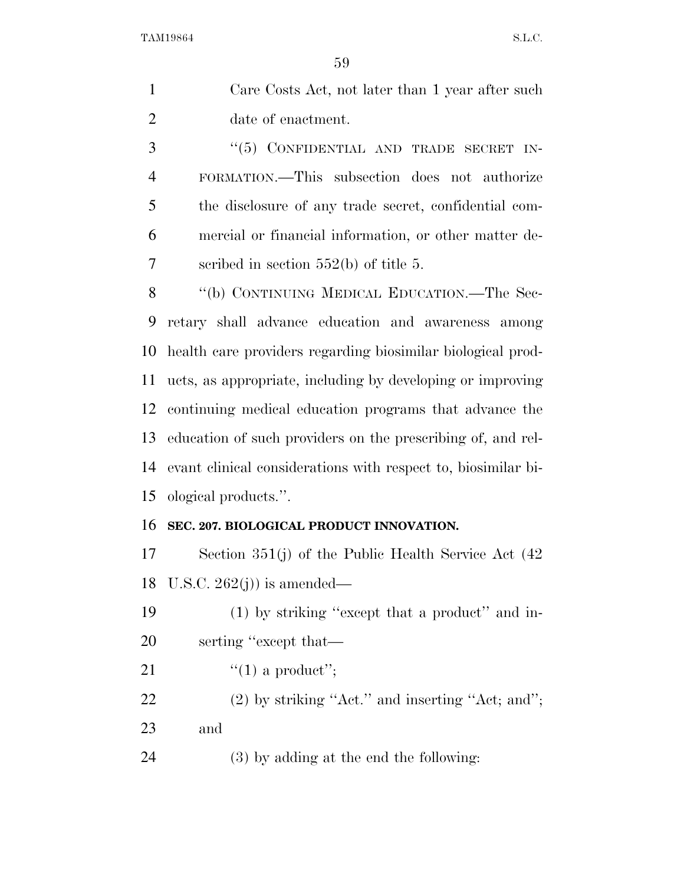| Care Costs Act, not later than 1 year after such |
|--------------------------------------------------|
| date of enactment.                               |

3 "(5) CONFIDENTIAL AND TRADE SECRET IN- FORMATION.—This subsection does not authorize the disclosure of any trade secret, confidential com- mercial or financial information, or other matter de-scribed in section 552(b) of title 5.

8 "(b) CONTINUING MEDICAL EDUCATION.—The Sec- retary shall advance education and awareness among health care providers regarding biosimilar biological prod- ucts, as appropriate, including by developing or improving continuing medical education programs that advance the education of such providers on the prescribing of, and rel- evant clinical considerations with respect to, biosimilar bi-ological products.''.

## **SEC. 207. BIOLOGICAL PRODUCT INNOVATION.**

 Section 351(j) of the Public Health Service Act (42 18 U.S.C.  $262(j)$  is amended—

 (1) by striking ''except that a product'' and in-serting ''except that—

21  $\frac{1}{2}$   $\frac{1}{2}$  a product'';

 (2) by striking ''Act.'' and inserting ''Act; and''; and

(3) by adding at the end the following: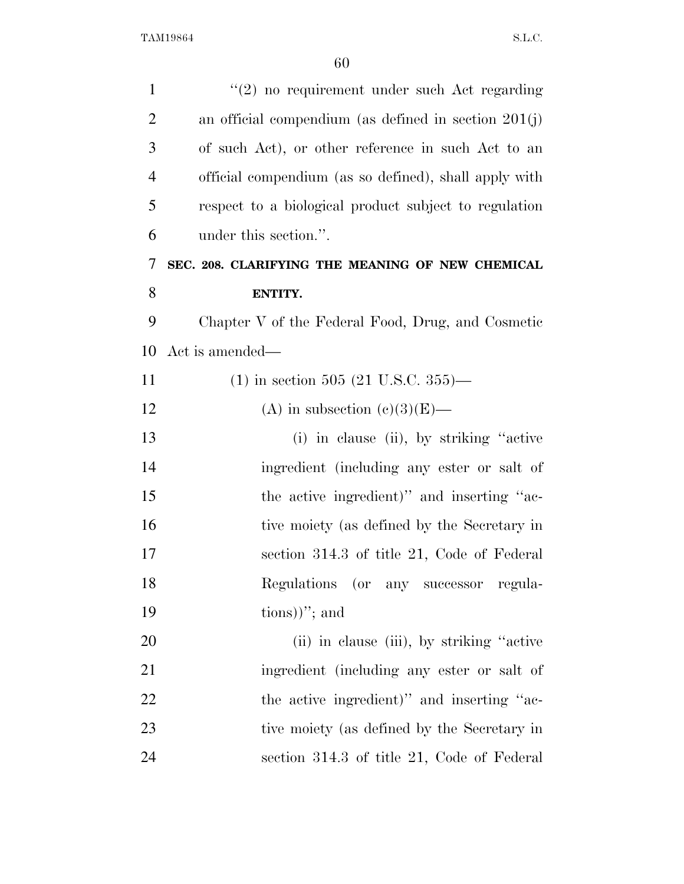| $\mathbf{1}$   | "(2) no requirement under such Act regarding             |
|----------------|----------------------------------------------------------|
| $\overline{2}$ | an official compendium (as defined in section $201(j)$ ) |
| 3              | of such Act), or other reference in such Act to an       |
| $\overline{4}$ | official compendium (as so defined), shall apply with    |
| 5              | respect to a biological product subject to regulation    |
| 6              | under this section.".                                    |
| 7              | SEC. 208. CLARIFYING THE MEANING OF NEW CHEMICAL         |
| 8              | ENTITY.                                                  |
| 9              | Chapter V of the Federal Food, Drug, and Cosmetic        |
| 10             | Act is amended—                                          |
| 11             | $(1)$ in section 505 (21 U.S.C. 355)—                    |
| 12             | (A) in subsection $(e)(3)(E)$ —                          |
| 13             | (i) in clause (ii), by striking "active"                 |
| 14             | ingredient (including any ester or salt of               |
| 15             | the active ingredient)" and inserting "ac-               |
| 16             | tive moiety (as defined by the Secretary in              |
| 17             | section 314.3 of title 21, Code of Federal               |
| 18             | Regulations (or any successor regula-                    |
| 19             | $\text{tions})$ "; and                                   |
| 20             | (ii) in clause (iii), by striking "active"               |
| 21             | ingredient (including any ester or salt of               |
| 22             | the active ingredient)" and inserting "ac-               |
| 23             | tive moiety (as defined by the Secretary in              |
| 24             | section 314.3 of title 21, Code of Federal               |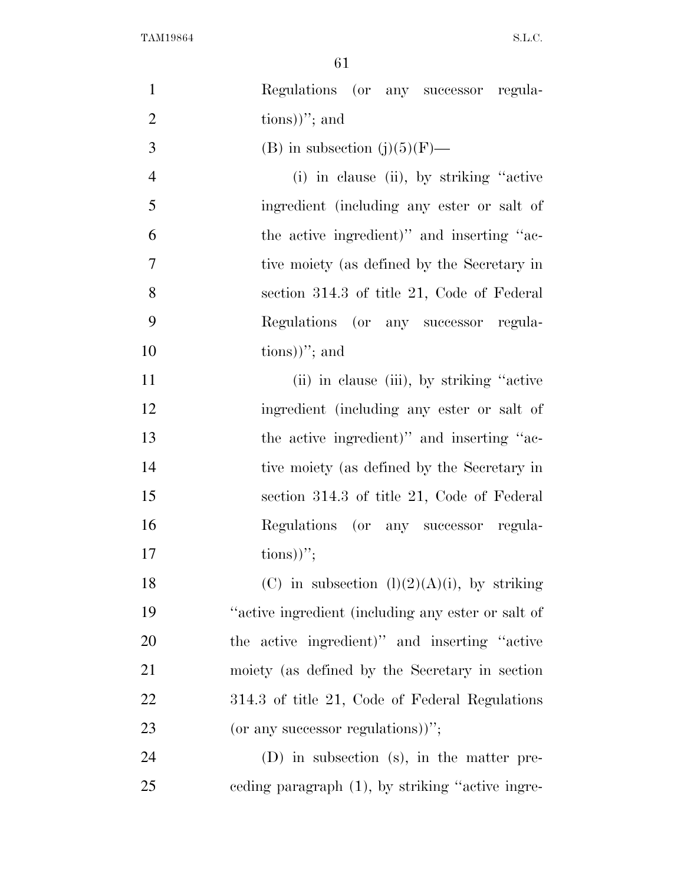| $\mathbf{1}$   | Regulations (or any successor regula-              |
|----------------|----------------------------------------------------|
| $\overline{2}$ | $\text{tions})$ "; and                             |
| 3              | (B) in subsection $(j)(5)(F)$ —                    |
| $\overline{4}$ | (i) in clause (ii), by striking "active"           |
| 5              | ingredient (including any ester or salt of         |
| 6              | the active ingredient)" and inserting "ac-         |
| $\tau$         | tive moiety (as defined by the Secretary in        |
| 8              | section 314.3 of title 21, Code of Federal         |
| 9              | Regulations (or any successor regula-              |
| 10             | $\{tions)$ "; and                                  |
| 11             | (ii) in clause (iii), by striking "active"         |
| 12             | ingredient (including any ester or salt of         |
| 13             | the active ingredient)" and inserting "ac-         |
| 14             | tive moiety (as defined by the Secretary in        |
| 15             | section 314.3 of title 21, Code of Federal         |
| 16             | Regulations (or any successor regula-              |
| 17             | $\{\text{tions})\}$ ";                             |
| 18             | (C) in subsection $(l)(2)(A)(i)$ , by striking     |
| 19             | "active ingredient (including any ester or salt of |
| 20             | the active ingredient)" and inserting "active      |
| 21             | moiety (as defined by the Secretary in section     |
| 22             | 314.3 of title 21, Code of Federal Regulations     |
| 23             | (or any successor regulations))";                  |
| 24             | $(D)$ in subsection (s), in the matter pre-        |
| 25             | eeding paragraph (1), by striking "active ingre-   |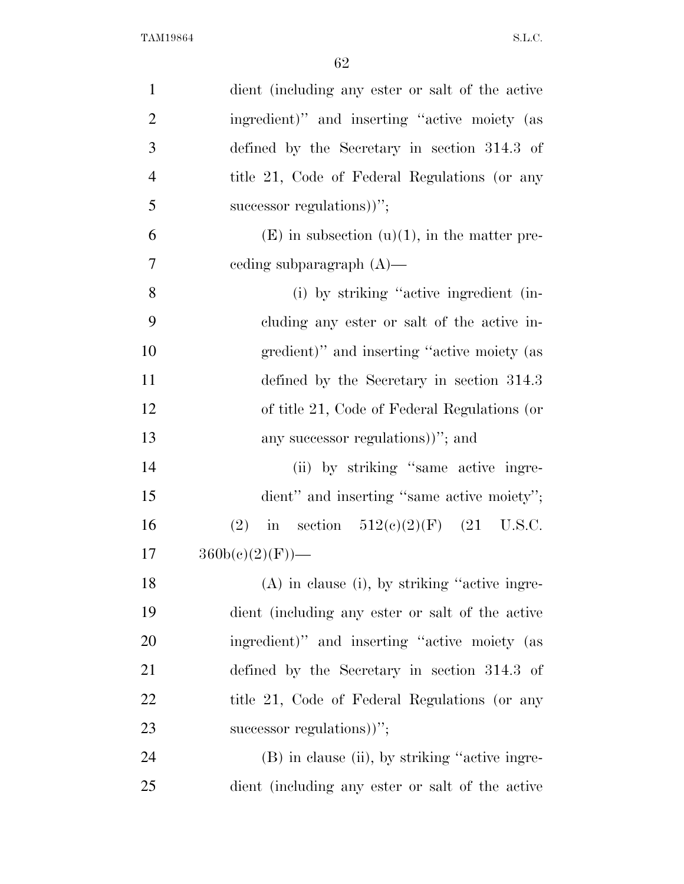| $\mathbf{1}$   | dient (including any ester or salt of the active  |
|----------------|---------------------------------------------------|
| $\overline{2}$ | ingredient)" and inserting "active moiety (as     |
| 3              | defined by the Secretary in section 314.3 of      |
| $\overline{4}$ | title 21, Code of Federal Regulations (or any     |
| 5              | successor regulations)";                          |
| 6              | $(E)$ in subsection $(u)(1)$ , in the matter pre- |
| $\overline{7}$ | ceding subparagraph $(A)$ —                       |
| 8              | (i) by striking "active ingredient (in-           |
| 9              | cluding any ester or salt of the active in-       |
| 10             | gredient)" and inserting "active moiety (as       |
| 11             | defined by the Secretary in section 314.3         |
| 12             | of title 21, Code of Federal Regulations (or      |
| 13             | any successor regulations)"; and                  |
| 14             | (ii) by striking "same active ingre-              |
| 15             | dient" and inserting "same active moiety";        |
| 16             | in section $512(e)(2)(F)$ (21 U.S.C.<br>(2)       |
| 17             | $360b(c)(2)(F)$ —                                 |
| 18             | $(A)$ in clause (i), by striking "active ingre-   |
| 19             | dient (including any ester or salt of the active  |
| 20             | ingredient)" and inserting "active moiety (as     |
| 21             | defined by the Secretary in section 314.3 of      |
| 22             | title 21, Code of Federal Regulations (or any     |
| 23             | successor regulations)";                          |
| 24             | (B) in clause (ii), by striking "active ingre-    |
| 25             | dient (including any ester or salt of the active  |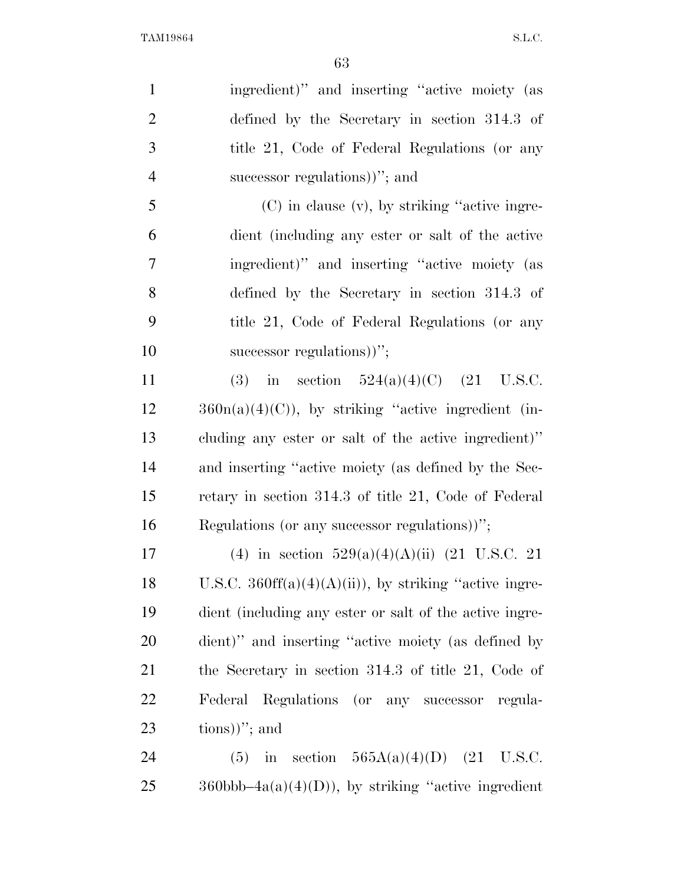| $\mathbf{1}$   | ingredient)" and inserting "active moiety (as                   |
|----------------|-----------------------------------------------------------------|
| $\overline{2}$ | defined by the Secretary in section 314.3 of                    |
| 3              | title 21, Code of Federal Regulations (or any                   |
| $\overline{4}$ | successor regulations)"; and                                    |
| 5              | $(C)$ in clause $(v)$ , by striking "active ingre-              |
| 6              | dient (including any ester or salt of the active                |
| 7              | ingredient)" and inserting "active moiety (as                   |
| 8              | defined by the Secretary in section 314.3 of                    |
| 9              | title 21, Code of Federal Regulations (or any                   |
| 10             | successor regulations))";                                       |
| 11             | (3) in section $524(a)(4)(C)$ (21 U.S.C.                        |
| 12             | $360n(a)(4)(C)$ , by striking "active ingredient (in-           |
| 13             | cluding any ester or salt of the active ingredient)"            |
| 14             | and inserting "active moiety (as defined by the Sec-            |
| 15             | retary in section 314.3 of title 21, Code of Federal            |
| 16             | Regulations (or any successor regulations))";                   |
| 17             | (4) in section $529(a)(4)(A)(ii)$ (21 U.S.C. 21                 |
| 18             | U.S.C. $360\text{ff}(a)(4)(A)(ii)$ , by striking "active ingre- |
| 19             | dient (including any ester or salt of the active ingre-         |
| 20             | dient)" and inserting "active moiety (as defined by             |
| 21             | the Secretary in section $314.3$ of title 21, Code of           |
| <u>22</u>      | Federal Regulations (or any successor regula-                   |
| 23             | $\{tions)$ "; and                                               |
| 24             | (5) in section $565A(a)(4)(D)$ (21 U.S.C.                       |
|                |                                                                 |

25 360bbb–4a(a)(4)(D)), by striking "active ingredient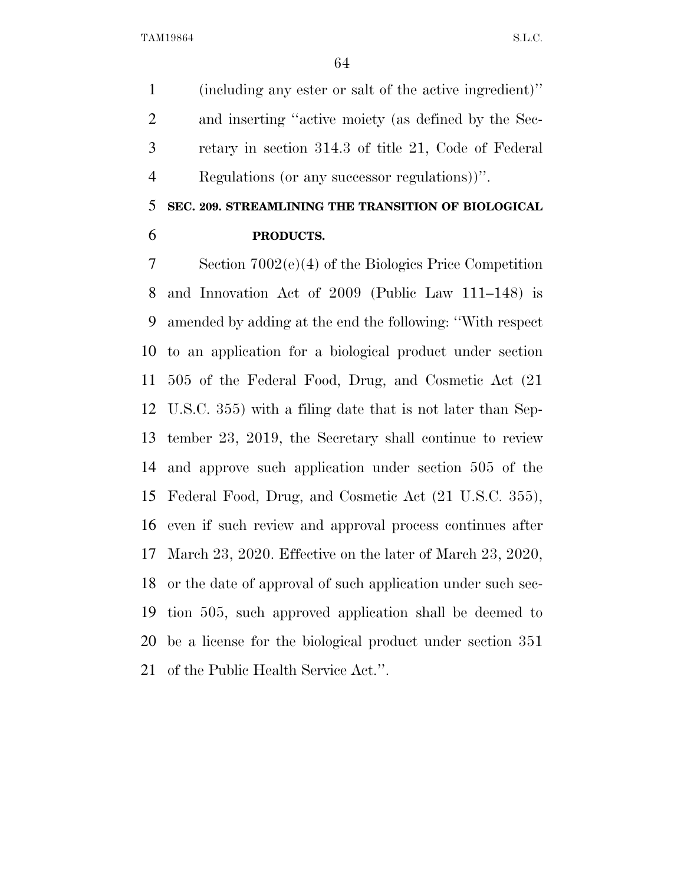(including any ester or salt of the active ingredient)'' and inserting ''active moiety (as defined by the Sec- retary in section 314.3 of title 21, Code of Federal Regulations (or any successor regulations))''.

## **SEC. 209. STREAMLINING THE TRANSITION OF BIOLOGICAL**

**PRODUCTS.** 

 Section 7002(e)(4) of the Biologics Price Competition and Innovation Act of 2009 (Public Law 111–148) is amended by adding at the end the following: ''With respect to an application for a biological product under section 505 of the Federal Food, Drug, and Cosmetic Act (21 U.S.C. 355) with a filing date that is not later than Sep- tember 23, 2019, the Secretary shall continue to review and approve such application under section 505 of the Federal Food, Drug, and Cosmetic Act (21 U.S.C. 355), even if such review and approval process continues after March 23, 2020. Effective on the later of March 23, 2020, or the date of approval of such application under such sec- tion 505, such approved application shall be deemed to be a license for the biological product under section 351 of the Public Health Service Act.''.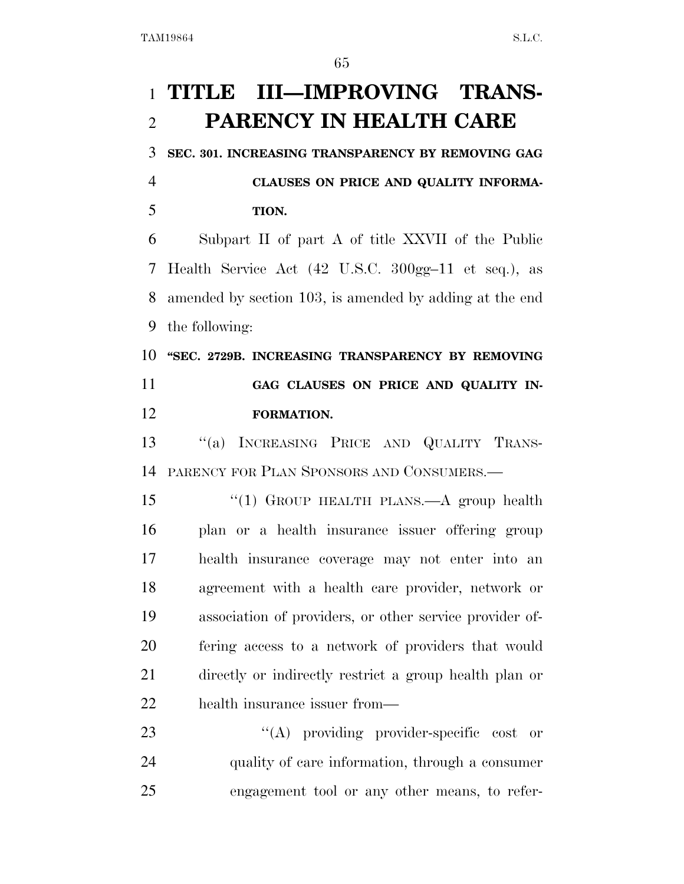# **TITLE III—IMPROVING TRANS-PARENCY IN HEALTH CARE**

**SEC. 301. INCREASING TRANSPARENCY BY REMOVING GAG** 

 **CLAUSES ON PRICE AND QUALITY INFORMA-TION.** 

 Subpart II of part A of title XXVII of the Public Health Service Act (42 U.S.C. 300gg–11 et seq.), as amended by section 103, is amended by adding at the end the following:

 **''SEC. 2729B. INCREASING TRANSPARENCY BY REMOVING GAG CLAUSES ON PRICE AND QUALITY IN-FORMATION.** 

 ''(a) INCREASING PRICE AND QUALITY TRANS-PARENCY FOR PLAN SPONSORS AND CONSUMERS.—

15 "(1) GROUP HEALTH PLANS.—A group health plan or a health insurance issuer offering group health insurance coverage may not enter into an agreement with a health care provider, network or association of providers, or other service provider of- fering access to a network of providers that would directly or indirectly restrict a group health plan or health insurance issuer from—

23  $\langle (A)$  providing provider-specific cost or quality of care information, through a consumer engagement tool or any other means, to refer-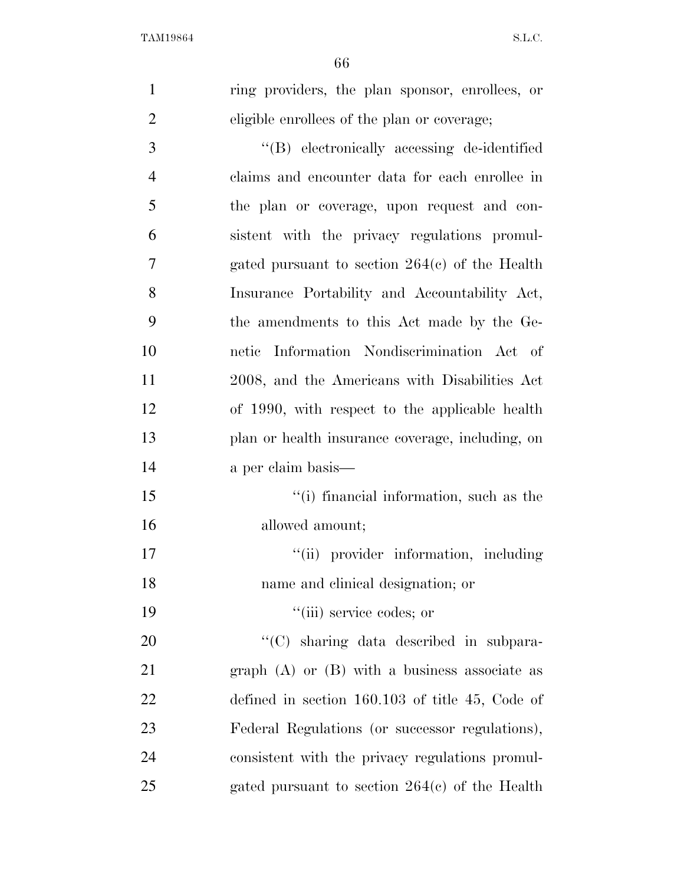| $\mathbf{1}$   | ring providers, the plan sponsor, enrollees, or   |
|----------------|---------------------------------------------------|
| $\overline{2}$ | eligible enrollees of the plan or coverage;       |
| $\mathfrak{Z}$ | "(B) electronically accessing de-identified       |
| $\overline{4}$ | claims and encounter data for each enrollee in    |
| 5              | the plan or coverage, upon request and con-       |
| 6              | sistent with the privacy regulations promul-      |
| 7              | gated pursuant to section $264(c)$ of the Health  |
| 8              | Insurance Portability and Accountability Act,     |
| 9              | the amendments to this Act made by the Ge-        |
| 10             | netic Information Nondiscrimination Act of        |
| 11             | 2008, and the Americans with Disabilities Act     |
| 12             | of 1990, with respect to the applicable health    |
| 13             | plan or health insurance coverage, including, on  |
| 14             | a per claim basis—                                |
| 15             | "(i) financial information, such as the           |
| 16             | allowed amount;                                   |
| 17             | "(ii) provider information, including             |
| 18             | name and clinical designation; or                 |
| 19             | "(iii) service codes; or                          |
| 20             | "(C) sharing data described in subpara-           |
| 21             | graph $(A)$ or $(B)$ with a business associate as |
| 22             | defined in section $160.103$ of title 45, Code of |
| 23             | Federal Regulations (or successor regulations),   |
| 24             | consistent with the privacy regulations promul-   |
| 25             | gated pursuant to section $264(c)$ of the Health  |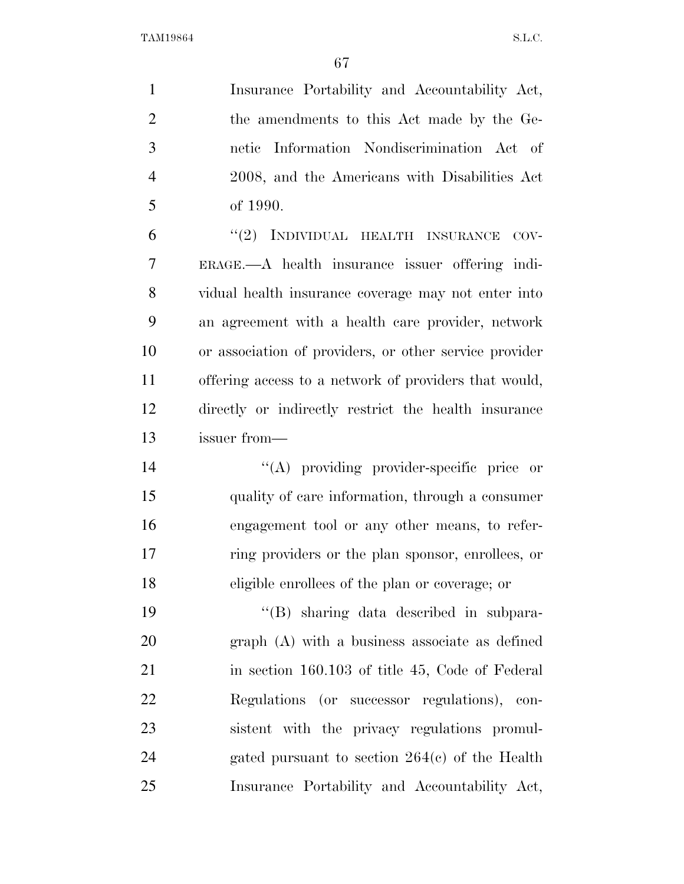Insurance Portability and Accountability Act, the amendments to this Act made by the Ge- netic Information Nondiscrimination Act of 2008, and the Americans with Disabilities Act of 1990. 6 "(2) INDIVIDUAL HEALTH INSURANCE COV-ERAGE.—A health insurance issuer offering indi-

 vidual health insurance coverage may not enter into an agreement with a health care provider, network or association of providers, or other service provider offering access to a network of providers that would, directly or indirectly restrict the health insurance issuer from—

 $((A)$  providing provider-specific price or quality of care information, through a consumer engagement tool or any other means, to refer- ring providers or the plan sponsor, enrollees, or eligible enrollees of the plan or coverage; or

 ''(B) sharing data described in subpara- graph (A) with a business associate as defined in section 160.103 of title 45, Code of Federal Regulations (or successor regulations), con- sistent with the privacy regulations promul- gated pursuant to section 264(c) of the Health Insurance Portability and Accountability Act,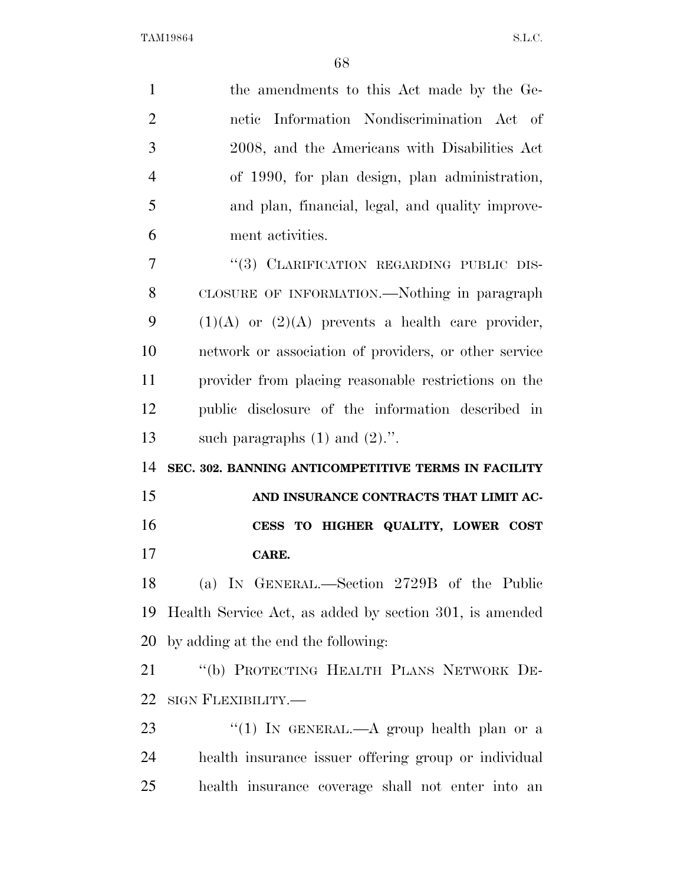| $\mathbf{1}$   | the amendments to this Act made by the Ge-              |
|----------------|---------------------------------------------------------|
| $\overline{2}$ | netic Information Nondiscrimination Act of              |
| 3              | 2008, and the Americans with Disabilities Act           |
| $\overline{4}$ | of 1990, for plan design, plan administration,          |
| 5              | and plan, financial, legal, and quality improve-        |
| 6              | ment activities.                                        |
| 7              | "(3) CLARIFICATION REGARDING PUBLIC DIS-                |
| 8              | CLOSURE OF INFORMATION.—Nothing in paragraph            |
| 9              | $(1)(A)$ or $(2)(A)$ prevents a health care provider,   |
| 10             | network or association of providers, or other service   |
| 11             | provider from placing reasonable restrictions on the    |
| 12             | public disclosure of the information described in       |
| 13             | such paragraphs $(1)$ and $(2)$ .".                     |
| 14             | SEC. 302. BANNING ANTICOMPETITIVE TERMS IN FACILITY     |
| 15             | AND INSURANCE CONTRACTS THAT LIMIT AC-                  |
| 16             | CESS TO HIGHER QUALITY, LOWER COST                      |
| 17             | CARE.                                                   |
| 18             | (a) IN GENERAL.—Section 2729B of the Public             |
| 19             | Health Service Act, as added by section 301, is amended |
| 20             | by adding at the end the following:                     |
| 21             | "(b) PROTECTING HEALTH PLANS NETWORK DE-                |
| 22             | SIGN FLEXIBILITY.—                                      |
| 23             | "(1) IN GENERAL.—A group health plan or a               |
| 24             | health insurance issuer offering group or individual    |
| 25             | health insurance coverage shall not enter into an       |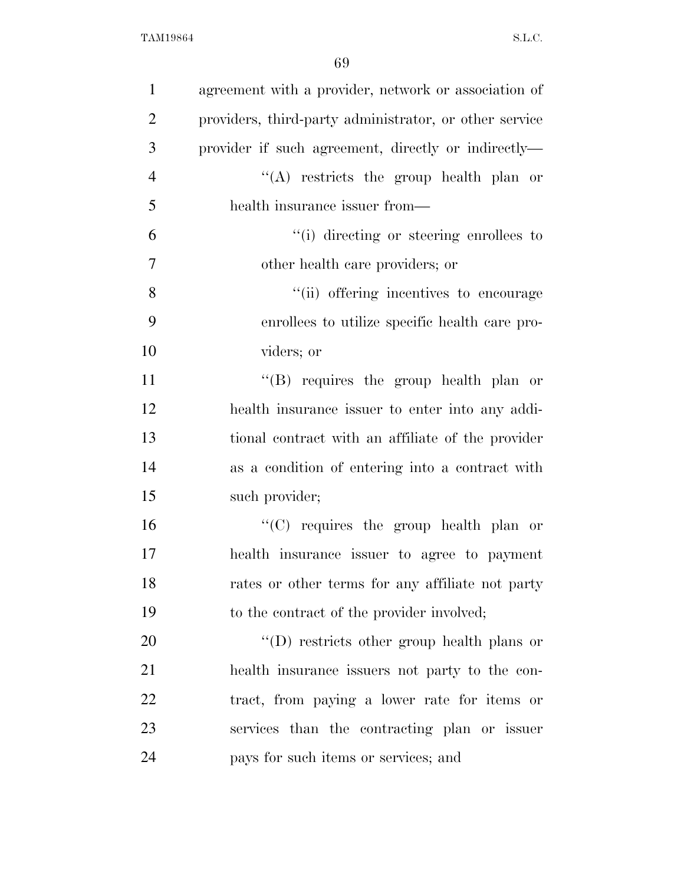| $\mathbf{1}$   | agreement with a provider, network or association of   |
|----------------|--------------------------------------------------------|
| $\overline{2}$ | providers, third-party administrator, or other service |
| 3              | provider if such agreement, directly or indirectly—    |
| $\overline{4}$ | "(A) restricts the group health plan or                |
| 5              | health insurance issuer from—                          |
| 6              | "(i) directing or steering enrollees to                |
| $\tau$         | other health care providers; or                        |
| 8              | "(ii) offering incentives to encourage                 |
| 9              | enrollees to utilize specific health care pro-         |
| 10             | viders; or                                             |
| 11             | "(B) requires the group health plan or                 |
| 12             | health insurance issuer to enter into any addi-        |
| 13             | tional contract with an affiliate of the provider      |
| 14             | as a condition of entering into a contract with        |
| 15             | such provider;                                         |
| 16             | " $(C)$ requires the group health plan or              |
| 17             | health insurance issuer to agree to payment            |
| 18             | rates or other terms for any affiliate not party       |
| 19             | to the contract of the provider involved;              |
| 20             | $\lq\lq$ restricts other group health plans or         |
| 21             | health insurance issuers not party to the con-         |
| 22             | tract, from paying a lower rate for items or           |
| 23             | services than the contracting plan or issuer           |
| 24             | pays for such items or services; and                   |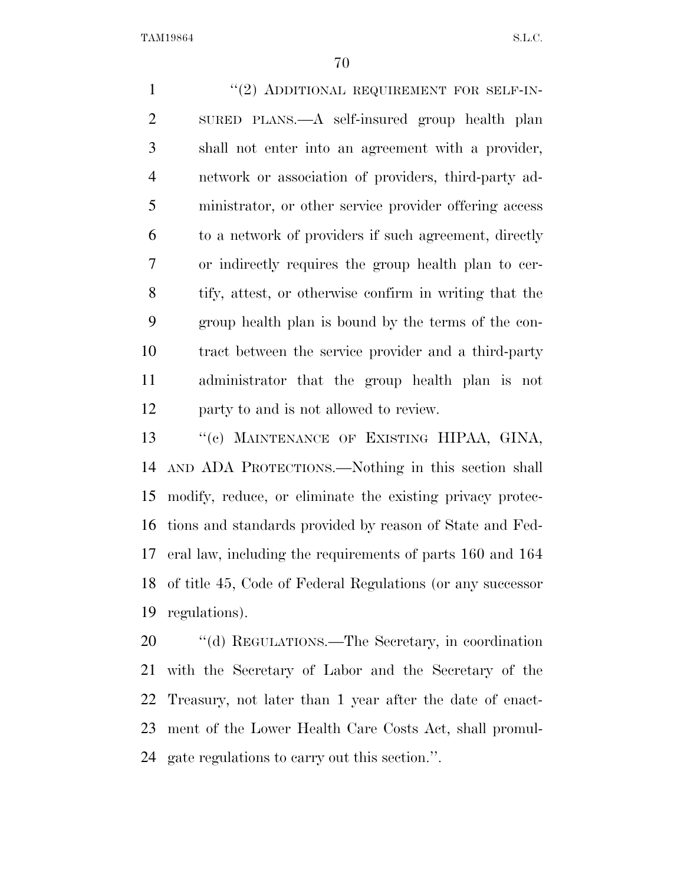1 "(2) ADDITIONAL REQUIREMENT FOR SELF-IN- SURED PLANS.—A self-insured group health plan shall not enter into an agreement with a provider, network or association of providers, third-party ad- ministrator, or other service provider offering access to a network of providers if such agreement, directly or indirectly requires the group health plan to cer- tify, attest, or otherwise confirm in writing that the group health plan is bound by the terms of the con- tract between the service provider and a third-party administrator that the group health plan is not party to and is not allowed to review.

 ''(c) MAINTENANCE OF EXISTING HIPAA, GINA, AND ADA PROTECTIONS.—Nothing in this section shall modify, reduce, or eliminate the existing privacy protec- tions and standards provided by reason of State and Fed- eral law, including the requirements of parts 160 and 164 of title 45, Code of Federal Regulations (or any successor regulations).

 ''(d) REGULATIONS.—The Secretary, in coordination with the Secretary of Labor and the Secretary of the Treasury, not later than 1 year after the date of enact- ment of the Lower Health Care Costs Act, shall promul-gate regulations to carry out this section.''.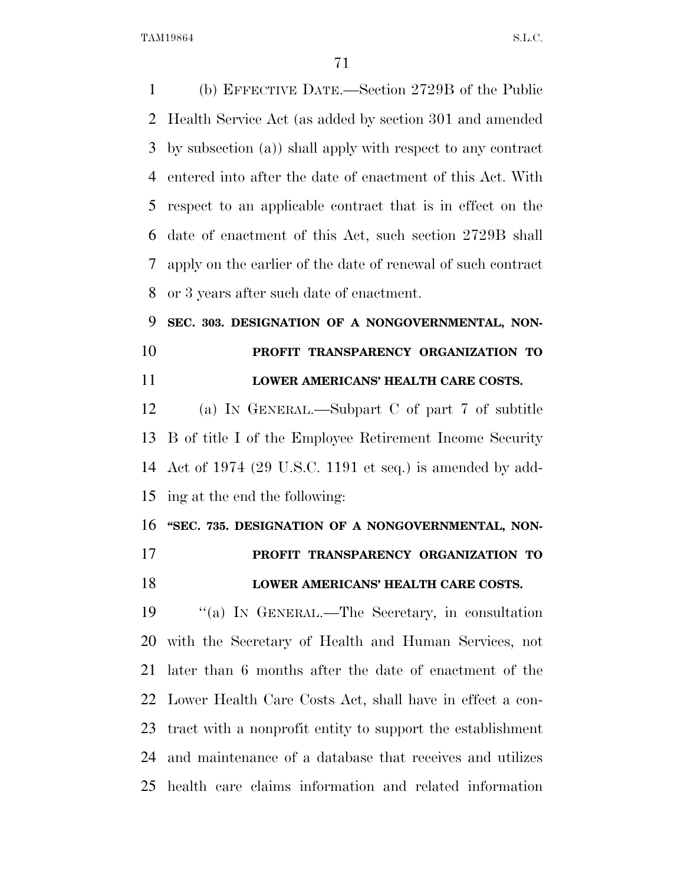(b) EFFECTIVE DATE.—Section 2729B of the Public Health Service Act (as added by section 301 and amended by subsection (a)) shall apply with respect to any contract entered into after the date of enactment of this Act. With respect to an applicable contract that is in effect on the date of enactment of this Act, such section 2729B shall apply on the earlier of the date of renewal of such contract or 3 years after such date of enactment.

## **SEC. 303. DESIGNATION OF A NONGOVERNMENTAL, NON- PROFIT TRANSPARENCY ORGANIZATION TO LOWER AMERICANS' HEALTH CARE COSTS.**

 (a) IN GENERAL.—Subpart C of part 7 of subtitle B of title I of the Employee Retirement Income Security Act of 1974 (29 U.S.C. 1191 et seq.) is amended by add-ing at the end the following:

**''SEC. 735. DESIGNATION OF A NONGOVERNMENTAL, NON-**

**PROFIT TRANSPARENCY ORGANIZATION TO** 

## **LOWER AMERICANS' HEALTH CARE COSTS.**

 ''(a) IN GENERAL.—The Secretary, in consultation with the Secretary of Health and Human Services, not later than 6 months after the date of enactment of the Lower Health Care Costs Act, shall have in effect a con- tract with a nonprofit entity to support the establishment and maintenance of a database that receives and utilizes health care claims information and related information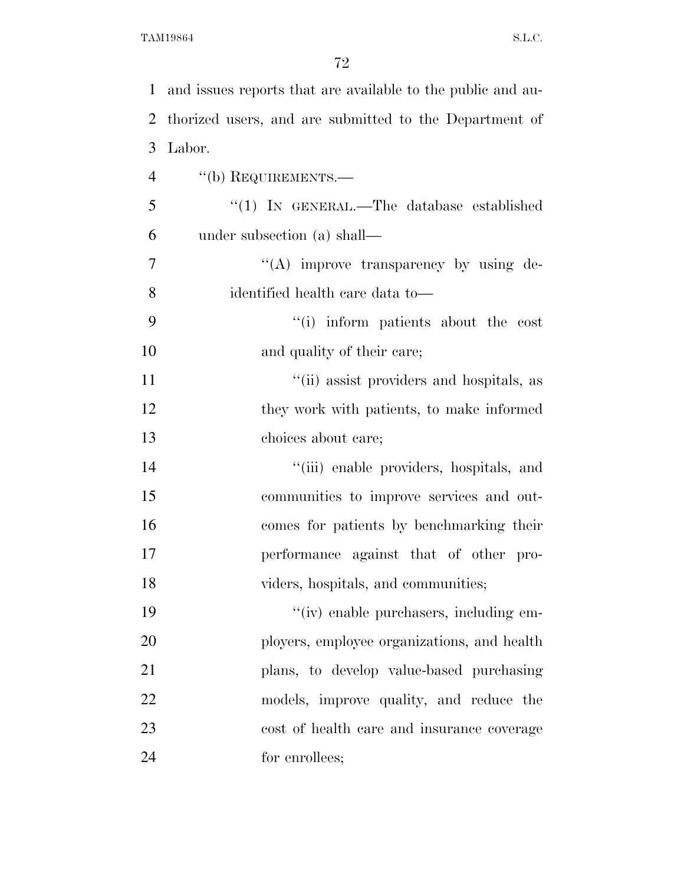| $\mathbf{1}$   | and issues reports that are available to the public and au- |
|----------------|-------------------------------------------------------------|
| 2              | thorized users, and are submitted to the Department of      |
| 3              | Labor.                                                      |
| $\overline{4}$ | "(b) REQUIREMENTS.—                                         |
| 5              | "(1) IN GENERAL.—The database established                   |
| 6              | under subsection (a) shall—                                 |
| 7              | "(A) improve transparency by using de-                      |
| 8              | identified health care data to-                             |
| 9              | "(i) inform patients about the cost                         |
| 10             | and quality of their care;                                  |
| 11             | "(ii) assist providers and hospitals, as                    |
| 12             | they work with patients, to make informed                   |
| 13             | choices about care;                                         |
| 14             | "(iii) enable providers, hospitals, and                     |
| 15             | communities to improve services and out-                    |
| 16             | comes for patients by benchmarking their                    |
| 17             | performance against that of other pro-                      |
| 18             | viders, hospitals, and communities;                         |
| 19             | "(iv) enable purchasers, including em-                      |
| 20             | ployers, employee organizations, and health                 |
| 21             | plans, to develop value-based purchasing                    |
| 22             | models, improve quality, and reduce the                     |
| 23             | cost of health care and insurance coverage                  |
| 24             | for enrollees;                                              |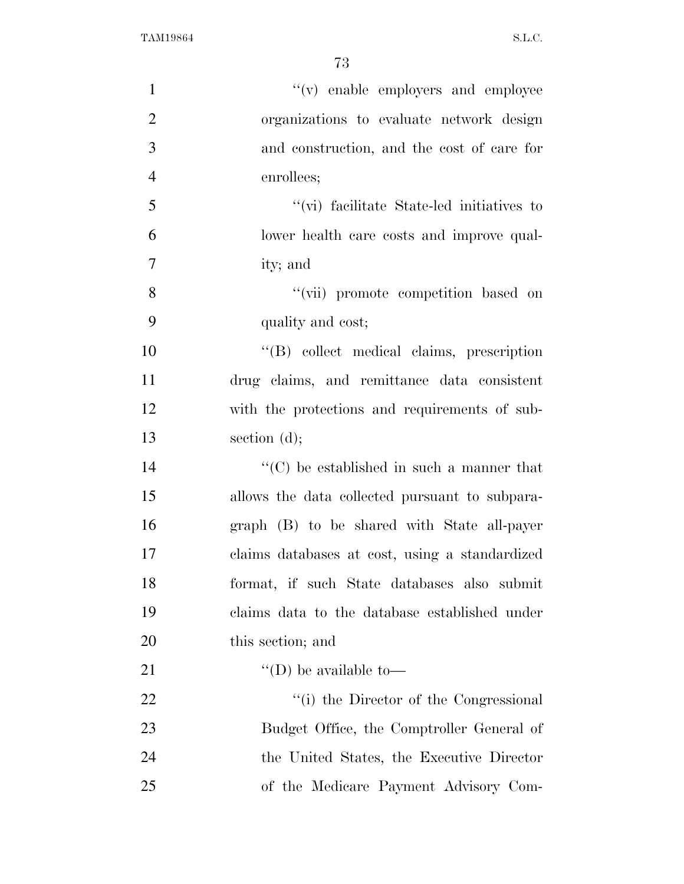| $\mathbf{1}$   | "(v) enable employers and employee                |
|----------------|---------------------------------------------------|
| $\overline{2}$ | organizations to evaluate network design          |
| 3              | and construction, and the cost of care for        |
| $\overline{4}$ | enrollees;                                        |
| 5              | "(vi) facilitate State-led initiatives to         |
| 6              | lower health care costs and improve qual-         |
| 7              | ity; and                                          |
| 8              | "(vii) promote competition based on               |
| 9              | quality and cost;                                 |
| 10             | "(B) collect medical claims, prescription         |
| 11             | drug claims, and remittance data consistent       |
| 12             | with the protections and requirements of sub-     |
| 13             | section $(d)$ ;                                   |
| 14             | $\lq\lq$ (C) be established in such a manner that |
| 15             | allows the data collected pursuant to subpara-    |
| 16             | graph (B) to be shared with State all-payer       |
| 17             | claims databases at cost, using a standardized    |
| 18             | format, if such State databases also submit       |
| 19             | claims data to the database established under     |
| 20             | this section; and                                 |
| 21             | "(D) be available to-                             |
| 22             | "(i) the Director of the Congressional            |
| 23             | Budget Office, the Comptroller General of         |
| 24             | the United States, the Executive Director         |
| 25             | of the Medicare Payment Advisory Com-             |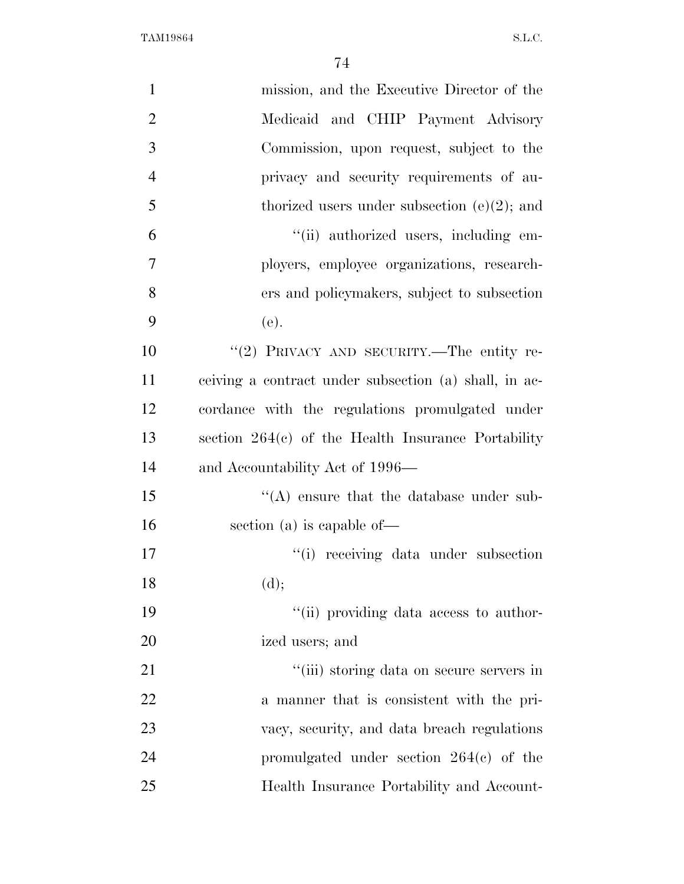| $\mathbf{1}$   | mission, and the Executive Director of the            |
|----------------|-------------------------------------------------------|
| $\overline{2}$ | Medicaid and CHIP Payment Advisory                    |
| 3              | Commission, upon request, subject to the              |
| $\overline{4}$ | privacy and security requirements of au-              |
| 5              | thorized users under subsection $(e)(2)$ ; and        |
| 6              | "(ii) authorized users, including em-                 |
| $\overline{7}$ | ployers, employee organizations, research-            |
| 8              | ers and policymakers, subject to subsection           |
| 9              | (e).                                                  |
| 10             | "(2) PRIVACY AND SECURITY.—The entity re-             |
| 11             | ceiving a contract under subsection (a) shall, in ac- |
| 12             | cordance with the regulations promulgated under       |
| 13             | section $264(c)$ of the Health Insurance Portability  |
| 14             | and Accountability Act of 1996—                       |
| 15             | $\lq\lq$ ensure that the database under sub-          |
| 16             | section (a) is capable of $-$                         |
| 17             | "(i) receiving data under subsection                  |
| 18             | (d);                                                  |
| 19             | "(ii) providing data access to author-                |
| 20             | ized users; and                                       |
| 21             | "(iii) storing data on secure servers in              |
| 22             | a manner that is consistent with the pri-             |
| 23             | vacy, security, and data breach regulations           |
| 24             | promulgated under section $264(e)$ of the             |
| 25             | Health Insurance Portability and Account-             |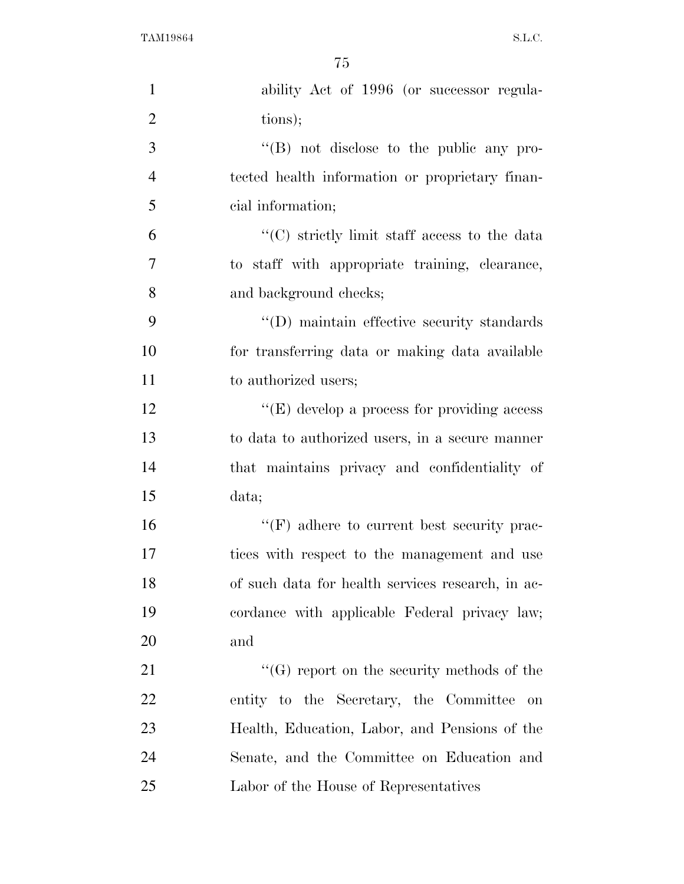| $\mathbf{1}$   | ability Act of 1996 (or successor regula-         |
|----------------|---------------------------------------------------|
| $\overline{2}$ | tions);                                           |
| 3              | $\lq\lq (B)$ not disclose to the public any pro-  |
| $\overline{4}$ | tected health information or proprietary finan-   |
| 5              | cial information;                                 |
| 6              | "(C) strictly limit staff access to the data      |
| 7              | to staff with appropriate training, clearance,    |
| 8              | and background checks;                            |
| 9              | "(D) maintain effective security standards        |
| 10             | for transferring data or making data available    |
| 11             | to authorized users;                              |
| 12             | " $(E)$ develop a process for providing access"   |
| 13             | to data to authorized users, in a secure manner   |
| 14             | that maintains privacy and confidentiality of     |
| 15             | data;                                             |
| 16             | $\lq\lq(F)$ adhere to current best security prac- |
| 17             | tices with respect to the management and use      |
| 18             | of such data for health services research, in ac- |
| 19             | cordance with applicable Federal privacy law;     |
| 20             | and                                               |
| 21             | $\lq\lq(G)$ report on the security methods of the |
| 22             | entity to the Secretary, the Committee<br>on      |
| 23             | Health, Education, Labor, and Pensions of the     |
| 24             | Senate, and the Committee on Education and        |
| 25             | Labor of the House of Representatives             |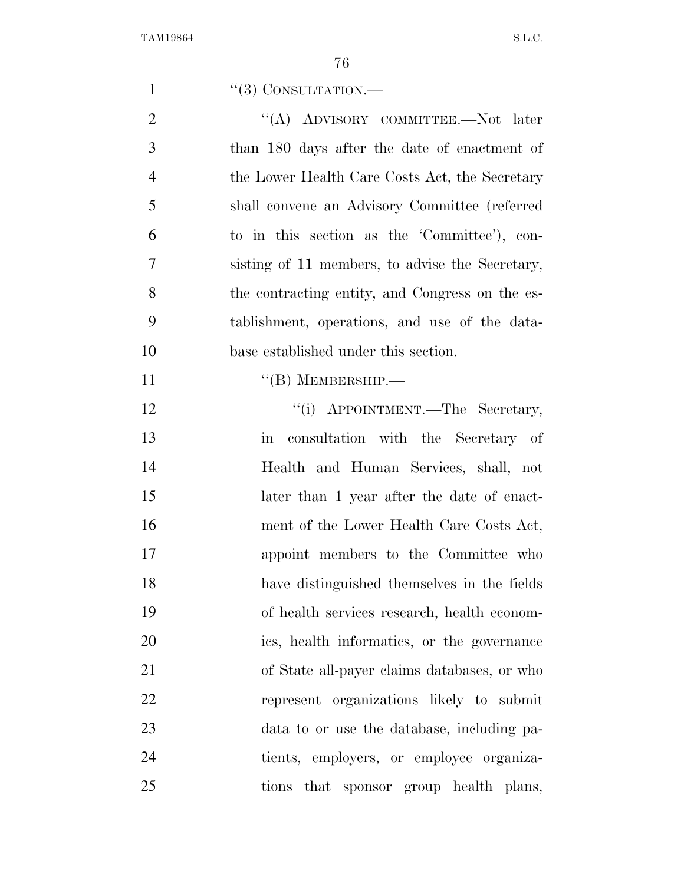| 1              | $``(3)$ CONSULTATION.—                                    |
|----------------|-----------------------------------------------------------|
| $\overline{2}$ | "(A) ADVISORY COMMITTEE.—Not later                        |
| 3              | than 180 days after the date of enactment of              |
| $\overline{4}$ | the Lower Health Care Costs Act, the Secretary            |
| 5              | shall convene an Advisory Committee (referred             |
| 6              | to in this section as the 'Committee'), con-              |
| 7              | sisting of 11 members, to advise the Secretary,           |
| 8              | the contracting entity, and Congress on the es-           |
| 9              | tablishment, operations, and use of the data-             |
| 10             | base established under this section.                      |
| 11             | $\lq\lq (B)$ MEMBERSHIP.—                                 |
| 12             | "(i) APPOINTMENT.—The Secretary,                          |
| 13             | consultation with the Secretary of<br>$\operatorname{in}$ |
| 14             | Health and Human Services, shall, not                     |
| 15             | later than 1 year after the date of enact-                |
| 16             | ment of the Lower Health Care Costs Act,                  |
| 17             | appoint members to the Committee who                      |
| 18             | have distinguished themselves in the fields               |
| 19             | of health services research, health econom-               |
| 20             | ics, health informatics, or the governance                |
| 21             | of State all-payer claims databases, or who               |
| 22             | represent organizations likely to submit                  |
| 23             | data to or use the database, including pa-                |
| 24             | tients, employers, or employee organiza-                  |
| 25             | tions that sponsor group health plans,                    |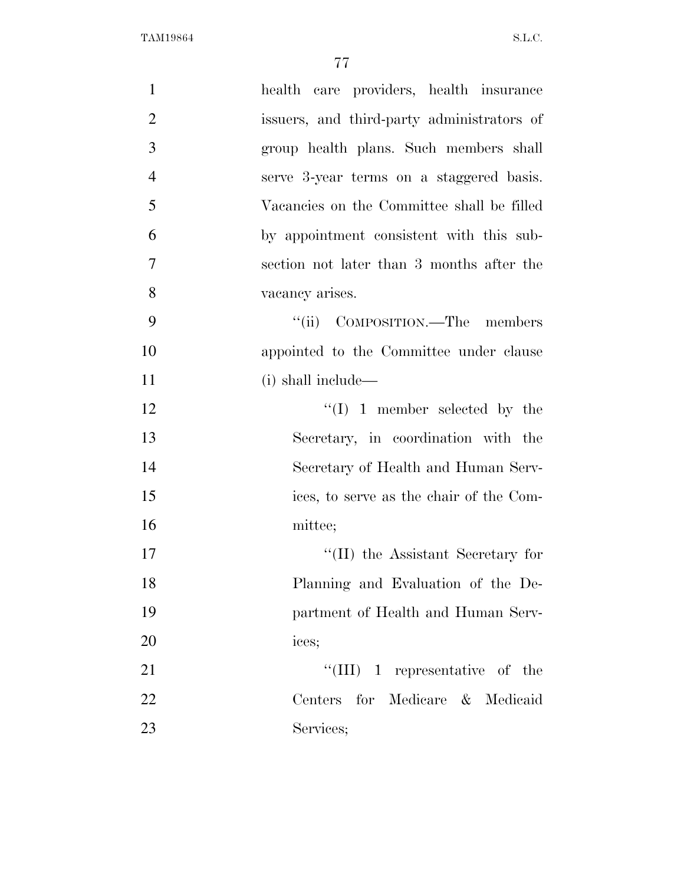| $\mathbf{1}$   | health care providers, health insurance    |
|----------------|--------------------------------------------|
| $\overline{2}$ | issuers, and third-party administrators of |
| 3              | group health plans. Such members shall     |
| $\overline{4}$ | serve 3-year terms on a staggered basis.   |
| 5              | Vacancies on the Committee shall be filled |
| 6              | by appointment consistent with this sub-   |
| $\overline{7}$ | section not later than 3 months after the  |
| 8              | vacancy arises.                            |
| 9              | "(ii) COMPOSITION.—The members             |
| 10             | appointed to the Committee under clause    |
| 11             | (i) shall include—                         |
| 12             | $\lq\lq (I)$ 1 member selected by the      |
| 13             | Secretary, in coordination with the        |
| 14             | Secretary of Health and Human Serv-        |
| 15             | ices, to serve as the chair of the Com-    |
| 16             | mittee;                                    |
| 17             | $\lq\lq$ (II) the Assistant Secretary for  |
| 18             | Planning and Evaluation of the De-         |
| 19             | partment of Health and Human Serv-         |
| 20             | ices;                                      |
| 21             | $``(III)$ 1 representative of the          |
| 22             | Centers for Medicare & Medicaid            |
| 23             | Services;                                  |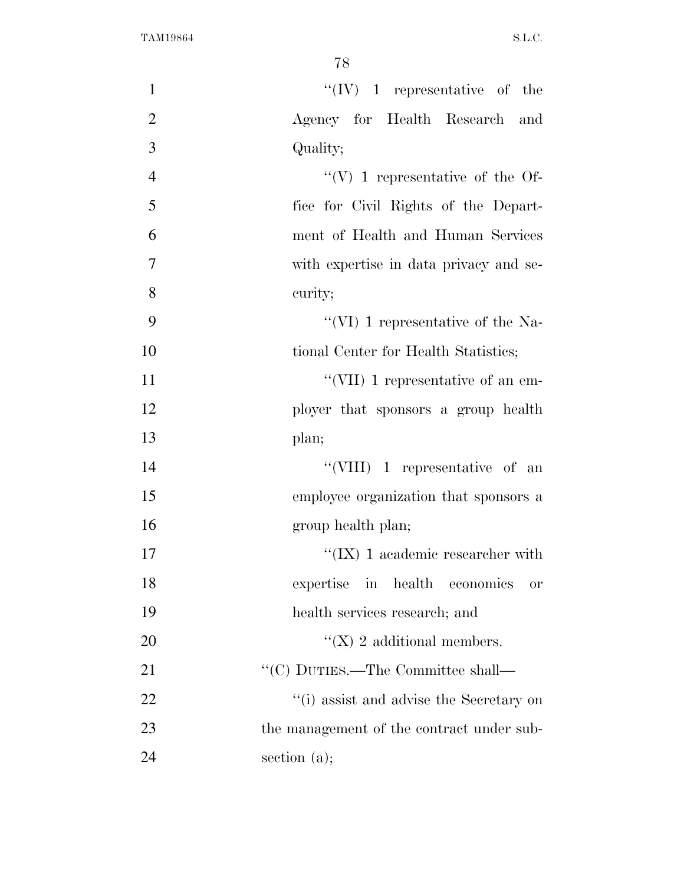| $\mathbf{1}$   | $\lq\lq (IV)$ 1 representative of the     |
|----------------|-------------------------------------------|
| $\overline{2}$ | Agency for Health Research and            |
| 3              | Quality;                                  |
| $\overline{4}$ | "(V) 1 representative of the Of-          |
| 5              | fice for Civil Rights of the Depart-      |
| 6              | ment of Health and Human Services         |
| 7              | with expertise in data privacy and se-    |
| 8              | curity;                                   |
| 9              | "(VI) 1 representative of the Na-         |
| 10             | tional Center for Health Statistics;      |
| 11             | "(VII) 1 representative of an em-         |
| 12             | ployer that sponsors a group health       |
| 13             | plan;                                     |
| 14             | "(VIII) $1$ representative of an          |
| 15             | employee organization that sponsors a     |
| 16             | group health plan;                        |
| 17             | "(IX) 1 academic researcher with          |
| 18             | expertise in health economics or          |
| 19             | health services research; and             |
| 20             | "(X) 2 additional members.                |
| 21             | $\lq\lq (C)$ DUTIES.—The Committee shall— |
| 22             | "(i) assist and advise the Secretary on   |
| 23             | the management of the contract under sub- |
| 24             | section $(a)$ ;                           |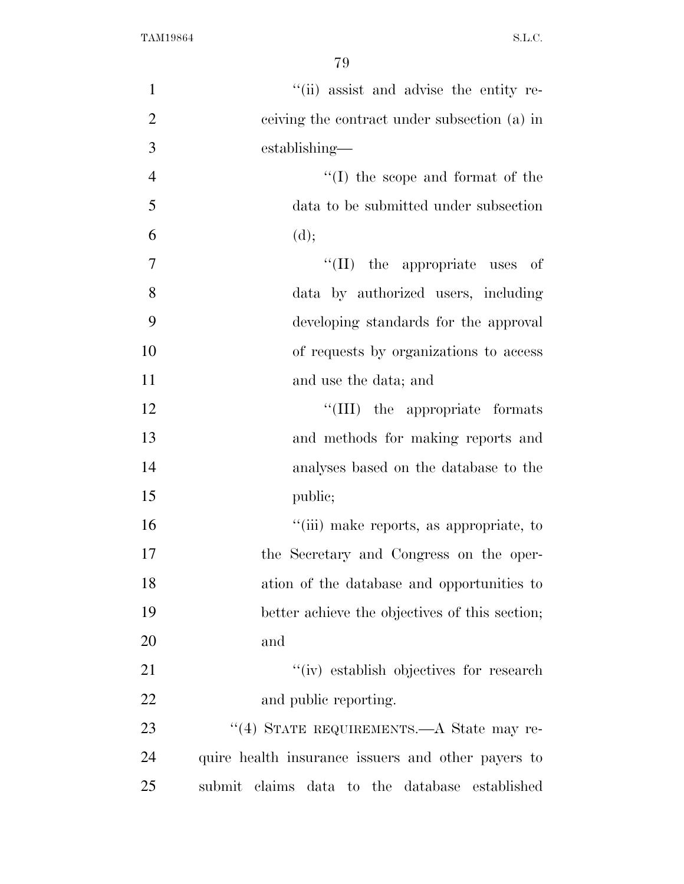| $\mathbf{1}$   | "(ii) assist and advise the entity re-             |
|----------------|----------------------------------------------------|
| $\overline{2}$ | ceiving the contract under subsection (a) in       |
| 3              | establishing—                                      |
| $\overline{4}$ | $``(I)$ the scope and format of the                |
| 5              | data to be submitted under subsection              |
| 6              | (d);                                               |
| 7              | $``(II)$ the appropriate uses of                   |
| 8              | data by authorized users, including                |
| 9              | developing standards for the approval              |
| 10             | of requests by organizations to access             |
| 11             | and use the data; and                              |
| 12             | "(III) the appropriate formats                     |
| 13             | and methods for making reports and                 |
| 14             | analyses based on the database to the              |
| 15             | public;                                            |
| 16             | "(iii) make reports, as appropriate, to            |
| 17             | the Secretary and Congress on the oper-            |
| 18             | ation of the database and opportunities to         |
| 19             | better achieve the objectives of this section;     |
| 20             | and                                                |
| 21             | "(iv) establish objectives for research            |
| 22             | and public reporting.                              |
| 23             | "(4) STATE REQUIREMENTS.—A State may re-           |
| 24             | quire health insurance issuers and other payers to |
| 25             | submit claims data to the database established     |
|                |                                                    |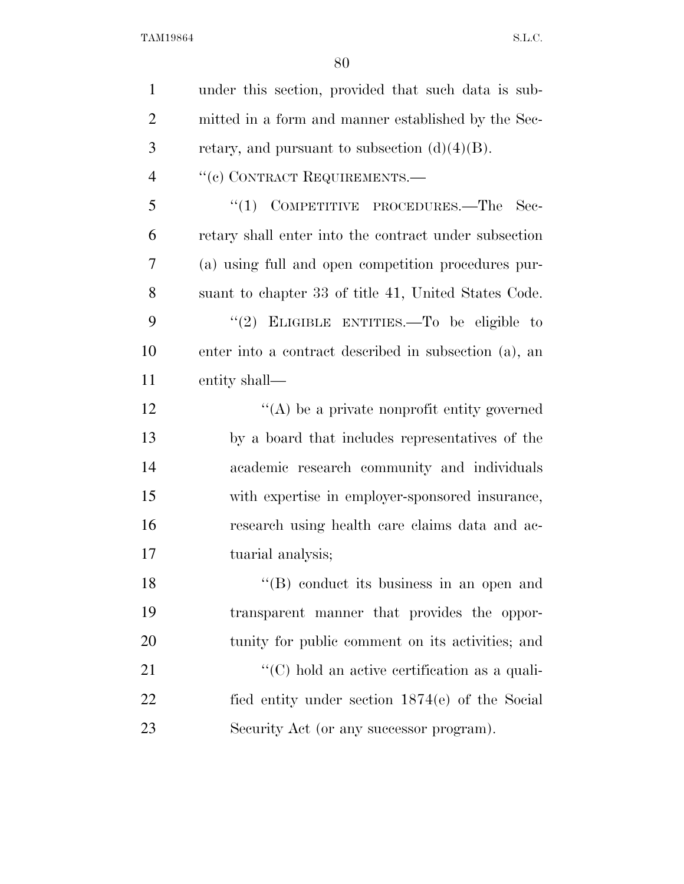| $\mathbf{1}$   | under this section, provided that such data is sub-   |
|----------------|-------------------------------------------------------|
| $\overline{2}$ | mitted in a form and manner established by the Sec-   |
| 3              | retary, and pursuant to subsection $(d)(4)(B)$ .      |
| $\overline{4}$ | "(c) CONTRACT REQUIREMENTS.—                          |
| 5              | $\cdot$ (1) COMPETITIVE PROCEDURES.—The<br>- Sec-     |
| 6              | retary shall enter into the contract under subsection |
| 7              | (a) using full and open competition procedures pur-   |
| 8              | suant to chapter 33 of title 41, United States Code.  |
| 9              | "(2) ELIGIBLE ENTITIES.—To be eligible to             |
| 10             | enter into a contract described in subsection (a), an |
| 11             | entity shall—                                         |
| 12             | $\lq\lq$ be a private nonprofit entity governed       |
| 13             | by a board that includes representatives of the       |
| 14             | academic research community and individuals           |
| 15             | with expertise in employer-sponsored insurance,       |
| 16             | research using health care claims data and ac-        |
| 17             | tuarial analysis;                                     |
| 18             | $\lq\lq (B)$ conduct its business in an open and      |
| 19             | transparent manner that provides the oppor-           |
| 20             | tunity for public comment on its activities; and      |
| 21             | $\lq\lq$ (C) hold an active certification as a quali- |
| 22             | fied entity under section 1874(e) of the Social       |
| 23             | Security Act (or any successor program).              |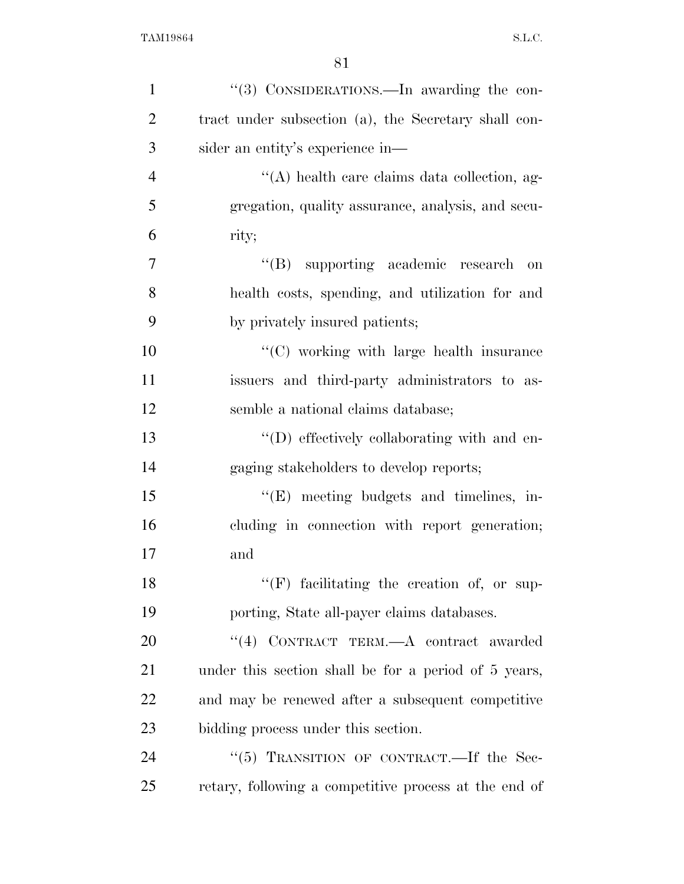| $\mathbf{1}$   | "(3) CONSIDERATIONS.—In awarding the con-             |
|----------------|-------------------------------------------------------|
| $\overline{2}$ | tract under subsection (a), the Secretary shall con-  |
| 3              | sider an entity's experience in—                      |
| $\overline{4}$ | "(A) health care claims data collection, ag-          |
| 5              | gregation, quality assurance, analysis, and secu-     |
| 6              | rity;                                                 |
| 7              | "(B) supporting academic research<br>on               |
| 8              | health costs, spending, and utilization for and       |
| 9              | by privately insured patients;                        |
| 10             | "(C) working with large health insurance              |
| 11             | issuers and third-party administrators to as-         |
| 12             | semble a national claims database;                    |
| 13             | "(D) effectively collaborating with and en-           |
| 14             | gaging stakeholders to develop reports;               |
| 15             | $\lq\lq(E)$ meeting budgets and timelines, in-        |
| 16             | cluding in connection with report generation;         |
| 17             | and                                                   |
| 18             | $``(F)$ facilitating the creation of, or sup-         |
| 19             | porting, State all-payer claims databases.            |
| 20             | "(4) CONTRACT TERM.—A contract awarded                |
| 21             | under this section shall be for a period of 5 years,  |
| 22             | and may be renewed after a subsequent competitive     |
| 23             | bidding process under this section.                   |
| 24             | "(5) TRANSITION OF CONTRACT.—If the Sec-              |
| 25             | retary, following a competitive process at the end of |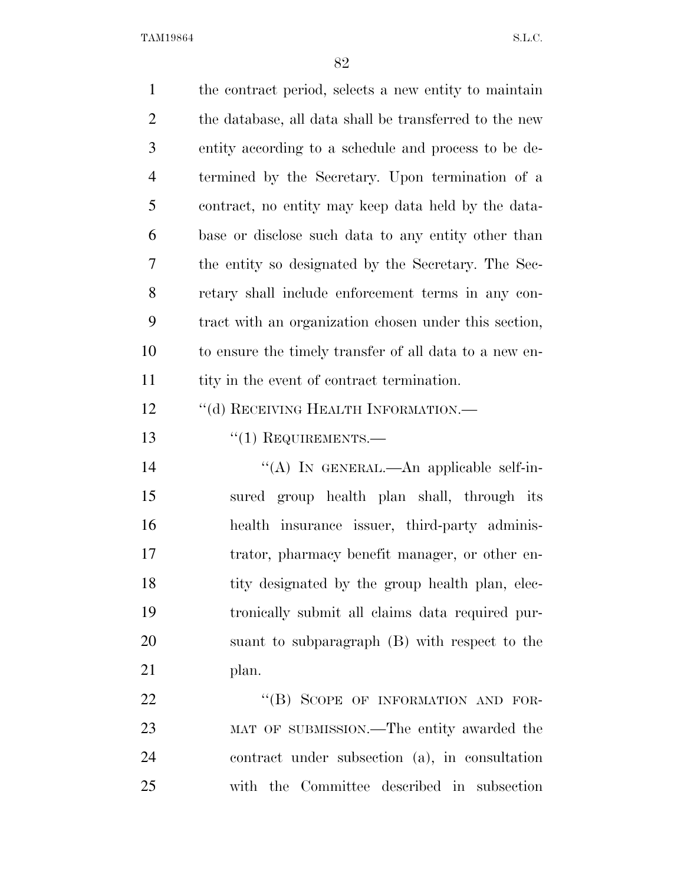| $\mathbf{1}$   | the contract period, selects a new entity to maintain  |
|----------------|--------------------------------------------------------|
| $\overline{2}$ | the database, all data shall be transferred to the new |
| 3              | entity according to a schedule and process to be de-   |
| $\overline{4}$ | termined by the Secretary. Upon termination of a       |
| 5              | contract, no entity may keep data held by the data-    |
| 6              | base or disclose such data to any entity other than    |
| 7              | the entity so designated by the Secretary. The Sec-    |
| 8              | retary shall include enforcement terms in any con-     |
| 9              | tract with an organization chosen under this section,  |
| 10             | to ensure the timely transfer of all data to a new en- |
| 11             | tity in the event of contract termination.             |
| 12             | "(d) RECEIVING HEALTH INFORMATION.—                    |
| 13             | $f'(1)$ REQUIREMENTS.—                                 |
| 14             | "(A) IN GENERAL.—An applicable self-in-                |
| 15             | sured group health plan shall, through its             |
| 16             | health insurance issuer, third-party adminis-          |
| 17             | trator, pharmacy benefit manager, or other en-         |
| 18             | tity designated by the group health plan, elec-        |
| 19             | tronically submit all claims data required pur-        |
| 20             | suant to subparagraph (B) with respect to the          |
| 21             | plan.                                                  |
| 22             | "(B) SCOPE OF INFORMATION AND FOR-                     |
| 23             | MAT OF SUBMISSION.—The entity awarded the              |
| 24             | contract under subsection (a), in consultation         |
| 25             | with the Committee described in subsection             |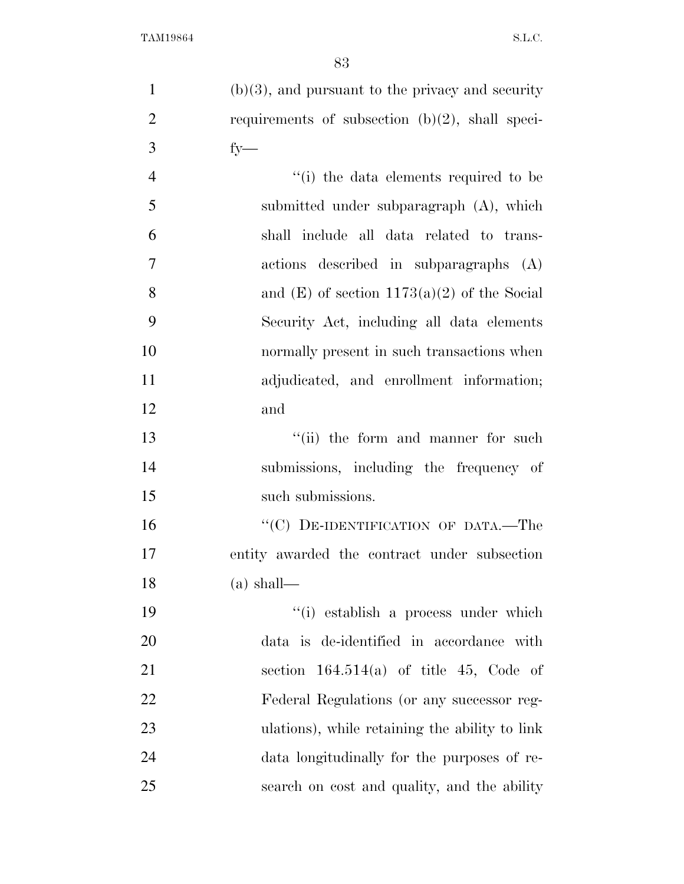(b)(3), and pursuant to the privacy and security 2 requirements of subsection  $(b)(2)$ , shall speci- fy— 4 ''(i) the data elements required to be submitted under subparagraph (A), which shall include all data related to trans- actions described in subparagraphs (A) 8 and  $(E)$  of section 1173(a)(2) of the Social Security Act, including all data elements normally present in such transactions when adjudicated, and enrollment information; and

13 ''(ii) the form and manner for such submissions, including the frequency of 15 such submissions.

16 "(C) DE-IDENTIFICATION OF DATA.—The entity awarded the contract under subsection (a) shall—

 ''(i) establish a process under which data is de-identified in accordance with section 164.514(a) of title 45, Code of Federal Regulations (or any successor reg- ulations), while retaining the ability to link data longitudinally for the purposes of re-search on cost and quality, and the ability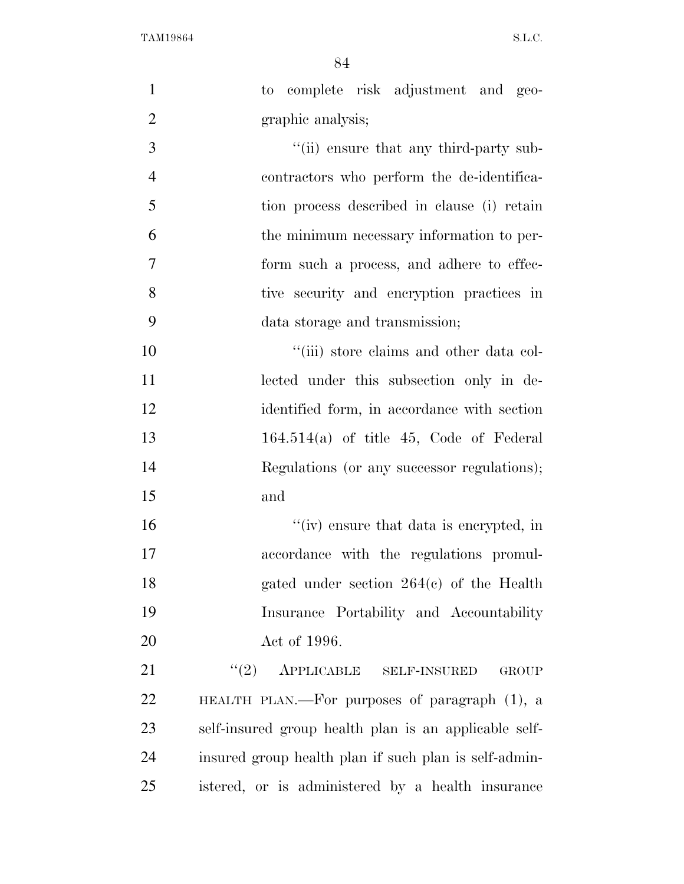| $\mathbf{1}$   | complete risk adjustment and geo-<br>to               |
|----------------|-------------------------------------------------------|
| $\overline{2}$ | graphic analysis;                                     |
| 3              | "(ii) ensure that any third-party sub-                |
| $\overline{4}$ | contractors who perform the de-identifica-            |
| 5              | tion process described in clause (i) retain           |
| 6              | the minimum necessary information to per-             |
| $\overline{7}$ | form such a process, and adhere to effec-             |
| 8              | tive security and encryption practices in             |
| 9              | data storage and transmission;                        |
| 10             | "(iii) store claims and other data col-               |
| 11             | lected under this subsection only in de-              |
| 12             | identified form, in accordance with section           |
| 13             | $164.514(a)$ of title 45, Code of Federal             |
| 14             | Regulations (or any successor regulations);           |
| 15             | and                                                   |
| 16             | "(iv) ensure that data is encrypted, in               |
| 17             | accordance with the regulations promul-               |
| 18             | gated under section $264(c)$ of the Health            |
| 19             | Insurance Portability and Accountability              |
| 20             | Act of 1996.                                          |
| 21             | APPLICABLE SELF-INSURED<br>(2)<br><b>GROUP</b>        |
| 22             | HEALTH PLAN.—For purposes of paragraph (1), a         |
| 23             | self-insured group health plan is an applicable self- |
| 24             | insured group health plan if such plan is self-admin- |
| 25             | istered, or is administered by a health insurance     |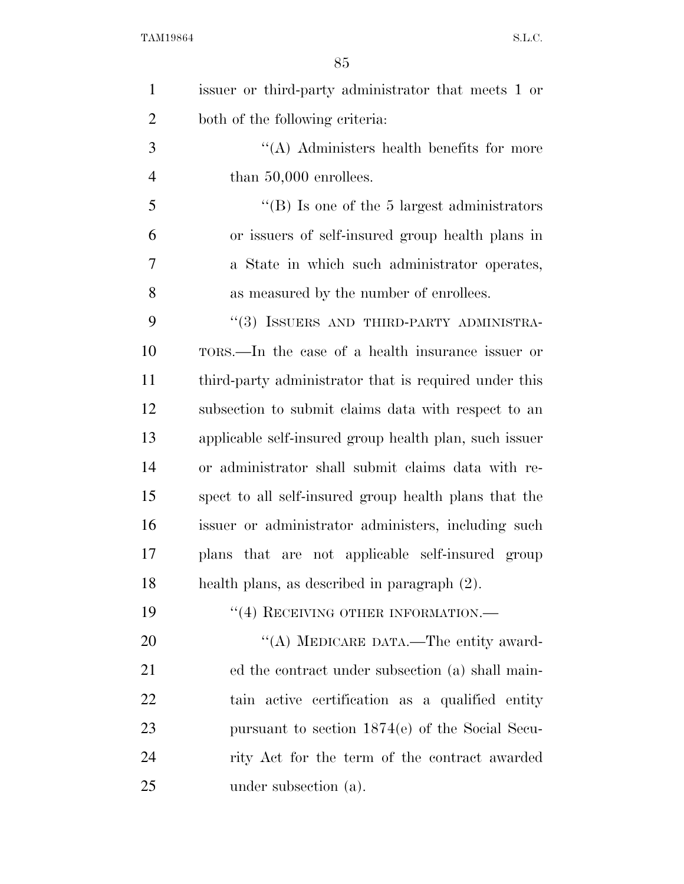| $\mathbf{1}$   | issuer or third-party administrator that meets 1 or    |
|----------------|--------------------------------------------------------|
| $\overline{2}$ | both of the following criteria:                        |
| 3              | $\lq\lq$ . Administers health benefits for more        |
| $\overline{4}$ | than $50,000$ enrollees.                               |
| 5              | "(B) Is one of the 5 largest administrators            |
| 6              | or issuers of self-insured group health plans in       |
| $\overline{7}$ | a State in which such administrator operates,          |
| 8              | as measured by the number of enrollees.                |
| 9              | "(3) ISSUERS AND THIRD-PARTY ADMINISTRA-               |
| 10             | TORS.—In the case of a health insurance issuer or      |
| 11             | third-party administrator that is required under this  |
| 12             | subsection to submit claims data with respect to an    |
| 13             | applicable self-insured group health plan, such issuer |
| 14             | or administrator shall submit claims data with re-     |
| 15             | spect to all self-insured group health plans that the  |
| 16             | issuer or administrator administers, including such    |
| 17             | plans that are not applicable self-insured group       |
| 18             | health plans, as described in paragraph (2).           |
| 19             | $``(4)$ RECEIVING OTHER INFORMATION.—                  |
| 20             | "(A) MEDICARE DATA.—The entity award-                  |
| 21             | ed the contract under subsection (a) shall main-       |
| 22             | tain active certification as a qualified entity        |
| 23             | pursuant to section $1874(e)$ of the Social Secu-      |
| 24             | rity Act for the term of the contract awarded          |
| 25             | under subsection (a).                                  |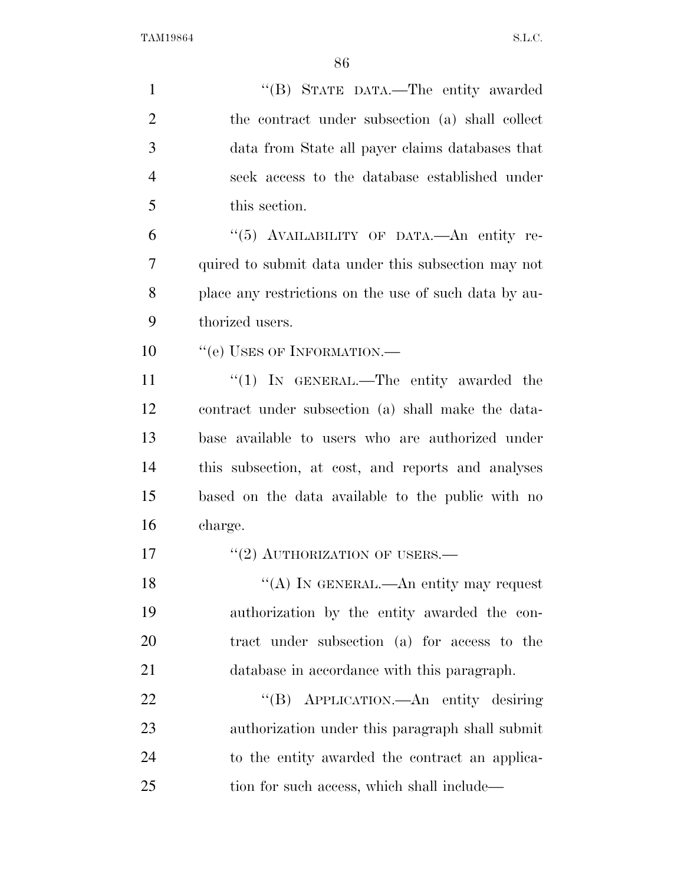| $\mathbf{1}$   | "(B) STATE DATA.—The entity awarded                   |
|----------------|-------------------------------------------------------|
| $\overline{2}$ | the contract under subsection (a) shall collect       |
| 3              | data from State all payer claims databases that       |
| $\overline{4}$ | seek access to the database established under         |
| 5              | this section.                                         |
| 6              | "(5) AVAILABILITY OF DATA.—An entity re-              |
| 7              | quired to submit data under this subsection may not   |
| 8              | place any restrictions on the use of such data by au- |
| 9              | thorized users.                                       |
| 10             | "(e) USES OF INFORMATION.-                            |
| 11             | "(1) IN GENERAL.—The entity awarded the               |
| 12             | contract under subsection (a) shall make the data-    |
| 13             | base available to users who are authorized under      |
| 14             | this subsection, at cost, and reports and analyses    |
| 15             | based on the data available to the public with no     |
| 16             | charge.                                               |
| 17             | $``(2)$ AUTHORIZATION OF USERS.—                      |
| 18             | "(A) IN GENERAL.—An entity may request                |
| 19             | authorization by the entity awarded the con-          |
| 20             | tract under subsection (a) for access to the          |
| 21             | database in accordance with this paragraph.           |
| 22             | APPLICATION. An entity desiring<br>$\lq\lq (B)$       |
| 23             | authorization under this paragraph shall submit       |
| 24             | to the entity awarded the contract an applica-        |
| 25             | tion for such access, which shall include—            |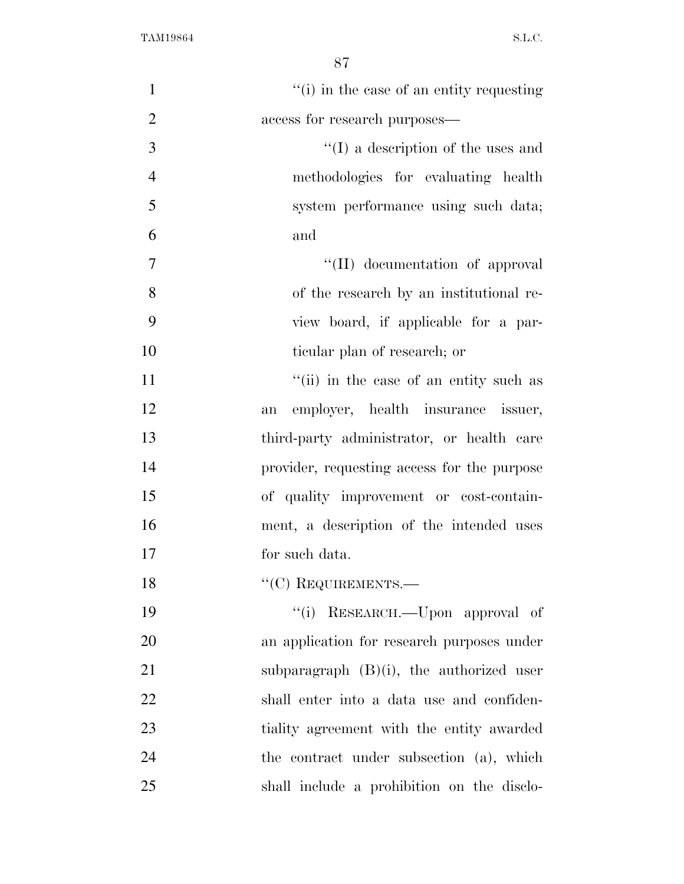| $\mathbf{1}$   | "(i) in the case of an entity requesting    |
|----------------|---------------------------------------------|
| $\overline{2}$ | access for research purposes—               |
| 3              | $\lq\lq$ (I) a description of the uses and  |
| $\overline{4}$ | methodologies for evaluating health         |
| 5              | system performance using such data;         |
| 6              | and                                         |
| 7              | "(II) documentation of approval             |
| 8              | of the research by an institutional re-     |
| 9              | view board, if applicable for a par-        |
| 10             | ticular plan of research; or                |
| 11             | "(ii) in the case of an entity such as      |
| 12             | employer, health insurance issuer,<br>an    |
| 13             | third-party administrator, or health care   |
| 14             | provider, requesting access for the purpose |
| 15             | of quality improvement or cost-contain-     |
| 16             | ment, a description of the intended uses    |
| 17             | for such data.                              |
| 18             | $``$ (C) REQUIREMENTS.—                     |
| 19             | "(i) RESEARCH.—Upon approval of             |
| 20             | an application for research purposes under  |
| 21             | subparagraph $(B)(i)$ , the authorized user |
| 22             | shall enter into a data use and confiden-   |
| 23             | tiality agreement with the entity awarded   |
| 24             | the contract under subsection (a), which    |
| 25             | shall include a prohibition on the disclo-  |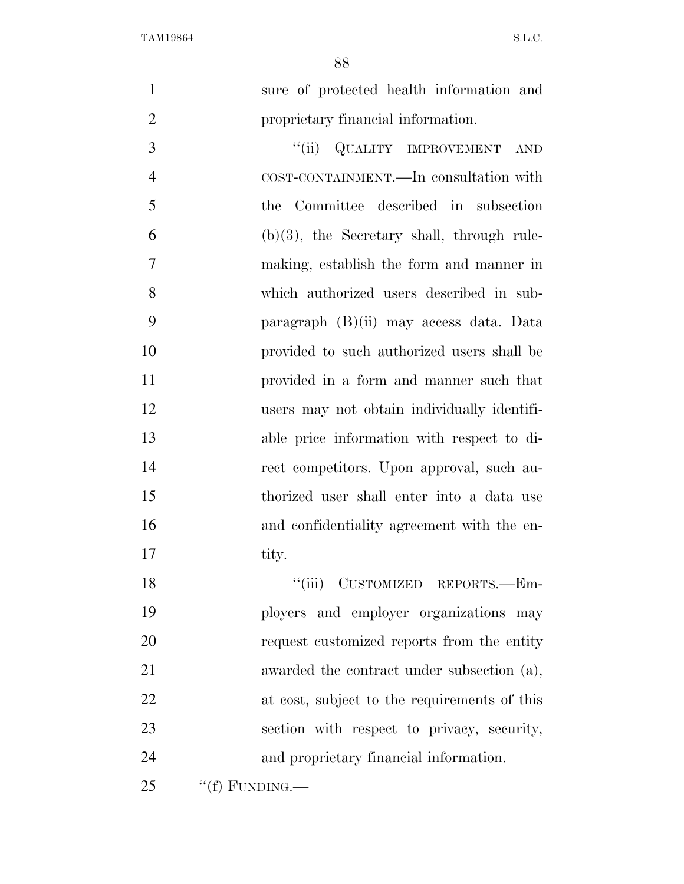| $\mathbf{1}$   | sure of protected health information and      |
|----------------|-----------------------------------------------|
| $\overline{2}$ | proprietary financial information.            |
| 3              | ``(ii)<br><b>QUALITY IMPROVEMENT</b><br>AND   |
| 4              | COST-CONTAINMENT.—In consultation with        |
| 5              | the Committee described in subsection         |
| 6              | $(b)(3)$ , the Secretary shall, through rule- |
| 7              | making, establish the form and manner in      |
| 8              | which authorized users described in sub-      |
| 9              | paragraph (B)(ii) may access data. Data       |
| 10             | provided to such authorized users shall be    |
| 11             | provided in a form and manner such that       |
| 12             | users may not obtain individually identifi-   |
| 13             | able price information with respect to di-    |
| 14             | rect competitors. Upon approval, such au-     |
| 15             | thorized user shall enter into a data use     |
| 16             | and confidentiality agreement with the en-    |
| 17             | tity.                                         |
| 18             | "(iii) CUSTOMIZED REPORTS.—Em-                |
| 19             | ployers and employer organizations may        |
| 20             | request customized reports from the entity    |
| 21             | awarded the contract under subsection (a),    |
| 22             | at cost, subject to the requirements of this  |
| 23             | section with respect to privacy, security,    |
| 24             | and proprietary financial information.        |
| 25             | "(f) FUNDING.—                                |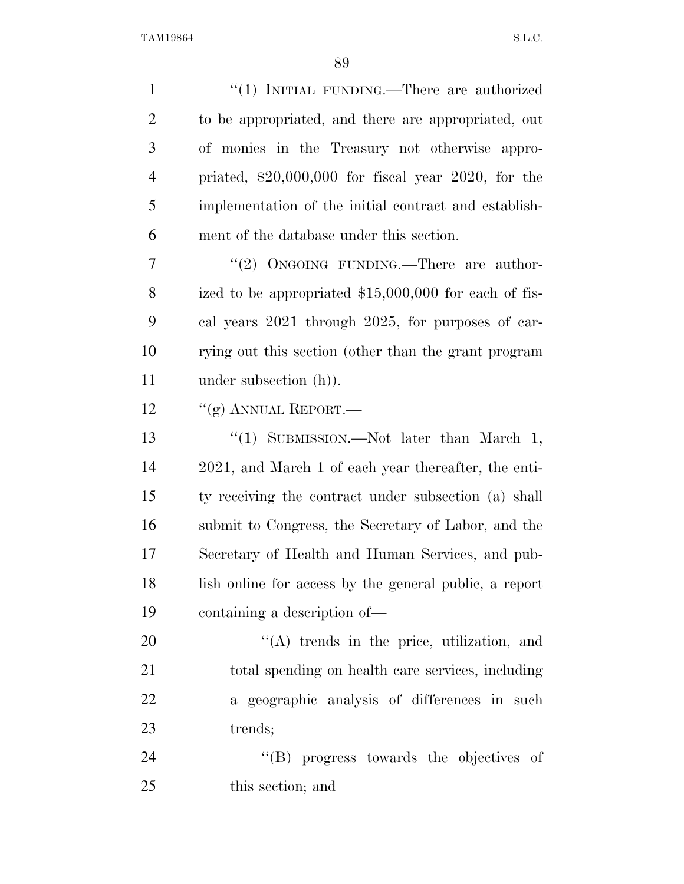| $\mathbf{1}$   | "(1) INITIAL FUNDING.—There are authorized             |
|----------------|--------------------------------------------------------|
| $\overline{2}$ | to be appropriated, and there are appropriated, out    |
| 3              | of monies in the Treasury not otherwise appro-         |
| $\overline{4}$ | priated, $$20,000,000$ for fiscal year 2020, for the   |
| 5              | implementation of the initial contract and establish-  |
| 6              | ment of the database under this section.               |
| 7              | "(2) ONGOING FUNDING.—There are author-                |
| 8              | ized to be appropriated $$15,000,000$ for each of fis- |
| 9              | cal years 2021 through 2025, for purposes of car-      |
| 10             | rying out this section (other than the grant program   |
| 11             | under subsection $(h)$ ).                              |
| 12             | "(g) ANNUAL REPORT.—                                   |
| 13             | "(1) SUBMISSION.—Not later than March 1,               |
| 14             | 2021, and March 1 of each year thereafter, the enti-   |
| 15             | ty receiving the contract under subsection (a) shall   |
| 16             | submit to Congress, the Secretary of Labor, and the    |
| 17             | Secretary of Health and Human Services, and pub-       |
| 18             | lish online for access by the general public, a report |
| 19             | containing a description of-                           |
| 20             | $\lq\lq$ trends in the price, utilization, and         |
| 21             | total spending on health care services, including      |
| 22             | a geographic analysis of differences in such           |
| 23             | trends;                                                |
| 24             | "(B) progress towards the objectives of                |
| 25             | this section; and                                      |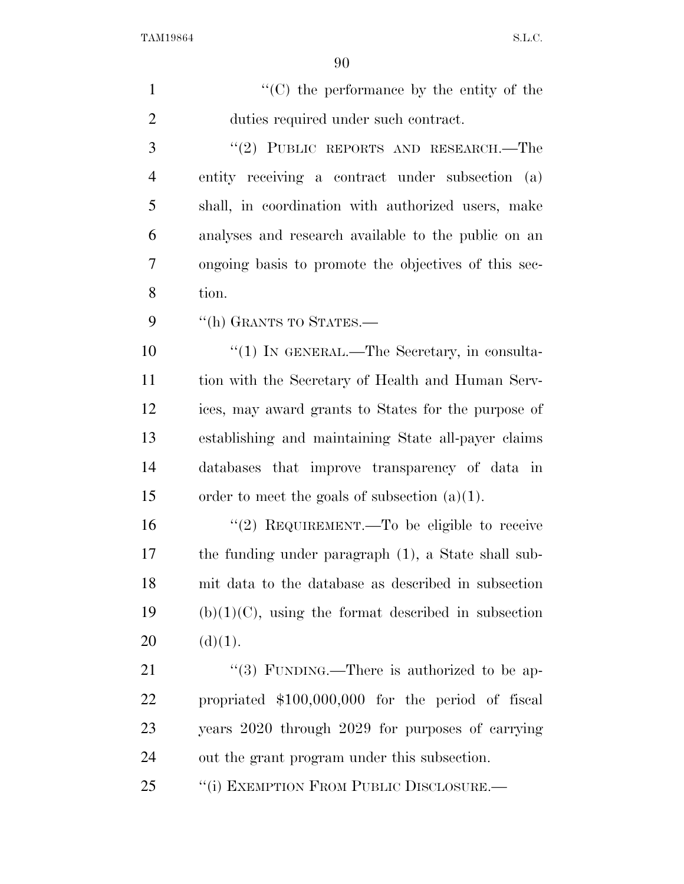| $\mathbf{1}$   | $\lq\lq$ (C) the performance by the entity of the      |
|----------------|--------------------------------------------------------|
| $\overline{2}$ | duties required under such contract.                   |
| 3              | "(2) PUBLIC REPORTS AND RESEARCH.—The                  |
| 4              | entity receiving a contract under subsection (a)       |
| 5              | shall, in coordination with authorized users, make     |
| 6              | analyses and research available to the public on an    |
| 7              | ongoing basis to promote the objectives of this sec-   |
| 8              | tion.                                                  |
| 9              | "(h) GRANTS TO STATES.-                                |
| 10             | "(1) IN GENERAL.—The Secretary, in consulta-           |
| 11             | tion with the Secretary of Health and Human Serv-      |
| 12             | ices, may award grants to States for the purpose of    |
| 13             | establishing and maintaining State all-payer claims    |
| 14             | databases that improve transparency of data in         |
| 15             | order to meet the goals of subsection $(a)(1)$ .       |
| 16             | "(2) REQUIREMENT.—To be eligible to receive            |
| 17             | the funding under paragraph (1), a State shall sub-    |
| 18             | mit data to the database as described in subsection    |
| 19             | $(b)(1)(C)$ , using the format described in subsection |
| 20             | (d)(1).                                                |
| 21             | "(3) FUNDING.—There is authorized to be ap-            |
| <u>22</u>      | propriated \$100,000,000 for the period of fiscal      |
| 23             | years 2020 through 2029 for purposes of carrying       |
| 24             | out the grant program under this subsection.           |
| 25             | "(i) EXEMPTION FROM PUBLIC DISCLOSURE.-                |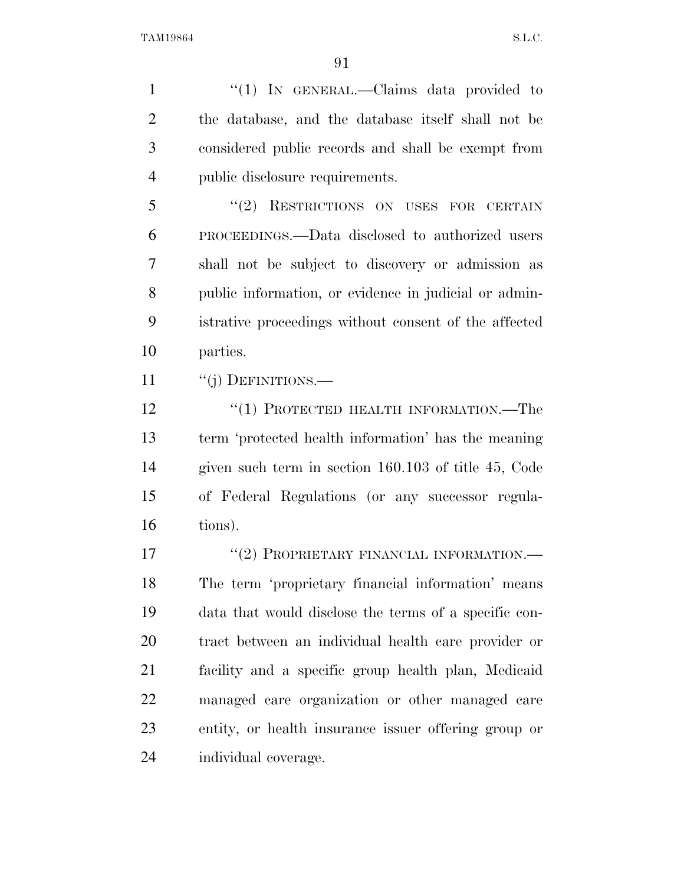1 "(1) IN GENERAL.—Claims data provided to the database, and the database itself shall not be considered public records and shall be exempt from public disclosure requirements.

5 "(2) RESTRICTIONS ON USES FOR CERTAIN PROCEEDINGS.—Data disclosed to authorized users shall not be subject to discovery or admission as public information, or evidence in judicial or admin- istrative proceedings without consent of the affected parties.

11 "(j) DEFINITIONS.—

 ''(1) PROTECTED HEALTH INFORMATION.—The term 'protected health information' has the meaning given such term in section 160.103 of title 45, Code of Federal Regulations (or any successor regula-tions).

17 "(2) PROPRIETARY FINANCIAL INFORMATION.— The term 'proprietary financial information' means data that would disclose the terms of a specific con- tract between an individual health care provider or facility and a specific group health plan, Medicaid managed care organization or other managed care entity, or health insurance issuer offering group or individual coverage.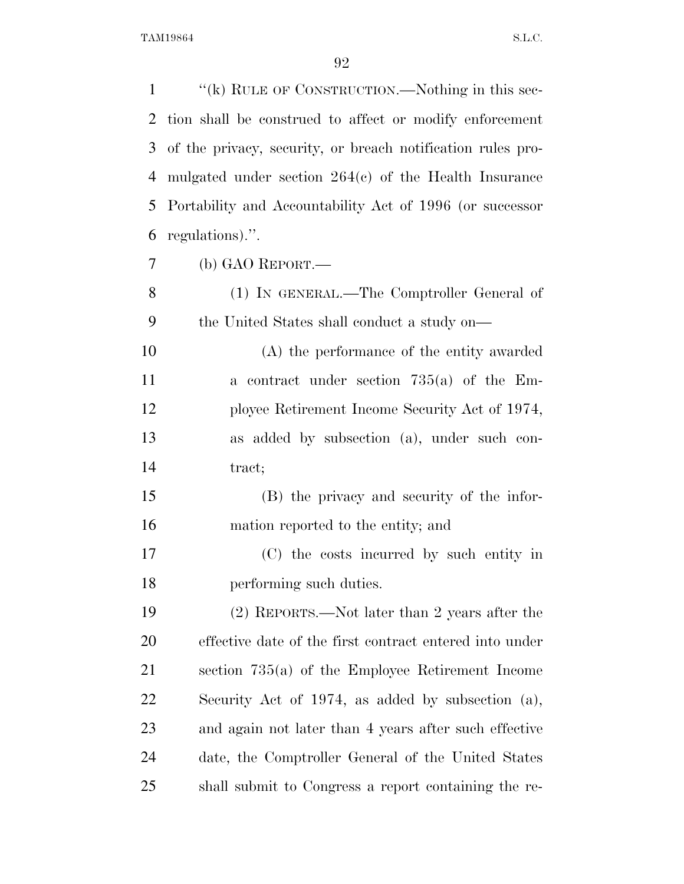| $\mathbf{1}$ | "(k) RULE OF CONSTRUCTION.—Nothing in this sec-             |
|--------------|-------------------------------------------------------------|
| 2            | tion shall be construed to affect or modify enforcement     |
| 3            | of the privacy, security, or breach notification rules pro- |
| 4            | mulgated under section $264(e)$ of the Health Insurance     |
| 5            | Portability and Accountability Act of 1996 (or successor    |
| 6            | regulations).".                                             |
| 7            | (b) GAO REPORT.-                                            |
| 8            | (1) IN GENERAL.—The Comptroller General of                  |
| 9            | the United States shall conduct a study on—                 |
| 10           | (A) the performance of the entity awarded                   |
| 11           | a contract under section $735(a)$ of the Em-                |
| 12           | ployee Retirement Income Security Act of 1974,              |
| 13           | as added by subsection (a), under such con-                 |
| 14           | tract;                                                      |
| 15           | (B) the privacy and security of the infor-                  |
| 16           | mation reported to the entity; and                          |
| 17           | (C) the costs incurred by such entity in                    |
| 18           | performing such duties.                                     |
| 19           | (2) REPORTS.—Not later than 2 years after the               |
| 20           | effective date of the first contract entered into under     |
| 21           | section $735(a)$ of the Employee Retirement Income          |
| 22           | Security Act of 1974, as added by subsection $(a)$ ,        |
| 23           | and again not later than 4 years after such effective       |
| 24           | date, the Comptroller General of the United States          |
| 25           | shall submit to Congress a report containing the re-        |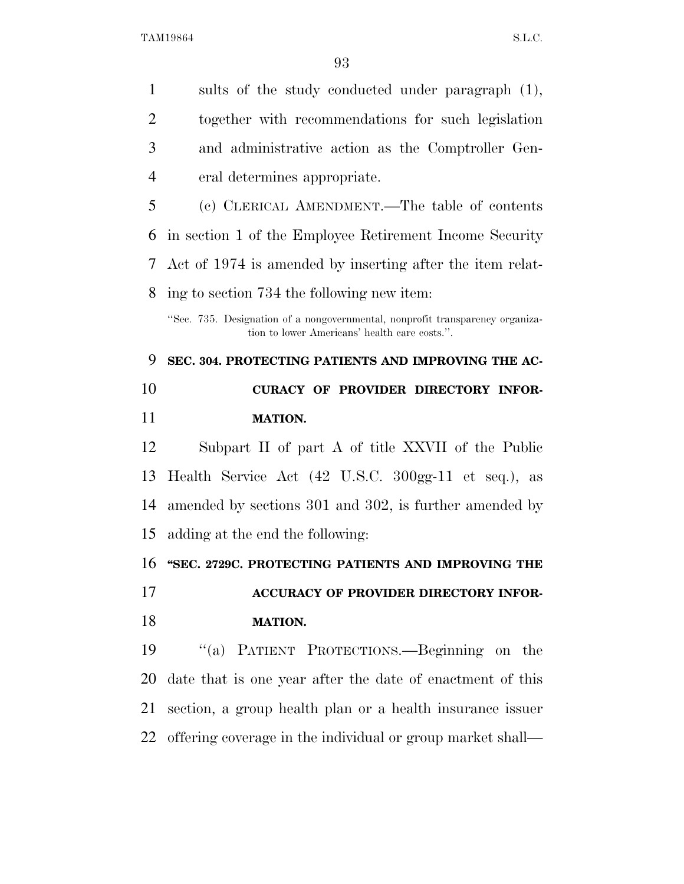sults of the study conducted under paragraph (1), together with recommendations for such legislation and administrative action as the Comptroller Gen- eral determines appropriate. (c) CLERICAL AMENDMENT.—The table of contents in section 1 of the Employee Retirement Income Security Act of 1974 is amended by inserting after the item relat- ing to section 734 the following new item: ''Sec. 735. Designation of a nongovernmental, nonprofit transparency organization to lower Americans' health care costs.''. **SEC. 304. PROTECTING PATIENTS AND IMPROVING THE AC-CURACY OF PROVIDER DIRECTORY INFOR-**

### **MATION.**

 Subpart II of part A of title XXVII of the Public Health Service Act (42 U.S.C. 300gg-11 et seq.), as amended by sections 301 and 302, is further amended by adding at the end the following:

**''SEC. 2729C. PROTECTING PATIENTS AND IMPROVING THE** 

 **ACCURACY OF PROVIDER DIRECTORY INFOR-MATION.** 

 ''(a) PATIENT PROTECTIONS.—Beginning on the date that is one year after the date of enactment of this section, a group health plan or a health insurance issuer offering coverage in the individual or group market shall—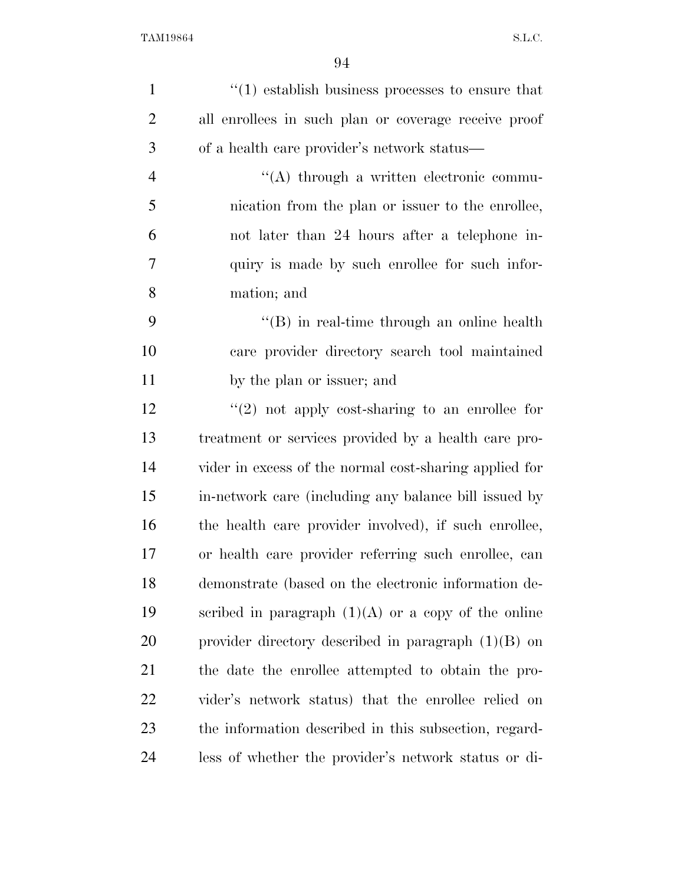| $\mathbf{1}$   | $\cdot$ (1) establish business processes to ensure that |
|----------------|---------------------------------------------------------|
| $\overline{2}$ | all enrollees in such plan or coverage receive proof    |
| 3              | of a health care provider's network status—             |
| $\overline{4}$ | $\lq\lq$ through a written electronic commu-            |
| 5              | nication from the plan or issuer to the enrollee,       |
| 6              | not later than 24 hours after a telephone in-           |
| $\overline{7}$ | quiry is made by such enrollee for such infor-          |
| 8              | mation; and                                             |
| 9              | $\lq\lq (B)$ in real-time through an online health      |
| 10             | care provider directory search tool maintained          |
| 11             | by the plan or issuer; and                              |
| 12             | $\lq(2)$ not apply cost-sharing to an enrollee for      |
| 13             | treatment or services provided by a health care pro-    |
| 14             | vider in excess of the normal cost-sharing applied for  |
| 15             | in-network care (including any balance bill issued by   |
| 16             | the health care provider involved), if such enrollee,   |
| 17             | or health care provider referring such enrollee, can    |
| 18             | demonstrate (based on the electronic information de-    |
| 19             | scribed in paragraph $(1)(A)$ or a copy of the online   |
| 20             | provider directory described in paragraph $(1)(B)$ on   |
| 21             | the date the enrollee attempted to obtain the pro-      |
| 22             | vider's network status) that the enrollee relied on     |
| 23             | the information described in this subsection, regard-   |
| 24             | less of whether the provider's network status or di-    |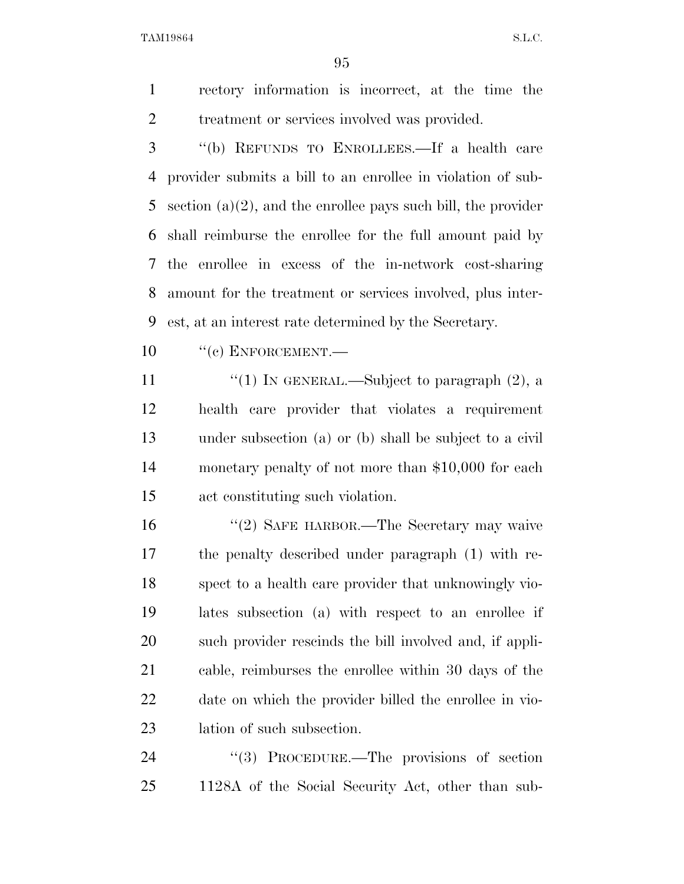rectory information is incorrect, at the time the 2 treatment or services involved was provided.

 ''(b) REFUNDS TO ENROLLEES.—If a health care provider submits a bill to an enrollee in violation of sub- section (a)(2), and the enrollee pays such bill, the provider shall reimburse the enrollee for the full amount paid by the enrollee in excess of the in-network cost-sharing amount for the treatment or services involved, plus inter-est, at an interest rate determined by the Secretary.

10 "(c) ENFORCEMENT.—

 $\frac{1}{2}$  (1) In GENERAL.—Subject to paragraph (2), a health care provider that violates a requirement under subsection (a) or (b) shall be subject to a civil monetary penalty of not more than \$10,000 for each act constituting such violation.

16 "(2) SAFE HARBOR.—The Secretary may waive the penalty described under paragraph (1) with re- spect to a health care provider that unknowingly vio- lates subsection (a) with respect to an enrollee if such provider rescinds the bill involved and, if appli- cable, reimburses the enrollee within 30 days of the date on which the provider billed the enrollee in vio-lation of such subsection.

24 "(3) PROCEDURE.—The provisions of section 1128A of the Social Security Act, other than sub-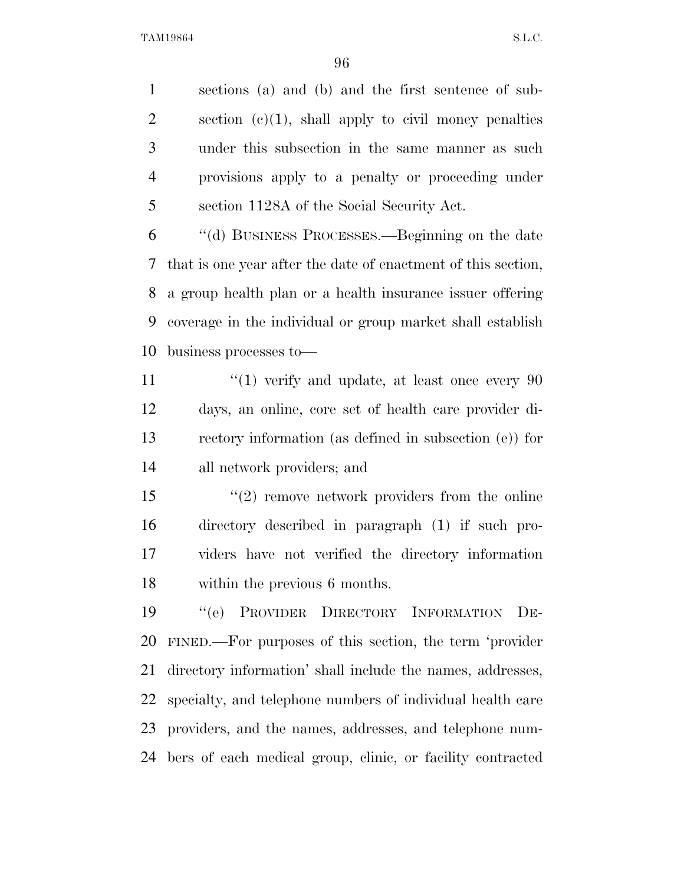sections (a) and (b) and the first sentence of sub-2 section  $(c)(1)$ , shall apply to civil money penalties under this subsection in the same manner as such provisions apply to a penalty or proceeding under section 1128A of the Social Security Act.

 ''(d) BUSINESS PROCESSES.—Beginning on the date that is one year after the date of enactment of this section, a group health plan or a health insurance issuer offering coverage in the individual or group market shall establish business processes to—

 $\frac{1}{2}$  (1) verify and update, at least once every 90 days, an online, core set of health care provider di- rectory information (as defined in subsection (e)) for all network providers; and

15 ''(2) remove network providers from the online directory described in paragraph (1) if such pro- viders have not verified the directory information within the previous 6 months.

 ''(e) PROVIDER DIRECTORY INFORMATION DE- FINED.—For purposes of this section, the term 'provider directory information' shall include the names, addresses, specialty, and telephone numbers of individual health care providers, and the names, addresses, and telephone num-bers of each medical group, clinic, or facility contracted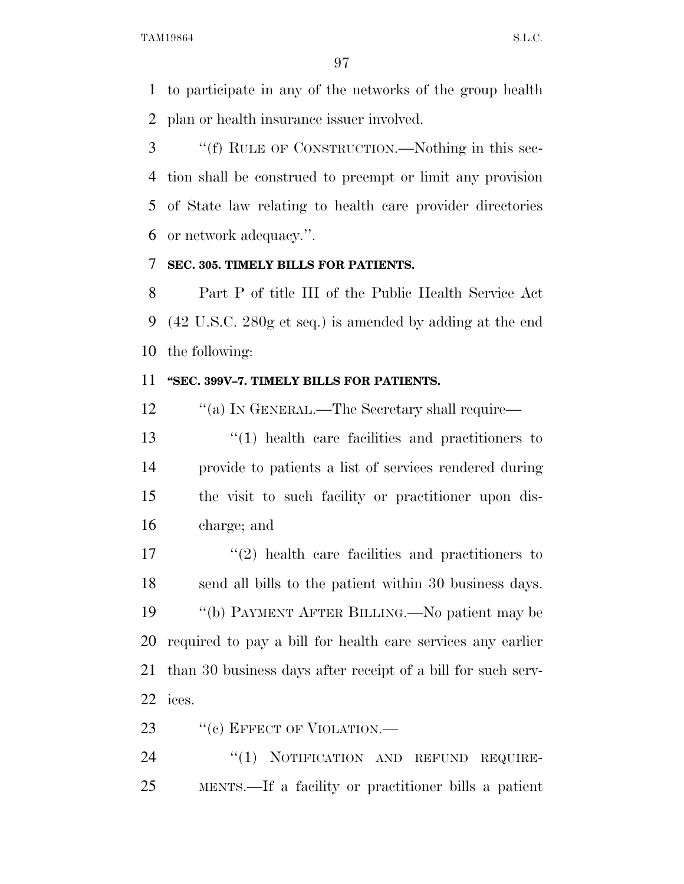to participate in any of the networks of the group health plan or health insurance issuer involved.

 ''(f) RULE OF CONSTRUCTION.—Nothing in this sec- tion shall be construed to preempt or limit any provision of State law relating to health care provider directories or network adequacy.''.

### **SEC. 305. TIMELY BILLS FOR PATIENTS.**

 Part P of title III of the Public Health Service Act (42 U.S.C. 280g et seq.) is amended by adding at the end the following:

#### **''SEC. 399V–7. TIMELY BILLS FOR PATIENTS.**

12 "(a) In GENERAL.—The Secretary shall require—

 ''(1) health care facilities and practitioners to provide to patients a list of services rendered during the visit to such facility or practitioner upon dis-charge; and

17 ''(2) health care facilities and practitioners to send all bills to the patient within 30 business days. ''(b) PAYMENT AFTER BILLING.—No patient may be required to pay a bill for health care services any earlier than 30 business days after receipt of a bill for such serv-ices.

23 "(c) EFFECT OF VIOLATION.

24 "(1) NOTIFICATION AND REFUND REQUIRE-MENTS.—If a facility or practitioner bills a patient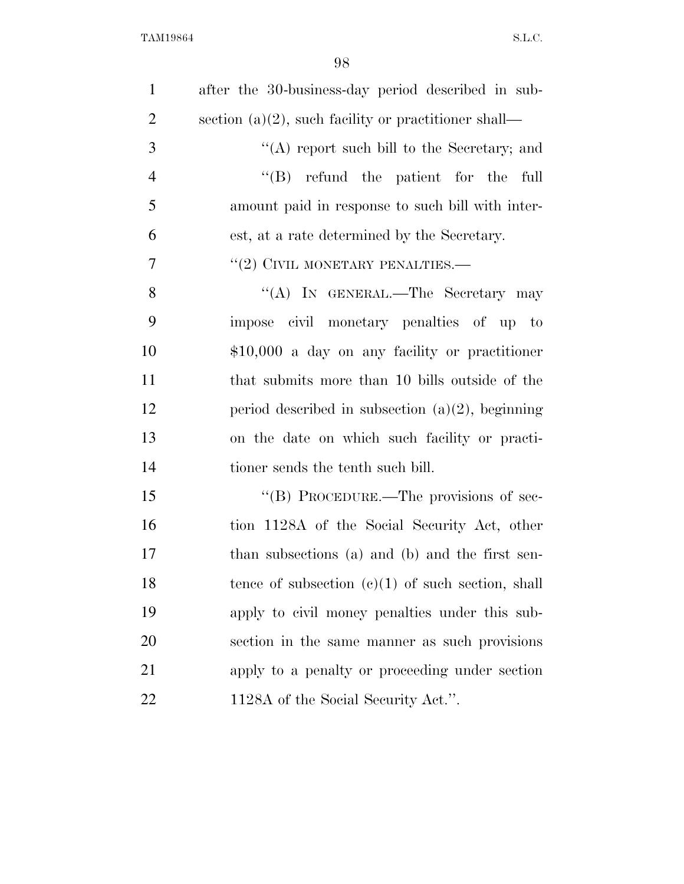| $\mathbf{1}$   | after the 30-business-day period described in sub-   |
|----------------|------------------------------------------------------|
| $\overline{2}$ | section (a)(2), such facility or practitioner shall— |
| 3              | "(A) report such bill to the Secretary; and          |
| $\overline{4}$ | $\lq\lq (B)$ refund the patient for the<br>full      |
| 5              | amount paid in response to such bill with inter-     |
| 6              | est, at a rate determined by the Secretary.          |
| $\overline{7}$ | $``(2)$ CIVIL MONETARY PENALTIES.—                   |
| 8              | "(A) IN GENERAL.—The Secretary may                   |
| 9              | impose civil monetary penalties of up to             |
| 10             | $$10,000$ a day on any facility or practitioner      |
| 11             | that submits more than 10 bills outside of the       |
| 12             | period described in subsection $(a)(2)$ , beginning  |
| 13             | on the date on which such facility or practi-        |
| 14             | tioner sends the tenth such bill.                    |
| 15             | "(B) PROCEDURE.—The provisions of sec-               |
| 16             | tion 1128A of the Social Security Act, other         |
| 17             | than subsections (a) and (b) and the first sen-      |
| 18             | tence of subsection $(c)(1)$ of such section, shall  |
| 19             | apply to civil money penalties under this sub-       |
| 20             | section in the same manner as such provisions        |
| 21             | apply to a penalty or proceeding under section       |
| 22             | 1128A of the Social Security Act.".                  |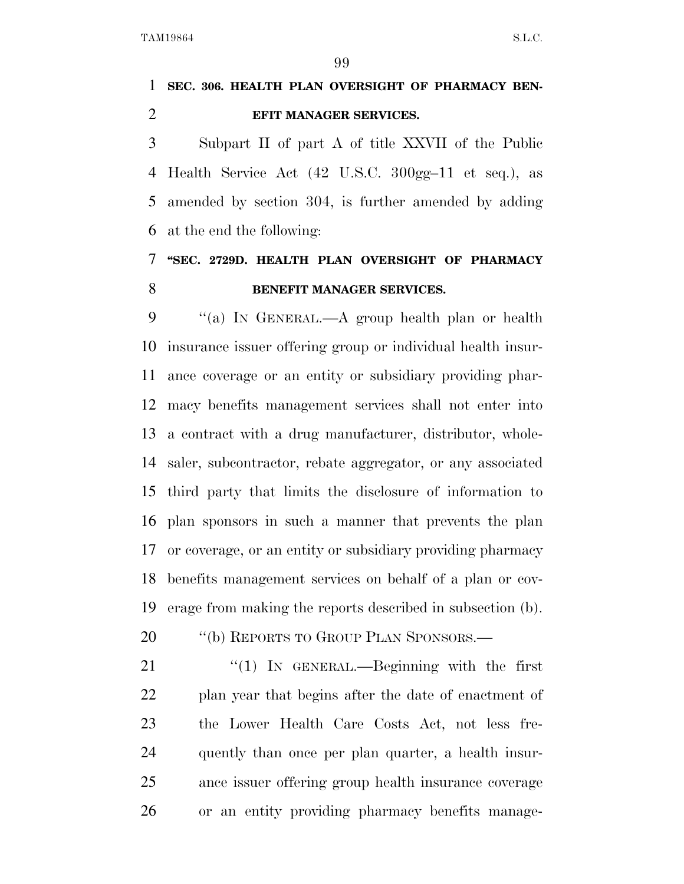# **SEC. 306. HEALTH PLAN OVERSIGHT OF PHARMACY BEN-EFIT MANAGER SERVICES.**

 Subpart II of part A of title XXVII of the Public Health Service Act (42 U.S.C. 300gg–11 et seq.), as amended by section 304, is further amended by adding at the end the following:

# **''SEC. 2729D. HEALTH PLAN OVERSIGHT OF PHARMACY BENEFIT MANAGER SERVICES.**

 ''(a) IN GENERAL.—A group health plan or health insurance issuer offering group or individual health insur- ance coverage or an entity or subsidiary providing phar- macy benefits management services shall not enter into a contract with a drug manufacturer, distributor, whole- saler, subcontractor, rebate aggregator, or any associated third party that limits the disclosure of information to plan sponsors in such a manner that prevents the plan or coverage, or an entity or subsidiary providing pharmacy benefits management services on behalf of a plan or cov-erage from making the reports described in subsection (b).

20 "(b) REPORTS TO GROUP PLAN SPONSORS.—

21 "(1) In GENERAL.—Beginning with the first plan year that begins after the date of enactment of the Lower Health Care Costs Act, not less fre- quently than once per plan quarter, a health insur- ance issuer offering group health insurance coverage or an entity providing pharmacy benefits manage-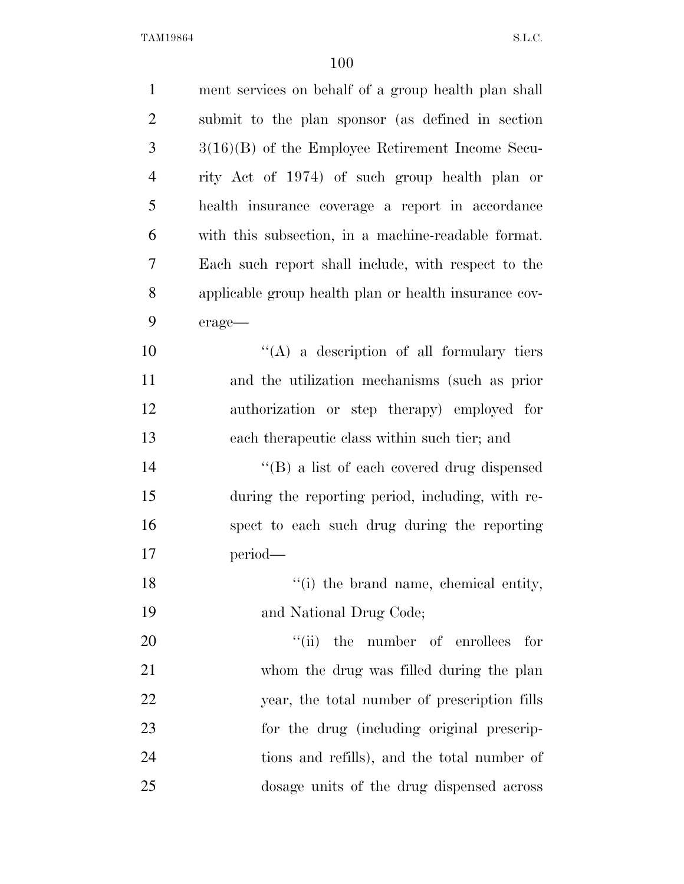| $\mathbf{1}$   | ment services on behalf of a group health plan shall  |
|----------------|-------------------------------------------------------|
| $\overline{2}$ | submit to the plan sponsor (as defined in section     |
| 3              | $3(16)(B)$ of the Employee Retirement Income Secu-    |
| $\overline{4}$ | rity Act of 1974) of such group health plan or        |
| 5              | health insurance coverage a report in accordance      |
| 6              | with this subsection, in a machine-readable format.   |
| 7              | Each such report shall include, with respect to the   |
| 8              | applicable group health plan or health insurance cov- |
| 9              | erage-                                                |
| 10             | $\lq\lq$ (A) a description of all formulary tiers     |
| 11             | and the utilization mechanisms (such as prior         |
| 12             | authorization or step therapy) employed for           |
| 13             | each therapeutic class within such tier; and          |
| 14             | "(B) a list of each covered drug dispensed            |
| 15             | during the reporting period, including, with re-      |
| 16             | spect to each such drug during the reporting          |
| 17             | period—                                               |
| 18             | "(i) the brand name, chemical entity,                 |
| 19             | and National Drug Code;                               |
| 20             | "(ii) the number of enrollees<br>for                  |
| 21             | whom the drug was filled during the plan              |
| 22             | year, the total number of prescription fills          |
| 23             | for the drug (including original prescrip-            |
| 24             | tions and refills), and the total number of           |
| 25             | dosage units of the drug dispensed across             |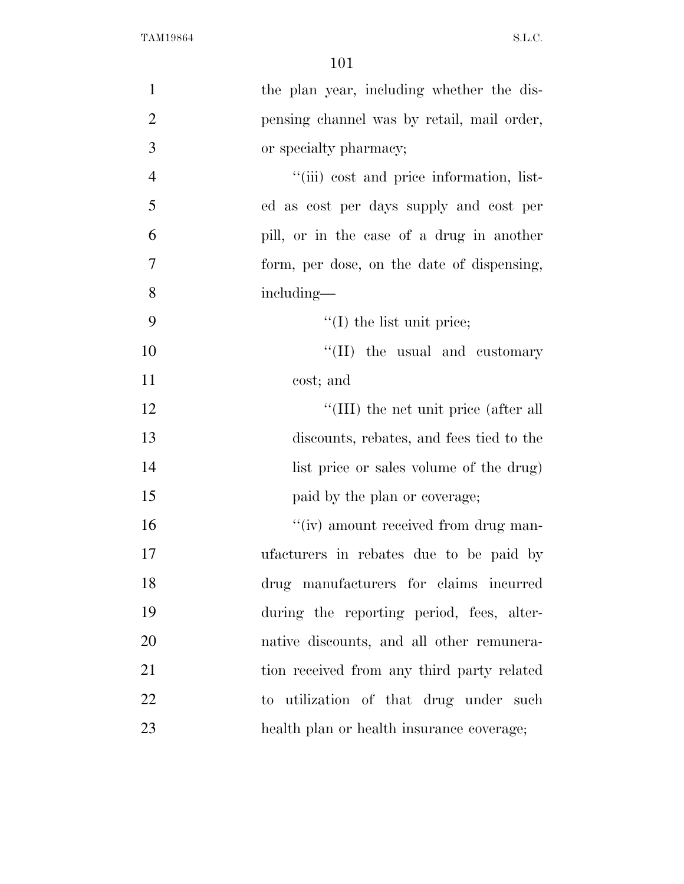| $\mathbf{1}$   | the plan year, including whether the dis-  |
|----------------|--------------------------------------------|
| $\overline{2}$ | pensing channel was by retail, mail order, |
| 3              | or specialty pharmacy;                     |
| $\overline{4}$ | "(iii) cost and price information, list-   |
| 5              | ed as cost per days supply and cost per    |
| 6              | pill, or in the case of a drug in another  |
| 7              | form, per dose, on the date of dispensing, |
| 8              | including—                                 |
| 9              | $\lq\lq$ (I) the list unit price;          |
| 10             | "(II) the usual and customary              |
| 11             | cost; and                                  |
| 12             | "(III) the net unit price (after all       |
| 13             | discounts, rebates, and fees tied to the   |
| 14             | list price or sales volume of the drug)    |
| 15             | paid by the plan or coverage;              |
| 16             | "(iv) amount received from drug man-       |
| 17             | ufacturers in rebates due to be paid by    |
| 18             | drug manufacturers for claims incurred     |
| 19             | during the reporting period, fees, alter-  |
| 20             | native discounts, and all other remunera-  |
| 21             | tion received from any third party related |
| 22             | to utilization of that drug under such     |
| 23             | health plan or health insurance coverage;  |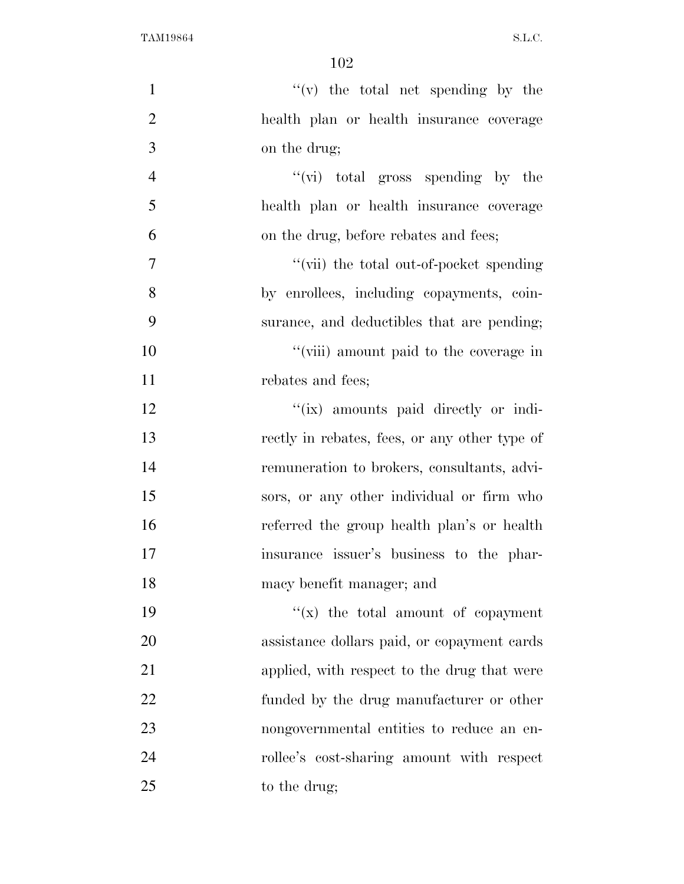| $\mathbf{1}$   | $f'(v)$ the total net spending by the         |
|----------------|-----------------------------------------------|
| $\overline{2}$ | health plan or health insurance coverage      |
| 3              | on the drug;                                  |
| $\overline{4}$ | " $(vi)$ total gross spending by the          |
| 5              | health plan or health insurance coverage      |
| 6              | on the drug, before rebates and fees;         |
| $\overline{7}$ | "(vii) the total out-of-pocket spending       |
| 8              | by enrollees, including copayments, coin-     |
| 9              | surance, and deductibles that are pending;    |
| 10             | "(viii) amount paid to the coverage in        |
| 11             | rebates and fees;                             |
| 12             | "(ix) amounts paid directly or indi-          |
| 13             | rectly in rebates, fees, or any other type of |
| 14             | remuneration to brokers, consultants, advi-   |
| 15             | sors, or any other individual or firm who     |
| 16             | referred the group health plan's or health    |
| 17             | insurance issuer's business to the phar-      |
| 18             | macy benefit manager; and                     |
| 19             | " $(x)$ the total amount of copayment"        |
| 20             | assistance dollars paid, or copayment cards   |
| 21             | applied, with respect to the drug that were   |
| 22             | funded by the drug manufacturer or other      |
| 23             | nongovernmental entities to reduce an en-     |
| 24             | rollee's cost-sharing amount with respect     |
| 25             | to the drug;                                  |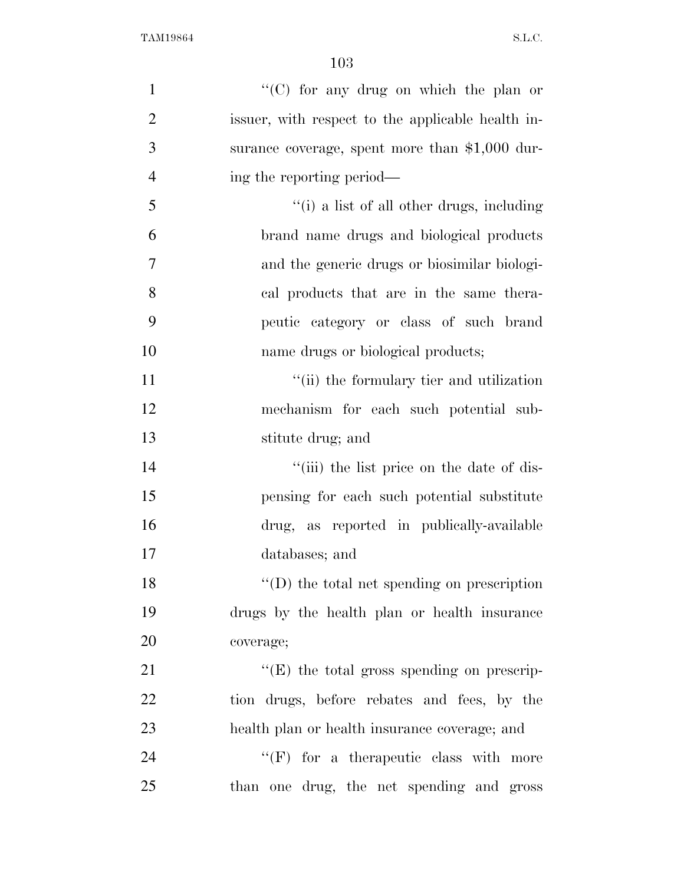| $\mathbf{1}$   | " $(C)$ for any drug on which the plan or         |
|----------------|---------------------------------------------------|
| $\overline{2}$ | issuer, with respect to the applicable health in- |
| 3              | surance coverage, spent more than \$1,000 dur-    |
| $\overline{4}$ | ing the reporting period—                         |
| 5              | "(i) a list of all other drugs, including         |
| 6              | brand name drugs and biological products          |
| 7              | and the generic drugs or biosimilar biologi-      |
| 8              | cal products that are in the same thera-          |
| 9              | peutic category or class of such brand            |
| 10             | name drugs or biological products;                |
| 11             | "(ii) the formulary tier and utilization          |
| 12             | mechanism for each such potential sub-            |
| 13             | stitute drug; and                                 |
| 14             | "(iii) the list price on the date of dis-         |
| 15             | pensing for each such potential substitute        |
| 16             | drug, as reported in publically-available         |
| 17             | databases; and                                    |
| 18             | $\lq\lq$ the total net spending on prescription   |
| 19             | drugs by the health plan or health insurance      |
| 20             | coverage;                                         |
| 21             | $\lq\lq(E)$ the total gross spending on prescrip- |
| 22             | tion drugs, before rebates and fees, by the       |
| 23             | health plan or health insurance coverage; and     |
| 24             | $``(F)$ for a therapeutic class with more         |
| 25             | than one drug, the net spending and gross         |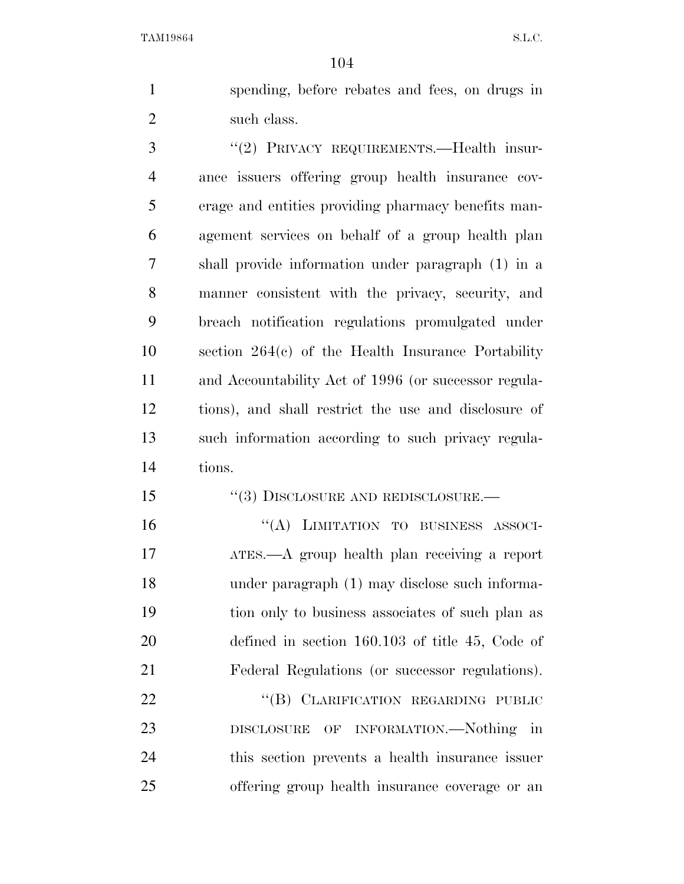spending, before rebates and fees, on drugs in such class.

3 "(2) PRIVACY REQUIREMENTS.—Health insur- ance issuers offering group health insurance cov- erage and entities providing pharmacy benefits man- agement services on behalf of a group health plan shall provide information under paragraph (1) in a manner consistent with the privacy, security, and breach notification regulations promulgated under section 264(c) of the Health Insurance Portability and Accountability Act of 1996 (or successor regula- tions), and shall restrict the use and disclosure of such information according to such privacy regula-tions.

15 "(3) DISCLOSURE AND REDISCLOSURE.—

16 "(A) LIMITATION TO BUSINESS ASSOCI- ATES.—A group health plan receiving a report under paragraph (1) may disclose such informa- tion only to business associates of such plan as defined in section 160.103 of title 45, Code of Federal Regulations (or successor regulations).

22 "(B) CLARIFICATION REGARDING PUBLIC DISCLOSURE OF INFORMATION.—Nothing in this section prevents a health insurance issuer offering group health insurance coverage or an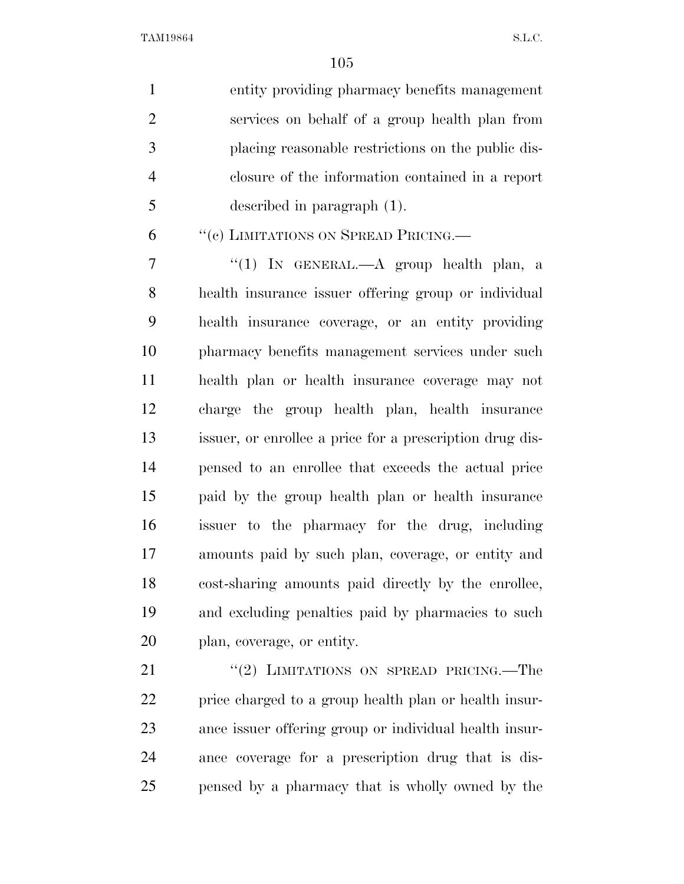entity providing pharmacy benefits management services on behalf of a group health plan from placing reasonable restrictions on the public dis- closure of the information contained in a report described in paragraph (1).

''(c) LIMITATIONS ON SPREAD PRICING.—

 ''(1) IN GENERAL.—A group health plan, a health insurance issuer offering group or individual health insurance coverage, or an entity providing pharmacy benefits management services under such health plan or health insurance coverage may not charge the group health plan, health insurance issuer, or enrollee a price for a prescription drug dis- pensed to an enrollee that exceeds the actual price paid by the group health plan or health insurance issuer to the pharmacy for the drug, including amounts paid by such plan, coverage, or entity and cost-sharing amounts paid directly by the enrollee, and excluding penalties paid by pharmacies to such plan, coverage, or entity.

21 "(2) LIMITATIONS ON SPREAD PRICING.—The price charged to a group health plan or health insur- ance issuer offering group or individual health insur- ance coverage for a prescription drug that is dis-pensed by a pharmacy that is wholly owned by the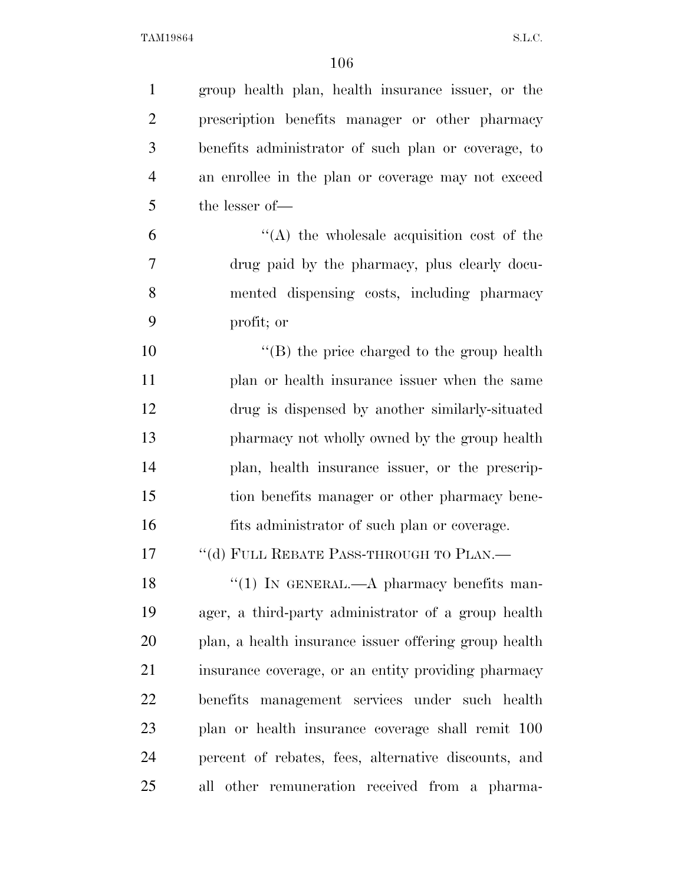| $\mathbf{1}$   | group health plan, health insurance issuer, or the    |
|----------------|-------------------------------------------------------|
| $\overline{2}$ | prescription benefits manager or other pharmacy       |
| 3              | benefits administrator of such plan or coverage, to   |
| $\overline{4}$ | an enrollee in the plan or coverage may not exceed    |
| 5              | the lesser of-                                        |
| 6              | $\lq\lq$ the wholesale acquisition cost of the        |
| 7              | drug paid by the pharmacy, plus clearly docu-         |
| 8              | mented dispensing costs, including pharmacy           |
| 9              | profit; or                                            |
| 10             | $\lq\lq$ the price charged to the group health        |
| 11             | plan or health insurance issuer when the same         |
| 12             | drug is dispensed by another similarly-situated       |
| 13             | pharmacy not wholly owned by the group health         |
| 14             | plan, health insurance issuer, or the prescrip-       |
| 15             | tion benefits manager or other pharmacy bene-         |
| 16             | fits administrator of such plan or coverage.          |
| 17             | "(d) FULL REBATE PASS-THROUGH TO PLAN.-               |
| 18             | $\lq(1)$ IN GENERAL.—A pharmacy benefits man-         |
| 19             | ager, a third-party administrator of a group health   |
| 20             | plan, a health insurance issuer offering group health |
| 21             | insurance coverage, or an entity providing pharmacy   |
| 22             | benefits management services under such health        |
| 23             | plan or health insurance coverage shall remit 100     |
| 24             | percent of rebates, fees, alternative discounts, and  |
| 25             | other remuneration received from a pharma-<br>all     |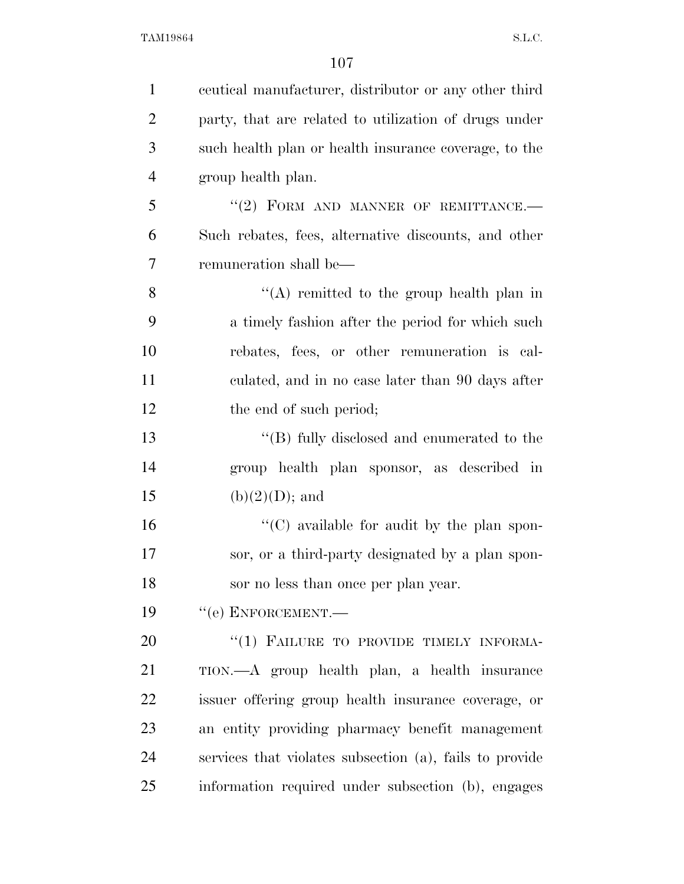| $\mathbf{1}$   | equal manufacturer, distributor or any other third      |
|----------------|---------------------------------------------------------|
| $\overline{2}$ | party, that are related to utilization of drugs under   |
| 3              | such health plan or health insurance coverage, to the   |
| $\overline{4}$ | group health plan.                                      |
| 5              | "(2) FORM AND MANNER OF REMITTANCE.-                    |
| 6              | Such rebates, fees, alternative discounts, and other    |
| 7              | remuneration shall be—                                  |
| 8              | "(A) remitted to the group health plan in               |
| 9              | a timely fashion after the period for which such        |
| 10             | rebates, fees, or other remuneration is cal-            |
| 11             | culated, and in no case later than 90 days after        |
| 12             | the end of such period;                                 |
| 13             | "(B) fully disclosed and enumerated to the              |
| 14             | group health plan sponsor, as described in              |
| 15             | $(b)(2)(D);$ and                                        |
| 16             | "(C) available for audit by the plan spon-              |
| 17             | sor, or a third-party designated by a plan spon-        |
| 18             | sor no less than once per plan year.                    |
| 19             | $``$ (e) ENFORCEMENT.—                                  |
| 20             | "(1) FAILURE TO PROVIDE TIMELY INFORMA-                 |
| 21             | TION.—A group health plan, a health insurance           |
| 22             | issuer offering group health insurance coverage, or     |
| 23             | an entity providing pharmacy benefit management         |
| 24             | services that violates subsection (a), fails to provide |
| 25             | information required under subsection (b), engages      |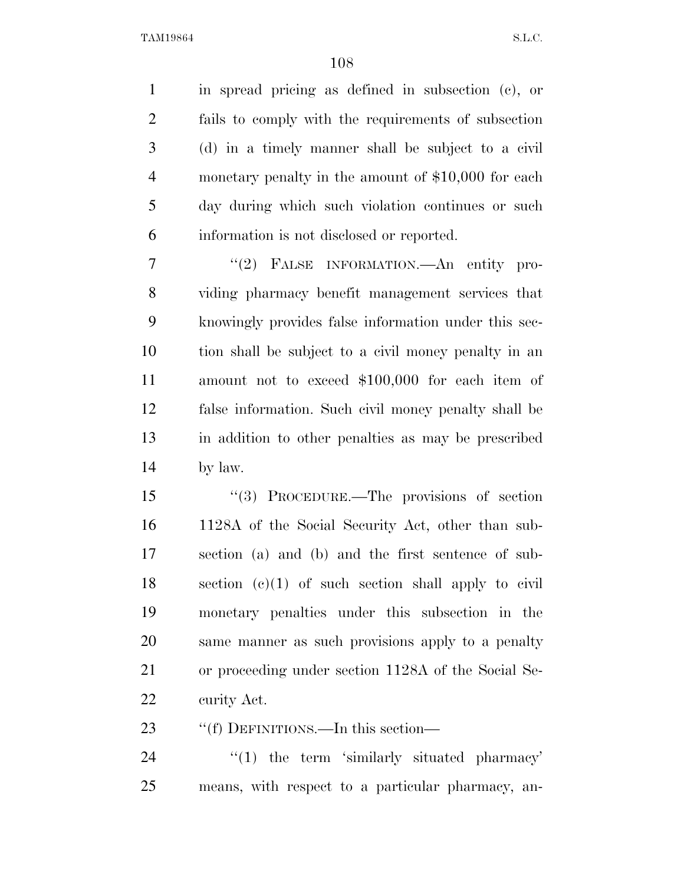in spread pricing as defined in subsection (c), or fails to comply with the requirements of subsection (d) in a timely manner shall be subject to a civil monetary penalty in the amount of \$10,000 for each day during which such violation continues or such information is not disclosed or reported.

 ''(2) FALSE INFORMATION.—An entity pro- viding pharmacy benefit management services that knowingly provides false information under this sec- tion shall be subject to a civil money penalty in an amount not to exceed \$100,000 for each item of false information. Such civil money penalty shall be in addition to other penalties as may be prescribed by law.

 ''(3) PROCEDURE.—The provisions of section 1128A of the Social Security Act, other than sub- section (a) and (b) and the first sentence of sub- section (c)(1) of such section shall apply to civil monetary penalties under this subsection in the same manner as such provisions apply to a penalty or proceeding under section 1128A of the Social Se-curity Act.

23 ""(f) DEFINITIONS.—In this section—

24 ''(1) the term 'similarly situated pharmacy' means, with respect to a particular pharmacy, an-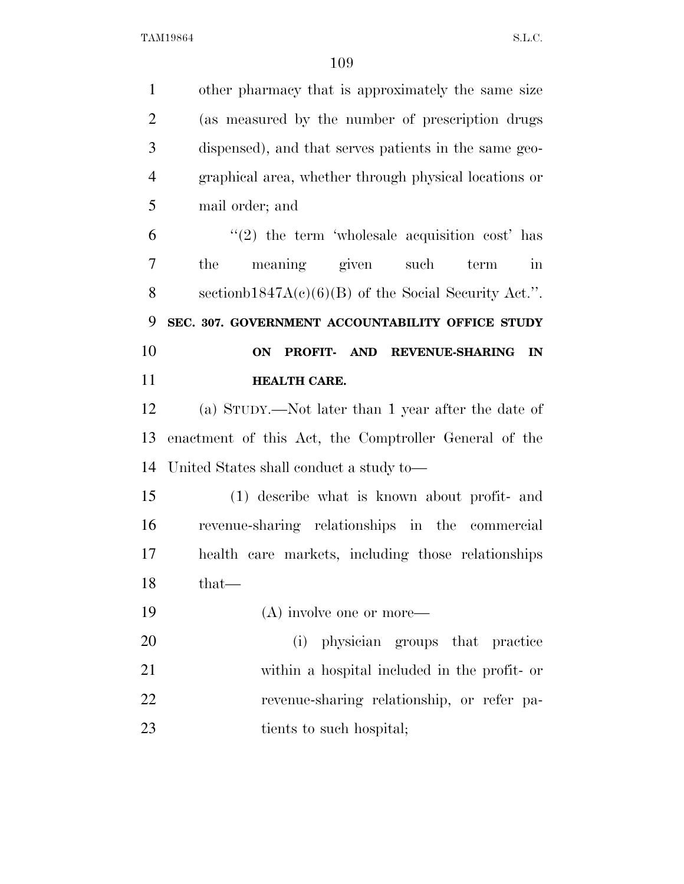| $\mathbf{1}$   | other pharmacy that is approximately the same size       |
|----------------|----------------------------------------------------------|
| $\overline{2}$ | (as measured by the number of prescription drugs)        |
| 3              | dispensed), and that serves patients in the same geo-    |
| $\overline{4}$ | graphical area, whether through physical locations or    |
| 5              | mail order; and                                          |
| 6              | $\lq(2)$ the term 'wholesale acquisition cost' has       |
| 7              | the<br>meaning given such<br>term<br>in                  |
| 8              | sectionb1847A $(c)(6)(B)$ of the Social Security Act.".  |
| 9              | SEC. 307. GOVERNMENT ACCOUNTABILITY OFFICE STUDY         |
| 10             | PROFIT- AND<br><b>REVENUE-SHARING</b><br><b>ON</b><br>IN |
| 11             | HEALTH CARE.                                             |
| 12             | (a) STUDY.—Not later than 1 year after the date of       |
| 13             | enactment of this Act, the Comptroller General of the    |
| 14             | United States shall conduct a study to—                  |
| 15             | (1) describe what is known about profit- and             |
| 16             | revenue-sharing relationships in the commercial          |
| 17             | health care markets, including those relationships       |
| 18             | that-                                                    |
| 19             | (A) involve one or more—                                 |
| 20             | physician groups that practice<br>(i)                    |
| 21             | within a hospital included in the profit- or             |
| 22             | revenue-sharing relationship, or refer pa-               |
| 23             | tients to such hospital;                                 |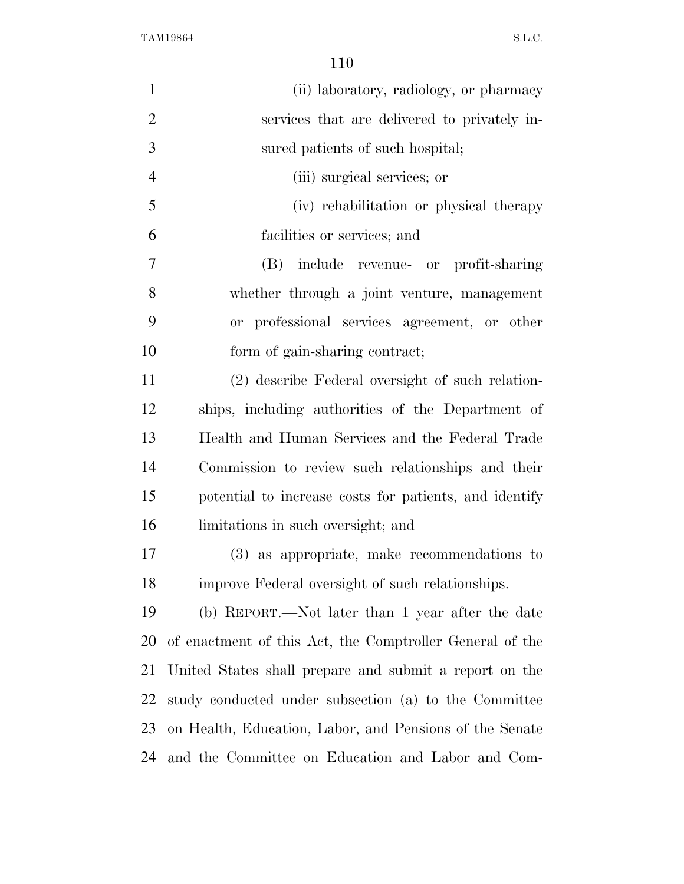| $\mathbf{1}$   | (ii) laboratory, radiology, or pharmacy                  |
|----------------|----------------------------------------------------------|
| $\overline{2}$ | services that are delivered to privately in-             |
| 3              | sured patients of such hospital;                         |
| $\overline{4}$ | (iii) surgical services; or                              |
| 5              | (iv) rehabilitation or physical therapy                  |
| 6              | facilities or services; and                              |
| $\overline{7}$ | include revenue- or profit-sharing<br>(B)                |
| 8              | whether through a joint venture, management              |
| 9              | or professional services agreement, or other             |
| 10             | form of gain-sharing contract;                           |
| 11             | (2) describe Federal oversight of such relation-         |
| 12             | ships, including authorities of the Department of        |
| 13             | Health and Human Services and the Federal Trade          |
| 14             | Commission to review such relationships and their        |
| 15             | potential to increase costs for patients, and identify   |
| 16             | limitations in such oversight; and                       |
| 17             | (3) as appropriate, make recommendations to              |
| 18             | improve Federal oversight of such relationships.         |
| 19             | (b) REPORT.—Not later than 1 year after the date         |
| 20             | of enactment of this Act, the Comptroller General of the |
| 21             | United States shall prepare and submit a report on the   |
| 22             | study conducted under subsection (a) to the Committee    |
| 23             | on Health, Education, Labor, and Pensions of the Senate  |
| 24             | and the Committee on Education and Labor and Com-        |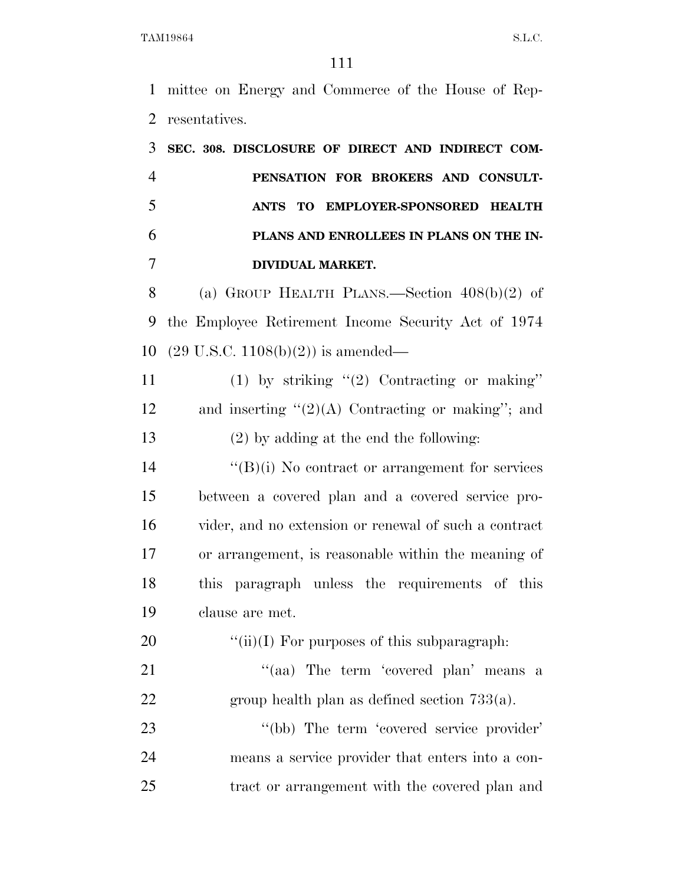mittee on Energy and Commerce of the House of Rep-resentatives.

 **SEC. 308. DISCLOSURE OF DIRECT AND INDIRECT COM- PENSATION FOR BROKERS AND CONSULT- ANTS TO EMPLOYER-SPONSORED HEALTH PLANS AND ENROLLEES IN PLANS ON THE IN- DIVIDUAL MARKET.**  (a) GROUP HEALTH PLANS.—Section 408(b)(2) of the Employee Retirement Income Security Act of 1974 (29 U.S.C. 1108(b)(2)) is amended—

11 (1) by striking "(2) Contracting or making" 12 and inserting  $(2)(A)$  Contracting or making''; and (2) by adding at the end the following:

 ''(B)(i) No contract or arrangement for services between a covered plan and a covered service pro- vider, and no extension or renewal of such a contract or arrangement, is reasonable within the meaning of this paragraph unless the requirements of this clause are met.

20  $\frac{((ii)(I) \text{ For purposes of this subparagraph:}}{}$ 

21 "(aa) The term 'covered plan' means a group health plan as defined section 733(a).

23 "(bb) The term 'covered service provider' means a service provider that enters into a con-tract or arrangement with the covered plan and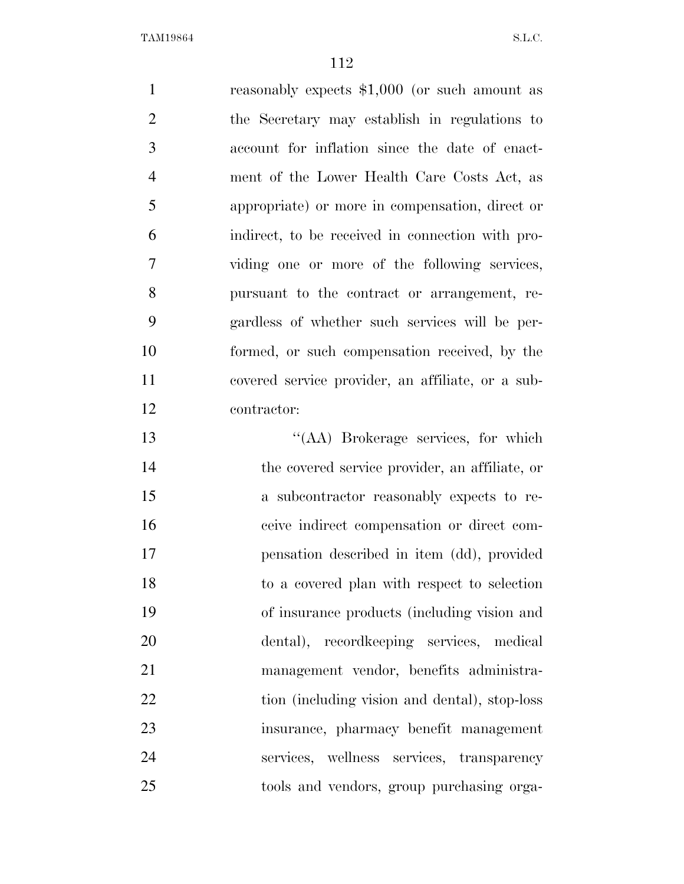reasonably expects \$1,000 (or such amount as the Secretary may establish in regulations to account for inflation since the date of enact- ment of the Lower Health Care Costs Act, as appropriate) or more in compensation, direct or indirect, to be received in connection with pro- viding one or more of the following services, pursuant to the contract or arrangement, re- gardless of whether such services will be per- formed, or such compensation received, by the covered service provider, an affiliate, or a sub- contractor: ''(AA) Brokerage services, for which the covered service provider, an affiliate, or

 a subcontractor reasonably expects to re- ceive indirect compensation or direct com- pensation described in item (dd), provided to a covered plan with respect to selection of insurance products (including vision and dental), recordkeeping services, medical management vendor, benefits administra-22 tion (including vision and dental), stop-loss insurance, pharmacy benefit management services, wellness services, transparency tools and vendors, group purchasing orga-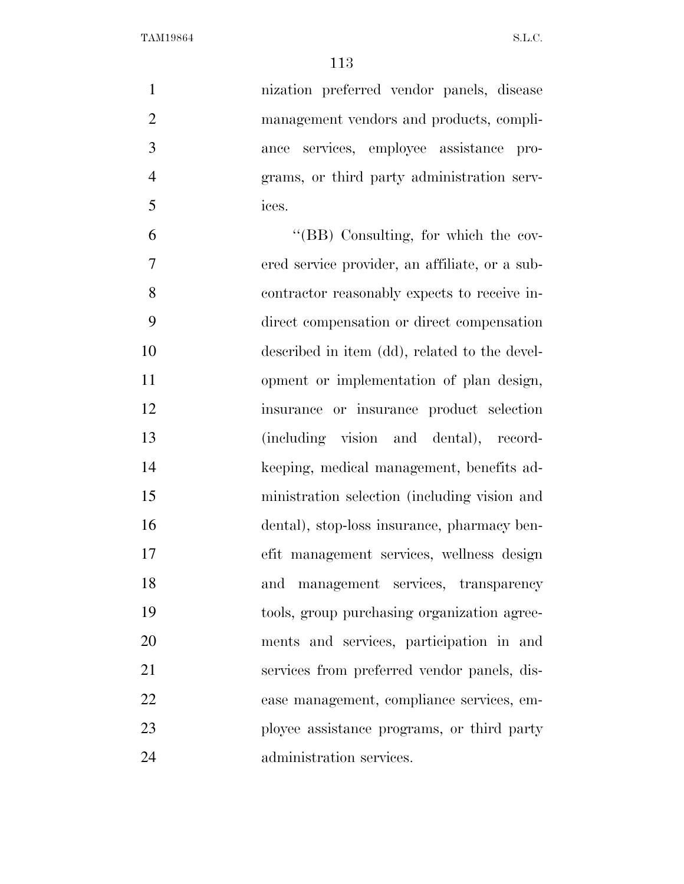| $\mathbf{1}$   | nization preferred vendor panels, disease      |
|----------------|------------------------------------------------|
| $\mathfrak{2}$ | management vendors and products, compli-       |
| 3              | services, employee assistance pro-<br>ance     |
| $\overline{4}$ | grams, or third party administration serv-     |
| 5              | ices.                                          |
| 6              | "(BB) Consulting, for which the cov-           |
| 7              | ered service provider, an affiliate, or a sub- |
| 8              | contractor reasonably expects to receive in-   |
| 9              | direct compensation or direct compensation     |
| 10             | described in item (dd), related to the devel-  |
| 11             | opment or implementation of plan design,       |
| 12             | insurance or insurance product selection       |
| 13             | (including vision and dental), record-         |
| 14             | keeping, medical management, benefits ad-      |
| 15             | ministration selection (including vision and   |
| 16             | dental), stop-loss insurance, pharmacy ben-    |
| 17             | efit management services, wellness design      |
| 18             | and management services, transparency          |
| 19             | tools, group purchasing organization agree-    |
| 20             | ments and services, participation in and       |
| 21             | services from preferred vendor panels, dis-    |
| 22             | ease management, compliance services, em-      |
| 23             | ployee assistance programs, or third party     |
| 24             | administration services.                       |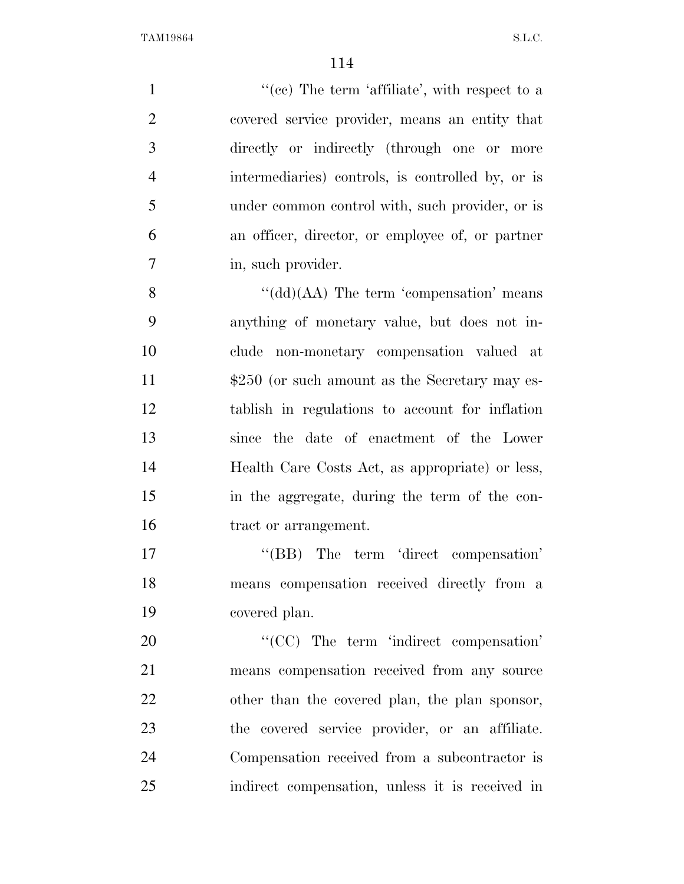$\lq(ce)$  The term 'affiliate', with respect to a covered service provider, means an entity that directly or indirectly (through one or more intermediaries) controls, is controlled by, or is under common control with, such provider, or is an officer, director, or employee of, or partner 7 in, such provider. 8 ''(dd)(AA) The term 'compensation' means anything of monetary value, but does not in- clude non-monetary compensation valued at  $$250$  (or such amount as the Secretary may es- tablish in regulations to account for inflation since the date of enactment of the Lower Health Care Costs Act, as appropriate) or less, in the aggregate, during the term of the con- tract or arrangement. 17 "'(BB) The term 'direct compensation' means compensation received directly from a covered plan.  $\text{``(CC)}$  The term 'indirect compensation' means compensation received from any source other than the covered plan, the plan sponsor, the covered service provider, or an affiliate. Compensation received from a subcontractor is

indirect compensation, unless it is received in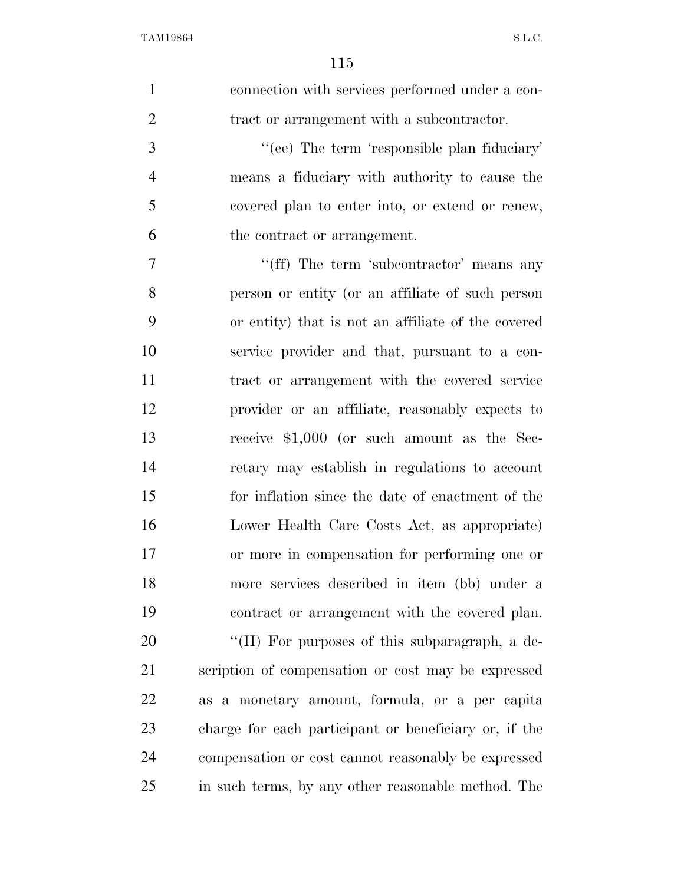| $\mathbf{1}$   | connection with services performed under a con-       |
|----------------|-------------------------------------------------------|
| $\overline{2}$ | tract or arrangement with a subcontractor.            |
| 3              | "(ee) The term 'responsible plan fiduciary'           |
| $\overline{4}$ | means a fiduciary with authority to cause the         |
| 5              | covered plan to enter into, or extend or renew,       |
| 6              | the contract or arrangement.                          |
| $\overline{7}$ | "(ff) The term 'subcontractor' means any              |
| 8              | person or entity (or an affiliate of such person      |
| 9              | or entity) that is not an affiliate of the covered    |
| 10             | service provider and that, pursuant to a con-         |
| 11             | tract or arrangement with the covered service         |
| 12             | provider or an affiliate, reasonably expects to       |
| 13             | receive \$1,000 (or such amount as the Sec-           |
| 14             | retary may establish in regulations to account        |
| 15             | for inflation since the date of enactment of the      |
| 16             | Lower Health Care Costs Act, as appropriate)          |
| 17             | or more in compensation for performing one or         |
| 18             | more services described in item (bb) under a          |
| 19             | contract or arrangement with the covered plan.        |
| 20             | "(II) For purposes of this subparagraph, a de-        |
| 21             | scription of compensation or cost may be expressed    |
| 22             | as a monetary amount, formula, or a per capita        |
| 23             | charge for each participant or beneficiary or, if the |
| 24             | compensation or cost cannot reasonably be expressed   |
| 25             | in such terms, by any other reasonable method. The    |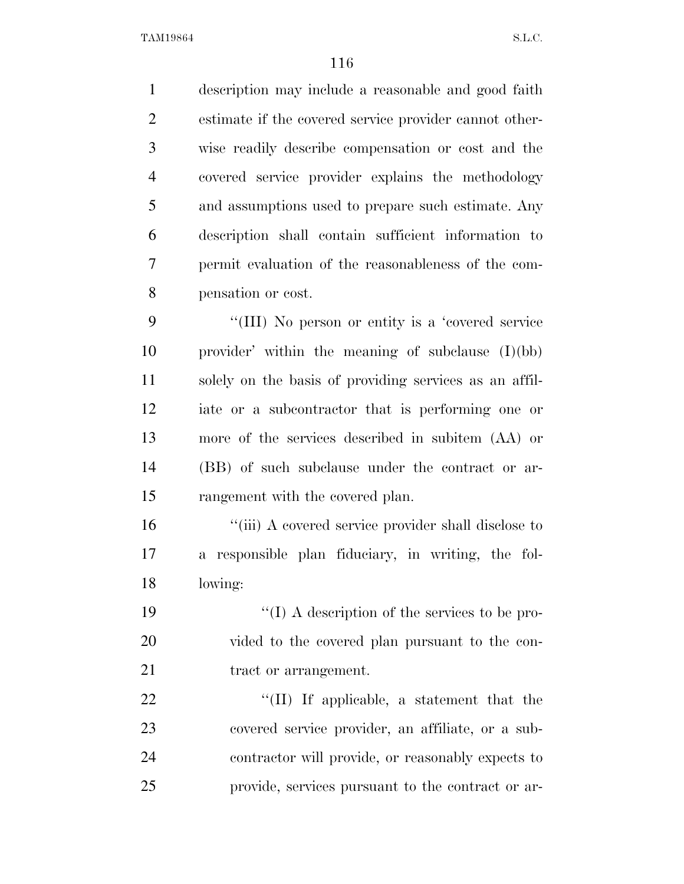description may include a reasonable and good faith estimate if the covered service provider cannot other- wise readily describe compensation or cost and the covered service provider explains the methodology and assumptions used to prepare such estimate. Any description shall contain sufficient information to permit evaluation of the reasonableness of the com-pensation or cost.

 ''(III) No person or entity is a 'covered service provider' within the meaning of subclause (I)(bb) solely on the basis of providing services as an affil- iate or a subcontractor that is performing one or more of the services described in subitem (AA) or (BB) of such subclause under the contract or ar-rangement with the covered plan.

16 "(iii) A covered service provider shall disclose to a responsible plan fiduciary, in writing, the fol-lowing:

19  $\cdot$  (I) A description of the services to be pro- vided to the covered plan pursuant to the con-21 tract or arrangement.

 $\text{``(II)}$  If applicable, a statement that the covered service provider, an affiliate, or a sub- contractor will provide, or reasonably expects to provide, services pursuant to the contract or ar-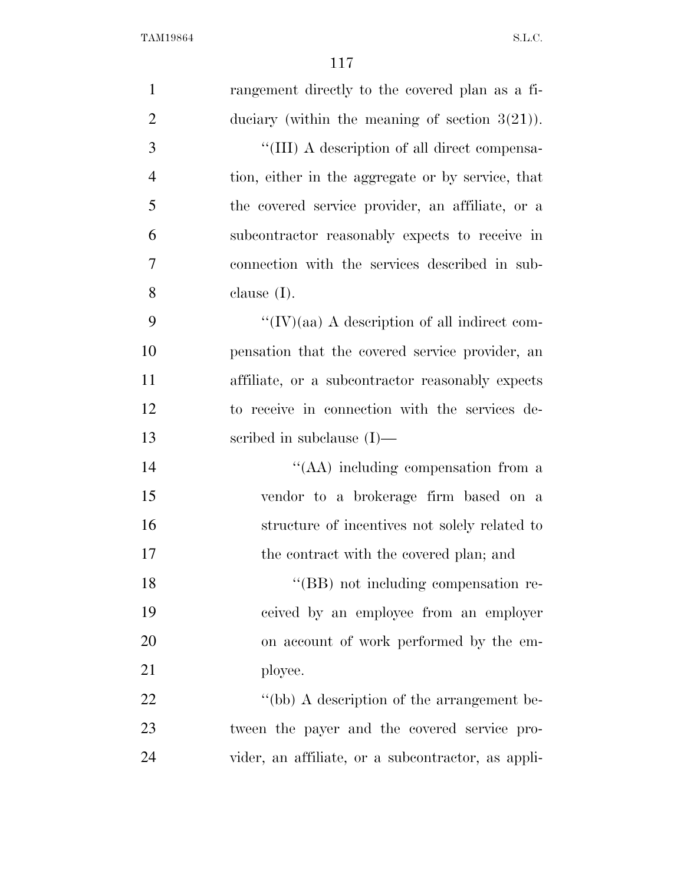| $\mathbf{1}$   | rangement directly to the covered plan as a fi-   |
|----------------|---------------------------------------------------|
| $\overline{2}$ | duciary (within the meaning of section $3(21)$ ). |
| 3              | "(III) A description of all direct compensa-      |
| $\overline{4}$ | tion, either in the aggregate or by service, that |
| 5              | the covered service provider, an affiliate, or a  |
| 6              | subcontractor reasonably expects to receive in    |
| 7              | connection with the services described in sub-    |
| 8              | clause $(I)$ .                                    |
| 9              | "(IV)(aa) A description of all indirect com-      |
| 10             | pensation that the covered service provider, an   |
| 11             | affiliate, or a subcontractor reasonably expects  |
| 12             | to receive in connection with the services de-    |
| 13             | scribed in subclause $(I)$ —                      |
| 14             | "(AA) including compensation from a               |
| 15             | vendor to a brokerage firm based on a             |
| 16             | structure of incentives not solely related to     |
| 17             | the contract with the covered plan; and           |
| 18             | "(BB) not including compensation re-              |
| 19             | ceived by an employee from an employer            |
| 20             | on account of work performed by the em-           |
| 21             | ployee.                                           |
| 22             | "(bb) A description of the arrangement be-        |
|                |                                                   |
| 23             | tween the payer and the covered service pro-      |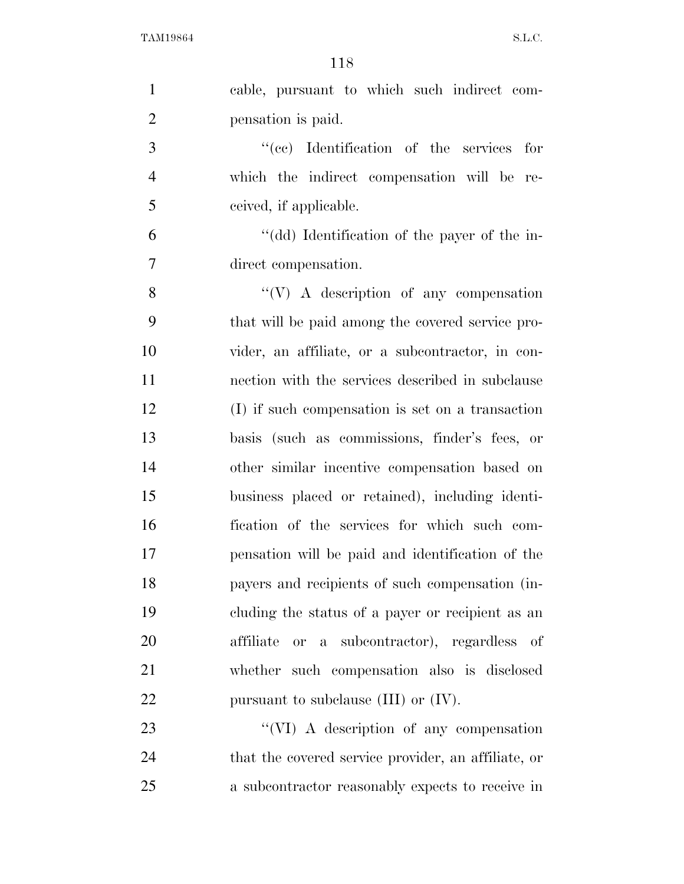| $\mathbf{1}$   | cable, pursuant to which such indirect com-         |
|----------------|-----------------------------------------------------|
| $\overline{2}$ | pensation is paid.                                  |
| 3              | "(cc) Identification of the services for            |
| $\overline{4}$ | which the indirect compensation will be re-         |
| 5              | ceived, if applicable.                              |
| 6              | "(dd) Identification of the payer of the in-        |
| $\tau$         | direct compensation.                                |
| 8              | $\lq\lq(V)$ A description of any compensation       |
| 9              | that will be paid among the covered service pro-    |
| 10             | vider, an affiliate, or a subcontractor, in con-    |
| 11             | nection with the services described in subclause    |
| 12             | (I) if such compensation is set on a transaction    |
| 13             | basis (such as commissions, finder's fees, or       |
| 14             | other similar incentive compensation based on       |
| 15             | business placed or retained), including identi-     |
| 16             | fication of the services for which such com-        |
| 17             | pensation will be paid and identification of the    |
| 18             | payers and recipients of such compensation (in-     |
| 19             | cluding the status of a payer or recipient as an    |
| 20             | or a subcontractor), regardless of<br>affiliate     |
| 21             | whether such compensation also is disclosed         |
| 22             | pursuant to subclause $(III)$ or $(IV)$ .           |
| 23             | "(VI) A description of any compensation             |
| 24             | that the covered service provider, an affiliate, or |
| 25             | a subcontractor reasonably expects to receive in    |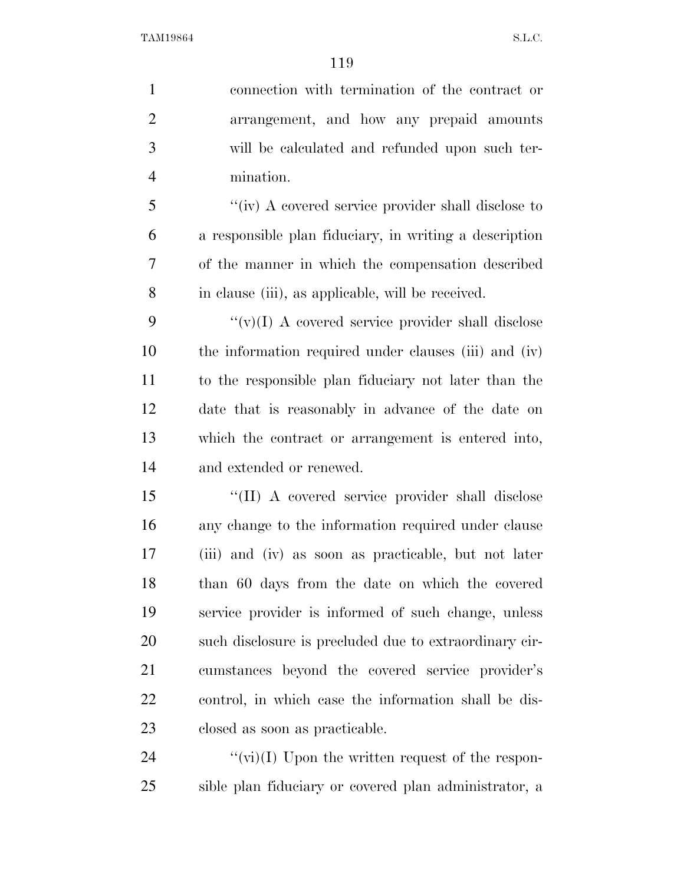connection with termination of the contract or arrangement, and how any prepaid amounts will be calculated and refunded upon such ter- mination. ''(iv) A covered service provider shall disclose to a responsible plan fiduciary, in writing a description of the manner in which the compensation described in clause (iii), as applicable, will be received.  $\langle \cdots \rangle$  (v)(I) A covered service provider shall disclose the information required under clauses (iii) and (iv) to the responsible plan fiduciary not later than the date that is reasonably in advance of the date on which the contract or arrangement is entered into, and extended or renewed. ''(II) A covered service provider shall disclose any change to the information required under clause (iii) and (iv) as soon as practicable, but not later than 60 days from the date on which the covered service provider is informed of such change, unless such disclosure is precluded due to extraordinary cir- cumstances beyond the covered service provider's control, in which case the information shall be dis- closed as soon as practicable.  $\langle \hat{v}(v_i)(I) \rangle$  Upon the written request of the respon-

sible plan fiduciary or covered plan administrator, a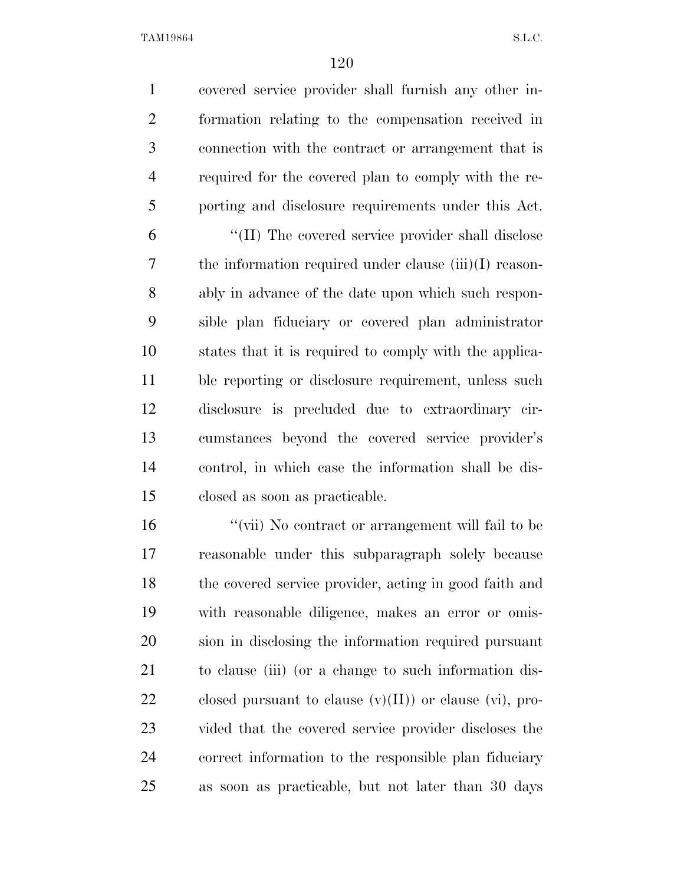covered service provider shall furnish any other in- formation relating to the compensation received in connection with the contract or arrangement that is required for the covered plan to comply with the re-porting and disclosure requirements under this Act.

 ''(II) The covered service provider shall disclose the information required under clause (iii)(I) reason- ably in advance of the date upon which such respon- sible plan fiduciary or covered plan administrator states that it is required to comply with the applica- ble reporting or disclosure requirement, unless such disclosure is precluded due to extraordinary cir- cumstances beyond the covered service provider's control, in which case the information shall be dis-closed as soon as practicable.

 ''(vii) No contract or arrangement will fail to be reasonable under this subparagraph solely because the covered service provider, acting in good faith and with reasonable diligence, makes an error or omis- sion in disclosing the information required pursuant to clause (iii) (or a change to such information dis-22 closed pursuant to clause  $(v)(II)$  or clause  $(vi)$ , pro- vided that the covered service provider discloses the correct information to the responsible plan fiduciary as soon as practicable, but not later than 30 days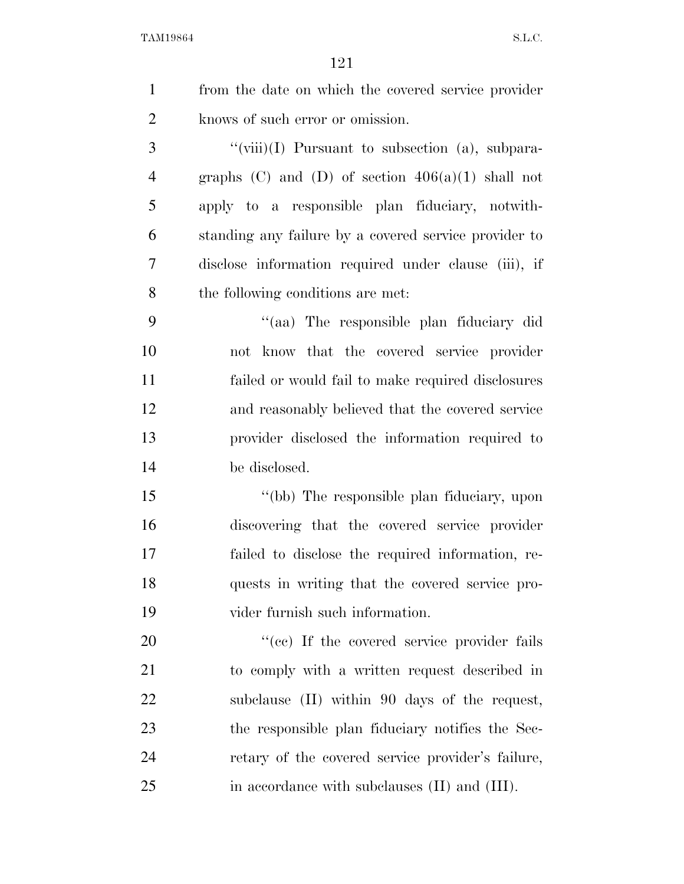| $\mathbf{1}$   | from the date on which the covered service provider   |
|----------------|-------------------------------------------------------|
| $\overline{2}$ | knows of such error or omission.                      |
| 3              | "(viii)(I) Pursuant to subsection (a), subpara-       |
| $\overline{4}$ | graphs (C) and (D) of section $406(a)(1)$ shall not   |
| 5              | apply to a responsible plan fiduciary, notwith-       |
| 6              | standing any failure by a covered service provider to |
| 7              | disclose information required under clause (iii), if  |
| 8              | the following conditions are met:                     |
| 9              | "(aa) The responsible plan fiduciary did              |
| 10             | not know that the covered service provider            |
| 11             | failed or would fail to make required disclosures     |
| 12             | and reasonably believed that the covered service      |
| 13             | provider disclosed the information required to        |
| 14             | be disclosed.                                         |
| 15             | "(bb) The responsible plan fiduciary, upon            |
| 16             | discovering that the covered service provider         |
| 17             | failed to disclose the required information, re-      |
| 18             | quests in writing that the covered service pro-       |
| 19             | vider furnish such information.                       |
| 20             | "(cc) If the covered service provider fails           |
| 21             | to comply with a written request described in         |
| 22             | subclause (II) within 90 days of the request,         |
| 23             | the responsible plan fiduciary notifies the Sec-      |
| 24             | retary of the covered service provider's failure,     |
| 25             | in accordance with subclauses (II) and (III).         |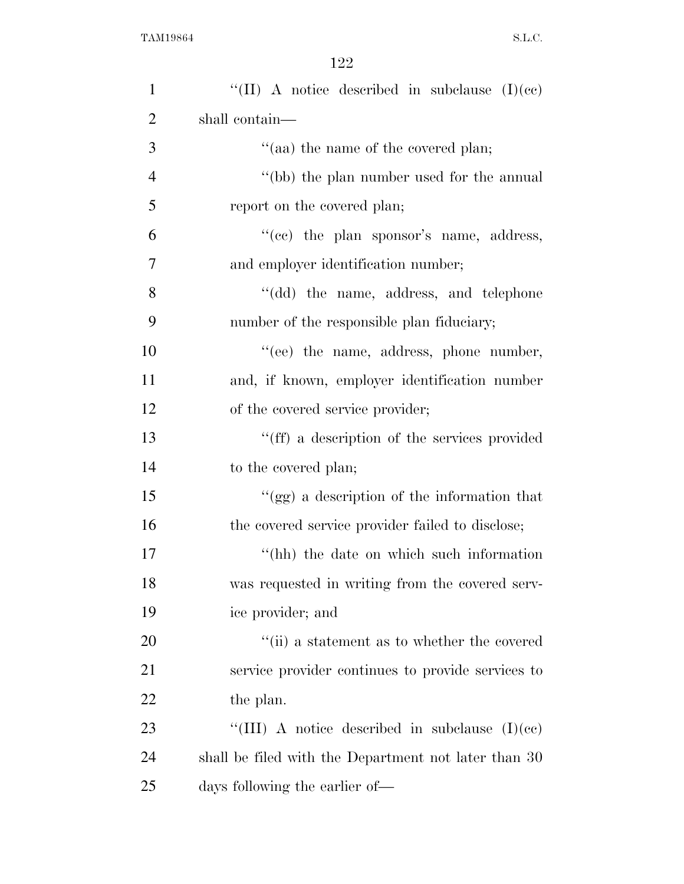| $\mathbf{1}$   | "(II) A notice described in subclause $(I)(ce)$      |
|----------------|------------------------------------------------------|
| $\overline{2}$ | shall contain—                                       |
| 3              | "(aa) the name of the covered plan;                  |
| $\overline{4}$ | "(bb) the plan number used for the annual            |
| 5              | report on the covered plan;                          |
| 6              | "(cc) the plan sponsor's name, address,              |
| $\overline{7}$ | and employer identification number;                  |
| 8              | "(dd) the name, address, and telephone               |
| 9              | number of the responsible plan fiduciary;            |
| 10             | "(ee) the name, address, phone number,               |
| 11             | and, if known, employer identification number        |
| 12             | of the covered service provider;                     |
| 13             | "(ff) a description of the services provided         |
| 14             | to the covered plan;                                 |
| 15             | "(gg) a description of the information that          |
| 16             | the covered service provider failed to disclose;     |
| 17             | "(hh) the date on which such information             |
| 18             | was requested in writing from the covered serv-      |
| 19             | ice provider; and                                    |
| 20             | "(ii) a statement as to whether the covered          |
| 21             | service provider continues to provide services to    |
| 22             | the plan.                                            |
| 23             | "(III) A notice described in subclause $(I)(ce)$     |
| 24             | shall be filed with the Department not later than 30 |
| 25             | days following the earlier of—                       |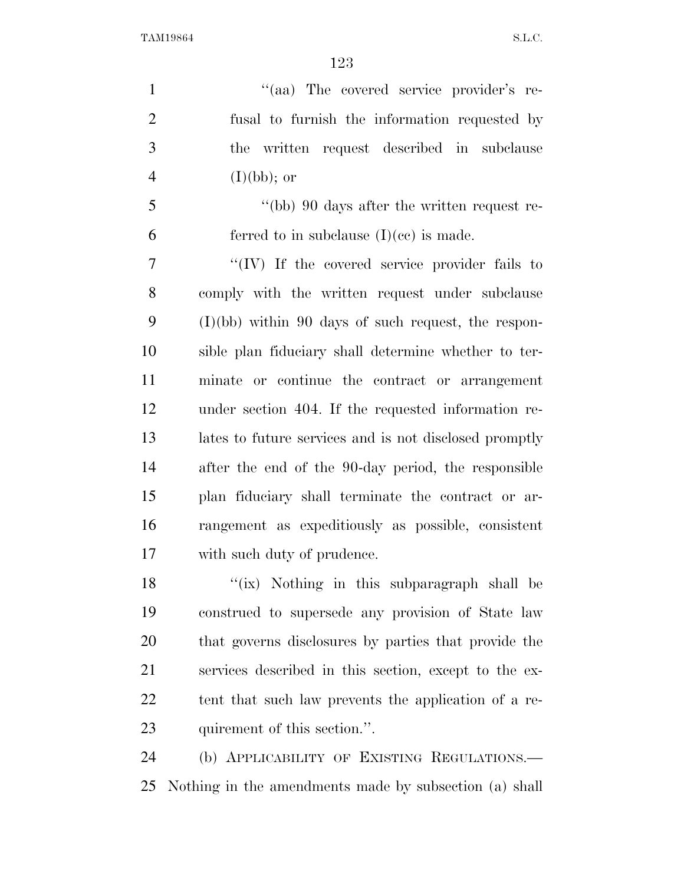$\frac{1}{2}$  (aa) The covered service provider's re- fusal to furnish the information requested by the written request described in subclause  $(I)(bb);$  or ''(bb) 90 days after the written request re-6 ferred to in subclause  $(I)(ce)$  is made. ''(IV) If the covered service provider fails to comply with the written request under subclause (I)(bb) within 90 days of such request, the respon- sible plan fiduciary shall determine whether to ter- minate or continue the contract or arrangement under section 404. If the requested information re- lates to future services and is not disclosed promptly after the end of the 90-day period, the responsible plan fiduciary shall terminate the contract or ar- rangement as expeditiously as possible, consistent with such duty of prudence. 18 ''(ix) Nothing in this subparagraph shall be construed to supersede any provision of State law that governs disclosures by parties that provide the services described in this section, except to the ex- tent that such law prevents the application of a re-quirement of this section.''.

 (b) APPLICABILITY OF EXISTING REGULATIONS.— Nothing in the amendments made by subsection (a) shall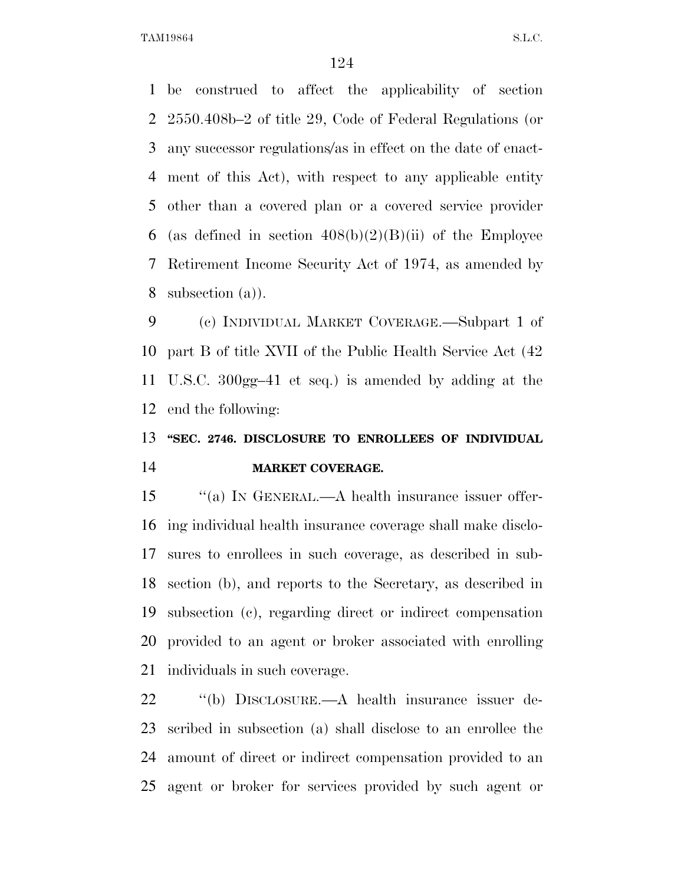be construed to affect the applicability of section 2550.408b–2 of title 29, Code of Federal Regulations (or any successor regulations/as in effect on the date of enact- ment of this Act), with respect to any applicable entity other than a covered plan or a covered service provider 6 (as defined in section  $408(b)(2)(B)(ii)$  of the Employee Retirement Income Security Act of 1974, as amended by subsection (a)).

 (c) INDIVIDUAL MARKET COVERAGE.—Subpart 1 of part B of title XVII of the Public Health Service Act (42 U.S.C. 300gg–41 et seq.) is amended by adding at the end the following:

## **''SEC. 2746. DISCLOSURE TO ENROLLEES OF INDIVIDUAL MARKET COVERAGE.**

15 "(a) In GENERAL.—A health insurance issuer offer- ing individual health insurance coverage shall make disclo- sures to enrollees in such coverage, as described in sub- section (b), and reports to the Secretary, as described in subsection (c), regarding direct or indirect compensation provided to an agent or broker associated with enrolling individuals in such coverage.

 ''(b) DISCLOSURE.—A health insurance issuer de- scribed in subsection (a) shall disclose to an enrollee the amount of direct or indirect compensation provided to an agent or broker for services provided by such agent or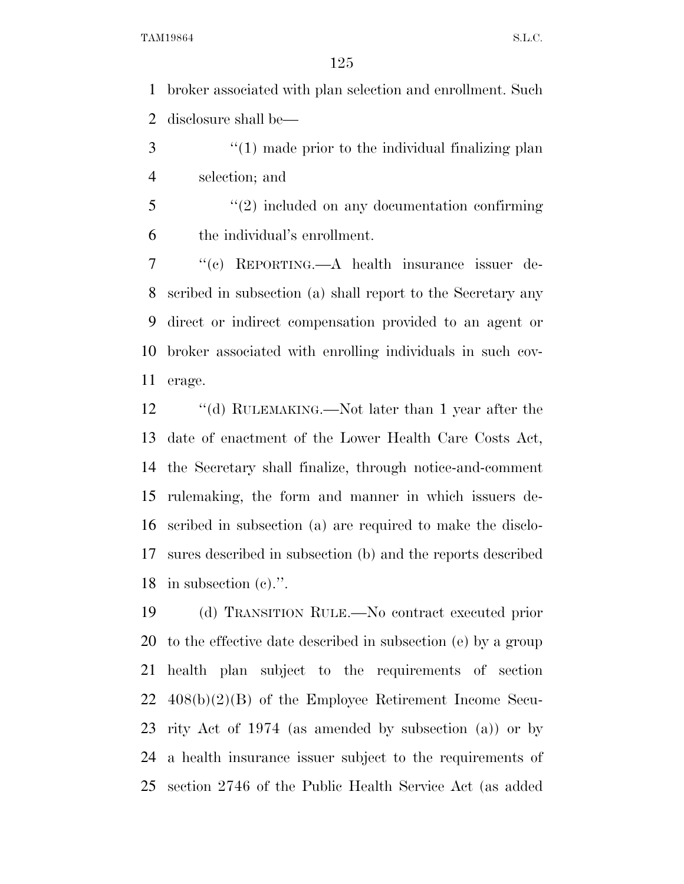broker associated with plan selection and enrollment. Such disclosure shall be—

3 (1) made prior to the individual finalizing plan selection; and

 ''(2) included on any documentation confirming the individual's enrollment.

 ''(c) REPORTING.—A health insurance issuer de- scribed in subsection (a) shall report to the Secretary any direct or indirect compensation provided to an agent or broker associated with enrolling individuals in such cov-erage.

12 ''(d) RULEMAKING.—Not later than 1 year after the date of enactment of the Lower Health Care Costs Act, the Secretary shall finalize, through notice-and-comment rulemaking, the form and manner in which issuers de- scribed in subsection (a) are required to make the disclo- sures described in subsection (b) and the reports described in subsection (c).''.

 (d) TRANSITION RULE.—No contract executed prior to the effective date described in subsection (e) by a group health plan subject to the requirements of section 408(b)(2)(B) of the Employee Retirement Income Secu- rity Act of 1974 (as amended by subsection (a)) or by a health insurance issuer subject to the requirements of section 2746 of the Public Health Service Act (as added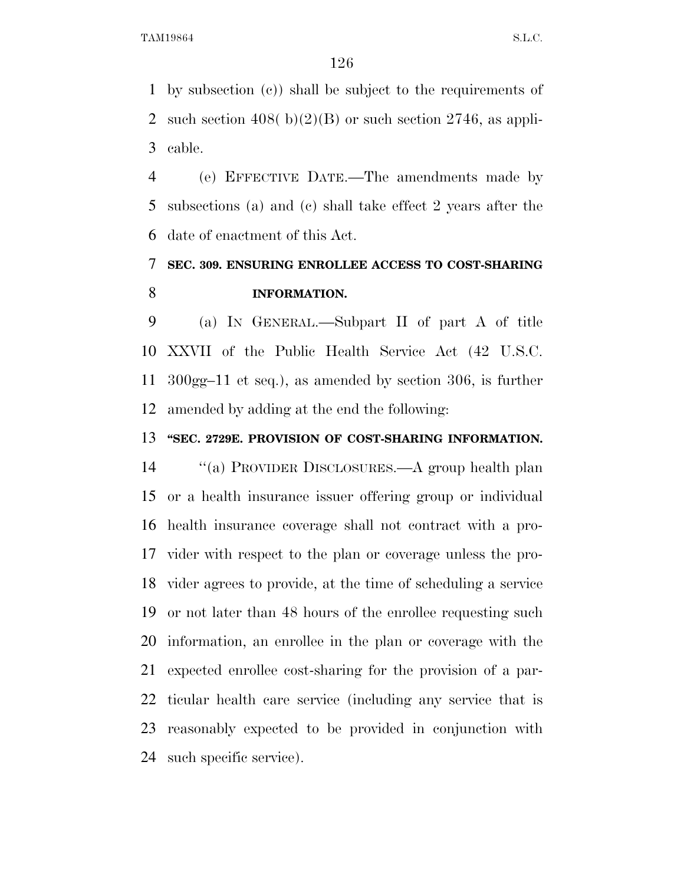by subsection (c)) shall be subject to the requirements of 2 such section  $408(b)(2)(B)$  or such section  $2746$ , as appli-cable.

 (e) EFFECTIVE DATE.—The amendments made by subsections (a) and (c) shall take effect 2 years after the date of enactment of this Act.

### **SEC. 309. ENSURING ENROLLEE ACCESS TO COST-SHARING INFORMATION.**

 (a) IN GENERAL.—Subpart II of part A of title XXVII of the Public Health Service Act (42 U.S.C. 300gg–11 et seq.), as amended by section 306, is further amended by adding at the end the following:

#### **''SEC. 2729E. PROVISION OF COST-SHARING INFORMATION.**

 ''(a) PROVIDER DISCLOSURES.—A group health plan or a health insurance issuer offering group or individual health insurance coverage shall not contract with a pro- vider with respect to the plan or coverage unless the pro- vider agrees to provide, at the time of scheduling a service or not later than 48 hours of the enrollee requesting such information, an enrollee in the plan or coverage with the expected enrollee cost-sharing for the provision of a par- ticular health care service (including any service that is reasonably expected to be provided in conjunction with such specific service).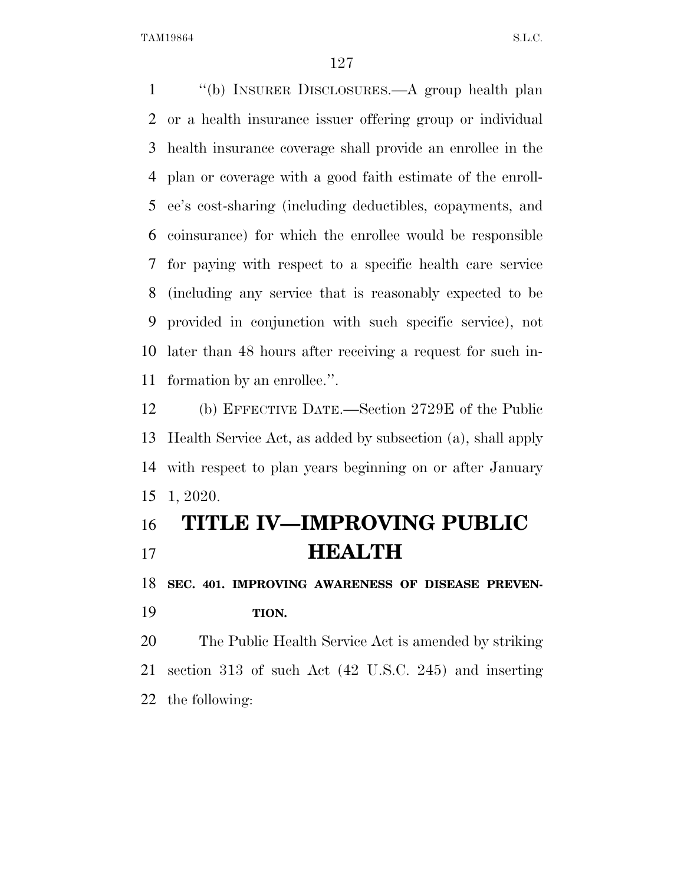''(b) INSURER DISCLOSURES.—A group health plan or a health insurance issuer offering group or individual health insurance coverage shall provide an enrollee in the plan or coverage with a good faith estimate of the enroll- ee's cost-sharing (including deductibles, copayments, and coinsurance) for which the enrollee would be responsible for paying with respect to a specific health care service (including any service that is reasonably expected to be provided in conjunction with such specific service), not later than 48 hours after receiving a request for such in-formation by an enrollee.''.

 (b) EFFECTIVE DATE.—Section 2729E of the Public Health Service Act, as added by subsection (a), shall apply with respect to plan years beginning on or after January 1, 2020.

## **TITLE IV—IMPROVING PUBLIC HEALTH**

 **SEC. 401. IMPROVING AWARENESS OF DISEASE PREVEN-TION.** 

 The Public Health Service Act is amended by striking section 313 of such Act (42 U.S.C. 245) and inserting the following: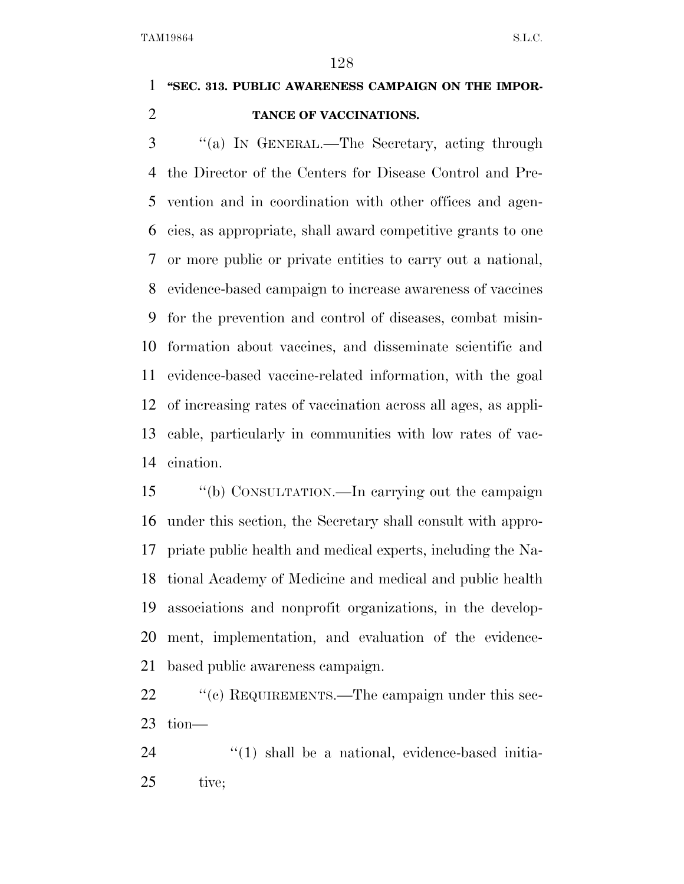## **''SEC. 313. PUBLIC AWARENESS CAMPAIGN ON THE IMPOR-TANCE OF VACCINATIONS.**

 ''(a) IN GENERAL.—The Secretary, acting through the Director of the Centers for Disease Control and Pre- vention and in coordination with other offices and agen- cies, as appropriate, shall award competitive grants to one or more public or private entities to carry out a national, evidence-based campaign to increase awareness of vaccines for the prevention and control of diseases, combat misin- formation about vaccines, and disseminate scientific and evidence-based vaccine-related information, with the goal of increasing rates of vaccination across all ages, as appli- cable, particularly in communities with low rates of vac-cination.

 ''(b) CONSULTATION.—In carrying out the campaign under this section, the Secretary shall consult with appro- priate public health and medical experts, including the Na- tional Academy of Medicine and medical and public health associations and nonprofit organizations, in the develop- ment, implementation, and evaluation of the evidence-based public awareness campaign.

22 " (c) REQUIREMENTS.—The campaign under this sec-tion—

  $(1)$  shall be a national, evidence-based initia-tive;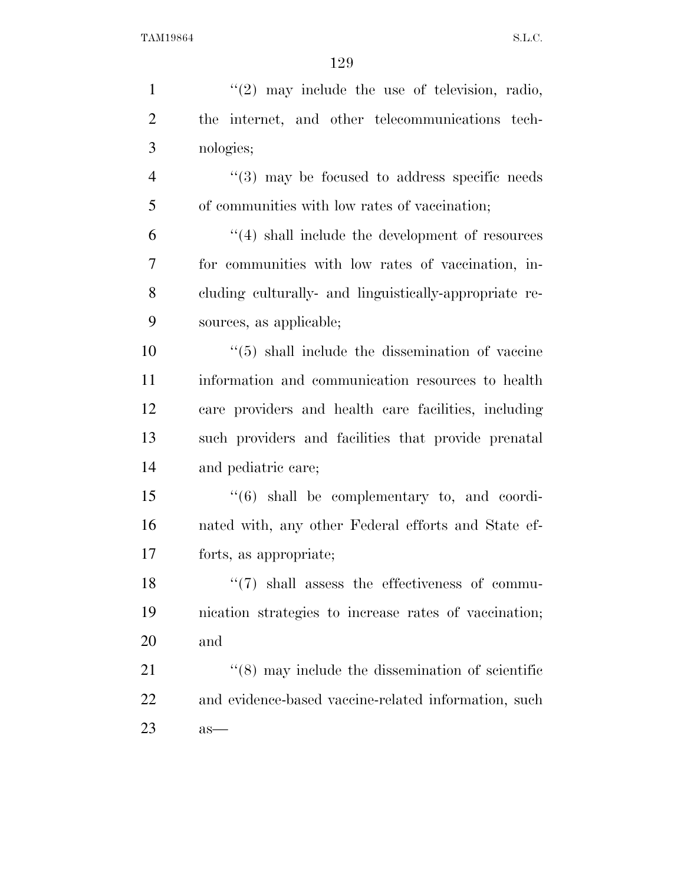| $\mathbf{1}$   | $(2)$ may include the use of television, radio,              |
|----------------|--------------------------------------------------------------|
| $\overline{2}$ | the internet, and other telecommunications tech-             |
| 3              | nologies;                                                    |
| $\overline{4}$ | $(3)$ may be focused to address specific needs               |
| 5              | of communities with low rates of vaccination;                |
| 6              | $\lq(4)$ shall include the development of resources          |
| $\overline{7}$ | for communities with low rates of vaccination, in-           |
| 8              | cluding culturally- and linguistically-appropriate re-       |
| 9              | sources, as applicable;                                      |
| 10             | $\cdot\cdot$ (5) shall include the dissemination of vaccine  |
| 11             | information and communication resources to health            |
| 12             | care providers and health care facilities, including         |
| 13             | such providers and facilities that provide prenatal          |
| 14             | and pediatric care;                                          |
| 15             | $\cdot$ (6) shall be complementary to, and coordi-           |
| 16             | nated with, any other Federal efforts and State ef-          |
| 17             | forts, as appropriate;                                       |
| 18             | $``(7)$ shall assess the effectiveness of commu-             |
| 19             | incation strategies to increase rates of vaccination;        |
| 20             | and                                                          |
| 21             | $\cdot\cdot$ (8) may include the dissemination of scientific |
| 22             | and evidence-based vaccine-related information, such         |
| 23             | $as-$                                                        |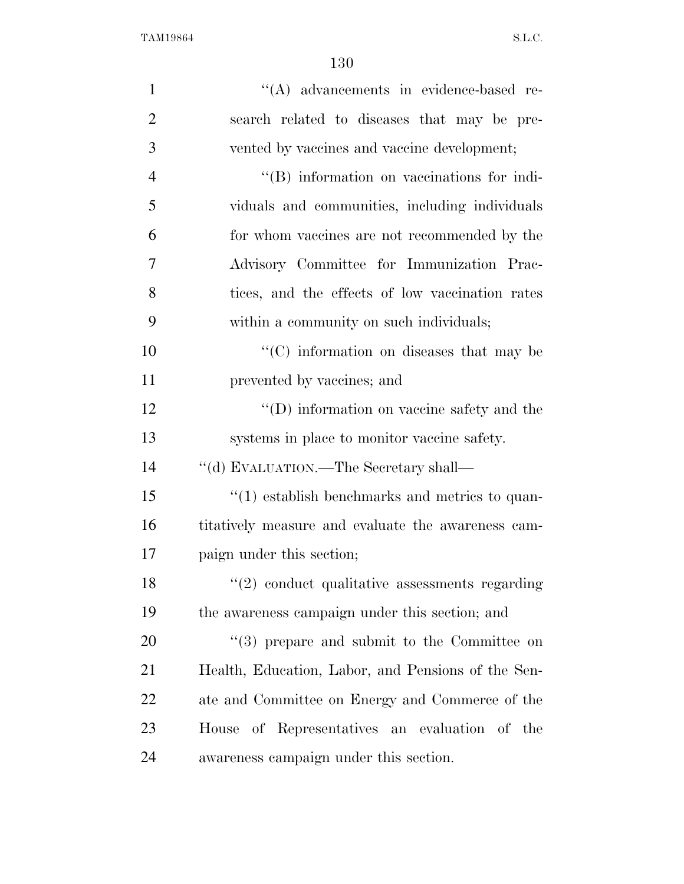| $\mathbf{1}$   | "(A) advancements in evidence-based re-                     |
|----------------|-------------------------------------------------------------|
| $\overline{2}$ | search related to diseases that may be pre-                 |
| 3              | vented by vaccines and vaccine development;                 |
| $\overline{4}$ | $\lq\lq (B)$ information on vaccinations for indi-          |
| 5              | viduals and communities, including individuals              |
| 6              | for whom vaccines are not recommended by the                |
| 7              | Advisory Committee for Immunization Prac-                   |
| 8              | tices, and the effects of low vaccination rates             |
| 9              | within a community on such individuals;                     |
| 10             | "(C) information on diseases that may be                    |
| 11             | prevented by vaccines; and                                  |
| 12             | $\lq\lq$ (D) information on vaccine safety and the          |
| 13             | systems in place to monitor vaccine safety.                 |
| 14             | "(d) EVALUATION.—The Secretary shall—                       |
| 15             | $\cdot$ (1) establish benchmarks and metrics to quan-       |
| 16             | titatively measure and evaluate the awareness cam-          |
| 17             | paign under this section;                                   |
| 18             | $\lq(2)$ conduct qualitative assessments regarding          |
| 19             | the awareness campaign under this section; and              |
| 20             | $\cdot\cdot\cdot(3)$ prepare and submit to the Committee on |
| 21             | Health, Education, Labor, and Pensions of the Sen-          |
| 22             | ate and Committee on Energy and Commerce of the             |
| 23             | House of Representatives an evaluation of the               |
| 24             | awareness campaign under this section.                      |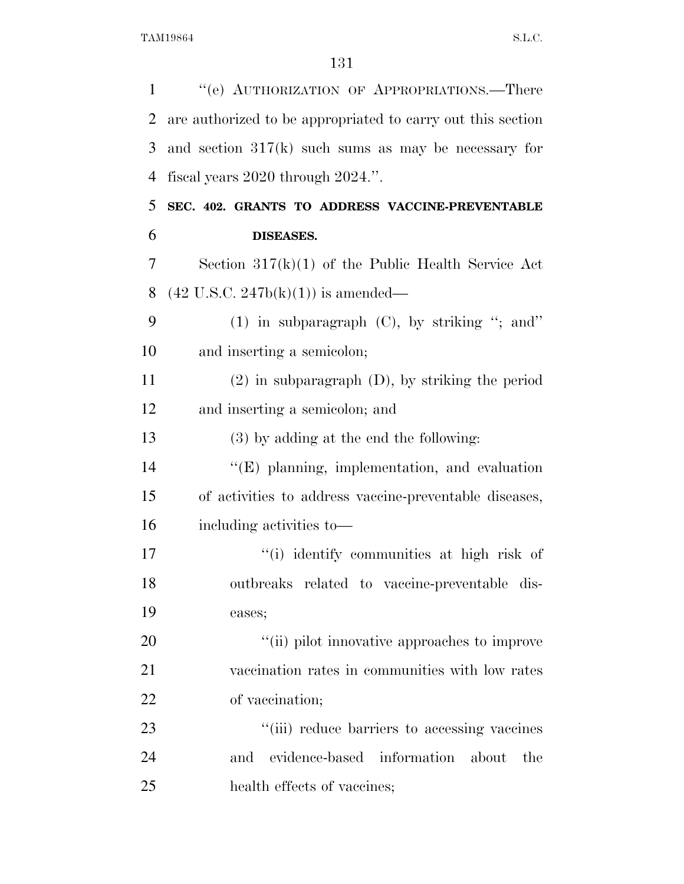| $\mathbf{1}$   | "(e) AUTHORIZATION OF APPROPRIATIONS.—There                 |
|----------------|-------------------------------------------------------------|
| $\overline{2}$ | are authorized to be appropriated to carry out this section |
| 3              | and section $317(k)$ such sums as may be necessary for      |
| $\overline{4}$ | fiscal years $2020$ through $2024$ .".                      |
| 5              | SEC. 402. GRANTS TO ADDRESS VACCINE-PREVENTABLE             |
| 6              | DISEASES.                                                   |
| 7              | Section $317(k)(1)$ of the Public Health Service Act        |
| 8              | $(42 \text{ U.S.C. } 247b(k)(1))$ is amended—               |
| 9              | $(1)$ in subparagraph $(C)$ , by striking "; and"           |
| 10             | and inserting a semicolon;                                  |
| 11             | $(2)$ in subparagraph $(D)$ , by striking the period        |
| 12             | and inserting a semicolon; and                              |
| 13             | (3) by adding at the end the following:                     |
| 14             | $\lq\lq$ (E) planning, implementation, and evaluation       |
| 15             | of activities to address vaccine-preventable diseases,      |
| 16             | including activities to-                                    |
| 17             | "(i) identify communities at high risk of                   |
| 18             | outbreaks related to vaccine-preventable dis-               |
| 19             | eases;                                                      |
| 20             | "(ii) pilot innovative approaches to improve                |
| 21             | vaccination rates in communities with low rates             |
| 22             | of vaccination;                                             |
| 23             | "(iii) reduce barriers to accessing vaccines                |
| 24             | evidence-based<br>information<br>and<br>about<br>the        |
| 25             | health effects of vaccines;                                 |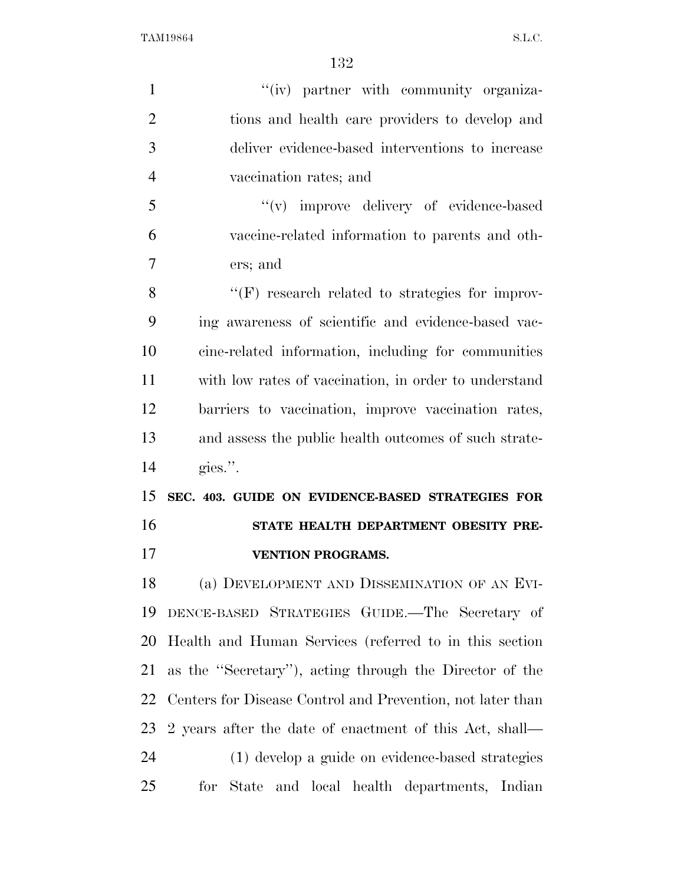| $\mathbf{1}$   | "(iv) partner with community organiza-                     |
|----------------|------------------------------------------------------------|
| $\overline{2}$ | tions and health care providers to develop and             |
| 3              | deliver evidence-based interventions to increase           |
| $\overline{4}$ | vaccination rates; and                                     |
| 5              | "(v) improve delivery of evidence-based                    |
| 6              | vaccine-related information to parents and oth-            |
| 7              | ers; and                                                   |
| 8              | "(F) research related to strategies for improv-            |
| 9              | ing awareness of scientific and evidence-based vac-        |
| 10             | cine-related information, including for communities        |
| 11             | with low rates of vaccination, in order to understand      |
| 12             | barriers to vaccination, improve vaccination rates,        |
| 13             | and assess the public health outcomes of such strate-      |
| 14             | gies.".                                                    |
| 15             | SEC. 403. GUIDE ON EVIDENCE-BASED STRATEGIES FOR           |
| 16             | STATE HEALTH DEPARTMENT OBESITY PRE-                       |
| 17             | <b>VENTION PROGRAMS.</b>                                   |
| 18             | (a) DEVELOPMENT AND DISSEMINATION OF AN EVI-               |
| 19             | DENCE-BASED STRATEGIES GUIDE.—The Secretary of             |
| 20             | Health and Human Services (referred to in this section     |
| 21             | as the "Secretary"), acting through the Director of the    |
| 22             | Centers for Disease Control and Prevention, not later than |
| 23             | 2 years after the date of enactment of this Act, shall—    |
| 24             | (1) develop a guide on evidence-based strategies           |
| 25             | State and local health departments, Indian<br>for          |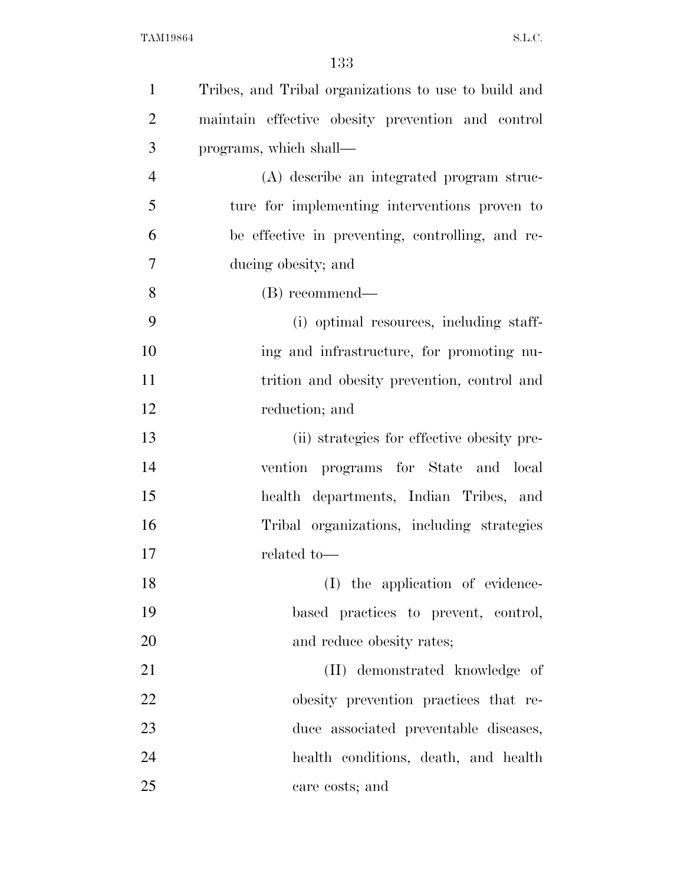| $\mathbf{1}$   | Tribes, and Tribal organizations to use to build and |
|----------------|------------------------------------------------------|
| $\overline{2}$ | maintain effective obesity prevention and control    |
| 3              | programs, which shall—                               |
| $\overline{4}$ | (A) describe an integrated program struc-            |
| 5              | ture for implementing interventions proven to        |
| 6              | be effective in preventing, controlling, and re-     |
| 7              | ducing obesity; and                                  |
| 8              | (B) recommend—                                       |
| 9              | (i) optimal resources, including staff-              |
| 10             | ing and infrastructure, for promoting nu-            |
| 11             | trition and obesity prevention, control and          |
| 12             | reduction; and                                       |
| 13             | (ii) strategies for effective obesity pre-           |
| 14             | vention programs for State and local                 |
| 15             | health departments, Indian Tribes, and               |
| 16             | Tribal organizations, including strategies           |
| 17             | related to-                                          |
| 18             | (I) the application of evidence-                     |
| 19             | based practices to prevent, control,                 |
| 20             | and reduce obesity rates;                            |
| 21             | (II) demonstrated knowledge of                       |
| 22             | obesity prevention practices that re-                |
| 23             | duce associated preventable diseases,                |
| 24             | health conditions, death, and health                 |
| 25             | care costs; and                                      |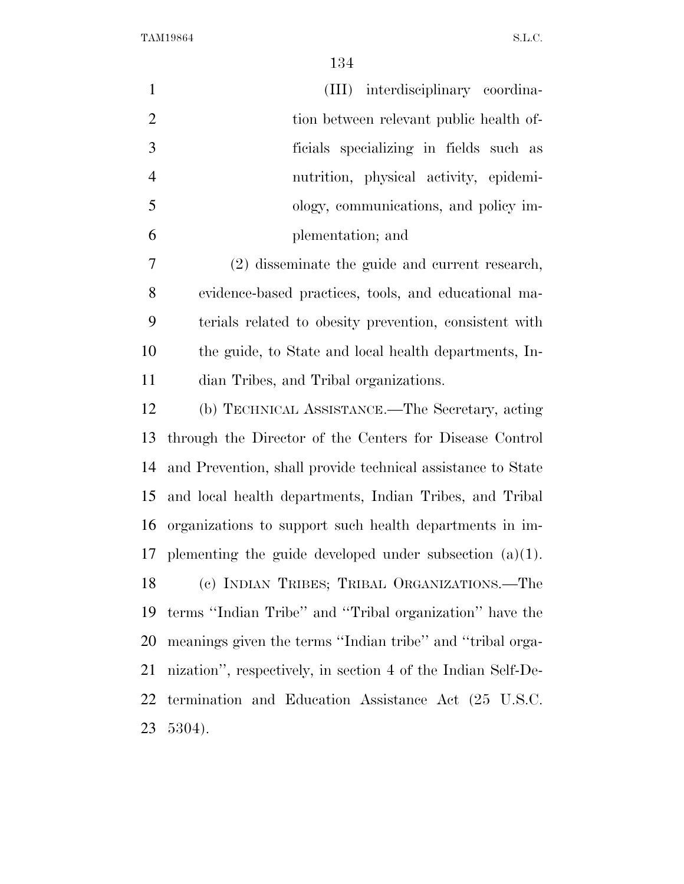| $\mathbf{1}$   | (III) interdisciplinary coordina-                            |
|----------------|--------------------------------------------------------------|
| $\overline{2}$ | tion between relevant public health of-                      |
| 3              | ficials specializing in fields such as                       |
| $\overline{4}$ | nutrition, physical activity, epidemi-                       |
| 5              | ology, communications, and policy im-                        |
| 6              | plementation; and                                            |
| 7              | (2) disseminate the guide and current research,              |
| 8              | evidence-based practices, tools, and educational ma-         |
| 9              | terials related to obesity prevention, consistent with       |
| 10             | the guide, to State and local health departments, In-        |
| 11             | dian Tribes, and Tribal organizations.                       |
| 12             | (b) TECHNICAL ASSISTANCE.—The Secretary, acting              |
| 13             | through the Director of the Centers for Disease Control      |
| 14             | and Prevention, shall provide technical assistance to State  |
| 15             | and local health departments, Indian Tribes, and Tribal      |
| 16             | organizations to support such health departments in im-      |
| 17             | plementing the guide developed under subsection $(a)(1)$ .   |
| 18             | (c) INDIAN TRIBES; TRIBAL ORGANIZATIONS.—The                 |
| 19             | terms "Indian Tribe" and "Tribal organization" have the      |
| 20             | meanings given the terms "Indian tribe" and "tribal orga-    |
| 21             | nization", respectively, in section 4 of the Indian Self-De- |
| 22             | termination and Education Assistance Act (25 U.S.C.          |
| 23             | 5304).                                                       |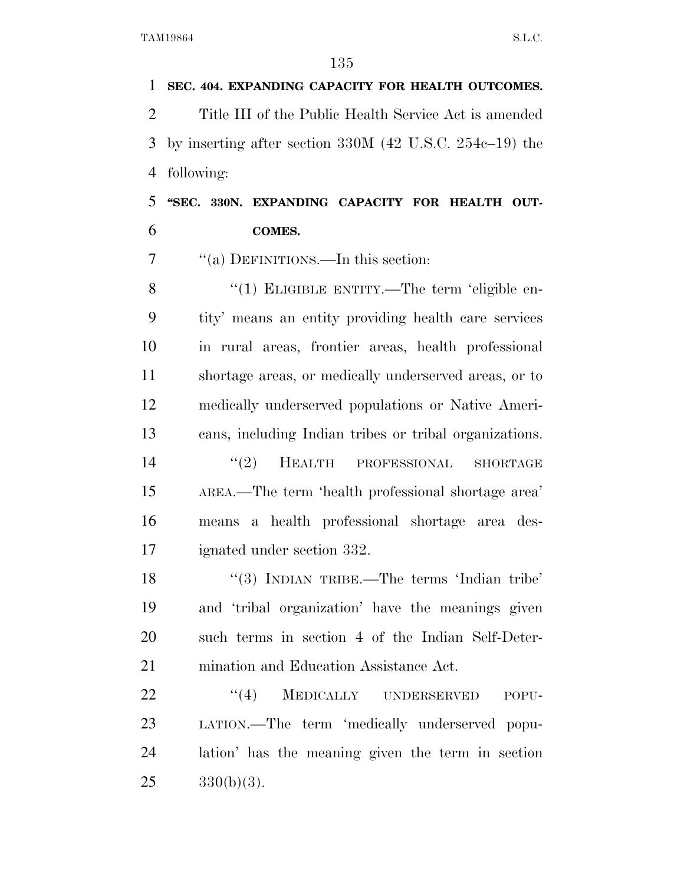**SEC. 404. EXPANDING CAPACITY FOR HEALTH OUTCOMES.**  Title III of the Public Health Service Act is amended by inserting after section 330M (42 U.S.C. 254c–19) the following: **''SEC. 330N. EXPANDING CAPACITY FOR HEALTH OUT-**

**COMES.** 

7 "(a) DEFINITIONS.—In this section:

8 "(1) ELIGIBLE ENTITY.—The term 'eligible en- tity' means an entity providing health care services in rural areas, frontier areas, health professional shortage areas, or medically underserved areas, or to medically underserved populations or Native Ameri- cans, including Indian tribes or tribal organizations. 14 ''(2) HEALTH PROFESSIONAL SHORTAGE AREA.—The term 'health professional shortage area'

 means a health professional shortage area des-ignated under section 332.

18 "(3) INDIAN TRIBE.—The terms 'Indian tribe' and 'tribal organization' have the meanings given such terms in section 4 of the Indian Self-Deter-mination and Education Assistance Act.

22 "(4) MEDICALLY UNDERSERVED POPU- LATION.—The term 'medically underserved popu- lation' has the meaning given the term in section  $25 \qquad \qquad 330(b)(3).$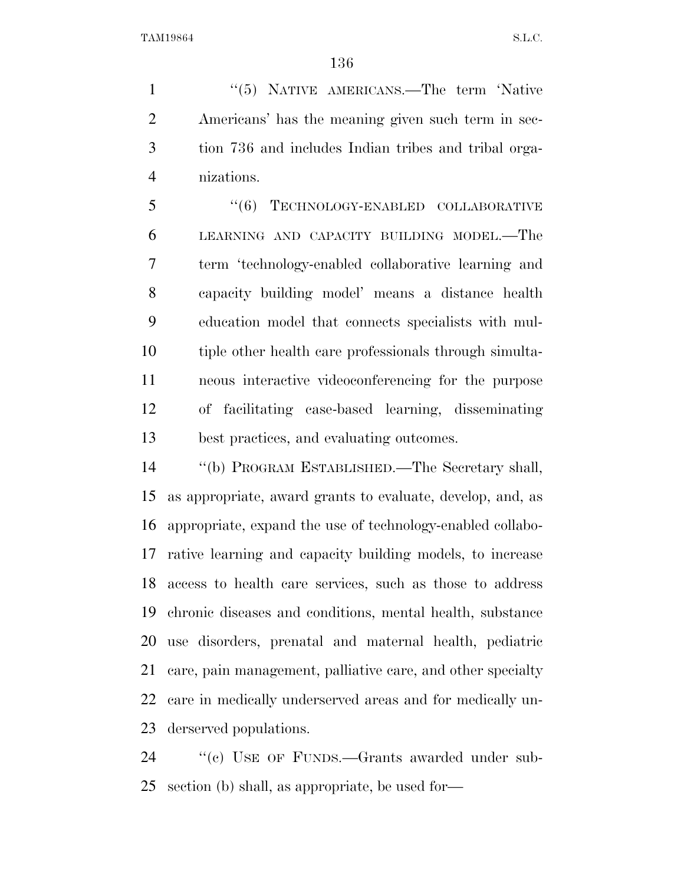1 "(5) NATIVE AMERICANS.—The term 'Native Americans' has the meaning given such term in sec- tion 736 and includes Indian tribes and tribal orga-nizations.

5 "(6) TECHNOLOGY-ENABLED COLLABORATIVE LEARNING AND CAPACITY BUILDING MODEL.—The term 'technology-enabled collaborative learning and capacity building model' means a distance health education model that connects specialists with mul- tiple other health care professionals through simulta- neous interactive videoconferencing for the purpose of facilitating case-based learning, disseminating best practices, and evaluating outcomes.

 ''(b) PROGRAM ESTABLISHED.—The Secretary shall, as appropriate, award grants to evaluate, develop, and, as appropriate, expand the use of technology-enabled collabo- rative learning and capacity building models, to increase access to health care services, such as those to address chronic diseases and conditions, mental health, substance use disorders, prenatal and maternal health, pediatric care, pain management, palliative care, and other specialty care in medically underserved areas and for medically un-derserved populations.

24 "(c) USE OF FUNDS.—Grants awarded under sub-section (b) shall, as appropriate, be used for—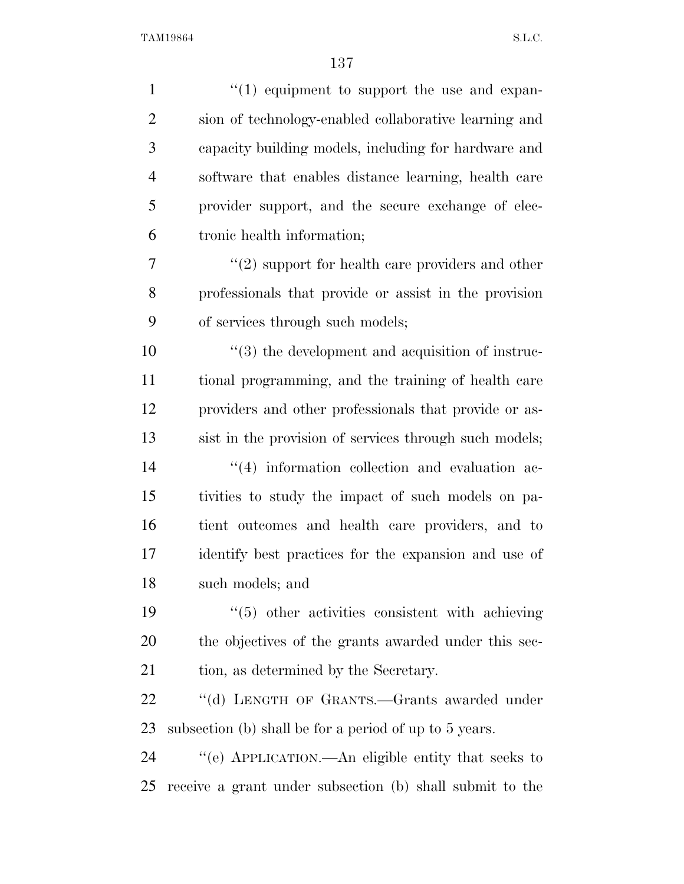| $\mathbf{1}$   | $\lq(1)$ equipment to support the use and expan-         |
|----------------|----------------------------------------------------------|
| $\overline{2}$ | sion of technology-enabled collaborative learning and    |
| 3              | capacity building models, including for hardware and     |
| $\overline{4}$ | software that enables distance learning, health care     |
| 5              | provider support, and the secure exchange of elec-       |
| 6              | tronic health information;                               |
| 7              | $"(2)$ support for health care providers and other       |
| 8              | professionals that provide or assist in the provision    |
| 9              | of services through such models;                         |
| 10             | $\lq(3)$ the development and acquisition of instruc-     |
| 11             | tional programming, and the training of health care      |
| 12             | providers and other professionals that provide or as-    |
| 13             | sist in the provision of services through such models;   |
| 14             | $(4)$ information collection and evaluation ac-          |
| 15             | tivities to study the impact of such models on pa-       |
| 16             | tient outcomes and health care providers, and to         |
| 17             | identify best practices for the expansion and use of     |
| 18             | such models; and                                         |
| 19             | $\lq(5)$ other activities consistent with achieving      |
| 20             | the objectives of the grants awarded under this sec-     |
| 21             | tion, as determined by the Secretary.                    |
| 22             | "(d) LENGTH OF GRANTS.-Grants awarded under              |
| 23             | subsection (b) shall be for a period of up to 5 years.   |
| 24             | "(e) APPLICATION.—An eligible entity that seeks to       |
| 25             | receive a grant under subsection (b) shall submit to the |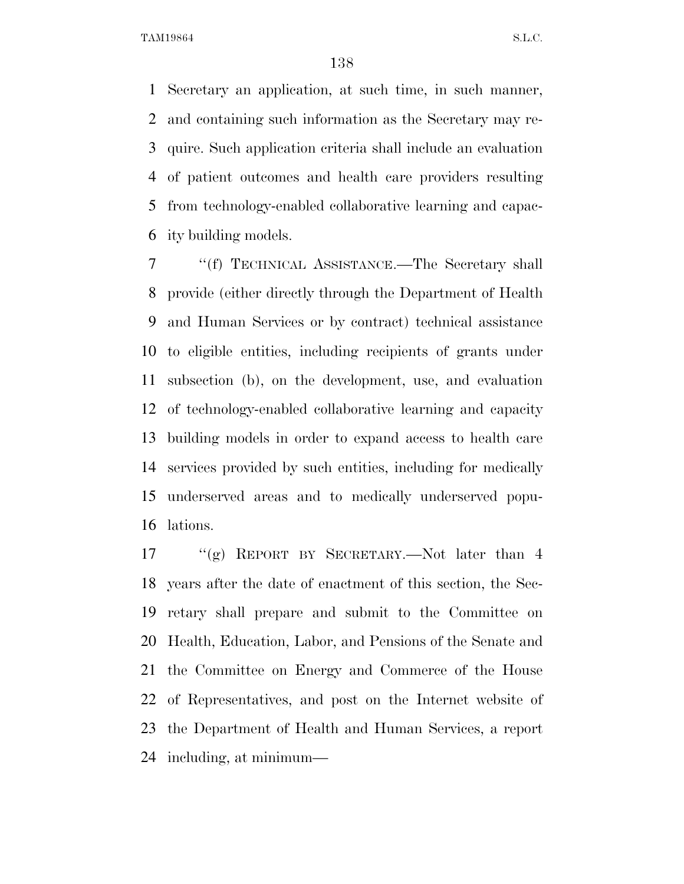Secretary an application, at such time, in such manner, and containing such information as the Secretary may re- quire. Such application criteria shall include an evaluation of patient outcomes and health care providers resulting from technology-enabled collaborative learning and capac-ity building models.

 ''(f) TECHNICAL ASSISTANCE.—The Secretary shall provide (either directly through the Department of Health and Human Services or by contract) technical assistance to eligible entities, including recipients of grants under subsection (b), on the development, use, and evaluation of technology-enabled collaborative learning and capacity building models in order to expand access to health care services provided by such entities, including for medically underserved areas and to medically underserved popu-lations.

 ''(g) REPORT BY SECRETARY.—Not later than 4 years after the date of enactment of this section, the Sec- retary shall prepare and submit to the Committee on Health, Education, Labor, and Pensions of the Senate and the Committee on Energy and Commerce of the House of Representatives, and post on the Internet website of the Department of Health and Human Services, a report including, at minimum—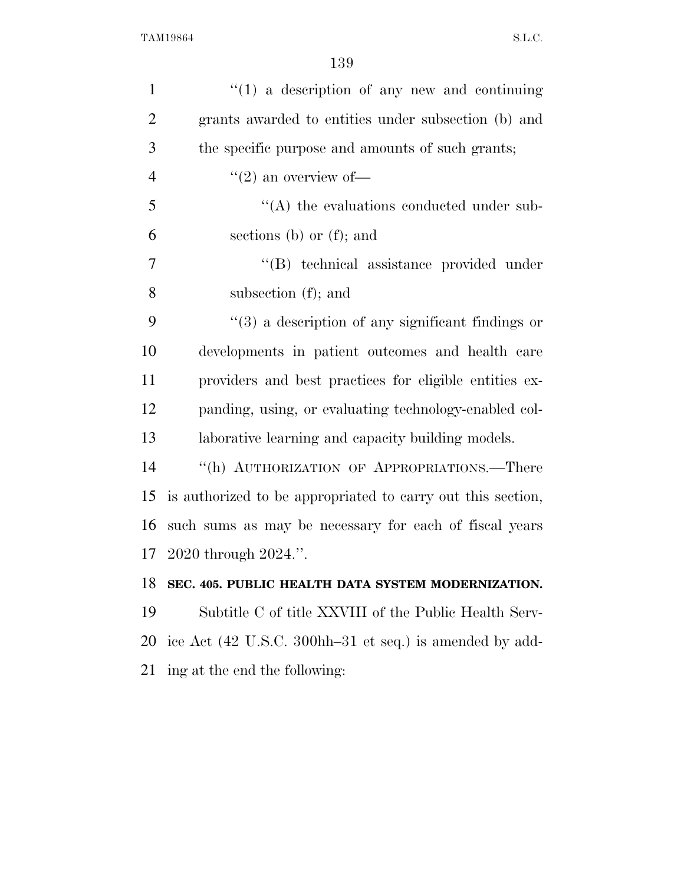| $\mathbf{1}$   | $\lq(1)$ a description of any new and continuing                  |
|----------------|-------------------------------------------------------------------|
| $\overline{2}$ | grants awarded to entities under subsection (b) and               |
| 3              | the specific purpose and amounts of such grants;                  |
| $\overline{4}$ | $\lq(2)$ an overview of —                                         |
| 5              | $\lq\lq$ the evaluations conducted under sub-                     |
| 6              | sections (b) or $(f)$ ; and                                       |
| 7              | "(B) technical assistance provided under                          |
| 8              | subsection $(f)$ ; and                                            |
| 9              | $\cdot\cdot\cdot(3)$ a description of any significant findings or |
| 10             | developments in patient outcomes and health care                  |
| 11             | providers and best practices for eligible entities ex-            |
| 12             | panding, using, or evaluating technology-enabled col-             |
| 13             | laborative learning and capacity building models.                 |
| 14             | "(h) AUTHORIZATION OF APPROPRIATIONS.—There                       |
| 15             | is authorized to be appropriated to carry out this section,       |
| 16             | such sums as may be necessary for each of fiscal years            |
|                | 17 2020 through 2024.".                                           |
| 18             | SEC. 405. PUBLIC HEALTH DATA SYSTEM MODERNIZATION.                |
| 19             | Subtitle C of title XXVIII of the Public Health Serv-             |
| 20             | ice Act (42 U.S.C. 300hh–31 et seq.) is amended by add-           |
| 21             | ing at the end the following:                                     |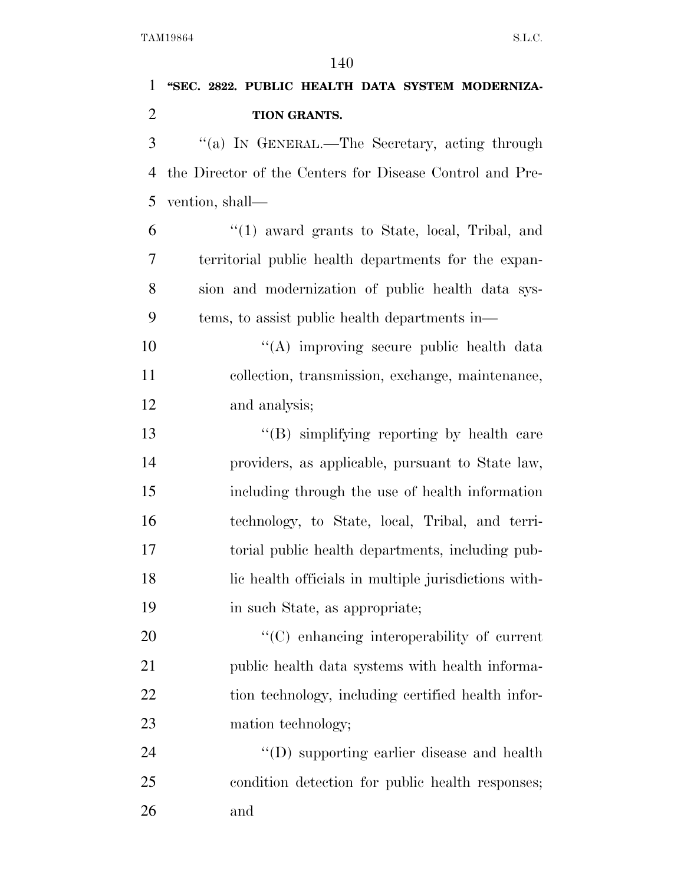# **''SEC. 2822. PUBLIC HEALTH DATA SYSTEM MODERNIZA-TION GRANTS.**

 ''(a) IN GENERAL.—The Secretary, acting through the Director of the Centers for Disease Control and Pre-vention, shall—

 ''(1) award grants to State, local, Tribal, and territorial public health departments for the expan- sion and modernization of public health data sys-tems, to assist public health departments in—

10 "(A) improving secure public health data collection, transmission, exchange, maintenance, and analysis;

13 ''(B) simplifying reporting by health care providers, as applicable, pursuant to State law, including through the use of health information technology, to State, local, Tribal, and terri- torial public health departments, including pub- lic health officials in multiple jurisdictions with-in such State, as appropriate;

20  $\cdot$  (C) enhancing interoperability of current public health data systems with health informa-22 tion technology, including certified health infor-23 mation technology;

 ''(D) supporting earlier disease and health condition detection for public health responses; and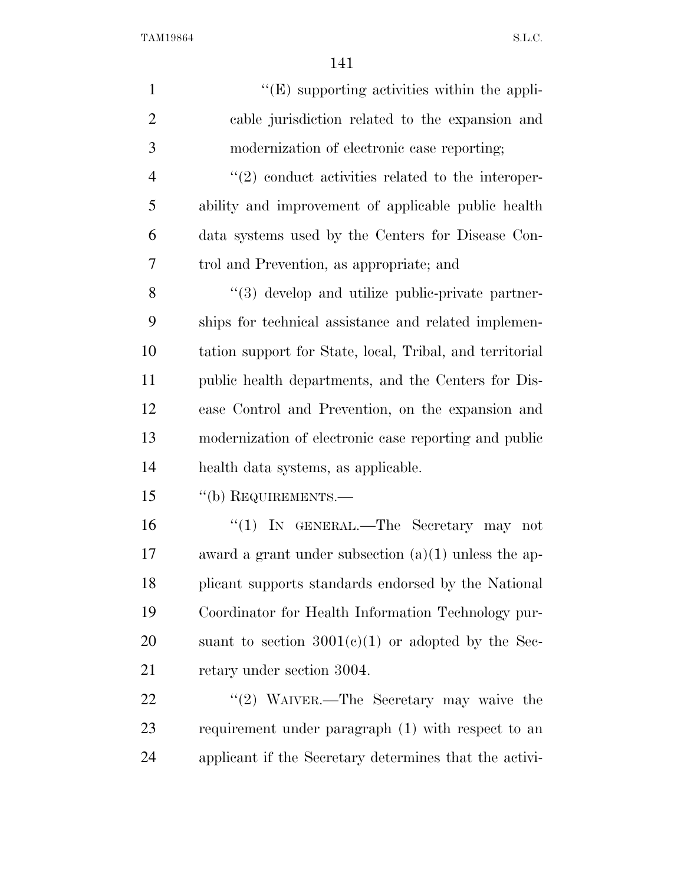| $\mathbf{1}$   | $\lq\lq$ (E) supporting activities within the appli-     |
|----------------|----------------------------------------------------------|
| $\overline{2}$ | cable jurisdiction related to the expansion and          |
| 3              | modernization of electronic case reporting;              |
| $\overline{4}$ | $\lq(2)$ conduct activities related to the interoper-    |
| 5              | ability and improvement of applicable public health      |
| 6              | data systems used by the Centers for Disease Con-        |
| 7              | trol and Prevention, as appropriate; and                 |
| 8              | "(3) develop and utilize public-private partner-         |
| 9              | ships for technical assistance and related implemen-     |
| 10             | tation support for State, local, Tribal, and territorial |
| 11             | public health departments, and the Centers for Dis-      |
| 12             | ease Control and Prevention, on the expansion and        |
| 13             | modernization of electronic case reporting and public    |
| 14             | health data systems, as applicable.                      |
| 15             | "(b) REQUIREMENTS.-                                      |
| 16             | "(1) IN GENERAL.—The Secretary may not                   |
| 17             | award a grant under subsection $(a)(1)$ unless the ap-   |
| 18             | plicant supports standards endorsed by the National      |
| 19             | Coordinator for Health Information Technology pur-       |
| 20             | suant to section $3001(c)(1)$ or adopted by the Sec-     |
| 21             | retary under section 3004.                               |
| 22             | "(2) WAIVER.—The Secretary may waive the                 |
| 23             | requirement under paragraph (1) with respect to an       |
| 24             | applicant if the Secretary determines that the activi-   |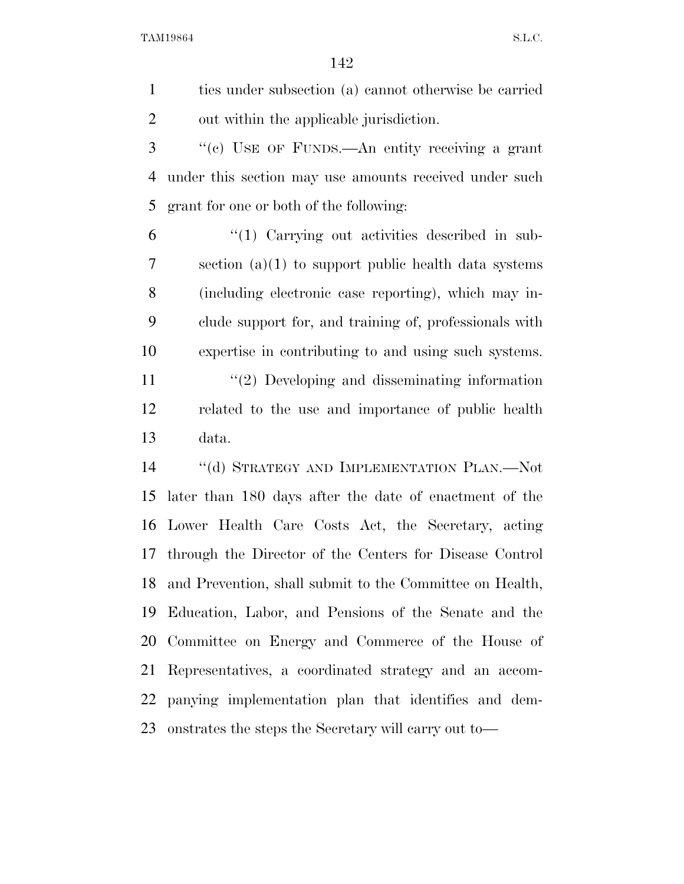ties under subsection (a) cannot otherwise be carried out within the applicable jurisdiction.

 ''(c) USE OF FUNDS.—An entity receiving a grant under this section may use amounts received under such grant for one or both of the following:

 ''(1) Carrying out activities described in sub- section (a)(1) to support public health data systems (including electronic case reporting), which may in- clude support for, and training of, professionals with expertise in contributing to and using such systems.

11 ''(2) Developing and disseminating information related to the use and importance of public health data.

 ''(d) STRATEGY AND IMPLEMENTATION PLAN.—Not later than 180 days after the date of enactment of the Lower Health Care Costs Act, the Secretary, acting through the Director of the Centers for Disease Control and Prevention, shall submit to the Committee on Health, Education, Labor, and Pensions of the Senate and the Committee on Energy and Commerce of the House of Representatives, a coordinated strategy and an accom- panying implementation plan that identifies and dem-onstrates the steps the Secretary will carry out to—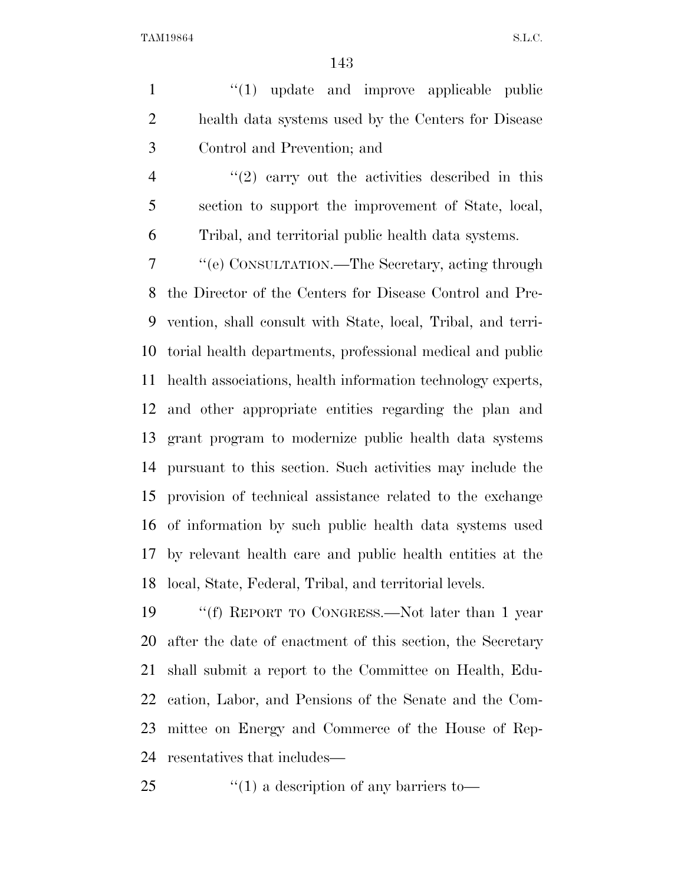1 ''(1) update and improve applicable public health data systems used by the Centers for Disease Control and Prevention; and

4 "(2) carry out the activities described in this section to support the improvement of State, local, Tribal, and territorial public health data systems.

 ''(e) CONSULTATION.—The Secretary, acting through the Director of the Centers for Disease Control and Pre- vention, shall consult with State, local, Tribal, and terri- torial health departments, professional medical and public health associations, health information technology experts, and other appropriate entities regarding the plan and grant program to modernize public health data systems pursuant to this section. Such activities may include the provision of technical assistance related to the exchange of information by such public health data systems used by relevant health care and public health entities at the local, State, Federal, Tribal, and territorial levels.

 ''(f) REPORT TO CONGRESS.—Not later than 1 year after the date of enactment of this section, the Secretary shall submit a report to the Committee on Health, Edu- cation, Labor, and Pensions of the Senate and the Com- mittee on Energy and Commerce of the House of Rep-resentatives that includes—

''(1) a description of any barriers to—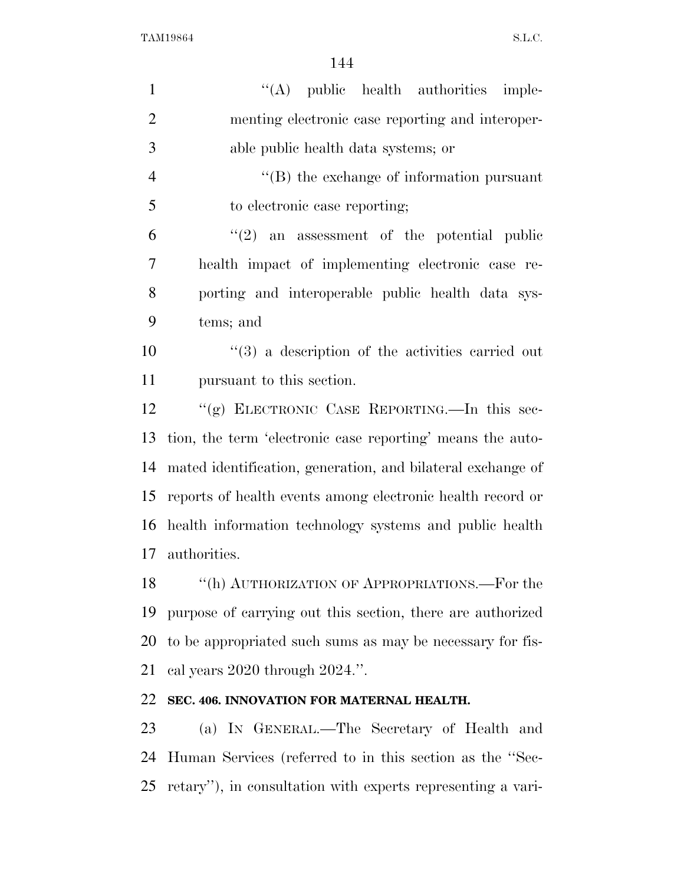| $\mathbf{1}$   | "(A) public health authorities imple-                            |
|----------------|------------------------------------------------------------------|
| $\overline{2}$ | menting electronic case reporting and interoper-                 |
| 3              | able public health data systems; or                              |
| $\overline{4}$ | $\lq\lq$ the exchange of information pursuant                    |
| 5              | to electronic case reporting;                                    |
| 6              | $(2)$ an assessment of the potential public                      |
| 7              | health impact of implementing electronic case re-                |
| 8              | porting and interoperable public health data sys-                |
| 9              | tems; and                                                        |
| 10             | $\cdot\cdot\cdot(3)$ a description of the activities carried out |
| 11             | pursuant to this section.                                        |
| 12             | "(g) ELECTRONIC CASE REPORTING.—In this sec-                     |
| 13             | tion, the term 'electronic case reporting' means the auto-       |
| 14             | mated identification, generation, and bilateral exchange of      |
| 15             | reports of health events among electronic health record or       |
|                | 16 health information technology systems and public health       |
| 17             | authorities.                                                     |
| 18             | "(h) AUTHORIZATION OF APPROPRIATIONS.—For the                    |
| 19             | purpose of carrying out this section, there are authorized       |
| 20             | to be appropriated such sums as may be necessary for fis-        |
| 21             | cal years $2020$ through $2024$ .".                              |
| 22             | SEC. 406. INNOVATION FOR MATERNAL HEALTH.                        |
| 23             | (a) IN GENERAL.—The Secretary of Health and                      |
| 24             | Human Services (referred to in this section as the "Sec-         |

retary''), in consultation with experts representing a vari-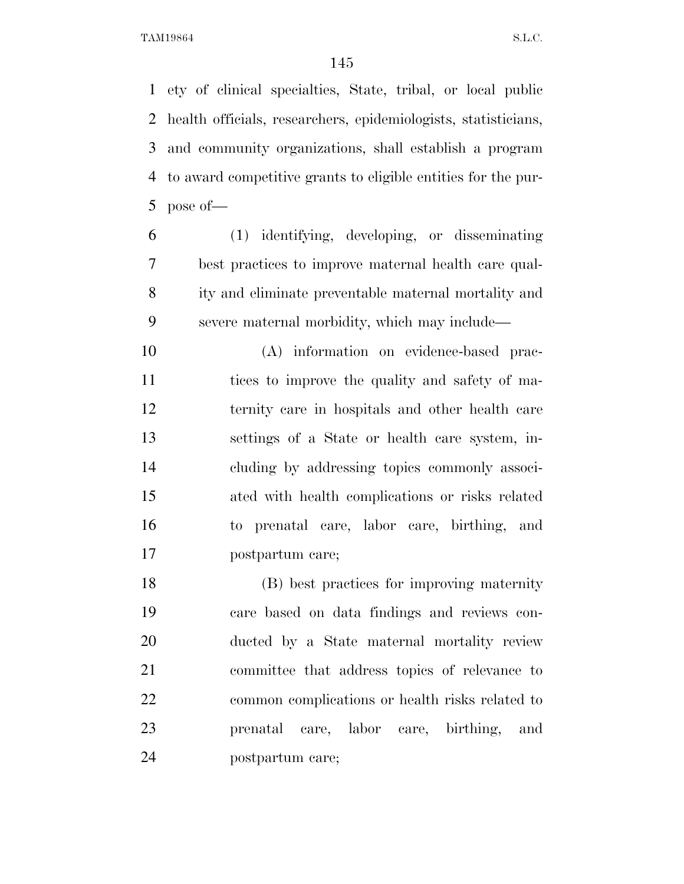ety of clinical specialties, State, tribal, or local public health officials, researchers, epidemiologists, statisticians, and community organizations, shall establish a program to award competitive grants to eligible entities for the pur-pose of—

 (1) identifying, developing, or disseminating best practices to improve maternal health care qual- ity and eliminate preventable maternal mortality and severe maternal morbidity, which may include—

 (A) information on evidence-based prac- tices to improve the quality and safety of ma- ternity care in hospitals and other health care settings of a State or health care system, in- cluding by addressing topics commonly associ- ated with health complications or risks related to prenatal care, labor care, birthing, and postpartum care;

 (B) best practices for improving maternity care based on data findings and reviews con- ducted by a State maternal mortality review committee that address topics of relevance to common complications or health risks related to prenatal care, labor care, birthing, and postpartum care;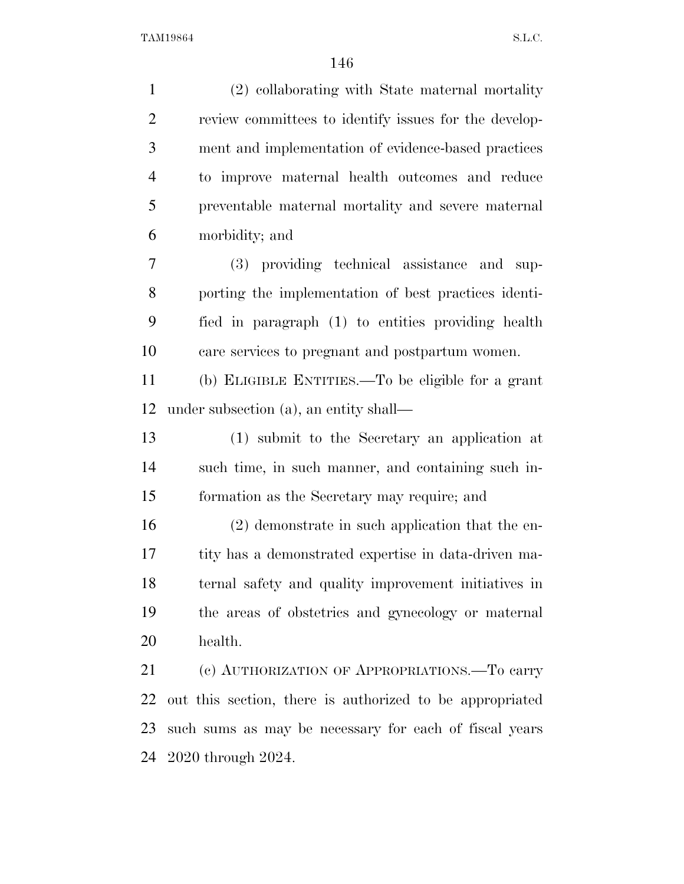| $\mathbf{1}$   | (2) collaborating with State maternal mortality          |
|----------------|----------------------------------------------------------|
| $\overline{2}$ | review committees to identify issues for the develop-    |
| 3              | ment and implementation of evidence-based practices      |
| $\overline{4}$ | to improve maternal health outcomes and reduce           |
| 5              | preventable maternal mortality and severe maternal       |
| 6              | morbidity; and                                           |
| 7              | (3) providing technical assistance and sup-              |
| 8              | porting the implementation of best practices identi-     |
| 9              | fied in paragraph (1) to entities providing health       |
| 10             | care services to pregnant and postpartum women.          |
| 11             | (b) ELIGIBLE ENTITIES.—To be eligible for a grant        |
| 12             | under subsection (a), an entity shall—                   |
| 13             | (1) submit to the Secretary an application at            |
| 14             | such time, in such manner, and containing such in-       |
| 15             | formation as the Secretary may require; and              |
| 16             | $(2)$ demonstrate in such application that the en-       |
| 17             | tity has a demonstrated expertise in data-driven ma-     |
| 18             | ternal safety and quality improvement initiatives in     |
| 19             | the areas of obstetrics and gynecology or maternal       |
| 20             | health.                                                  |
| 21             | (c) AUTHORIZATION OF APPROPRIATIONS.—To carry            |
| 22             | out this section, there is authorized to be appropriated |
| 23             | such sums as may be necessary for each of fiscal years   |

2020 through 2024.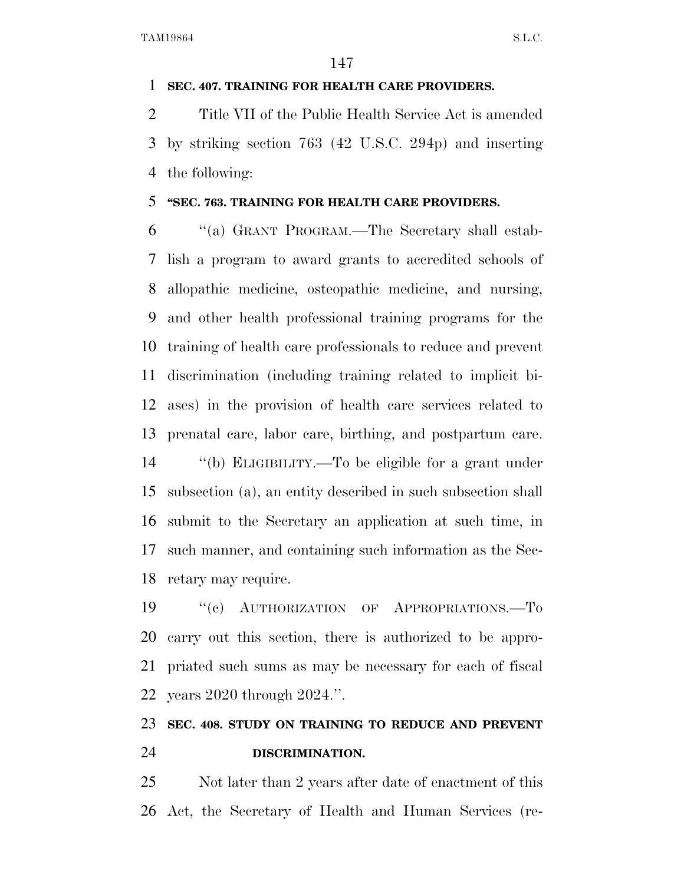### **SEC. 407. TRAINING FOR HEALTH CARE PROVIDERS.**

 Title VII of the Public Health Service Act is amended by striking section 763 (42 U.S.C. 294p) and inserting the following:

### **''SEC. 763. TRAINING FOR HEALTH CARE PROVIDERS.**

 ''(a) GRANT PROGRAM.—The Secretary shall estab- lish a program to award grants to accredited schools of allopathic medicine, osteopathic medicine, and nursing, and other health professional training programs for the training of health care professionals to reduce and prevent discrimination (including training related to implicit bi- ases) in the provision of health care services related to prenatal care, labor care, birthing, and postpartum care.

 ''(b) ELIGIBILITY.—To be eligible for a grant under subsection (a), an entity described in such subsection shall submit to the Secretary an application at such time, in such manner, and containing such information as the Sec-retary may require.

 ''(c) AUTHORIZATION OF APPROPRIATIONS.—To carry out this section, there is authorized to be appro- priated such sums as may be necessary for each of fiscal years 2020 through 2024.''.

### **SEC. 408. STUDY ON TRAINING TO REDUCE AND PREVENT DISCRIMINATION.**

 Not later than 2 years after date of enactment of this Act, the Secretary of Health and Human Services (re-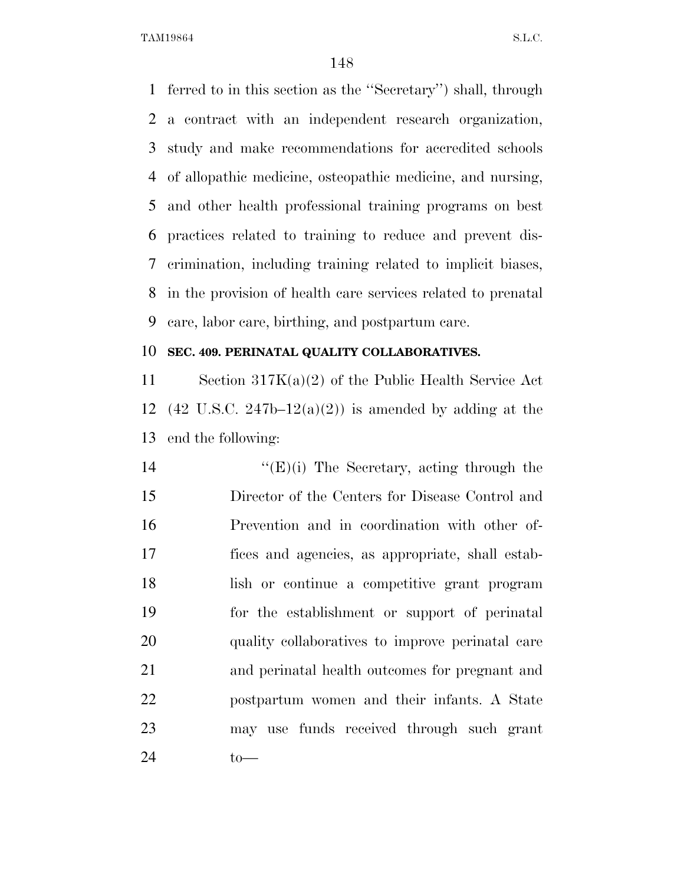ferred to in this section as the ''Secretary'') shall, through a contract with an independent research organization, study and make recommendations for accredited schools of allopathic medicine, osteopathic medicine, and nursing, and other health professional training programs on best practices related to training to reduce and prevent dis- crimination, including training related to implicit biases, in the provision of health care services related to prenatal care, labor care, birthing, and postpartum care.

### **SEC. 409. PERINATAL QUALITY COLLABORATIVES.**

 Section 317K(a)(2) of the Public Health Service Act 12 (42 U.S.C. 247b–12(a)(2)) is amended by adding at the end the following:

 ''(E)(i) The Secretary, acting through the Director of the Centers for Disease Control and Prevention and in coordination with other of- fices and agencies, as appropriate, shall estab- lish or continue a competitive grant program for the establishment or support of perinatal quality collaboratives to improve perinatal care and perinatal health outcomes for pregnant and postpartum women and their infants. A State may use funds received through such grant to—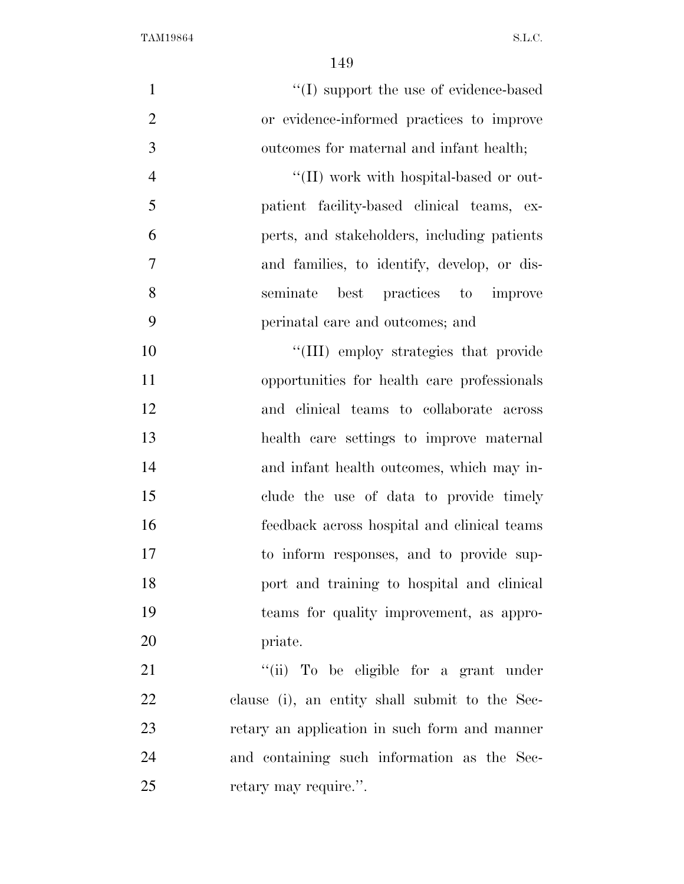| $\mathbf{1}$   | $\lq\lq$ support the use of evidence-based     |
|----------------|------------------------------------------------|
| $\overline{2}$ | or evidence-informed practices to improve      |
| 3              | outcomes for maternal and infant health;       |
| $\overline{4}$ | $\lq\lq$ (II) work with hospital-based or out- |
| 5              | patient facility-based clinical teams, ex-     |
| 6              | perts, and stakeholders, including patients    |
| $\overline{7}$ | and families, to identify, develop, or dis-    |
| 8              | best practices to improve<br>seminate          |
| 9              | perinatal care and outcomes; and               |
| 10             | "(III) employ strategies that provide          |
| 11             | opportunities for health care professionals    |
| 12             | and clinical teams to collaborate across       |
| 13             | health care settings to improve maternal       |
| 14             | and infant health outcomes, which may in-      |
| 15             | clude the use of data to provide timely        |
| 16             | feedback across hospital and clinical teams    |
| 17             | to inform responses, and to provide sup-       |
| 18             | port and training to hospital and clinical     |
| 19             | teams for quality improvement, as appro-       |
| 20             | priate.                                        |
| 21             | "(ii) To be eligible for a grant under         |
| 22             | clause (i), an entity shall submit to the Sec- |
| 23             | retary an application in such form and manner  |
| 24             | and containing such information as the Sec-    |
| 25             | retary may require.".                          |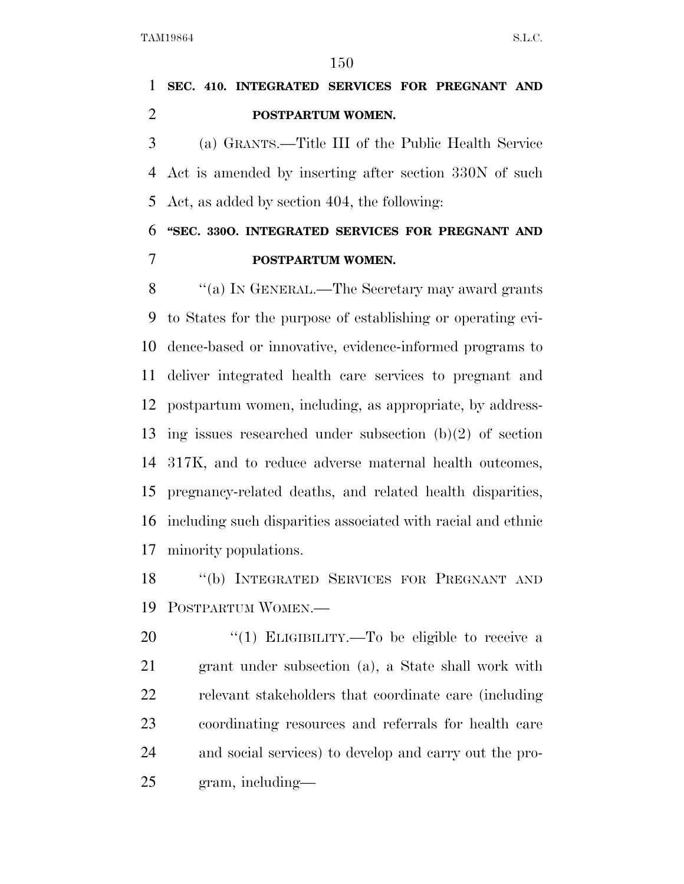## **SEC. 410. INTEGRATED SERVICES FOR PREGNANT AND POSTPARTUM WOMEN.**

 (a) GRANTS.—Title III of the Public Health Service Act is amended by inserting after section 330N of such Act, as added by section 404, the following:

## **''SEC. 330O. INTEGRATED SERVICES FOR PREGNANT AND POSTPARTUM WOMEN.**

 ''(a) IN GENERAL.—The Secretary may award grants to States for the purpose of establishing or operating evi- dence-based or innovative, evidence-informed programs to deliver integrated health care services to pregnant and postpartum women, including, as appropriate, by address- ing issues researched under subsection (b)(2) of section 317K, and to reduce adverse maternal health outcomes, pregnancy-related deaths, and related health disparities, including such disparities associated with racial and ethnic minority populations.

 ''(b) INTEGRATED SERVICES FOR PREGNANT AND POSTPARTUM WOMEN.—

 ''(1) ELIGIBILITY.—To be eligible to receive a grant under subsection (a), a State shall work with relevant stakeholders that coordinate care (including coordinating resources and referrals for health care and social services) to develop and carry out the pro-gram, including—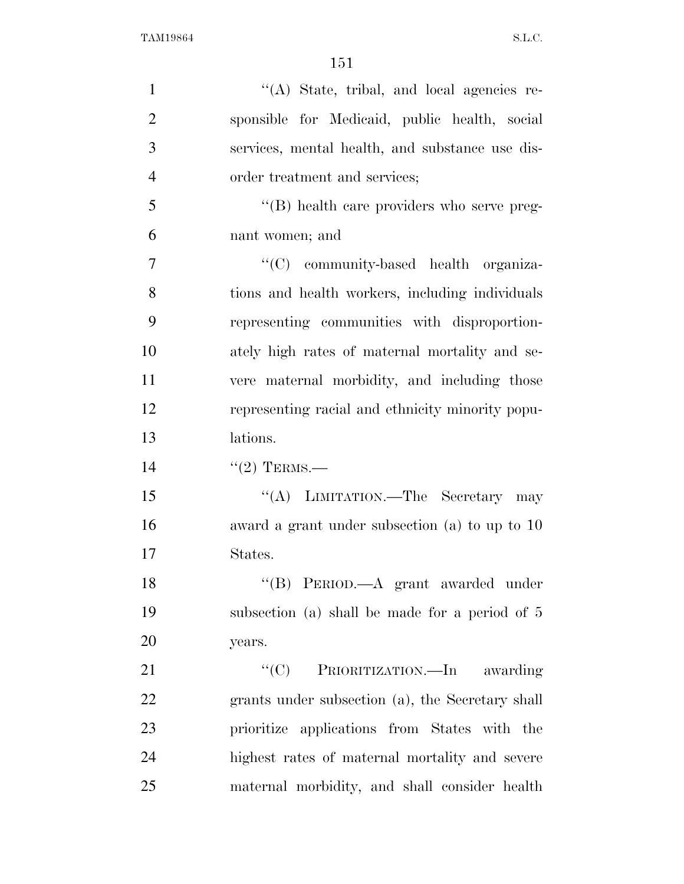| $\mathbf{1}$   | "(A) State, tribal, and local agencies re-       |
|----------------|--------------------------------------------------|
| $\overline{2}$ | sponsible for Medicaid, public health, social    |
| 3              | services, mental health, and substance use dis-  |
| $\overline{4}$ | order treatment and services;                    |
| 5              | "(B) health care providers who serve preg-       |
| 6              | nant women; and                                  |
| 7              | "(C) community-based health organiza-            |
| 8              | tions and health workers, including individuals  |
| 9              | representing communities with disproportion-     |
| 10             | ately high rates of maternal mortality and se-   |
| 11             | vere maternal morbidity, and including those     |
| 12             | representing racial and ethnicity minority popu- |
| 13             | lations.                                         |
| 14             | $"(2)$ TERMS.—                                   |
| 15             | "(A) LIMITATION.—The Secretary may               |
| 16             | award a grant under subsection (a) to up to $10$ |
| 17             | States.                                          |
| 18             | "(B) PERIOD.—A grant awarded under               |
| 19             | subsection (a) shall be made for a period of 5   |
| 20             | years.                                           |
| 21             | "(C) PRIORITIZATION.—In awarding                 |
| 22             | grants under subsection (a), the Secretary shall |
| 23             | prioritize applications from States with the     |
| 24             | highest rates of maternal mortality and severe   |
| 25             | maternal morbidity, and shall consider health    |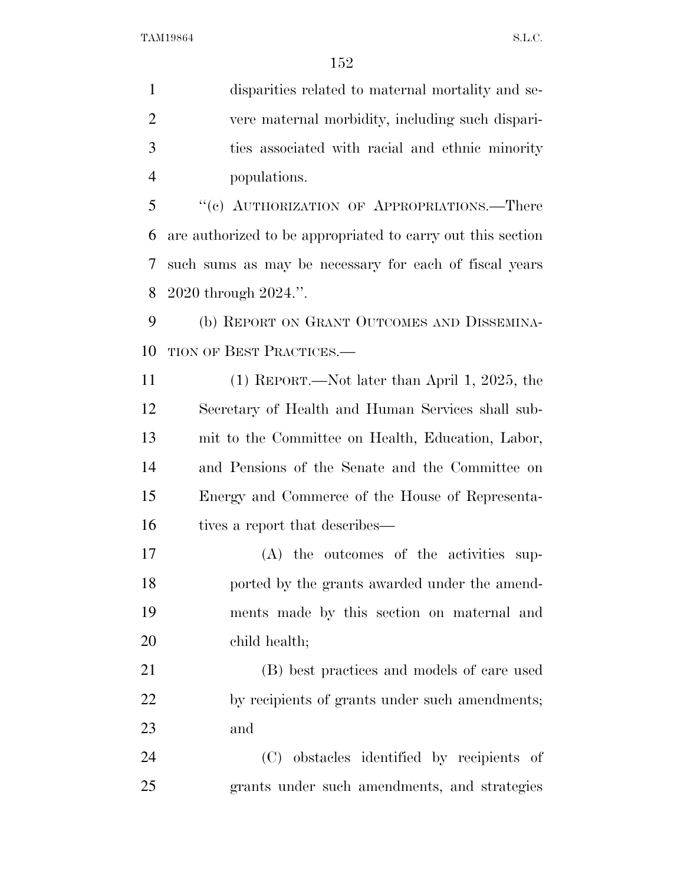disparities related to maternal mortality and se- vere maternal morbidity, including such dispari- ties associated with racial and ethnic minority populations.

 ''(c) AUTHORIZATION OF APPROPRIATIONS.—There are authorized to be appropriated to carry out this section such sums as may be necessary for each of fiscal years 2020 through 2024.''.

 (b) REPORT ON GRANT OUTCOMES AND DISSEMINA-10 TION OF BEST PRACTICES.—

 (1) REPORT.—Not later than April 1, 2025, the Secretary of Health and Human Services shall sub- mit to the Committee on Health, Education, Labor, and Pensions of the Senate and the Committee on Energy and Commerce of the House of Representa-16 tives a report that describes—

 (A) the outcomes of the activities sup- ported by the grants awarded under the amend- ments made by this section on maternal and child health;

 (B) best practices and models of care used 22 by recipients of grants under such amendments; and

 (C) obstacles identified by recipients of grants under such amendments, and strategies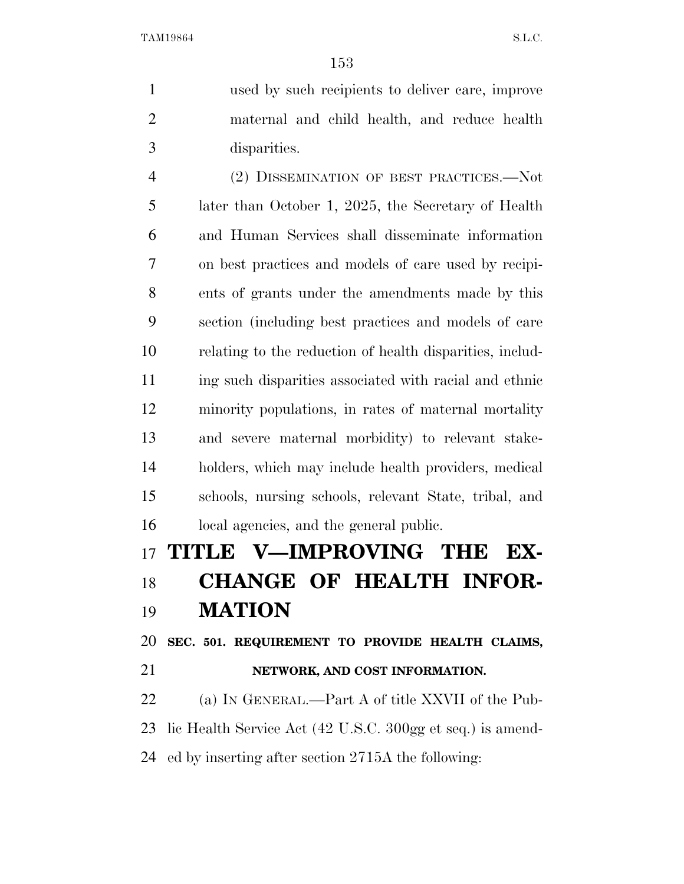used by such recipients to deliver care, improve maternal and child health, and reduce health disparities.

 (2) DISSEMINATION OF BEST PRACTICES.—Not later than October 1, 2025, the Secretary of Health and Human Services shall disseminate information on best practices and models of care used by recipi- ents of grants under the amendments made by this section (including best practices and models of care relating to the reduction of health disparities, includ- ing such disparities associated with racial and ethnic minority populations, in rates of maternal mortality and severe maternal morbidity) to relevant stake- holders, which may include health providers, medical schools, nursing schools, relevant State, tribal, and local agencies, and the general public.

# **TITLE V—IMPROVING THE EX- CHANGE OF HEALTH INFOR-MATION**

**SEC. 501. REQUIREMENT TO PROVIDE HEALTH CLAIMS,** 

**NETWORK, AND COST INFORMATION.** 

 (a) IN GENERAL.—Part A of title XXVII of the Pub- lic Health Service Act (42 U.S.C. 300gg et seq.) is amend-ed by inserting after section 2715A the following: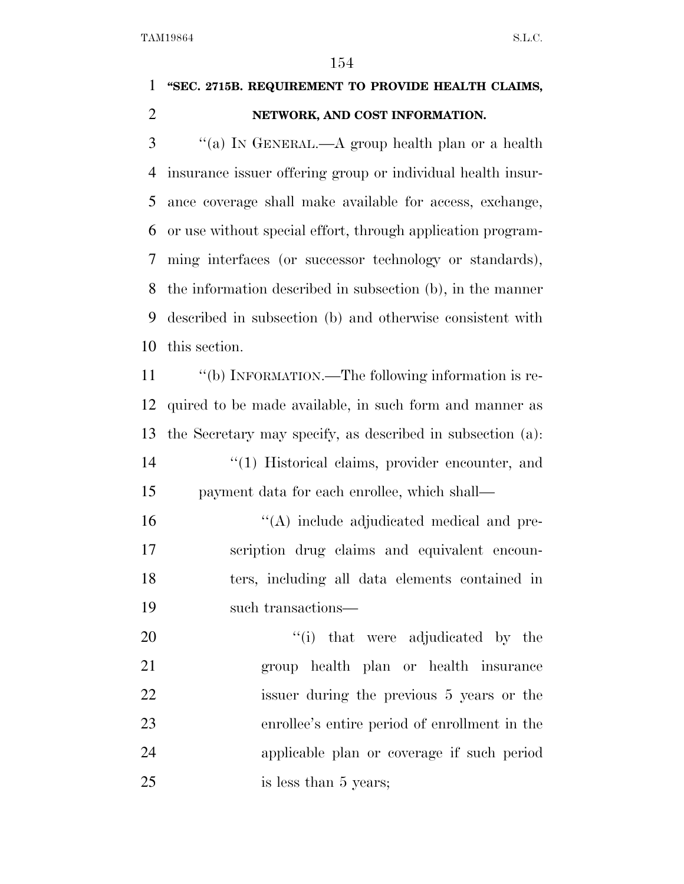## **''SEC. 2715B. REQUIREMENT TO PROVIDE HEALTH CLAIMS, NETWORK, AND COST INFORMATION.**

 ''(a) IN GENERAL.—A group health plan or a health insurance issuer offering group or individual health insur- ance coverage shall make available for access, exchange, or use without special effort, through application program- ming interfaces (or successor technology or standards), the information described in subsection (b), in the manner described in subsection (b) and otherwise consistent with this section.

11 "(b) INFORMATION.—The following information is re- quired to be made available, in such form and manner as the Secretary may specify, as described in subsection (a): 14 ''(1) Historical claims, provider encounter, and payment data for each enrollee, which shall— ''(A) include adjudicated medical and pre- scription drug claims and equivalent encoun- ters, including all data elements contained in such transactions—  $\frac{1}{1}$  that were adjudicated by the

 group health plan or health insurance issuer during the previous 5 years or the enrollee's entire period of enrollment in the applicable plan or coverage if such period 25 is less than 5 years;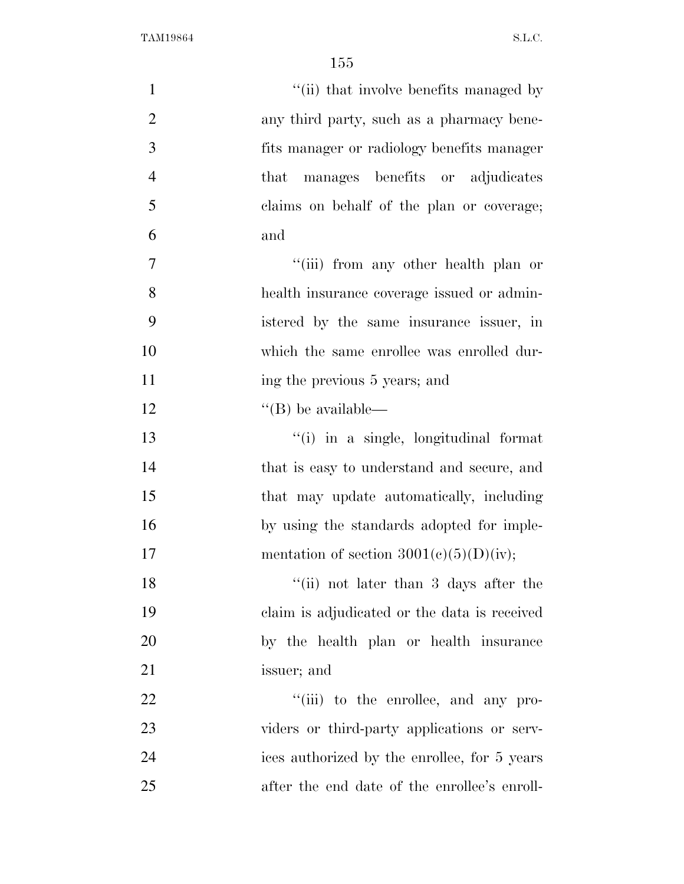| $\mathbf{1}$   | "(ii) that involve benefits managed by       |
|----------------|----------------------------------------------|
| $\overline{2}$ | any third party, such as a pharmacy bene-    |
| 3              | fits manager or radiology benefits manager   |
| $\overline{4}$ | manages benefits or adjudicates<br>that      |
| 5              | claims on behalf of the plan or coverage;    |
| 6              | and                                          |
| 7              | "(iii) from any other health plan or         |
| 8              | health insurance coverage issued or admin-   |
| 9              | istered by the same insurance issuer, in     |
| 10             | which the same enrollee was enrolled dur-    |
| 11             | ing the previous 5 years; and                |
| 12             | $\lq\lq$ (B) be available—                   |
| 13             | "(i) in a single, longitudinal format        |
| 14             | that is easy to understand and secure, and   |
| 15             | that may update automatically, including     |
| 16             | by using the standards adopted for imple-    |
| 17             | mentation of section $3001(c)(5)(D)(iv);$    |
| 18             | "(ii) not later than $3$ days after the      |
| 19             | claim is adjudicated or the data is received |
| 20             | by the health plan or health insurance       |
| 21             | issuer; and                                  |
| 22             | "(iii) to the enrollee, and any pro-         |
| 23             | viders or third-party applications or serv-  |
| 24             | ices authorized by the enrollee, for 5 years |
| 25             | after the end date of the enrollee's enroll- |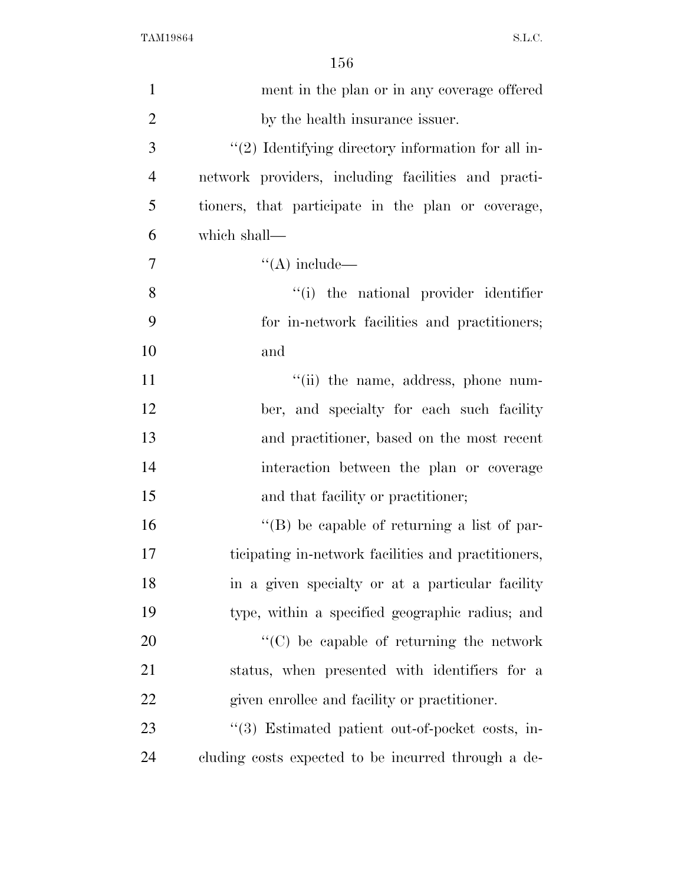| $\mathbf{1}$   | ment in the plan or in any coverage offered         |
|----------------|-----------------------------------------------------|
| $\overline{2}$ | by the health insurance issuer.                     |
| 3              | "(2) Identifying directory information for all in-  |
| $\overline{4}$ | network providers, including facilities and practi- |
| 5              | tioners, that participate in the plan or coverage,  |
| 6              | which shall—                                        |
| 7              | $\lq\lq$ include —                                  |
| 8              | "(i) the national provider identifier               |
| 9              | for in-network facilities and practitioners;        |
| 10             | and                                                 |
| 11             | "(ii) the name, address, phone num-                 |
| 12             | ber, and specialty for each such facility           |
| 13             | and practitioner, based on the most recent          |
| 14             | interaction between the plan or coverage            |
| 15             | and that facility or practitioner;                  |
| 16             | "(B) be capable of returning a list of par-         |
| 17             | ticipating in-network facilities and practitioners, |
| 18             | in a given specialty or at a particular facility    |
| 19             | type, within a specified geographic radius; and     |
| 20             | "(C) be capable of returning the network            |
| 21             | status, when presented with identifiers for a       |
| 22             | given enrollee and facility or practitioner.        |
| 23             | "(3) Estimated patient out-of-pocket costs, in-     |
| 24             | cluding costs expected to be incurred through a de- |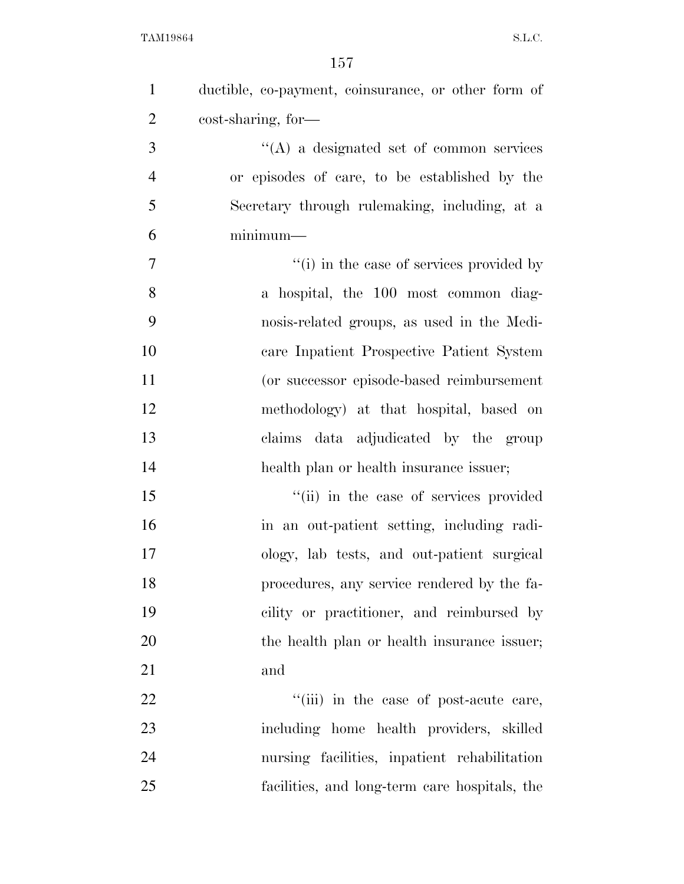| $\mathbf{1}$   | ductible, co-payment, coinsurance, or other form of |
|----------------|-----------------------------------------------------|
| $\overline{2}$ | cost-sharing, for-                                  |
| 3              | $\lq\lq$ a designated set of common services        |
| $\overline{4}$ | or episodes of care, to be established by the       |
| 5              | Secretary through rulemaking, including, at a       |
| 6              | $minimum-$                                          |
| $\overline{7}$ | "(i) in the case of services provided by            |
| 8              | a hospital, the 100 most common diag-               |
| 9              | nosis-related groups, as used in the Medi-          |
| 10             | care Inpatient Prospective Patient System           |
| 11             | (or successor episode-based reimbursement           |
| 12             | methodology) at that hospital, based on             |
| 13             | data adjudicated by the group<br>claims             |
| 14             | health plan or health insurance issuer;             |
| 15             | "(ii) in the case of services provided              |
| 16             | in an out-patient setting, including radi-          |
| 17             | ology, lab tests, and out-patient surgical          |
| 18             | procedures, any service rendered by the fa-         |
| 19             | cility or practitioner, and reimbursed by           |
| 20             | the health plan or health insurance issuer;         |
| 21             | and                                                 |
| 22             | "(iii) in the case of post-acute care,              |
| 23             | including home health providers, skilled            |
| 24             | nursing facilities, inpatient rehabilitation        |
| 25             | facilities, and long-term care hospitals, the       |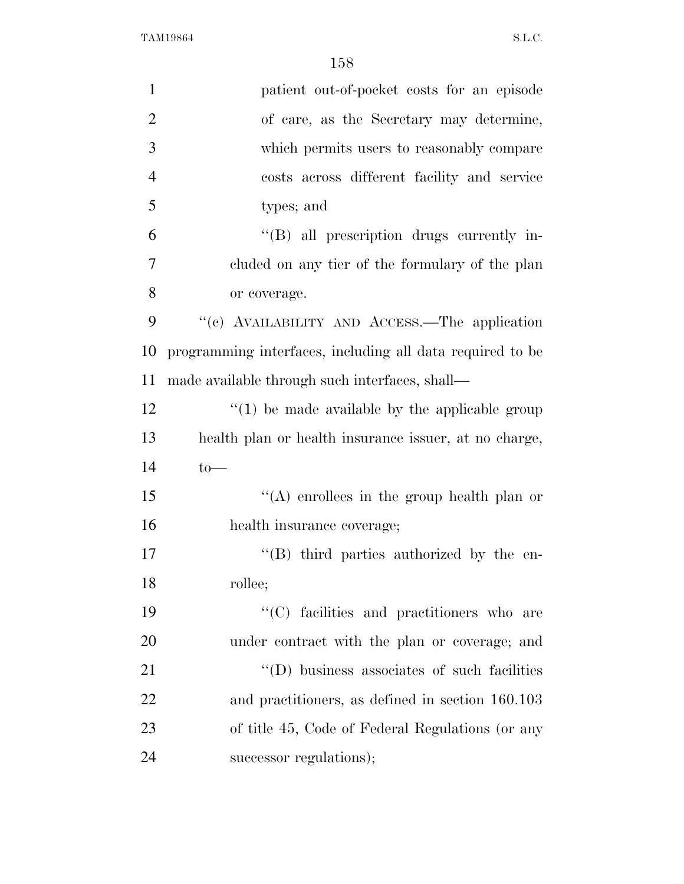| $\mathbf{1}$   | patient out-of-pocket costs for an episode                |
|----------------|-----------------------------------------------------------|
| $\overline{2}$ | of care, as the Secretary may determine,                  |
| 3              | which permits users to reasonably compare                 |
| $\overline{4}$ | costs across different facility and service               |
| 5              | types; and                                                |
| 6              | "(B) all prescription drugs currently in-                 |
| $\overline{7}$ | cluded on any tier of the formulary of the plan           |
| 8              | or coverage.                                              |
| 9              | "(c) AVAILABILITY AND ACCESS.—The application             |
| 10             | programming interfaces, including all data required to be |
| 11             | made available through such interfaces, shall—            |
| 12             | $\lq(1)$ be made available by the applicable group        |
| 13             | health plan or health insurance issuer, at no charge,     |
| 14             | $to-$                                                     |
| 15             | "(A) enrollees in the group health plan or                |
| 16             | health insurance coverage;                                |
| 17             | $\lq\lq (B)$ third parties authorized by the en-          |
| 18             | rollee;                                                   |
| 19             | "(C) facilities and practitioners who are                 |
| 20             | under contract with the plan or coverage; and             |
| 21             | "(D) business associates of such facilities               |
| 22             | and practitioners, as defined in section 160.103          |
| 23             | of title 45, Code of Federal Regulations (or any          |
| 24             | successor regulations);                                   |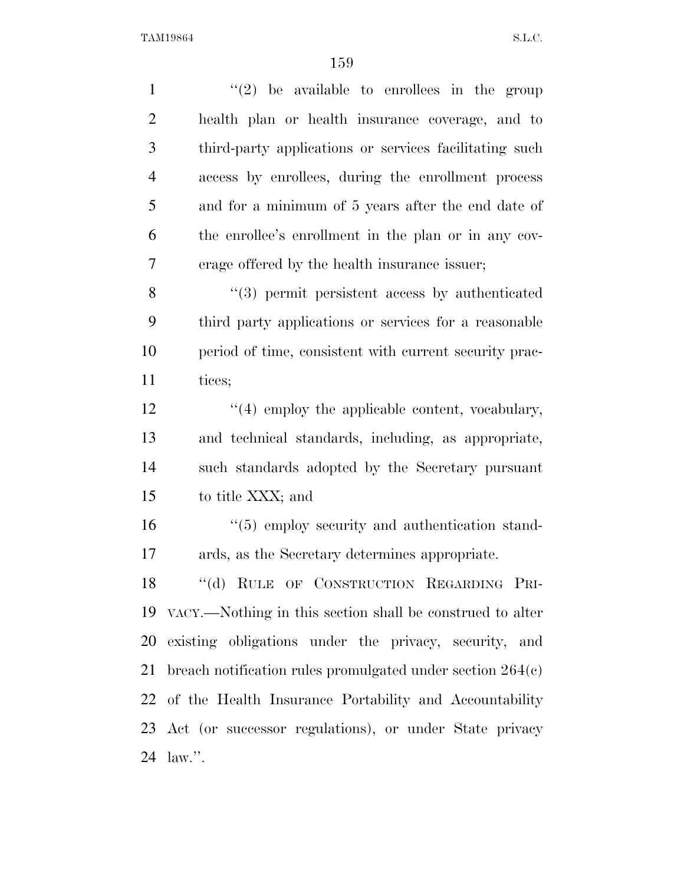| $\mathbf{1}$   | $(2)$ be available to enrollees in the group                    |
|----------------|-----------------------------------------------------------------|
| $\overline{2}$ | health plan or health insurance coverage, and to                |
| 3              | third-party applications or services facilitating such          |
| $\overline{4}$ | access by enrollees, during the enrollment process              |
| 5              | and for a minimum of 5 years after the end date of              |
| 6              | the enrollee's enrollment in the plan or in any cov-            |
| 7              | erage offered by the health insurance issuer;                   |
| 8              | $(3)$ permit persistent access by authenticated                 |
| 9              | third party applications or services for a reasonable           |
| 10             | period of time, consistent with current security prac-          |
| 11             | tices;                                                          |
| 12             | "(4) employ the applicable content, vocabulary,                 |
| 13             | and technical standards, including, as appropriate,             |
| 14             | such standards adopted by the Secretary pursuant                |
| 15             | to title XXX; and                                               |
| 16             | $\cdot\cdot$ (5) employ security and authentication stand-      |
| 17             | ards, as the Secretary determines appropriate.                  |
|                | 18 "(d) RULE OF CONSTRUCTION REGARDING PRI-                     |
|                | 19 VACY.—Nothing in this section shall be construed to alter    |
|                | 20 existing obligations under the privacy, security, and        |
|                | 21 breach notification rules promulgated under section $264(e)$ |
|                | 22 of the Health Insurance Portability and Accountability       |
|                | 23 Act (or successor regulations), or under State privacy       |
|                | 24 law.".                                                       |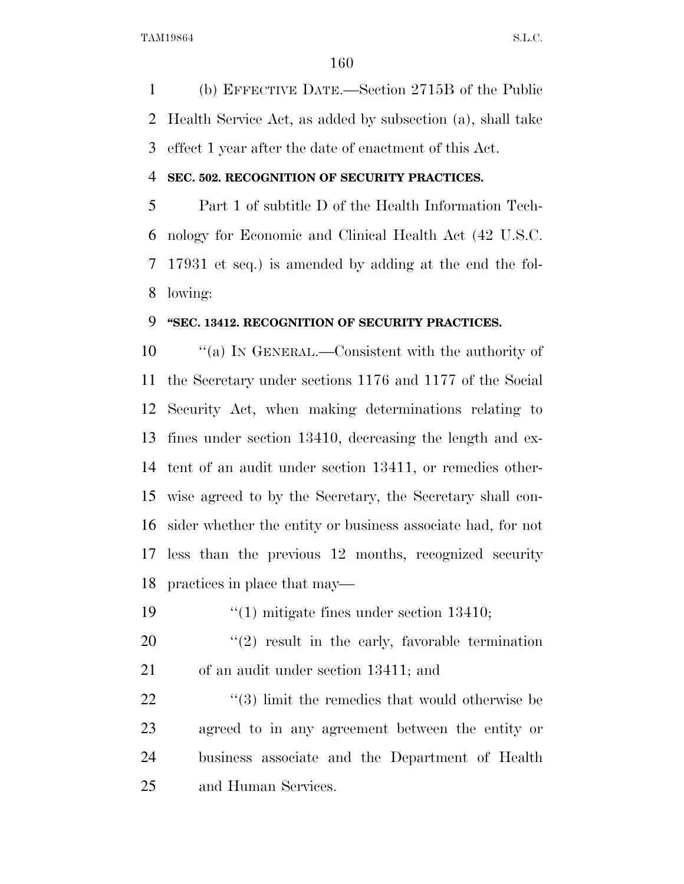(b) EFFECTIVE DATE.—Section 2715B of the Public Health Service Act, as added by subsection (a), shall take effect 1 year after the date of enactment of this Act.

#### **SEC. 502. RECOGNITION OF SECURITY PRACTICES.**

 Part 1 of subtitle D of the Health Information Tech- nology for Economic and Clinical Health Act (42 U.S.C. 17931 et seq.) is amended by adding at the end the fol-lowing:

### **''SEC. 13412. RECOGNITION OF SECURITY PRACTICES.**

 $\cdot$  ''(a) In GENERAL.—Consistent with the authority of the Secretary under sections 1176 and 1177 of the Social Security Act, when making determinations relating to fines under section 13410, decreasing the length and ex- tent of an audit under section 13411, or remedies other- wise agreed to by the Secretary, the Secretary shall con- sider whether the entity or business associate had, for not less than the previous 12 months, recognized security practices in place that may—

''(1) mitigate fines under section 13410;

 ''(2) result in the early, favorable termination of an audit under section 13411; and

22 ''(3) limit the remedies that would otherwise be agreed to in any agreement between the entity or business associate and the Department of Health and Human Services.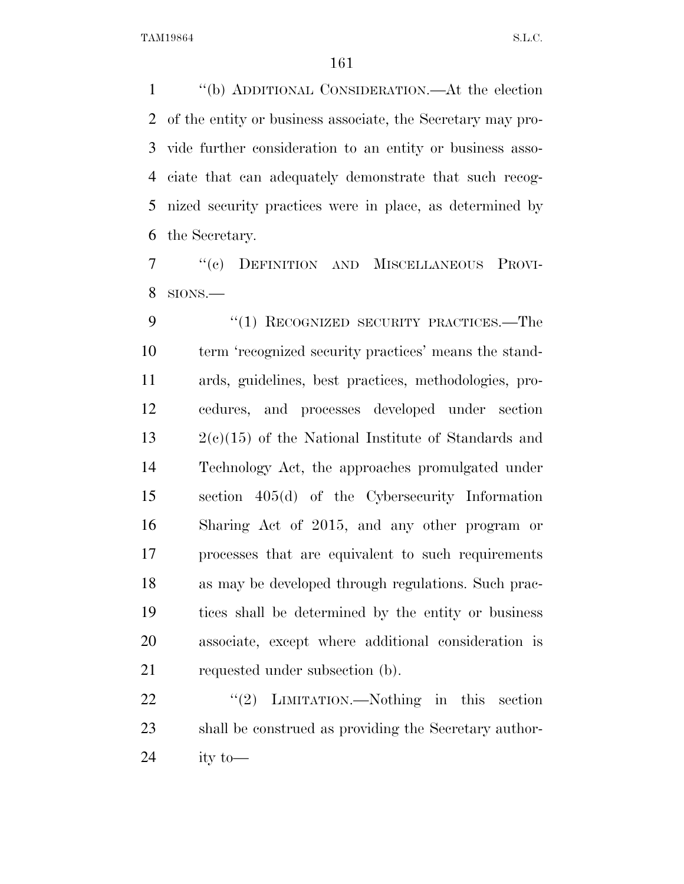''(b) ADDITIONAL CONSIDERATION.—At the election of the entity or business associate, the Secretary may pro- vide further consideration to an entity or business asso- ciate that can adequately demonstrate that such recog- nized security practices were in place, as determined by the Secretary.

 ''(c) DEFINITION AND MISCELLANEOUS PROVI-SIONS.—

9 "(1) RECOGNIZED SECURITY PRACTICES.—The term 'recognized security practices' means the stand- ards, guidelines, best practices, methodologies, pro- cedures, and processes developed under section 2(c)(15) of the National Institute of Standards and Technology Act, the approaches promulgated under section 405(d) of the Cybersecurity Information Sharing Act of 2015, and any other program or processes that are equivalent to such requirements as may be developed through regulations. Such prac- tices shall be determined by the entity or business associate, except where additional consideration is requested under subsection (b).

22 "'(2) LIMITATION.—Nothing in this section shall be construed as providing the Secretary author-24 ity to  $\equiv$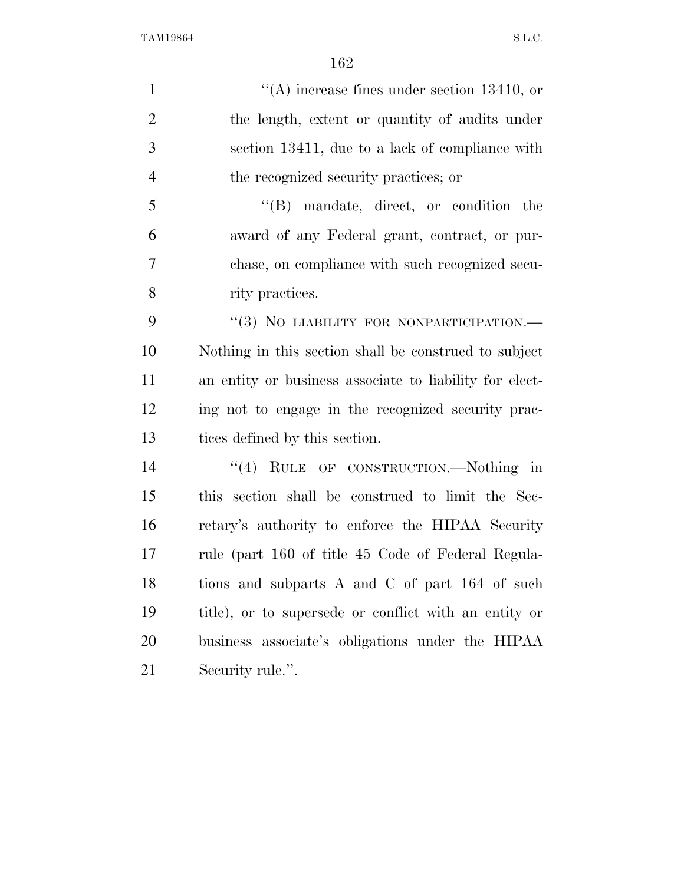$\langle (A) \rangle$  increase fines under section 13410, or the length, extent or quantity of audits under section 13411, due to a lack of compliance with the recognized security practices; or ''(B) mandate, direct, or condition the award of any Federal grant, contract, or pur- chase, on compliance with such recognized secu-8 rity practices. 9 "(3) NO LIABILITY FOR NONPARTICIPATION.— Nothing in this section shall be construed to subject an entity or business associate to liability for elect- ing not to engage in the recognized security prac- tices defined by this section. 14 "(4) RULE OF CONSTRUCTION.—Nothing in this section shall be construed to limit the Sec- retary's authority to enforce the HIPAA Security rule (part 160 of title 45 Code of Federal Regula-18 tions and subparts A and C of part 164 of such title), or to supersede or conflict with an entity or business associate's obligations under the HIPAA

Security rule.''.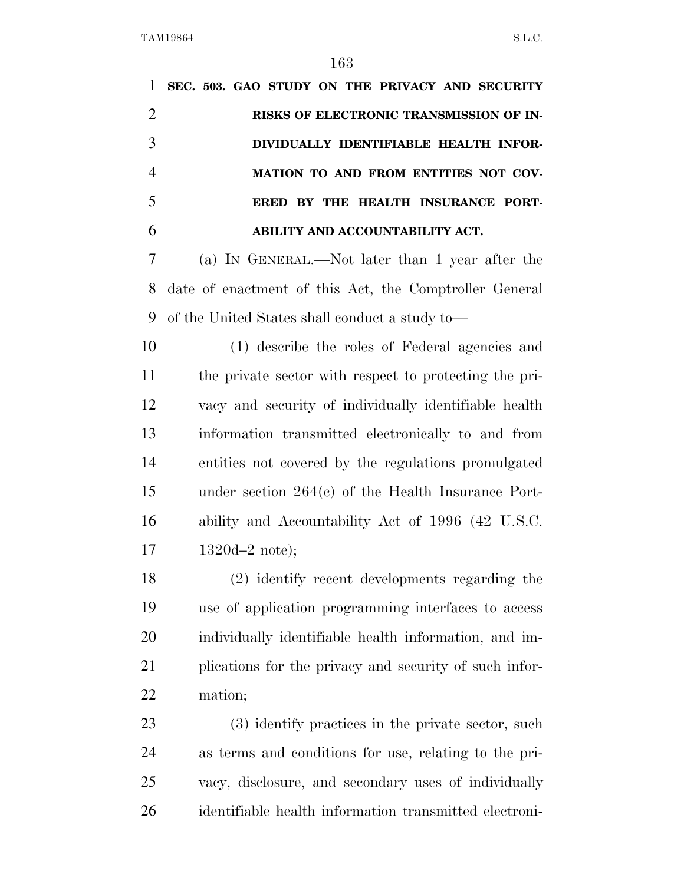**SEC. 503. GAO STUDY ON THE PRIVACY AND SECURITY RISKS OF ELECTRONIC TRANSMISSION OF IN- DIVIDUALLY IDENTIFIABLE HEALTH INFOR- MATION TO AND FROM ENTITIES NOT COV- ERED BY THE HEALTH INSURANCE PORT- ABILITY AND ACCOUNTABILITY ACT.**  (a) IN GENERAL.—Not later than 1 year after the date of enactment of this Act, the Comptroller General of the United States shall conduct a study to— (1) describe the roles of Federal agencies and the private sector with respect to protecting the pri- vacy and security of individually identifiable health information transmitted electronically to and from entities not covered by the regulations promulgated under section 264(c) of the Health Insurance Port- ability and Accountability Act of 1996 (42 U.S.C. 1320d–2 note); (2) identify recent developments regarding the use of application programming interfaces to access individually identifiable health information, and im- plications for the privacy and security of such infor- mation; (3) identify practices in the private sector, such as terms and conditions for use, relating to the pri-vacy, disclosure, and secondary uses of individually

identifiable health information transmitted electroni-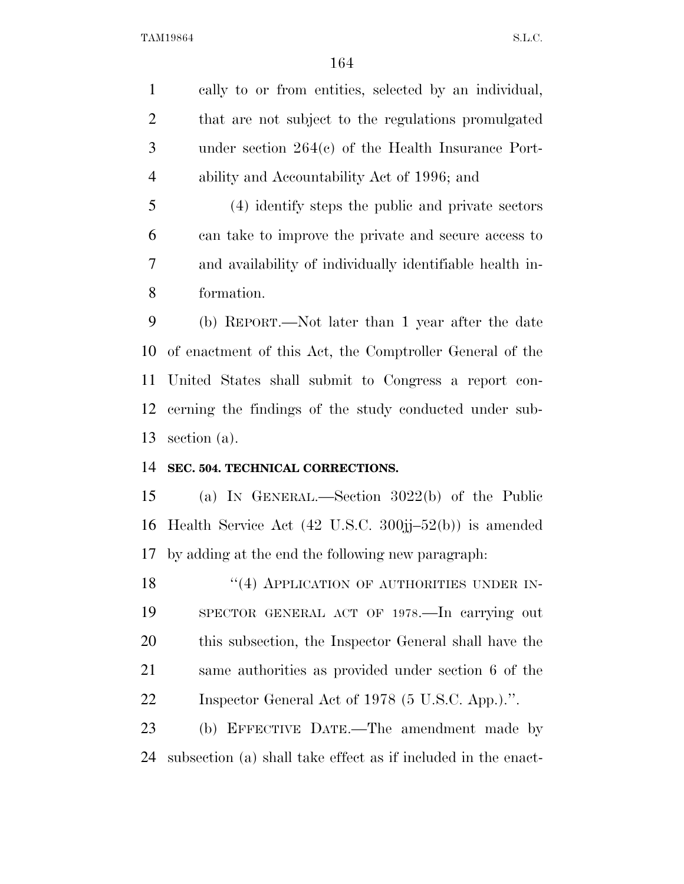cally to or from entities, selected by an individual, that are not subject to the regulations promulgated under section 264(c) of the Health Insurance Port-ability and Accountability Act of 1996; and

 (4) identify steps the public and private sectors can take to improve the private and secure access to and availability of individually identifiable health in-formation.

 (b) REPORT.—Not later than 1 year after the date of enactment of this Act, the Comptroller General of the United States shall submit to Congress a report con- cerning the findings of the study conducted under sub-section (a).

### **SEC. 504. TECHNICAL CORRECTIONS.**

 (a) IN GENERAL.—Section 3022(b) of the Public Health Service Act (42 U.S.C. 300jj–52(b)) is amended by adding at the end the following new paragraph:

18 "(4) APPLICATION OF AUTHORITIES UNDER IN- SPECTOR GENERAL ACT OF 1978.—In carrying out this subsection, the Inspector General shall have the same authorities as provided under section 6 of the Inspector General Act of 1978 (5 U.S.C. App.).''.

 (b) EFFECTIVE DATE.—The amendment made by subsection (a) shall take effect as if included in the enact